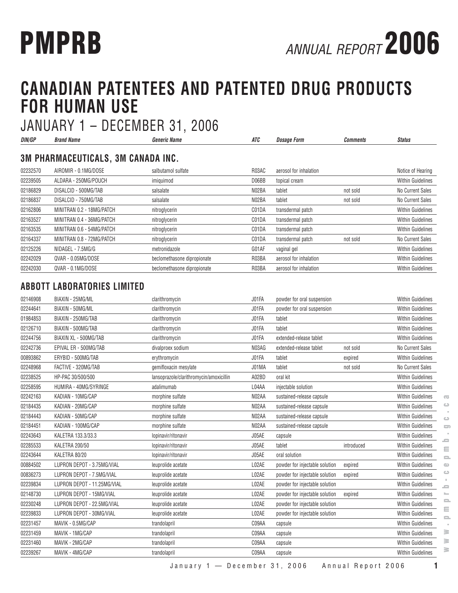# **CANADIAN PATENTEES AND PATENTED DRUG PRODUCTS FOR HUMAN USE**

JANUARY 1 – DECEMBER 31, 2006 **DIN/GP Brand Name Generic Name ATC Dosage Form Comments Status 3M PHARMACEUTICALS, 3M CANADA INC.** 02232570 AIROMIR - 0.1MG/DOSE salbutamol sulfate R03AC aerosol for inhalation Notice of Hearing 02239505 ALDARA - 250MG/POUCH imiquimod imiquimod D06BB topical cream and D05B topical cream Within Guidelines 02186829 DISALCID - 500MG/TAB salsalate N02BA tablet not sold No Current Sales 02186837 DISALCID - 750MG/TAB salsalate N02BA tablet not sold No Current Sales 02162806 MINITRAN 0.2 - 18MG/PATCH nitroglycerin control control communication control communication within Guidelines 02163527 MINITRAN 0.4 - 36MG/PATCH nitroglycerin contrast control community control control control control control control control control within Guidelines 02163535 MINITRAN 0.6 - 54MG/PATCH nitroglycerin controlled the CO1DA transdermal patch CO1DA transdermal patch 02164337 MINITRAN 0.8 - 72MG/PATCH nitroglycerin controlled the C01DA transdermal patch not sold No Current Sales 02125226 NIDAGEL - 7.5MG/G metronidazole G01AF vaginal gel Within Guidelines 02242029 QVAR - 0.05MG/DOSE beclomethasone dipropionate R03BA aerosol for inhalation Within Guidelines 02242030 QVAR - 0.1MG/DOSE beclomethasone dipropionate R03BA aerosol for inhalation Within Guidelines

#### **ABBOTT LABORATORIES LIMITED**

| 02146908 | BIAXIN - 25MG/ML            | clarithromycin                          | J01FA | powder for oral suspension     |            | <b>Within Guidelines</b> |
|----------|-----------------------------|-----------------------------------------|-------|--------------------------------|------------|--------------------------|
| 02244641 | BIAXIN - 50MG/ML            | clarithromycin                          | J01FA | powder for oral suspension     |            | <b>Within Guidelines</b> |
| 01984853 | BIAXIN - 250MG/TAB          | clarithromycin                          | J01FA | tablet                         |            | <b>Within Guidelines</b> |
| 02126710 | BIAXIN - 500MG/TAB          | clarithromycin                          | J01FA | tablet                         |            | Within Guidelines        |
| 02244756 | BIAXIN XL - 500MG/TAB       | clarithromycin                          | J01FA | extended-release tablet        |            | <b>Within Guidelines</b> |
| 02242736 | EPIVAL ER - 500MG/TAB       | divalproex sodium                       | N03AG | extended-release tablet        | not sold   | No Current Sales         |
| 00893862 | ERYBID - 500MG/TAB          | erythromycin                            | J01FA | tablet                         | expired    | <b>Within Guidelines</b> |
| 02248968 | FACTIVE - 320MG/TAB         | gemifloxacin mesylate                   | J01MA | tablet                         | not sold   | No Current Sales         |
| 02238525 | HP-PAC 30/500/500           | lansoprazole/clarithromycin/amoxicillin | A02BD | oral kit                       |            | Within Guidelines        |
| 02258595 | HUMIRA - 40MG/SYRINGE       | adalimumab                              | L04AA | injectable solution            |            | <b>Within Guidelines</b> |
| 02242163 | KADIAN - 10MG/CAP           | morphine sulfate                        | N02AA | sustained-release capsule      |            | <b>Within Guidelines</b> |
| 02184435 | KADIAN - 20MG/CAP           | morphine sulfate                        | N02AA | sustained-release capsule      |            | <b>Within Guidelines</b> |
| 02184443 | KADIAN - 50MG/CAP           | morphine sulfate                        | N02AA | sustained-release capsule      |            | <b>Within Guidelines</b> |
| 02184451 | KADIAN - 100MG/CAP          | morphine sulfate                        | N02AA | sustained-release capsule      |            | <b>Within Guidelines</b> |
| 02243643 | KALETRA 133.3/33.3          | lopinavir/ritonavir                     | J05AE | capsule                        |            | <b>Within Guidelines</b> |
| 02285533 | KALETRA 200/50              | lopinavir/ritonavir                     | J05AE | tablet                         | introduced | <b>Within Guidelines</b> |
| 02243644 | KALETRA 80/20               | lopinavir/ritonavir                     | J05AE | oral solution                  |            | <b>Within Guidelines</b> |
| 00884502 | LUPRON DEPOT - 3.75MG/VIAL  | leuprolide acetate                      | L02AE | powder for injectable solution | expired    | <b>Within Guidelines</b> |
| 00836273 | LUPRON DEPOT - 7.5MG/VIAL   | leuprolide acetate                      | L02AE | powder for injectable solution | expired    | <b>Within Guidelines</b> |
| 02239834 | LUPRON DEPOT - 11.25MG/VIAL | leuprolide acetate                      | L02AE | powder for injectable solution |            | <b>Within Guidelines</b> |
| 02148730 | LUPRON DEPOT - 15MG/VIAL    | leuprolide acetate                      | L02AE | powder for injectable solution | expired    | <b>Within Guidelines</b> |
| 02230248 | LUPRON DEPOT - 22.5MG/VIAL  | leuprolide acetate                      | L02AE | powder for injectable solution |            | Within Guidelines        |
| 02239833 | LUPRON DEPOT - 30MG/VIAL    | leuprolide acetate                      | L02AE | powder for injectable solution |            | <b>Within Guidelines</b> |
| 02231457 | MAVIK - 0.5MG/CAP           | trandolapril                            | C09AA | capsule                        |            | <b>Within Guidelines</b> |
| 02231459 | MAVIK - 1MG/CAP             | trandolapril                            | C09AA | capsule                        |            | <b>Within Guidelines</b> |
| 02231460 | MAVIK - 2MG/CAP             | trandolapril                            | C09AA | capsule                        |            | <b>Within Guidelines</b> |
| 02239267 | MAVIK - 4MG/CAP             | trandolapril                            | C09AA | capsule                        |            | <b>Within Guidelines</b> |
|          |                             |                                         |       |                                |            |                          |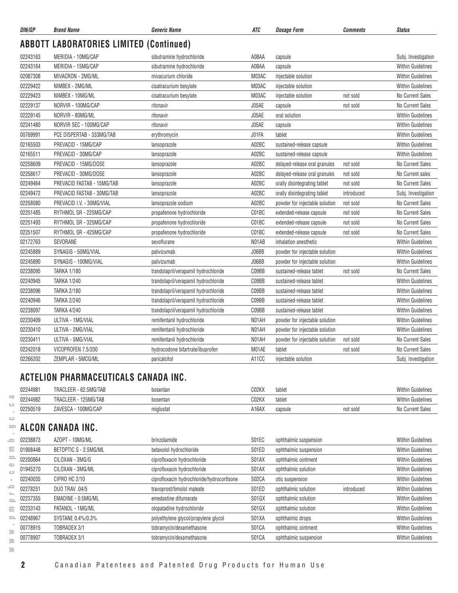| DIN/GP   | <b>Brand Name</b>                              | <i><b>Generic Name</b></i>           | ATC   | <b>Dosage Form</b>             | Comments   | <b>Status</b>            |
|----------|------------------------------------------------|--------------------------------------|-------|--------------------------------|------------|--------------------------|
|          | <b>ABBOTT LABORATORIES LIMITED (Continued)</b> |                                      |       |                                |            |                          |
| 02243163 | MERIDIA - 10MG/CAP                             | sibutramine hydrochloride            | A08AA | capsule                        |            | Subj. Investigation      |
| 02243164 | MERIDIA - 15MG/CAP                             | sibutramine hydrochloride            | A08AA | capsule                        |            | <b>Within Guidelines</b> |
| 02087308 | MIVACRON - 2MG/ML                              | mivacurium chloride                  | M03AC | injectable solution            |            | <b>Within Guidelines</b> |
| 02229422 | NIMBEX - 2MG/ML                                | cisatracurium besylate               | M03AC | injectable solution            |            | <b>Within Guidelines</b> |
| 02229423 | NIMBEX - 10MG/ML                               | cisatracurium besylate               | M03AC | injectable solution            | not sold   | <b>No Current Sales</b>  |
| 02229137 | NORVIR - 100MG/CAP                             | ritonavir                            | J05AE | capsule                        | not sold   | <b>No Current Sales</b>  |
| 02229145 | NORVIR - 80MG/ML                               | ritonavir                            | J05AE | oral solution                  |            | <b>Within Guidelines</b> |
| 02241480 | NORVIR SEC - 100MG/CAP                         | ritonavir                            | J05AE | capsule                        |            | <b>Within Guidelines</b> |
| 00769991 | PCE DISPERTAB - 333MG/TAB                      | erythromycin                         | J01FA | tablet                         |            | Within Guidelines        |
| 02165503 | PREVACID - 15MG/CAP                            | lansoprazole                         | A02BC | sustained-release capsule      |            | <b>Within Guidelines</b> |
| 02165511 | PREVACID - 30MG/CAP                            | lansoprazole                         | A02BC | sustained-release capsule      |            | <b>Within Guidelines</b> |
| 02258609 | PREVACID - 15MG/DOSE                           | lansoprazole                         | A02BC | delayed-release oral granules  | not sold   | No Current Sales         |
| 02258617 | PREVACID - 30MG/DOSE                           | lansoprazole                         | A02BC | delayed-release oral granules  | not sold   | No Current sales         |
| 02249464 | PREVACID FASTAB - 15MG/TAB                     | lansoprazole                         | A02BC | orally disintegrating tablet   | not sold   | No Current Sales         |
| 02249472 | PREVACID FASTAB - 30MG/TAB                     | lansoprazole                         | A02BC | orally disintegrating tablet   | introduced | Subj. Investigation      |
| 02258080 | PREVACID I.V. - 30MG/VIAL                      | lansoprazole sodium                  | A02BC | powder for injectable solution | not sold   | <b>No Current Sales</b>  |
| 02251485 | RYTHMOL SR - 225MG/CAP                         | propafenone hydrochloride            | C01BC | extended-release capsule       | not sold   | <b>No Current Sales</b>  |
| 02251493 | RYTHMOL SR - 325MG/CAP                         | propafenone hydrochloride            | C01BC | extended-release capsule       | not sold   | <b>No Current Sales</b>  |
| 02251507 | RYTHMOL SR - 425MG/CAP                         | propafenone hydrochloride            | C01BC | extended-release capsule       | not sold   | <b>No Current Sales</b>  |
| 02172763 | SEVORANE                                       | sevoflurane                          | N01AB | inhalation anesthetic          |            | <b>Within Guidelines</b> |
| 02245889 | SYNAGIS - 50MG/VIAL                            | palivizumab                          | J06BB | powder for injectable solution |            | Within Guidelines        |
| 02245890 | SYNAGIS - 100MG/VIAL                           | palivizumab                          | J06BB | powder for injectable solution |            | <b>Within Guidelines</b> |
| 02238095 | <b>TARKA 1/180</b>                             | trandolapril/verapamil hydrochloride | C09BB | sustained-release tablet       | not sold   | <b>No Current Sales</b>  |
| 02240945 | <b>TARKA 1/240</b>                             | trandolapril/verapamil hydrochloride | C09BB | sustained-release tablet       |            | <b>Within Guidelines</b> |
| 02238096 | <b>TARKA 2/180</b>                             | trandolapril/verapamil hydrochloride | C09BB | sustained-release tablet       |            | <b>Within Guidelines</b> |
| 02240946 | <b>TARKA 2/240</b>                             | trandolapril/verapamil hydrochloride | C09BB | sustained-release tablet       |            | <b>Within Guidelines</b> |
| 02238097 | <b>TARKA 4/240</b>                             | trandolapril/verapamil hydrochloride | C09BB | sustained-release tablet       |            | <b>Within Guidelines</b> |
| 02230409 | ULTIVA - 1MG/VIAL                              | remifentanil hydrochloride           | N01AH | powder for injectable solution |            | <b>Within Guidelines</b> |
| 02230410 | ULTIVA - 2MG/VIAL                              | remifentanil hydrochloride           | N01AH | powder for injectable solution |            | <b>Within Guidelines</b> |
| 02230411 | ULTIVA - 5MG/VIAL                              | remifentanil hydrochloride           | N01AH | powder for injectable solution | not sold   | No Current Sales         |
| 02242018 | VICOPROFEN 7.5/200                             | hydrocodone bitartrate/ibuprofen     | M01AE | tablet                         | not sold   | No Current Sales         |
| 02266202 | ZEMPLAR - 5MCG/ML                              | paricalcitol                         | A11CC | injectable solution            |            | Subj. Investigation      |
|          |                                                |                                      |       |                                |            |                          |

#### **ACTELION PHARMACEUTICALS CANADA INC.**

| 02244981 | TRACLEER<br>'.5MU/TAR<br>- h7            | bosentan  | CO2KX | tablet  |          | Within (<br><sup>,</sup> Guidelines |
|----------|------------------------------------------|-----------|-------|---------|----------|-------------------------------------|
| 02244982 | <b>HOEMACTAL</b><br>TRACLEER<br>25MG/TAB | bosentan  | CO2KX | tablet  |          | Within G<br>Guidelines              |
| 02250519 | 100MG/CAP<br>ZAVES<br>٬۵۵۰<br>≀יורי      | miglustat | A16AX | capsule | not sold | No Currem<br>ാദിക                   |

#### $\hfill\square$ **ALCON CANADA INC.**

| $\overline{\phantom{a}}$     | 02244982 | TRACLEER - 125MG/TAB  | bosentan                                   | C02KX | tablet                |            | <b>Within Guidelines</b> |
|------------------------------|----------|-----------------------|--------------------------------------------|-------|-----------------------|------------|--------------------------|
|                              | 02250519 | ZAVESCA - 100MG/CAP   | miglustat                                  | A16AX | capsule               | not sold   | No Current Sales         |
| $\circ$                      |          |                       |                                            |       |                       |            |                          |
| $\Box$                       |          | ALCON CANADA INC.     |                                            |       |                       |            |                          |
| <b>SC</b>                    | 02238873 | AZOPT - 10MG/ML       | brinzolamide                               | S01EC | ophthalmic suspension |            | <b>Within Guidelines</b> |
| Ξ                            | 01908448 | BETOPTIC S - 2.5MG/ML | betaxolol hydrochloride                    | S01ED | ophthalmic suspension |            | <b>Within Guidelines</b> |
| $\mathbf{=}$                 | 02200864 | CILOXAN - 3MG/G       | ciprofloxacin hydrochloride                | S01AX | ophthalmic ointment   |            | <b>Within Guidelines</b> |
| $\mathbb{R}^n$<br>$\bigcirc$ | 01945270 | CILOXAN - 3MG/ML      | ciprofloxacin hydrochloride                | S01AX | ophthalmic solution   |            | <b>Within Guidelines</b> |
|                              | 02240035 | CIPRO HC 2/10         | ciprofloxacin hydrochloride/hydrocortisone | S02CA | otic suspension       |            | <b>Within Guidelines</b> |
| ᇰ                            | 02278251 | DUO TRAV .04/5        | travoprost/timolol maleate                 | S01ED | ophthalmic solution   | introduced | <b>Within Guidelines</b> |
| $\qquad \qquad \blacksquare$ | 02237355 | EMADINE - 0.5MG/ML    | emedastine difumarate                      | S01GX | ophthalmic solution   |            | <b>Within Guidelines</b> |
| Ξ                            | 02233143 | PATANOL - 1MG/ML      | olopatadine hydrochloride                  | S01GX | ophthalmic solution   |            | <b>Within Guidelines</b> |
| 2                            | 02248967 | SYSTANE 0.4%/0.3%     | polyethylene glycol/propylene glycol       | S01XA | ophthalmic drops      |            | <b>Within Guidelines</b> |
| ≧                            | 00778915 | TOBRADEX 3/1          | tobramycin/dexamethasone                   | S01CA | ophthalmic ointment   |            | <b>Within Guidelines</b> |
| ≧                            | 00778907 | TOBRADEX 3/1          | tobramycin/dexamethasone                   | S01CA | ophthalmic suspension |            | <b>Within Guidelines</b> |
| ≧                            |          |                       |                                            |       |                       |            |                          |

 $\overline{\infty}$  $\circ$  $\sim$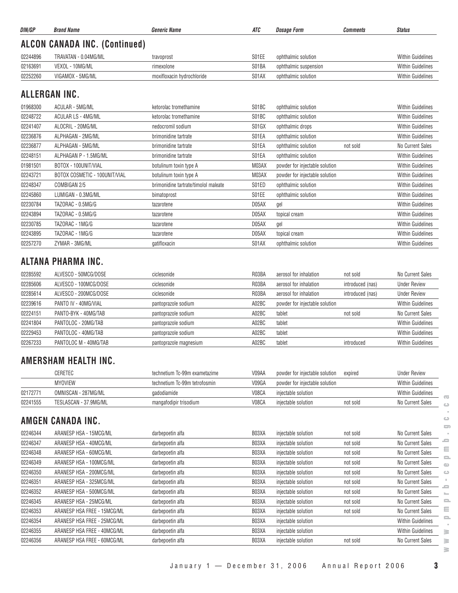| DIN/GP   | <b>Brand Name</b>                    | <b>Generic Name</b>        | ATC   | <b>Dosage Form</b>    | <i><b>Comments</b></i> | <b>Status</b>            |
|----------|--------------------------------------|----------------------------|-------|-----------------------|------------------------|--------------------------|
|          | <b>ALCON CANADA INC. (Continued)</b> |                            |       |                       |                        |                          |
| 02244896 | TRAVATAN - 0.04MG/ML                 | travoprost                 | S01EE | ophthalmic solution   |                        | <b>Within Guidelines</b> |
| 02163691 | VEXOL - 10MG/ML                      | rimexolone                 | S01BA | ophthalmic suspension |                        | <b>Within Guidelines</b> |
| 02252260 | VIGAMOX - 5MG/ML                     | moxifloxacin hydrochloride | S01AX | ophthalmic solution   |                        | <b>Within Guidelines</b> |
| 01968300 | ALLERGAN INC.<br>ACULAR - 5MG/ML     | ketorolac tromethamine     | S01BC | ophthalmic solution   |                        | <b>Within Guidelines</b> |
| 02248722 | ACULAR LS - 4MG/ML                   | ketorolac tromethamine     | S01BC | ophthalmic solution   |                        | <b>Within Guidelines</b> |
| 02241407 | ALOCRIL - 20MG/ML                    | nedocromil sodium          | S01GX | ophthalmic drops      |                        | <b>Within Guidelines</b> |
| 02236876 | ALPHAGAN - 2MG/ML                    | brimonidine tartrate       | S01EA | ophthalmic solution   |                        | <b>Within Guidelines</b> |
| 02236877 | ALPHAGAN - 5MG/ML                    | brimonidine tartrate       | S01EA | ophthalmic solution   | not sold               | No Current Sales         |
| 02248151 | ALPHAGAN P - 1.5MG/ML                | brimonidine tartrate       | S01EA | ophthalmic solution   |                        | <b>Within Guidelines</b> |

| 02248151 | ALPHAGAN P - 1.5MG/ML         | brimonidine tartrate                 | SU1EA | ophthalmic solution            | Within Guidelines        |
|----------|-------------------------------|--------------------------------------|-------|--------------------------------|--------------------------|
| 01981501 | BOTOX - 100UNIT/VIAL          | botulinum toxin type A               | M03AX | powder for injectable solution | <b>Within Guidelines</b> |
| 02243721 | BOTOX COSMETIC - 100UNIT/VIAL | botulinum toxin type A               | M03AX | powder for injectable solution | <b>Within Guidelines</b> |
| 02248347 | COMBIGAN 2/5                  | brimonidine tartrate/timolol maleate | S01ED | ophthalmic solution            | <b>Within Guidelines</b> |
| 02245860 | LUMIGAN - 0.3MG/ML            | bimatoprost                          | S01EE | ophthalmic solution            | <b>Within Guidelines</b> |
| 02230784 | TAZORAC - 0.5MG/G             | tazarotene                           | D05AX | gel                            | <b>Within Guidelines</b> |
| 02243894 | TAZORAC - 0.5MG/G             | tazarotene                           | D05AX | topical cream                  | <b>Within Guidelines</b> |
| 02230785 | TAZORAC - 1MG/G               | tazarotene                           | D05AX | gel                            | <b>Within Guidelines</b> |
| 02243895 | TAZORAC - 1MG/G               | tazarotene                           | D05AX | topical cream                  | <b>Within Guidelines</b> |
| 02257270 | ZYMAR - 3MG/ML                | gatifloxacin                         | S01AX | ophthalmic solution            | <b>Within Guidelines</b> |

### **ALTANA PHARMA INC.**

| 02285592 | ALVESCO - 50MCG/DOSE  | ciclesonide            | R03BA | aerosol for inhalation         | not sold         | No Current Sales         |
|----------|-----------------------|------------------------|-------|--------------------------------|------------------|--------------------------|
| 02285606 | ALVESCO - 100MCG/DOSE | ciclesonide            | R03BA | aerosol for inhalation         | introduced (nas) | <b>Under Review</b>      |
| 02285614 | ALVESCO - 200MCG/DOSE | ciclesonide            | R03BA | aerosol for inhalation         | introduced (nas) | <b>Under Review</b>      |
| 02239616 | PANTO IV - 40MG/VIAL  | pantoprazole sodium    | A02BC | powder for injectable solution |                  | <b>Within Guidelines</b> |
| 02224151 | PANTO-BYK - 40MG/TAB  | pantoprazole sodium    | A02BC | tablet                         | not sold         | No Current Sales         |
| 02241804 | PANTOLOC - 20MG/TAB   | pantoprazole sodium    | A02BC | tablet                         |                  | <b>Within Guidelines</b> |
| 02229453 | PANTOLOC - 40MG/TAB   | pantoprazole sodium    | A02BC | tablet                         |                  | <b>Within Guidelines</b> |
| 02267233 | PANTOLOC M - 40MG/TAB | pantoprazole magnesium | A02BC | tablet                         | introduced       | <b>Within Guidelines</b> |

#### **AMERSHAM HEALTH INC.**

|          | CERETEC               | technetium Tc-99m exametazime | V09AA | powder for injectable solution | expired  | <b>Under Review</b>      |
|----------|-----------------------|-------------------------------|-------|--------------------------------|----------|--------------------------|
|          | <b>MYOVIEW</b>        | technetium Tc-99m tetrofosmin | V09GA | powder for injectable solution |          | <b>Within Guidelines</b> |
| 0217277  | OMNISCAN - 287MG/ML   | gadodiamide                   | V08CA | iniectable solution            |          | <b>Within Guidelines</b> |
| 02241555 | TESLASCAN - 37.9MG/ML | mangafodipir trisodium        | V08CA | injectable solution            | not sold | No Current Sales         |

#### **AMGEN CANADA INC.**

| 02246344 | ARANESP HSA - 15MCG/ML      | darbepoetin alfa | B03XA | injectable solution | not sold | No Current Sales         |
|----------|-----------------------------|------------------|-------|---------------------|----------|--------------------------|
| 02246347 | ARANESP HSA - 40MCG/ML      | darbepoetin alfa | B03XA | injectable solution | not sold | No Current Sales         |
| 02246348 | ARANESP HSA - 60MCG/ML      | darbepoetin alfa | B03XA | injectable solution | not sold | No Current Sales         |
| 02246349 | ARANESP HSA - 100MCG/ML     | darbepoetin alfa | B03XA | injectable solution | not sold | No Current Sales         |
| 02246350 | ARANESP HSA - 200MCG/ML     | darbepoetin alfa | B03XA | injectable solution | not sold | No Current Sales         |
| 02246351 | ARANESP HSA - 325MCG/ML     | darbepoetin alfa | B03XA | injectable solution | not sold | No Current Sales         |
| 02246352 | ARANESP HSA - 500MCG/ML     | darbepoetin alfa | B03XA | injectable solution | not sold | No Current Sales         |
| 02246345 | ARANESP HSA - 25MCG/ML      | darbepoetin alfa | B03XA | injectable solution | not sold | No Current Sales         |
| 02246353 | ARANESP HSA FREE - 15MCG/ML | darbepoetin alfa | B03XA | injectable solution | not sold | No Current Sales         |
| 02246354 | ARANESP HSA FREE - 25MCG/ML | darbepoetin alfa | B03XA | injectable solution |          | <b>Within Guidelines</b> |
| 02246355 | ARANESP HSA FREE - 40MCG/ML | darbepoetin alfa | B03XA | injectable solution |          | <b>Within Guidelines</b> |
| 02246356 | ARANESP HSA FREE - 60MCG/ML | darbepoetin alfa | B03XA | injectable solution | not sold | No Current Sales         |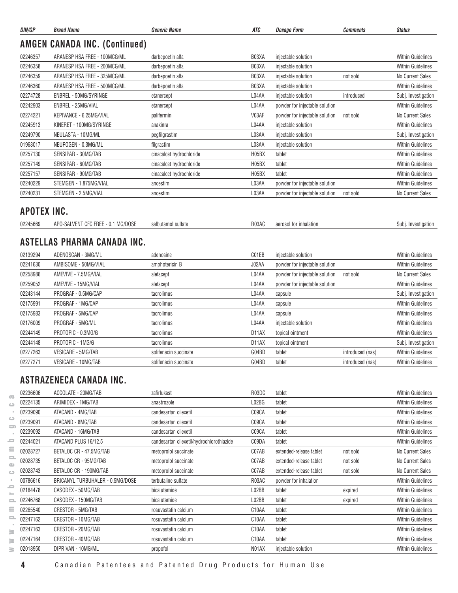| DIN/GP      | <b>Brand Name</b>                    | <b>Generic Name</b>                       | ATC                | <b>Dosage Form</b>             | <b>Comments</b>  | <b>Status</b>            |
|-------------|--------------------------------------|-------------------------------------------|--------------------|--------------------------------|------------------|--------------------------|
|             | <b>AMGEN CANADA INC. (Continued)</b> |                                           |                    |                                |                  |                          |
| 02246357    | ARANESP HSA FREE - 100MCG/ML         | darbepoetin alfa                          | B03XA              | injectable solution            |                  | <b>Within Guidelines</b> |
| 02246358    | ARANESP HSA FREE - 200MCG/ML         | darbepoetin alfa                          | B03XA              | injectable solution            |                  | <b>Within Guidelines</b> |
| 02246359    | ARANESP HSA FREE - 325MCG/ML         | darbepoetin alfa                          | B03XA              | injectable solution            | not sold         | No Current Sales         |
| 02246360    | ARANESP HSA FREE - 500MCG/ML         | darbepoetin alfa                          | B03XA              | injectable solution            |                  | <b>Within Guidelines</b> |
| 02274728    | ENBREL - 50MG/SYRINGE                | etanercept                                | L04AA              | injectable solution            | introduced       | Subj. Investigation      |
| 02242903    | ENBREL - 25MG/VIAL                   | etanercept                                | L04AA              | powder for injectable solution |                  | <b>Within Guidelines</b> |
| 02274221    | KEPIVANCE - 6.25MG/VIAL              | palifermin                                | V03AF              | powder for injectable solution | not sold         | No Current Sales         |
| 02245913    | KINERET - 100MG/SYRINGE              | anakinra                                  | L04AA              | injectable solution            |                  | <b>Within Guidelines</b> |
| 02249790    | NEULASTA - 10MG/ML                   | pegfilgrastim                             | L03AA              | injectable solution            |                  | Subj. Investigation      |
| 01968017    | NEUPOGEN - 0.3MG/ML                  | filgrastim                                | L03AA              | injectable solution            |                  | <b>Within Guidelines</b> |
| 02257130    | SENSIPAR - 30MG/TAB                  | cinacalcet hydrochloride                  | H05BX              | tablet                         |                  | <b>Within Guidelines</b> |
| 02257149    | SENSIPAR - 60MG/TAB                  | cinacalcet hydrochloride                  | H05BX              | tablet                         |                  | <b>Within Guidelines</b> |
| 02257157    | SENSIPAR - 90MG/TAB                  | cinacalcet hydrochloride                  | H05BX              | tablet                         |                  | <b>Within Guidelines</b> |
| 02240229    | STEMGEN - 1.875MG/VIAL               | ancestim                                  | L03AA              | powder for injectable solution |                  | <b>Within Guidelines</b> |
| 02240231    | STEMGEN - 2.5MG/VIAL                 | ancestim                                  | L03AA              | powder for injectable solution | not sold         | No Current Sales         |
|             |                                      |                                           |                    |                                |                  |                          |
| APOTEX INC. |                                      |                                           |                    |                                |                  |                          |
| 02245669    | APO-SALVENT CFC FREE - 0.1 MG/DOSE   | salbutamol sulfate                        | R03AC              | aerosol for inhalation         |                  | Subj. Investigation      |
|             | ASTELLAS PHARMA CANADA INC.          |                                           |                    |                                |                  |                          |
| 02139294    | ADENOSCAN - 3MG/ML                   | adenosine                                 | C01EB              | injectable solution            |                  | <b>Within Guidelines</b> |
| 02241630    | AMBISOME - 50MG/VIAL                 | amphotericin B                            | J02AA              | powder for injectable solution |                  | <b>Within Guidelines</b> |
| 02258986    | AMEVIVE - 7.5MG/VIAL                 | alefacept                                 | L04AA              | powder for injectable solution | not sold         | No Current Sales         |
| 02259052    | AMEVIVE - 15MG/VIAL                  | alefacept                                 | L04AA              | powder for injectable solution |                  | <b>Within Guidelines</b> |
| 02243144    | PROGRAF - 0.5MG/CAP                  | tacrolimus                                | L04AA              | capsule                        |                  | Subj. Investigation      |
| 02175991    | PROGRAF - 1MG/CAP                    | tacrolimus                                | L04AA              | capsule                        |                  | <b>Within Guidelines</b> |
| 02175983    | PROGRAF - 5MG/CAP                    | tacrolimus                                | L04AA              | capsule                        |                  | <b>Within Guidelines</b> |
| 02176009    | PROGRAF - 5MG/ML                     | tacrolimus                                | L04AA              | injectable solution            |                  | <b>Within Guidelines</b> |
| 02244149    | PROTOPIC - 0.3MG/G                   | tacrolimus                                | D11AX              | topical ointment               |                  | <b>Within Guidelines</b> |
| 02244148    | PROTOPIC - 1MG/G                     | tacrolimus                                | D <sub>1</sub> 1AX | topical ointment               |                  | Subj. Investigation      |
| 02277263    | VESICARE - 5MG/TAB                   | solifenacin succinate                     | G04BD              | tablet                         | introduced (nas) | <b>Within Guidelines</b> |
| 02277271    | VESICARE - 10MG/TAB                  | solifenacin succinate                     | G04BD              | tablet                         | introduced (nas) | <b>Within Guidelines</b> |
|             |                                      |                                           |                    |                                |                  |                          |
|             | ASTRAZENECA CANADA INC.              |                                           |                    |                                |                  |                          |
| 02236606    | ACCOLATE - 20MG/TAB                  | zafirlukast                               | R03DC              | tablet                         |                  | <b>Within Guidelines</b> |
| 02224135    | ARIMIDEX - 1MG/TAB                   | anastrozole                               | L02BG              | tablet                         |                  | <b>Within Guidelines</b> |
| 02239090    | ATACAND - 4MG/TAB                    | candesartan cilexetil                     | C09CA              | tablet                         |                  | <b>Within Guidelines</b> |
| 02239091    | ATACAND - 8MG/TAB                    | candesartan cilexetil                     | C09CA              | tablet                         |                  | <b>Within Guidelines</b> |
| 02239092    | ATACAND - 16MG/TAB                   | candesartan cilexetil                     | C09CA              | tablet                         |                  | <b>Within Guidelines</b> |
| 02244021    | ATACAND PLUS 16/12.5                 | candesartan cilexetil/hydrochlorothiazide | C09DA              | tablet                         |                  | <b>Within Guidelines</b> |
| 02028727    | BETALOC CR - 47.5MG/TAB              | metoprolol succinate                      | C07AB              | extended-release tablet        | not sold         | No Current Sales         |
| 02028735    | BETALOC CR - 95MG/TAB                | metoprolol succinate                      | C07AB              | extended-release tablet        | not sold         | No Current Sales         |
| 02028743    | BETALOC CR - 190MG/TAB               | metoprolol succinate                      | C07AB              | extended-release tablet        | not sold         | No Current Sales         |
| 00786616    | BRICANYL TURBUHALER - 0.5MG/DOSE     | terbutaline sulfate                       | R03AC              | powder for inhalation          |                  | <b>Within Guidelines</b> |
| 02184478    | CASODEX - 50MG/TAB                   | bicalutamide                              | L02BB              | tablet                         | expired          | <b>Within Guidelines</b> |
| 02246768    | CASODEX - 150MG/TAB                  | bicalutamide                              | L02BB              | tablet                         | expired          | <b>Within Guidelines</b> |
| 02265540    | CRESTOR - 5MG/TAB                    | rosuvastatin calcium                      | C10AA              | tablet                         |                  | <b>Within Guidelines</b> |
| 02247162    | CRESTOR - 10MG/TAB                   | rosuvastatin calcium                      | C10AA              | tablet                         |                  | <b>Within Guidelines</b> |
| 02247163    | CRESTOR - 20MG/TAB                   | rosuvastatin calcium                      | C10AA              | tablet                         |                  | <b>Within Guidelines</b> |
| 02247164    | CRESTOR - 40MG/TAB                   | rosuvastatin calcium                      | C10AA              | tablet                         |                  | <b>Within Guidelines</b> |
| 02018950    | DIPRIVAN - 10MG/ML                   | propofol                                  | NO <sub>1</sub> AX | injectable solution            |                  | <b>Within Guidelines</b> |
|             |                                      |                                           |                    |                                |                  |                          |

 $\overline{\mathbb{C}}$  $\circ$  $\sim$  $\hfill\square$ 

**4** Canadian Patentees and Patented Drug Products for Human Use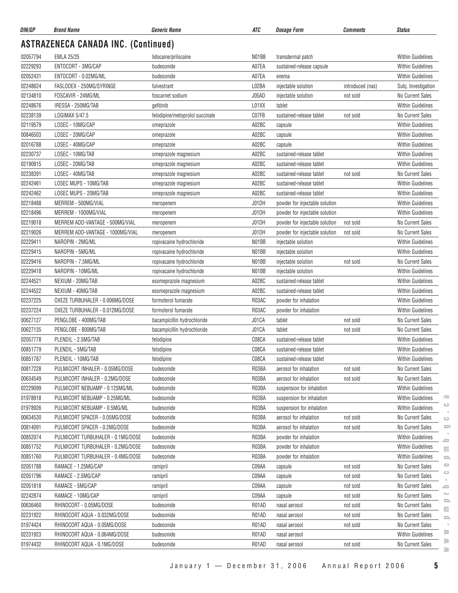| DIN/GP               | <b>Brand Name</b>                                     | <b>Generic Name</b>             | ATC                | Dosage Form                    | <b>Comments</b>  | <b>Status</b>                                  |
|----------------------|-------------------------------------------------------|---------------------------------|--------------------|--------------------------------|------------------|------------------------------------------------|
|                      | <b>ASTRAZENECA CANADA INC. (Continued)</b>            |                                 |                    |                                |                  |                                                |
| 02057794             | <b>EMLA 25/25</b>                                     | lidocaine/prilocaine            | N01BB              | transdermal patch              |                  | <b>Within Guidelines</b>                       |
| 02229293             | ENTOCORT - 3MG/CAP                                    | budesonide                      | A07EA              | sustained-release capsule      |                  | Within Guidelines                              |
| 02052431             | ENTOCORT - 0.02MG/ML                                  | budesonide                      | A07EA              | enema                          |                  | <b>Within Guidelines</b>                       |
| 02248624             | FASLODEX - 250MG/SYRINGE                              | fulvestrant                     | L02BA              | injectable solution            | introduced (nas) | Subj. Investigation                            |
| 02134810             | FOSCAVIR - 24MG/ML                                    | foscarnet sodium                | J05AD              | injectable solution            | not sold         | No Current Sales                               |
| 02248676             | IRESSA - 250MG/TAB                                    | gefitinib                       | L01XX              | tablet                         |                  | <b>Within Guidelines</b>                       |
| 02238139             | LOGIMAX 5/47.5                                        | felodipine/metoprolol succinate | C07FB              | sustained-release tablet       | not sold         | No Current Sales                               |
| 02119579             | LOSEC - 10MG/CAP                                      | omeprazole                      | A02BC              | capsule                        |                  | Within Guidelines                              |
| 00846503             | LOSEC - 20MG/CAP                                      | omeprazole                      | A02BC              | capsule                        |                  | <b>Within Guidelines</b>                       |
| 02016788             | LOSEC - 40MG/CAP                                      | omeprazole                      | A02BC              | capsule                        |                  | Within Guidelines                              |
| 02230737             | LOSEC - 10MG/TAB                                      | omeprazole magnesium            | A02BC              | sustained-release tablet       |                  | <b>Within Guidelines</b>                       |
| 02190915             | LOSEC - 20MG/TAB                                      | omeprazole magnesium            | A02BC              | sustained-release tablet       |                  | <b>Within Guidelines</b>                       |
| 02238391             | LOSEC - 40MG/TAB                                      | omeprazole magnesium            | A02BC              | sustained-release tablet       | not sold         | No Current Sales                               |
| 02242461             | LOSEC MUPS - 10MG/TAB                                 | omeprazole magnesium            | A02BC              | sustained-release tablet       |                  | <b>Within Guidelines</b>                       |
| 02242462             | LOSEC MUPS - 20MG/TAB                                 | omeprazole magnesium            | A02BC              | sustained-release tablet       |                  | <b>Within Guidelines</b>                       |
| 02218488             | MERREM - 500MG/VIAL                                   | meropenem                       | J01DH              | powder for injectable solution |                  | Within Guidelines                              |
| 02218496             | MERREM - 1000MG/VIAL                                  | meropenem                       | J01DH              | powder for injectable solution |                  | <b>Within Guidelines</b>                       |
| 02219018             | MERREM ADD-VANTAGE - 500MG/VIAL                       | meropenem                       | J01DH              | powder for injectable solution | not sold         | <b>No Current Sales</b>                        |
| 02219026             | MERREM ADD-VANTAGE - 1000MG/VIAL                      | meropenem                       | J01DH              | powder for injectable solution | not sold         | No Current Sales                               |
| 02229411             | NAROPIN - 2MG/ML                                      | ropivacaine hydrochloride       | N01BB              | injectable solution            |                  | <b>Within Guidelines</b>                       |
| 02229415             | NAROPIN - 5MG/ML                                      | ropivacaine hydrochloride       | NO <sub>1</sub> BB | injectable solution            |                  | <b>Within Guidelines</b>                       |
| 02229416             | NAROPIN - 7.5MG/ML                                    | ropivacaine hydrochloride       | N01BB              | injectable solution            | not sold         | No Current Sales                               |
| 02229418             | NAROPIN - 10MG/ML                                     | ropivacaine hydrochloride       | N01BB              | injectable solution            |                  | <b>Within Guidelines</b>                       |
| 02244521             | NEXIUM - 20MG/TAB                                     | esomeprazole magnesium          | A02BC              | sustained-release tablet       |                  | <b>Within Guidelines</b>                       |
| 02244522             | NEXIUM - 40MG/TAB                                     | esomeprazole magnesium          | A02BC              | sustained-release tablet       |                  | <b>Within Guidelines</b>                       |
| 02237225             | OXEZE TURBUHALER - 0.006MG/DOSE                       | formoterol fumarate             | R03AC              | powder for inhalation          |                  | Within Guidelines                              |
| 02237224             | OXEZE TURBUHALER - 0.012MG/DOSE                       | formoterol fumarate             | R03AC              | powder for inhalation          |                  | <b>Within Guidelines</b>                       |
| 00627127             | PENGLOBE - 400MG/TAB                                  | bacampicillin hydrochloride     | J01CA              | tablet                         | not sold         | No Current Sales                               |
| 00627135             | PENGLOBE - 800MG/TAB                                  | bacampicillin hydrochloride     | J01CA              | tablet                         | not sold         | No Current Sales                               |
| 02057778             | PLENDIL - 2.5MG/TAB                                   | felodipine                      | C08CA              | sustained-release tablet       |                  | <b>Within Guidelines</b>                       |
| 00851779             | PLENDIL - 5MG/TAB                                     | felodipine                      | C08CA              | sustained-release tablet       |                  | <b>Within Guidelines</b>                       |
|                      |                                                       |                                 |                    |                                |                  |                                                |
| 00851787<br>00817228 | PLENDIL - 10MG/TAB<br>PULMICORT INHALER - 0.05MG/DOSE | felodipine                      | C08CA<br>R03BA     | sustained-release tablet       |                  | Within Guidelines                              |
| 00634549             |                                                       | budesonide                      |                    | aerosol for inhalation         | not sold         | No Current Sales                               |
|                      | PULMICORT INHALER - 0.2MG/DOSE                        | budesonide                      | R03BA              | aerosol for inhalation         | not sold         | No Current Sales                               |
| 02229099             | PULMICORT NEBUAMP - 0.125MG/ML                        | budesonide                      | R03BA              | suspension for inhalation      |                  | <b>Within Guidelines</b>                       |
| 01978918             | PULMICORT NEBUAMP - 0.25MG/ML                         | budesonide                      | R03BA              | suspension for inhalation      |                  | G<br><b>Within Guidelines</b><br>ت             |
| 01978926             | PULMICORT NEBUAMP - 0.5MG/ML                          | budesonide                      | R03BA              | suspension for inhalation      |                  | <b>Within Guidelines</b>                       |
| 00634530             | PULMICORT SPACER - 0.05MG/DOSE                        | budesonide                      | R03BA              | aerosol for inhalation         | not sold         | No Current Sales<br>$\circ$                    |
| 00814091             | PULMICORT SPACER - 0.2MG/DOSE                         | budesonide                      | R03BA              | aerosol for inhalation         | not sold         | 5<br>No Current Sales                          |
| 00852074             | PULMICORT TURBUHALER - 0.1MG/DOSE                     | budesonide                      | R03BA              | powder for inhalation          |                  | Within Guidelines<br>≘                         |
| 00851752             | PULMICORT TURBUHALER - 0.2MG/DOSE                     | budesonide                      | R03BA              | powder for inhalation          |                  | <b>Within Guidelines</b><br>Ξ                  |
| 00851760             | PULMICORT TURBUHALER - 0.4MG/DOSE                     | budesonide                      | R03BA              | powder for inhalation          |                  | Within Guidelines<br>$\equiv$                  |
| 02051788             | RAMACE - 1.25MG/CAP                                   | ramipril                        | C09AA              | capsule                        | not sold         | $\circ$<br>No Current Sales<br>$\circ$         |
| 02051796             | RAMACE - 2.5MG/CAP                                    | ramipril                        | C09AA              | capsule                        | not sold         | No Current Sales                               |
| 02051818             | RAMACE - 5MG/CAP                                      | ramipril                        | C09AA              | capsule                        | not sold         | No Current Sales<br>$\equiv$<br>$\mathbb{R}^n$ |
| 02242874             | RAMACE - 10MG/CAP                                     | ramipril                        | C09AA              | capsule                        | not sold         | No Current Sales<br>으                          |
| 00636460             | RHINOCORT - 0.05MG/DOSE                               | budesonide                      | R01AD              | nasal aerosol                  | not sold         | No Current Sales<br>$\equiv$                   |
| 02231922             | RHINOCORT AQUA - 0.032MG/DOSE                         | budesonide                      | R01AD              | nasal aerosol                  | not sold         | No Current Sales<br>$\equiv$                   |
| 01974424             | RHINOCORT AQUA - 0.05MG/DOSE                          | budesonide                      | R01AD              | nasal aerosol                  | not sold         | No Current Sales<br>$\equiv$                   |
| 02231923             | RHINOCORT AQUA - 0.064MG/DOSE                         | budesonide                      | R01AD              | nasal aerosol                  |                  | ≋<br>Within Guidelines<br>≩                    |
| 01974432             | RHINOCORT AQUA - 0.1MG/DOSE                           | budesonide                      | R01AD              | nasal aerosol                  | not sold         | No Current Sales                               |

 $\sim$  $\circ$  $\qquad \qquad \qquad \qquad \qquad$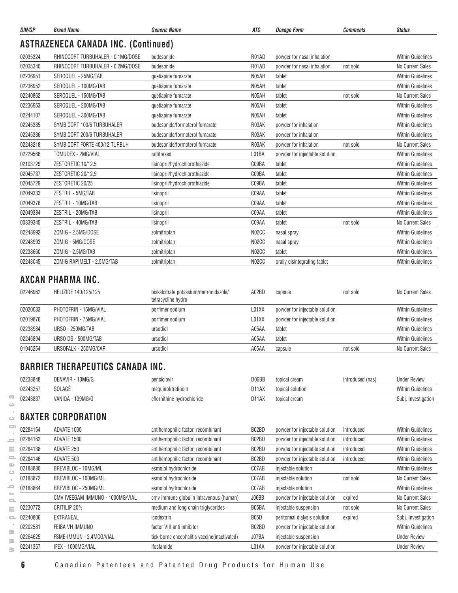| DIN/GP   | <b>Brand Name</b>                          | <b>Generic Name</b>            | ATC                | <b>Dosage Form</b>             | <b>Comments</b> | <b>Status</b>            |
|----------|--------------------------------------------|--------------------------------|--------------------|--------------------------------|-----------------|--------------------------|
|          | <b>ASTRAZENECA CANADA INC. (Continued)</b> |                                |                    |                                |                 |                          |
| 02035324 | RHINOCORT TURBUHALER - 0.1MG/DOSE          | budesonide                     | R01AD              | powder for nasal inhalation    |                 | <b>Within Guidelines</b> |
| 02035340 | RHINOCORT TURBUHALER - 0.2MG/DOSE          | budesonide                     | R01AD              | powder for nasal inhalation    | not sold        | No Current Sales         |
| 02236951 | SEROQUEL - 25MG/TAB                        | quetiapine fumarate            | N05AH              | tablet                         |                 | <b>Within Guidelines</b> |
| 02236952 | SEROQUEL - 100MG/TAB                       | quetiapine fumarate            | N05AH              | tablet                         |                 | <b>Within Guidelines</b> |
| 02240862 | SEROQUEL - 150MG/TAB                       | quetiapine fumarate            | N05AH              | tablet                         | not sold        | <b>No Current Sales</b>  |
| 02236953 | SEROQUEL - 200MG/TAB                       | quetiapine fumarate            | N05AH              | tablet                         |                 | <b>Within Guidelines</b> |
| 02244107 | SEROQUEL - 300MG/TAB                       | quetiapine fumarate            | N05AH              | tablet                         |                 | <b>Within Guidelines</b> |
| 02245385 | SYMBICORT 100/6 TURBUHALER                 | budesonide/formoterol fumarate | R03AK              | powder for inhalation          |                 | <b>Within Guidelines</b> |
| 02245386 | SYMBICORT 200/6 TURBUHALER                 | budesonide/formoterol fumarate | R03AK              | powder for inhalation          |                 | <b>Within Guidelines</b> |
| 02248218 | SYMBICORT FORTE 400/12 TURBUH              | budesonide/formoterol fumarate | R03AK              | powder for inhalation          | not sold        | <b>No Current Sales</b>  |
| 02229566 | TOMUDEX - 2MG/VIAL                         | raltitrexed                    | L01BA              | powder for injectable solution |                 | <b>Within Guidelines</b> |
| 02103729 | ZESTORETIC 10/12.5                         | lisinopril/hydrochlorothiazide | C09BA              | tablet                         |                 | <b>Within Guidelines</b> |
| 02045737 | ZESTORETIC 20/12.5                         | lisinopril/hydrochlorothiazide | C09BA              | tablet                         |                 | <b>Within Guidelines</b> |
| 02045729 | ZESTORETIC 20/25                           | lisinopril/hydrochlorothiazide | C09BA              | tablet                         |                 | <b>Within Guidelines</b> |
| 02049333 | ZESTRIL - 5MG/TAB                          | lisinopril                     | C09AA              | tablet                         |                 | <b>Within Guidelines</b> |
| 02049376 | ZESTRIL - 10MG/TAB                         | lisinopril                     | C09AA              | tablet                         |                 | <b>Within Guidelines</b> |
| 02049384 | ZESTRIL - 20MG/TAB                         | lisinopril                     | C09AA              | tablet                         |                 | <b>Within Guidelines</b> |
| 00839345 | ZESTRIL - 40MG/TAB                         | lisinopril                     | C09AA              | tablet                         | not sold        | No Current Sales         |
| 02248992 | ZOMIG - 2.5MG/DOSE                         | zolmitriptan                   | N <sub>02</sub> CC | nasal spray                    |                 | <b>Within Guidelines</b> |
| 02248993 | ZOMIG - 5MG/DOSE                           | zolmitriptan                   | N <sub>02</sub> CC | nasal spray                    |                 | <b>Within Guidelines</b> |
| 02238660 | ZOMIG - 2.5MG/TAB                          | zolmitriptan                   | N <sub>02</sub> CC | tablet                         |                 | <b>Within Guidelines</b> |
| 02243045 | ZOMIG RAPIMELT - 2.5MG/TAB                 | zolmitriptan                   | N <sub>02</sub> CC | orally disintegrating tablet   |                 | <b>Within Guidelines</b> |

#### **AXCAN PHARMA INC.**

| 02246962 | HELIZIDE 140/125/125  | biskalcitrate potassium/metronidazole/<br>tetracycline hydro | A02BD | capsule                        | not sold | No Current Sales         |
|----------|-----------------------|--------------------------------------------------------------|-------|--------------------------------|----------|--------------------------|
| 02020033 | PHOTOFRIN - 15MG/VIAL | porfimer sodium                                              | L01XX | powder for injectable solution |          | <b>Within Guidelines</b> |
| 02019876 | PHOTOFRIN - 75MG/VIAL | porfimer sodium                                              | L01XX | powder for injectable solution |          | <b>Within Guidelines</b> |
| 02238984 | URSO - 250MG/TAB      | ursodiol                                                     | A05AA | tablet                         |          | <b>Within Guidelines</b> |
| 02245894 | URSO DS - 500MG/TAB   | ursodiol                                                     | A05AA | tablet                         |          | <b>Within Guidelines</b> |
| 01945254 | URSOFALK - 250MG/CAP  | ursodiol                                                     | A05AA | capsule                        | not sold | No Current Sales         |

#### **BARRIER THERAPEUTICS CANADA INC.**

| 02238848 | DENAVIR - 10MG/G         | penciclovin                | D06BB | topical cream    | ntroduced (nas) | <b>Under Review</b>      |
|----------|--------------------------|----------------------------|-------|------------------|-----------------|--------------------------|
| 02243257 | SOLAGE                   | mequinol/tretinoin         | D11AX | topical solution |                 | <b>Within Guidelines</b> |
| 02243837 | $-139MG/G$<br>VANIQA - 1 | eflornithine hvdrochloride | D11AX | topical cream    |                 | Investigation<br>Subl.   |

# **BAXTER CORPORATION**

| ᆖ              | 02284154 | ADVATE 1000                      | antihemophilic factor, recombinant            | B02BD             | powder for injectable solution | introduced | <b>Within Guidelines</b> |
|----------------|----------|----------------------------------|-----------------------------------------------|-------------------|--------------------------------|------------|--------------------------|
| $\overline{a}$ | 02284162 | ADVATE 1500                      | antihemophilic factor, recombinant            | B02BD             | powder for injectable solution | introduced | <b>Within Guidelines</b> |
| Ξ              | 02284138 | ADVATE 250                       | antihemophilic factor, recombinant            | B02BD             | powder for injectable solution | introduced | <b>Within Guidelines</b> |
| s.             | 02284146 | ADVATE 500                       | antihemophilic factor, recombinant            | B02BD             | powder for injectable solution | introduced | <b>Within Guidelines</b> |
|                | 02188880 | BREVIBLOC - 10MG/ML              | esmolol hydrochloride                         | C07AB             | injectable solution            |            | <b>Within Guidelines</b> |
|                | 02188872 | BREVIBLOC - 100MG/ML             | esmolol hydrochloride                         | C07AB             | injectable solution            | not sold   | No Current Sales         |
| -              | 02188864 | BREVIBLOC - 250MG/ML             | esmolol hydrochloride                         | C07AB             | injectable solution            |            | <b>Within Guidelines</b> |
|                |          | CMV IVEEGAM IMMUNO - 1000MG/VIAL | cmv immune globulin intravenous (human)       | J06BB             | powder for injectable solution | expired    | No Current Sales         |
| Ξ              | 02230772 | CRITILIP 20%                     | medium and long chain triglycerides           | B05BA             | injectable suspension          | not sold   | No Current Sales         |
| $\equiv$       | 02240806 | EXTRANEAL                        | icodextrin                                    | B <sub>05</sub> D | peritoneal dialysis solution   | expired    | Subj. Investigation      |
|                | 02202581 | FEIBA VH IMMUNO                  | factor VIII anti inhibitor                    | B02BD             | powder for injectable solution |            | <b>Within Guidelines</b> |
| s<br>≧         | 02264625 | FSME-IMMUN - 2.4MCG/VIAL         | tick-borne encephalitis vaccine (inactivated) | J07BA             | injectable suspension          |            | <b>Under Review</b>      |
| ≧              | 02241357 | IFEX - 1000MG/VIAL               | ifosfamide                                    | L01AA             | powder for injectable solution |            | <b>Under Review</b>      |
|                |          |                                  |                                               |                   |                                |            |                          |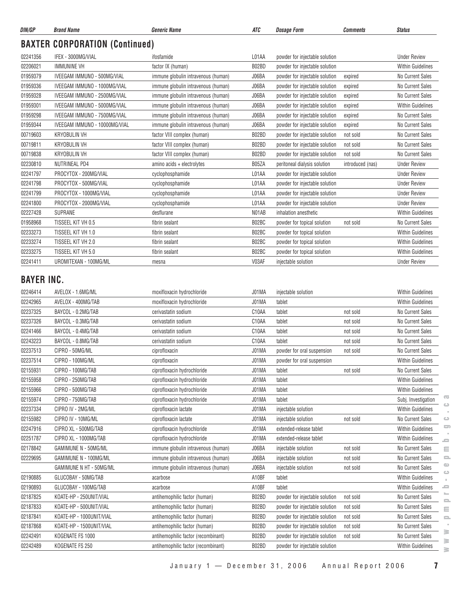| DIN/GP                        | <b>Brand Name</b>                      | <b>Generic Name</b>                            | ATC                | <b>Dosage Form</b>             | <b>Comments</b>  | <b>Status</b>                              |
|-------------------------------|----------------------------------------|------------------------------------------------|--------------------|--------------------------------|------------------|--------------------------------------------|
|                               | <b>BAXTER CORPORATION (Continued)</b>  |                                                |                    |                                |                  |                                            |
| 02241356                      | IFEX - 3000MG/VIAL                     | ifosfamide                                     | L01AA              | powder for injectable solution |                  | <b>Under Review</b>                        |
| 02206021                      | <b>IMMUNINE VH</b>                     | factor IX (human)                              | B02BD              | powder for injectable solution |                  | <b>Within Guidelines</b>                   |
| 01959379                      | IVEEGAM IMMUNO - 500MG/VIAL            | immune globulin intravenous (human)            | J06BA              | powder for injectable solution | expired          | No Current Sales                           |
| 01959336                      | IVEEGAM IMMUNO - 1000MG/VIAL           | immune globulin intravenous (human)            | J06BA              | powder for injectable solution | expired          | No Current Sales                           |
| 01959328                      | IVEEGAM IMMUNO - 2500MG/VIAL           | immune globulin intravenous (human)            | J06BA              | powder for injectable solution | expired          | No Current Sales                           |
| 01959301                      | IVEEGAM IMMUNO - 5000MG/VIAL           | immune globulin intravenous (human)            | J06BA              | powder for injectable solution | expired          | Within Guidelines                          |
| 01959298                      | IVEEGAM IMMUNO - 7500MG/VIAL           | immune globulin intravenous (human)            | J06BA              | powder for injectable solution | expired          | <b>No Current Sales</b>                    |
| 01959344                      | IVEEGAM IMMUNO - 10000MG/VIAL          | immune globulin intravenous (human)            | J06BA              | powder for injectable solution | expired          | No Current Sales                           |
| 00719603                      | <b>KRYOBULIN VH</b>                    | factor VIII complex (human)                    | B02BD              | powder for injectable solution | not sold         | No Current Sales                           |
| 00719811                      | <b>KRYOBULIN VH</b>                    | factor VIII complex (human)                    | B02BD              | powder for injectable solution | not sold         | No Current Sales                           |
| 00719838                      | KRYOBULIN VH                           | factor VIII complex (human)                    | B02BD              | powder for injectable solution | not sold         | <b>No Current Sales</b>                    |
| 02230810                      | <b>NUTRINEAL PD4</b>                   | amino acids + electrolytes                     | B05ZA              | peritoneal dialysis solution   | introduced (nas) | <b>Under Review</b>                        |
| 02241797                      | PROCYTOX - 200MG/VIAL                  | cyclophosphamide                               | L01AA              | powder for injectable solution |                  | <b>Under Review</b>                        |
| 02241798                      | PROCYTOX - 500MG/VIAL                  | cyclophosphamide                               | L01AA              | powder for injectable solution |                  | <b>Under Review</b>                        |
| 02241799                      | PROCYTOX - 1000MG/VIAL                 | cyclophosphamide                               | L01AA              | powder for injectable solution |                  | <b>Under Review</b>                        |
| 02241800                      | PROCYTOX - 2000MG/VIAL                 | cyclophosphamide                               | L01AA              | powder for injectable solution |                  | <b>Under Review</b>                        |
| 02227428                      | <b>SUPRANE</b>                         | desflurane                                     | NO <sub>1</sub> AB | inhalation anesthetic          |                  | <b>Within Guidelines</b>                   |
| 01958968                      | TISSEEL KIT VH 0.5                     | fibrin sealant                                 | B02BC              | powder for topical solution    | not sold         | No Current Sales                           |
| 02233273                      | TISSEEL KIT VH 1.0                     | fibrin sealant                                 | B02BC              | powder for topical solution    |                  | <b>Within Guidelines</b>                   |
| 02233274                      | TISSEEL KIT VH 2.0                     | fibrin sealant                                 | B02BC              | powder for topical solution    |                  | <b>Within Guidelines</b>                   |
| 02233275                      | TISSEEL KIT VH 5.0                     | fibrin sealant                                 | B02BC              | powder for topical solution    |                  | Within Guidelines                          |
| 02241411                      | UROMITEXAN - 100MG/ML                  | mesna                                          | V03AF              | injectable solution            |                  | <b>Under Review</b>                        |
| <b>BAYER INC.</b><br>02246414 | AVELOX - 1.6MG/ML                      | moxifloxacin hydrochloride                     | J01MA              | injectable solution            |                  | Within Guidelines                          |
| 02242965                      | AVELOX - 400MG/TAB                     | moxifloxacin hydrochloride                     | J01MA              | tablet                         |                  | <b>Within Guidelines</b>                   |
| 02237325                      | BAYCOL - 0.2MG/TAB                     | cerivastatin sodium                            | C10AA              | tablet                         | not sold         | No Current Sales                           |
| 02237326                      | BAYCOL - 0.3MG/TAB                     | cerivastatin sodium                            | C10AA              | tablet                         | not sold         | <b>No Current Sales</b>                    |
| 02241466                      | BAYCOL - 0.4MG/TAB                     | cerivastatin sodium                            | C10AA              | tablet                         | not sold         | No Current Sales                           |
| 02243223                      | BAYCOL - 0.8MG/TAB                     | cerivastatin sodium                            | C10AA              | tablet                         | not sold         | No Current Sales                           |
| 02237513                      | CIPRO - 50MG/ML                        | ciprofloxacin                                  | J01MA              | powder for oral suspension     | not sold         | No Current Sales                           |
| 02237514                      | CIPRO - 100MG/ML                       | ciprofloxacin                                  | J01MA              | powder for oral suspension     |                  | Within Guidelines                          |
| 02155931                      | CIPRO - 100MG/TAB                      | ciprofloxacin hydrochloride                    | J01MA              | tablet                         | not sold         | No Current Sales                           |
| 02155958                      | CIPRO - 250MG/TAB                      | ciprofloxacin hydrochloride                    | J01MA              | tablet                         |                  | Within Guidelines                          |
| 02155966                      | CIPRO - 500MG/TAB                      | ciprofloxacin hydrochloride                    | J01MA<br>J01MA     | tablet                         |                  | Within Guidelines<br>œ                     |
| 02155974                      | CIPRO - 750MG/TAB<br>CIPRO IV - 2MG/ML | ciprofloxacin hydrochloride                    |                    | tablet                         |                  | Subj. Investigation<br>ت                   |
| 02237334<br>02155982          | CIPRO IV - 10MG/ML                     | ciprofloxacin lactate<br>ciprofloxacin lactate | J01MA<br>J01MA     | injectable solution            | not sold         | Within Guidelines<br>No Current Sales<br>ت |
|                               |                                        | ciprofloxacin hydrochloride                    |                    | injectable solution            |                  | 5                                          |
| 02247916                      | CIPRO XL - 500MG/TAB                   |                                                | J01MA              | extended-release tablet        |                  | Within Guidelines                          |
| 02251787                      | CIPRO XL - 1000MG/TAB                  | ciprofloxacin hydrochloride                    | J01MA              | extended-release tablet        |                  | Within Guidelines<br>$\blacksquare$        |
| 02178842                      | GAMIMUNE N - 50MG/ML                   | immune globulin intravenous (human)            | J06BA              | injectable solution            | not sold         | No Current Sales<br>Ξ                      |
| 02229695                      | GAMIMUNE N - 100MG/ML                  | immune globulin intravenous (human)            | J06BA              | injectable solution            | not sold         | No Current Sales<br><u>o</u><br>Φ          |
|                               | GAMIMUNE N HT - 50MG/ML                | immune globulin intravenous (human)            | J06BA              | injectable solution            | not sold         | No Current Sales<br>ت                      |
| 02190885                      | GLUCOBAY - 50MG/TAB                    | acarbose                                       | A10BF              | tablet                         |                  | Within Guidelines<br>×.                    |
| 02190893                      | GLUCOBAY - 100MG/TAB                   | acarbose                                       | A10BF              | tablet                         |                  | Within Guidelines<br>ᆖ<br>⊨                |
| 02187825                      | KOATE-HP - 250UNIT/VIAL                | antihemophilic factor (human)                  | B02BD              | powder for injectable solution | not sold         | No Current Sales<br>$\equiv$               |
| 02187833                      | KOATE-HP - 500UNIT/VIAL                | antihemophilic factor (human)                  | B02BD              | powder for injectable solution | not sold         | No Current Sales<br>Ξ                      |
| 02187841                      | KOATE-HP - 1000UNIT/VIAL               | antihemophilic factor (human)                  | B02BD              | powder for injectable solution | not sold         | No Current Sales<br>$\equiv$               |
| 02187868                      | KOATE-HP - 1500UNIT/VIAL               | antihemophilic factor (human)                  | B02BD              | powder for injectable solution | not sold         | No Current Sales<br>≧                      |
| 02242491                      | KOGENATE FS 1000                       | antihemophilic factor (recombinant)            | B02BD              | powder for injectable solution | not sold         | No Current Sales<br>≧                      |
| 02242489                      | KOGENATE FS 250                        | antihemophilic factor (recombinant)            | B02BD              | powder for injectable solution |                  | Within Guidelines<br>$\geq$                |

 $\sim$  $\circ$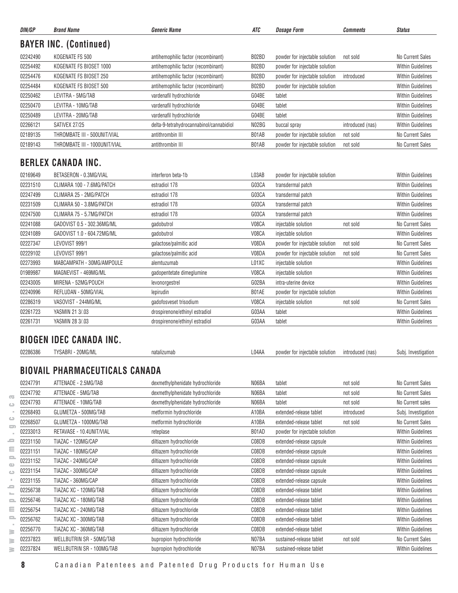| DIN/GP   | <b>Brand Name</b>                     | <i><b>Generic Name</b></i>               | ATC   | <b>Dosage Form</b>             | <b>Comments</b>  | <b>Status</b>            |
|----------|---------------------------------------|------------------------------------------|-------|--------------------------------|------------------|--------------------------|
|          | <b>BAYER INC. (Continued)</b>         |                                          |       |                                |                  |                          |
| 02242490 | KOGENATE FS 500                       | antihemophilic factor (recombinant)      | B02BD | powder for injectable solution | not sold         | No Current Sales         |
| 02254492 | KOGENATE FS BIOSET 1000               | antihemophilic factor (recombinant)      | B02BD | powder for injectable solution |                  | <b>Within Guidelines</b> |
| 02254476 | KOGENATE FS BIOSET 250                | antihemophilic factor (recombinant)      | B02BD | powder for injectable solution | introduced       | <b>Within Guidelines</b> |
| 02254484 | KOGENATE FS BIOSET 500                | antihemophilic factor (recombinant)      | B02BD | powder for injectable solution |                  | <b>Within Guidelines</b> |
| 02250462 | LEVITRA - 5MG/TAB                     | vardenafil hydrochloride                 | G04BE | tablet                         |                  | <b>Within Guidelines</b> |
| 02250470 | LEVITRA - 10MG/TAB                    | vardenafil hydrochloride                 | G04BE | tablet                         |                  | <b>Within Guidelines</b> |
| 02250489 | LEVITRA - 20MG/TAB                    | vardenafil hydrochloride                 | G04BE | tablet                         |                  | <b>Within Guidelines</b> |
| 02266121 | SATIVEX 27/25                         | delta-9-tetrahydrocannabinol/cannabidiol | N02BG | buccal spray                   | introduced (nas) | <b>Within Guidelines</b> |
| 02189135 | THROMBATE III - 500UNIT/VIAL          | antithrombin III                         | B01AB | powder for injectable solution | not sold         | No Current Sales         |
| 02189143 | THROMBATE III - 1000UNIT/VIAL         | antithrombin III                         | B01AB | powder for injectable solution | not sold         | No Current Sales         |
|          | <b>BERLEX CANADA INC.</b>             |                                          |       |                                |                  |                          |
|          |                                       |                                          |       |                                |                  |                          |
| 02169649 | BETASERON - 0.3MG/VIAL                | interferon beta-1b                       | L03AB | powder for injectable solution |                  | <b>Within Guidelines</b> |
| 02231510 | CLIMARA 100 - 7.6MG/PATCH             | estradiol 17 <sub>B</sub>                | G03CA | transdermal patch              |                  | <b>Within Guidelines</b> |
| 02247499 | CLIMARA 25 - 2MG/PATCH                | estradiol 17 <sub>B</sub>                | G03CA | transdermal patch              |                  | <b>Within Guidelines</b> |
| 02231509 | CLIMARA 50 - 3.8MG/PATCH              | estradiol 17 <sub>B</sub>                | G03CA | transdermal patch              |                  | <b>Within Guidelines</b> |
| 02247500 | CLIMARA 75 - 5.7MG/PATCH              | estradiol 17 <sub>B</sub>                | G03CA | transdermal patch              |                  | <b>Within Guidelines</b> |
| 02241088 | GADOVIST 0.5 - 302.36MG/ML            | gadobutrol                               | V08CA | injectable solution            | not sold         | No Current Sales         |
| 02241089 | GADOVIST 1.0 - 604.72MG/ML            | gadobutrol                               | V08CA | injectable solution            |                  | <b>Within Guidelines</b> |
| 02227347 | LEVOVIST 999/1                        | galactose/palmitic acid                  | V08DA | powder for injectable solution | not sold         | No Current Sales         |
| 02229102 | LEVOVIST 999/1                        | galactose/palmitic acid                  | V08DA | powder for injectable solution | not sold         | No Current Sales         |
| 02273993 | MABCAMPATH - 30MG/AMPOULE             | alemtuzumab                              | L01XC | injectable solution            |                  | <b>Within Guidelines</b> |
| 01989987 | MAGNEVIST - 469MG/ML                  | gadopentetate dimeglumine                | V08CA | injectable solution            |                  | <b>Within Guidelines</b> |
| 02243005 | MIRENA - 52MG/POUCH                   | levonorgestrel                           | G02BA | intra-uterine device           |                  | <b>Within Guidelines</b> |
| 02240996 | REFLUDAN - 50MG/VIAL                  | lepirudin                                | B01AE | powder for injectable solution |                  | <b>Within Guidelines</b> |
| 02286319 | VASOVIST - 244MG/ML                   | gadofosveset trisodium                   | V08CA | injectable solution            | not sold         | No Current Sales         |
| 02261723 | YASMIN 21 3/.03                       | drospirenone/ethinyl estradiol           | G03AA | tablet                         |                  | <b>Within Guidelines</b> |
| 02261731 | YASMIN 28 3/.03                       | drospirenone/ethinyl estradiol           | G03AA | tablet                         |                  | <b>Within Guidelines</b> |
|          | <b>BIOGEN IDEC CANADA INC.</b>        |                                          |       |                                |                  |                          |
| 02286386 | TYSABRI - 20MG/ML                     | natalizumab                              | L04AA | powder for injectable solution | introduced (nas) | Subj. Investigation      |
|          | <b>BIOVAIL PHARMACEUTICALS CANADA</b> |                                          |       |                                |                  |                          |
| 02247791 | ATTENADE - 2.5MG/TAB                  | dexmethylphenidate hydrochloride         | N06BA | tablet                         | not sold         | No Current Sales         |
| 02247792 | ATTENADE - 5MG/TAB                    |                                          | N06BA | tablet                         |                  | No Current Sales         |
|          |                                       | dexmethylphenidate hydrochloride         |       |                                | not sold         |                          |
| 02247793 | ATTENADE - 10MG/TAB                   | dexmethylphenidate hydrochloride         | N06BA | tablet                         | not sold         | No Current sales         |
| 02268493 | GLUMETZA - 500MG/TAB                  | metformin hydrochloride                  | A10BA | extended-release tablet        | introduced       | Subj. Investigation      |
| 02268507 | GLUMETZA - 1000MG/TAB                 | metformin hydrochloride                  | A10BA | extended-release tablet        | not sold         | No Current Sales         |
| 02233013 | RETAVASE - 10.4UNIT/VIAL              | reteplase                                | B01AD | powder for injectable solution |                  | <b>Within Guidelines</b> |
| 02231150 | TIAZAC - 120MG/CAP                    | diltiazem hydrochloride                  | C08DB | extended-release capsule       |                  | <b>Within Guidelines</b> |
| 02231151 | TIAZAC - 180MG/CAP                    | diltiazem hydrochloride                  | C08DB | extended-release capsule       |                  | <b>Within Guidelines</b> |
| 02231152 | TIAZAC - 240MG/CAP                    | diltiazem hydrochloride                  | C08DB | extended-release capsule       |                  | <b>Within Guidelines</b> |
| 02231154 | TIAZAC - 300MG/CAP                    | diltiazem hydrochloride                  | C08DB | extended-release capsule       |                  | <b>Within Guidelines</b> |
| 02231155 | TIAZAC - 360MG/CAP                    | diltiazem hydrochloride                  | C08DB | extended-release capsule       |                  | <b>Within Guidelines</b> |
| 02256738 | TIAZAC XC - 120MG/TAB                 | diltiazem hydrochloride                  | C08DB | extended-release tablet        |                  | <b>Within Guidelines</b> |
| 02256746 | TIAZAC XC - 180MG/TAB                 | diltiazem hydrochloride                  | C08DB | extended-release tablet        |                  | <b>Within Guidelines</b> |
| 02256754 | TIAZAC XC - 240MG/TAB                 | diltiazem hydrochloride                  | C08DB | extended-release tablet        |                  | <b>Within Guidelines</b> |
| 02256762 | TIAZAC XC - 300MG/TAB                 | diltiazem hydrochloride                  | C08DB | extended-release tablet        |                  | <b>Within Guidelines</b> |
| 02256770 | TIAZAC XC - 360MG/TAB                 | diltiazem hydrochloride                  | C08DB | extended-release tablet        |                  | <b>Within Guidelines</b> |
| 02237823 | WELLBUTRIN SR - 50MG/TAB              | bupropion hydrochloride                  | N07BA | sustained-release tablet       | not sold         | No Current Sales         |
| 02237824 | WELLBUTRIN SR - 100MG/TAB             | bupropion hydrochloride                  | N07BA | sustained-release tablet       |                  | <b>Within Guidelines</b> |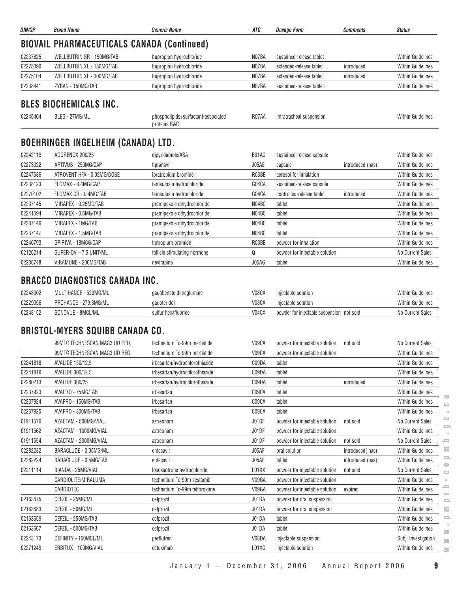| DIN/GP   | <b>Brand Name</b>                                            | Generic Name                                        | ATC          | <b>Dosage Form</b>        | <b>Comments</b>  | <b>Status</b>            |
|----------|--------------------------------------------------------------|-----------------------------------------------------|--------------|---------------------------|------------------|--------------------------|
|          | <b>BIOVAIL PHARMACEUTICALS CANADA (Continued)</b>            |                                                     |              |                           |                  |                          |
| 02237825 | <b>WELLBUTRIN SR - 150MG/TAB</b>                             | bupropion hydrochloride                             | N07BA        | sustained-release tablet  |                  | <b>Within Guidelines</b> |
| 02275090 | WELLBUTRIN XL - 150MG/TAB                                    | bupropion hydrochloride                             | N07BA        | extended-release tablet   | introduced       | <b>Within Guidelines</b> |
| 02275104 | WELLBUTRIN XL - 300MG/TAB                                    | bupropion hydrochloride                             | N07BA        | extended-release tablet   | introduced       | <b>Within Guidelines</b> |
| 02238441 | ZYBAN - 150MG/TAB                                            | bupropion hydrochloride                             | N07BA        | sustained-release tablet  |                  | <b>Within Guidelines</b> |
| 02245464 | <b>BLES BIOCHEMICALS INC.</b><br>BLES - 27MG/ML              | phospholipids+surfactant-associated<br>proteins B&C | R07AA        | intratracheal suspension  |                  | <b>Within Guidelines</b> |
| 02242119 | <b>BOEHRINGER INGELHEIM (CANADA) LTD.</b><br>AGGRENOX 200/25 | dipyridamole/ASA                                    | B01AC        | sustained-release capsule |                  | <b>Within Guidelines</b> |
| 02273322 | APTIVUS - 250MG/CAP                                          | tipranavir                                          | J05AE        | capsule                   | introduced (nas) | <b>Within Guidelines</b> |
| 02247686 | ATROVENT HFA - 0.02MG/DOSE                                   | ipratropium bromide                                 | R03BB        | aerosol for inhalation    |                  | <b>Within Guidelines</b> |
| 02238123 | FLOMAX - 0.4MG/CAP                                           | tamsulosin hydrochloride                            | G04CA        | sustained-release capsule |                  | <b>Within Guidelines</b> |
| 02270102 | FLOMAX CR - 0.4MG/TAB                                        | tamsulosin hydrochloride                            | G04CA        | controlled-release tablet | introduced       | <b>Within Guidelines</b> |
| 02237145 | MIRAPEX - 0.25MG/TAB                                         | pramipexole dihydrochloride                         | N04BC        | tablet                    |                  | <b>Within Guidelines</b> |
|          | $\mathbf{A}$                                                 | しんきょう しんしん はりにし オープントイン きけい                         | $\mathbf{A}$ |                           |                  |                          |

#### 02241594 MIRAPEX - 0.5MG/TAB **pramipexole dihydrochloride** N04BC tablet Noted Noted Noted Within Guidelines 02237146 MIRAPEX - 1MG/TAB pramipexole dihydrochloride N04BC tablet Within Guidelines 02237147 MIRAPEX - 1.5MG/TAB **pramipexole dihydrochloride** N04BC tablet Noted Noted Noted Within Guidelines 02246793 SPIRIVA - 18MCG/CAP the tiotropium bromide the R03BB powder for inhalation Server Mithin Guidelines 02126214 SUPER-OV – 7.5 UNIT/ML follicle stimulating hormone and Q powder for injectable solution No Current Sales 02238748 VIRAMUNE - 200MG/TAB nevirapine nevirapine and the state of the control of the control of the control of the control of the control of the control of the control of the control of the control of the control of the

### **BRACCO DIAGNOSTICS CANADA INC.**

| 02248302 | MULTIHANCE - 529MG/ML | gadobenate dimeglumine | V08CA | injectable solution                       | <b>Within Guidelines</b> |
|----------|-----------------------|------------------------|-------|-------------------------------------------|--------------------------|
| 02229056 | PROHANCE - 279.3MG/ML | qadoteridol            | V08CA | iniectable solution                       | <b>Within Guidelines</b> |
| 02248152 | SONOVUE - 8MCL/ML     | sulfur hexafluoride    | V04CX | powder for injectable suspension not sold | No Current Sales         |

#### **BRISTOL-MYERS SQUIBB CANADA CO.**

|          | 99MTC TECHNESCAN MAG3 UD PED. | technetium Tc-99m mertiatide   | V09CA | powder for injectable solution | not sold         | No Current Sales         |
|----------|-------------------------------|--------------------------------|-------|--------------------------------|------------------|--------------------------|
|          | 99MTC TECHNESCAN MAG3 UD REG. | technetium Tc-99m mertiatide   | V09CA | powder for injectable solution |                  | <b>Within Guidelines</b> |
| 02241818 | AVALIDE 150/12.5              | irbesartan/hydrochlorothiazide | C09DA | tablet                         |                  | <b>Within Guidelines</b> |
| 02241819 | AVALIDE 300/12.5              | irbesartan/hydrochlorothiazide | C09DA | tablet                         |                  | <b>Within Guidelines</b> |
| 02280213 | <b>AVALIDE 300/25</b>         | irbesartan/hydrochlorothiazide | C09DA | tablet                         | introduced       | <b>Within Guidelines</b> |
| 02237923 | AVAPRO - 75MG/TAB             | irbesartan                     | C09CA | tablet                         |                  | Within Guidelines        |
| 02237924 | AVAPRO - 150MG/TAB            | irbesartan                     | C09CA | tablet                         |                  | Within Guidelines        |
| 02237925 | AVAPRO - 300MG/TAB            | irbesartan                     | C09CA | tablet                         |                  | <b>Within Guidelines</b> |
| 01911570 | AZACTAM - 500MG/VIAL          | aztreonam                      | J01DF | powder for injectable solution | not sold         | No Current Sales         |
| 01911562 | AZACTAM - 1000MG/VIAL         | aztreonam                      | J01DF | powder for injectable solution |                  | <b>Within Guidelines</b> |
| 01911554 | AZACTAM - 2000MG/VIAL         | aztreonam                      | J01DF | powder for injectable solution | not sold         | No Current Sales         |
| 02282232 | BARACLUDE - 0.05MG/ML         | entecavir                      | J05AF | oral solution                  | introduced(nas)  | <b>Within Guidelines</b> |
| 02282224 | BARACLUDE - 0.5MG/TAB         | entecavir                      | J05AF | tablet                         | introduced (nas) | <b>Within Guidelines</b> |
| 02211114 | BIANDA - 25MG/VIAL            | losoxantrone hydrochloride     | L01XX | powder for injectable solution | not sold         | No Current Sales         |
|          | CARDIOLITE/MIRALUMA           | technetium Tc-99m sestamibi    | V09GA | powder for injectable solution |                  | <b>Within Guidelines</b> |
|          | CARDIOTEC                     | technetium Tc-99m teboroxime   | V09GA | powder for injectable solution | expired          | <b>Within Guidelines</b> |
| 02163675 | CEFZIL - 25MG/ML              | cefprozil                      | J01DA | powder for oral suspension     |                  | <b>Within Guidelines</b> |
| 02163683 | CEFZIL - 50MG/ML              | cefprozil                      | J01DA | powder for oral suspension     |                  | <b>Within Guidelines</b> |
| 02163659 | CEFZIL - 250MG/TAB            | cefprozil                      | J01DA | tablet                         |                  | <b>Within Guidelines</b> |
| 02163667 | CEFZIL - 500MG/TAB            | cefprozil                      | J01DA | tablet                         |                  | <b>Within Guidelines</b> |
| 02243173 | DEFINITY - 150MCL/ML          | perflutren                     | V08DA | injectable suspension          |                  | Subj. Investigation      |
| 02271249 | ERBITUX - 100MG/VIAL          | cetuximab                      | L01XC | injectable solution            |                  | <b>Within Guidelines</b> |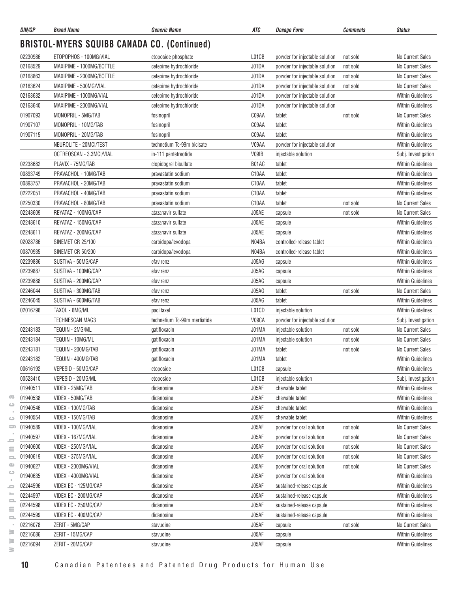| DIN/GP                                             | <b>Brand Name</b>        | <b>Generic Name</b>          | ATC                | <b>Dosage Form</b>             | Comments | <b>Status</b>            |  |  |
|----------------------------------------------------|--------------------------|------------------------------|--------------------|--------------------------------|----------|--------------------------|--|--|
| <b>BRISTOL-MYERS SQUIBB CANADA CO. (Continued)</b> |                          |                              |                    |                                |          |                          |  |  |
| 02230986                                           | ETOPOPHOS - 100MG/VIAL   | etoposide phosphate          | L01CB              | powder for injectable solution | not sold | No Current Sales         |  |  |
| 02168529                                           | MAXIPIME - 1000MG/BOTTLE | cefepime hydrochloride       | J01DA              | powder for injectable solution | not sold | No Current Sales         |  |  |
| 02168863                                           | MAXIPIME - 2000MG/BOTTLE | cefepime hydrochloride       | J01DA              | powder for injectable solution | not sold | No Current Sales         |  |  |
| 02163624                                           | MAXIPIME - 500MG/VIAL    | cefepime hydrochloride       | J01DA              | powder for injectable solution | not sold | No Current Sales         |  |  |
| 02163632                                           | MAXIPIME - 1000MG/VIAL   | cefepime hydrochloride       | J01DA              | powder for injectable solution |          | <b>Within Guidelines</b> |  |  |
| 02163640                                           | MAXIPIME - 2000MG/VIAL   | cefepime hydrochloride       | J01DA              | powder for injectable solution |          | <b>Within Guidelines</b> |  |  |
| 01907093                                           | MONOPRIL - 5MG/TAB       | fosinopril                   | C09AA              | tablet                         | not sold | <b>No Current Sales</b>  |  |  |
| 01907107                                           | MONOPRIL - 10MG/TAB      | fosinopril                   | C09AA              | tablet                         |          | <b>Within Guidelines</b> |  |  |
| 01907115                                           | MONOPRIL - 20MG/TAB      | fosinopril                   | C09AA              | tablet                         |          | <b>Within Guidelines</b> |  |  |
|                                                    | NEUROLITE - 20MCI/TEST   | technetium Tc-99m bicisate   | V09AA              | powder for injectable solution |          | <b>Within Guidelines</b> |  |  |
|                                                    | OCTREOSCAN - 3.3MCI/VIAL | in-111 pentetreotide         | V09IB              | injectable solution            |          | Subj. Investigation      |  |  |
| 02238682                                           | PLAVIX - 75MG/TAB        | clopidogrel bisulfate        | B01AC              | tablet                         |          | <b>Within Guidelines</b> |  |  |
| 00893749                                           | PRAVACHOL - 10MG/TAB     | pravastatin sodium           | C <sub>10</sub> AA | tablet                         |          | <b>Within Guidelines</b> |  |  |
| 00893757                                           | PRAVACHOL - 20MG/TAB     | pravastatin sodium           | C <sub>10</sub> AA | tablet                         |          | <b>Within Guidelines</b> |  |  |
| 02222051                                           | PRAVACHOL - 40MG/TAB     | pravastatin sodium           | C10AA              | tablet                         |          | <b>Within Guidelines</b> |  |  |
| 02250330                                           | PRAVACHOL - 80MG/TAB     | pravastatin sodium           | C10AA              | tablet                         | not sold | <b>No Current Sales</b>  |  |  |
| 02248609                                           | REYATAZ - 100MG/CAP      | atazanavir sulfate           | J05AE              | capsule                        | not sold | No Current Sales         |  |  |
| 02248610                                           | REYATAZ - 150MG/CAP      | atazanavir sulfate           | J05AE              | capsule                        |          | <b>Within Guidelines</b> |  |  |
| 02248611                                           | REYATAZ - 200MG/CAP      | atazanavir sulfate           | J05AE              | capsule                        |          | <b>Within Guidelines</b> |  |  |
| 02028786                                           | SINEMET CR 25/100        | carbidopa/levodopa           | N04BA              | controlled-release tablet      |          | <b>Within Guidelines</b> |  |  |
| 00870935                                           | SINEMET CR 50/200        | carbidopa/levodopa           | N04BA              | controlled-release tablet      |          | <b>Within Guidelines</b> |  |  |
| 02239886                                           | SUSTIVA - 50MG/CAP       | efavirenz                    | J05AG              | capsule                        |          | <b>Within Guidelines</b> |  |  |
| 02239887                                           | SUSTIVA - 100MG/CAP      | efavirenz                    | J05AG              | capsule                        |          | <b>Within Guidelines</b> |  |  |
| 02239888                                           | SUSTIVA - 200MG/CAP      | efavirenz                    | J05AG              | capsule                        |          | <b>Within Guidelines</b> |  |  |
| 02246044                                           | SUSTIVA - 300MG/TAB      | efavirenz                    | J05AG              | tablet                         | not sold | <b>No Current Sales</b>  |  |  |
| 02246045                                           | SUSTIVA - 600MG/TAB      | efavirenz                    | J05AG              | tablet                         |          | <b>Within Guidelines</b> |  |  |
| 02016796                                           | TAXOL - 6MG/ML           | paclitaxel                   | L01CD              | injectable solution            |          | <b>Within Guidelines</b> |  |  |
|                                                    | TECHNESCAN MAG3          | technetium Tc-99m mertiatide | V09CA              | powder for injectable solution |          | Subj. Investigation      |  |  |
| 02243183                                           | TEQUIN - 2MG/ML          | gatifloxacin                 | J01MA              | injectable solution            | not sold | No Current Sales         |  |  |
| 02243184                                           | TEQUIN - 10MG/ML         | gatifloxacin                 | J01MA              | injectable solution            | not sold | <b>No Current Sales</b>  |  |  |
| 02243181                                           | TEQUIN - 200MG/TAB       | gatifloxacin                 | J01MA              | tablet                         | not sold | No Current Sales         |  |  |
| 02243182                                           | TEQUIN - 400MG/TAB       | gatifloxacin                 | J01MA              | tablet                         |          | <b>Within Guidelines</b> |  |  |
| 00616192                                           | VEPESID - 50MG/CAP       | etoposide                    | L01CB              | capsule                        |          | <b>Within Guidelines</b> |  |  |
| 00523410                                           | VEPESID - 20MG/ML        | etoposide                    | L01CB              | injectable solution            |          | Subj. Investigation      |  |  |
| 01940511                                           | VIDEX - 25MG/TAB         | didanosine                   | J05AF              | chewable tablet                |          | <b>Within Guidelines</b> |  |  |
| 01940538                                           | VIDEX - 50MG/TAB         | didanosine                   | J05AF              | chewable tablet                |          | <b>Within Guidelines</b> |  |  |
| 01940546                                           | VIDEX - 100MG/TAB        | didanosine                   | J05AF              | chewable tablet                |          | <b>Within Guidelines</b> |  |  |
| 01940554                                           | VIDEX - 150MG/TAB        | didanosine                   | J05AF              | chewable tablet                |          | <b>Within Guidelines</b> |  |  |
| 01940589                                           | VIDEX - 100MG/VIAL       | didanosine                   | J05AF              | powder for oral solution       | not sold | No Current Sales         |  |  |
| 01940597                                           | VIDEX - 167MG/VIAL       | didanosine                   | J05AF              | powder for oral solution       | not sold | No Current Sales         |  |  |
| 01940600                                           | VIDEX - 250MG/VIAL       | didanosine                   | J05AF              | powder for oral solution       | not sold | No Current Sales         |  |  |
| 01940619                                           | VIDEX - 375MG/VIAL       | didanosine                   | J05AF              | powder for oral solution       | not sold | No Current Sales         |  |  |
| 01940627                                           | VIDEX - 2000MG/VIAL      | didanosine                   | J05AF              | powder for oral solution       | not sold | No Current Sales         |  |  |
| 01940635                                           | VIDEX - 4000MG/VIAL      | didanosine                   | J05AF              | powder for oral solution       |          | Within Guidelines        |  |  |
| 02244596                                           | VIDEX EC - 125MG/CAP     | didanosine                   | J05AF              | sustained-release capsule      |          | <b>Within Guidelines</b> |  |  |
| 02244597                                           | VIDEX EC - 200MG/CAP     | didanosine                   | J05AF              | sustained-release capsule      |          | <b>Within Guidelines</b> |  |  |
| 02244598                                           | VIDEX EC - 250MG/CAP     | didanosine                   | J05AF              | sustained-release capsule      |          | Within Guidelines        |  |  |
| 02244599                                           | VIDEX EC - 400MG/CAP     | didanosine                   | J05AF              | sustained-release capsule      |          | <b>Within Guidelines</b> |  |  |
| 02216078                                           | ZERIT - 5MG/CAP          | stavudine                    | J05AF              | capsule                        | not sold | No Current Sales         |  |  |
| 02216086                                           | ZERIT - 15MG/CAP         | stavudine                    | J05AF              | capsule                        |          | Within Guidelines        |  |  |
| 02216094                                           | ZERIT - 20MG/CAP         | stavudine                    | J05AF              | capsule                        |          | Within Guidelines        |  |  |

 $\overline{\infty}$  $\circ$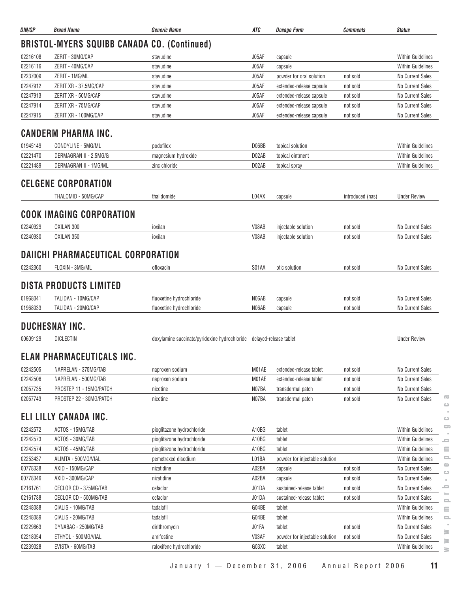| DIN/GP                                             | <b>Brand Name</b>                | Generic Name                                  | ATC   | <b>Dosage Form</b>             | <b>Comments</b>  | <b>Status</b>                            |  |  |  |  |
|----------------------------------------------------|----------------------------------|-----------------------------------------------|-------|--------------------------------|------------------|------------------------------------------|--|--|--|--|
| <b>BRISTOL-MYERS SQUIBB CANADA CO. (Continued)</b> |                                  |                                               |       |                                |                  |                                          |  |  |  |  |
| 02216108                                           | ZERIT - 30MG/CAP                 | stavudine                                     | J05AF | capsule                        |                  | <b>Within Guidelines</b>                 |  |  |  |  |
| 02216116                                           | ZERIT - 40MG/CAP                 | stavudine                                     | J05AF | capsule                        |                  | <b>Within Guidelines</b>                 |  |  |  |  |
| 02237009                                           | ZERIT - 1MG/ML                   | stavudine                                     | J05AF | powder for oral solution       | not sold         | No Current Sales                         |  |  |  |  |
| 02247912                                           | ZERIT XR - 37.5MG/CAP            | stavudine                                     | J05AF | extended-release capsule       | not sold         | <b>No Current Sales</b>                  |  |  |  |  |
| 02247913                                           | ZERIT XR - 50MG/CAP              | stavudine                                     | J05AF | extended-release capsule       | not sold         | No Current Sales                         |  |  |  |  |
| 02247914                                           | ZERIT XR - 75MG/CAP              | stavudine                                     | J05AF | extended-release capsule       | not sold         | No Current Sales                         |  |  |  |  |
| 02247915                                           | ZERIT XR - 100MG/CAP             | stavudine                                     | J05AF | extended-release capsule       | not sold         | No Current Sales                         |  |  |  |  |
|                                                    | <b>CANDERM PHARMA INC.</b>       |                                               |       |                                |                  |                                          |  |  |  |  |
| 01945149                                           | CONDYLINE - 5MG/ML               | podofilox                                     | D06BB | topical solution               |                  | <b>Within Guidelines</b>                 |  |  |  |  |
| 02221470                                           | DERMAGRAN II - 2.5MG/G           | magnesium hydroxide                           | D02AB | topical ointment               |                  | <b>Within Guidelines</b>                 |  |  |  |  |
| 02221489                                           | DERMAGRAN II - 1MG/ML            | zinc chloride                                 | D02AB | topical spray                  |                  | <b>Within Guidelines</b>                 |  |  |  |  |
|                                                    | <b>CELGENE CORPORATION</b>       |                                               |       |                                |                  |                                          |  |  |  |  |
|                                                    | THALOMID - 50MG/CAP              | thalidomide                                   | L04AX | capsule                        | introduced (nas) | <b>Under Review</b>                      |  |  |  |  |
|                                                    |                                  |                                               |       |                                |                  |                                          |  |  |  |  |
|                                                    | <b>COOK IMAGING CORPORATION</b>  |                                               |       |                                |                  |                                          |  |  |  |  |
| 02240929                                           | OXILAN 300                       | ioxilan                                       | V08AB | injectable solution            | not sold         | No Current Sales                         |  |  |  |  |
| 02240930                                           | OXILAN 350                       | ioxilan                                       | V08AB | injectable solution            | not sold         | No Current Sales                         |  |  |  |  |
| DAIICHI PHARMACEUTICAL CORPORATION                 |                                  |                                               |       |                                |                  |                                          |  |  |  |  |
| 02242360                                           | FLOXIN - 3MG/ML                  | ofloxacin                                     | S01AA | otic solution                  | not sold         | No Current Sales                         |  |  |  |  |
|                                                    | <b>DISTA PRODUCTS LIMITED</b>    |                                               |       |                                |                  |                                          |  |  |  |  |
| 01968041                                           | TALIDAN - 10MG/CAP               | fluoxetine hydrochloride                      | N06AB | capsule                        | not sold         | No Current Sales                         |  |  |  |  |
| 01968033                                           | TALIDAN - 20MG/CAP               | fluoxetine hydrochloride                      | N06AB | capsule                        | not sold         | No Current Sales                         |  |  |  |  |
|                                                    | <b>DUCHESNAY INC.</b>            |                                               |       |                                |                  |                                          |  |  |  |  |
| 00609129                                           | DICLECTIN                        | doxylamine succinate/pyridoxine hydrochloride |       | delayed-release tablet         |                  | <b>Under Review</b>                      |  |  |  |  |
|                                                    |                                  |                                               |       |                                |                  |                                          |  |  |  |  |
|                                                    | <b>ELAN PHARMACEUTICALS INC.</b> |                                               |       |                                |                  |                                          |  |  |  |  |
| 02242505                                           | NAPRELAN - 375MG/TAB             | naproxen sodium                               | M01AE | extended-release tablet        | not sold         | No Current Sales                         |  |  |  |  |
| 02242506                                           | NAPRELAN - 500MG/TAB             | naproxen sodium                               | M01AE | extended-release tablet        | not sold         | <b>No Current Sales</b>                  |  |  |  |  |
| 02057735                                           | PROSTEP 11 - 15MG/PATCH          | nicotine                                      | N07BA | transdermal patch              | not sold         | No Current Sales                         |  |  |  |  |
| 02057743                                           | PROSTEP 22 - 30MG/PATCH          | nicotine                                      | N07BA | transdermal patch              | not sold         | Œ<br>No Current Sales                    |  |  |  |  |
|                                                    | ELI LILLY CANADA INC.            |                                               |       |                                |                  | $\circ$                                  |  |  |  |  |
|                                                    |                                  |                                               |       |                                |                  | $\circ$<br>5                             |  |  |  |  |
| 02242572                                           | ACTOS - 15MG/TAB                 | pioglitazone hydrochloride                    | A10BG | tablet                         |                  | <b>Within Guidelines</b>                 |  |  |  |  |
| 02242573                                           | ACTOS - 30MG/TAB                 | pioglitazone hydrochloride                    | A10BG | tablet                         |                  | Within Guidelines<br>0                   |  |  |  |  |
| 02242574                                           | ACTOS - 45MG/TAB                 | pioglitazone hydrochloride                    | A10BG | tablet                         |                  | Within Guidelines<br>Ξ                   |  |  |  |  |
| 02253437                                           | ALIMTA - 500MG/VIAL              | pemetrexed disodium                           | L01BA | powder for injectable solution |                  | $\equiv$<br>Within Guidelines<br>$\circ$ |  |  |  |  |
| 00778338                                           | AXID - 150MG/CAP                 | nizatidine                                    | A02BA | capsule                        | not sold         | No Current Sales<br>$\bigcirc$           |  |  |  |  |
| 00778346                                           | AXID - 300MG/CAP                 | nizatidine                                    | A02BA | capsule                        | not sold         | No Current Sales<br>$\mathbb{R}^2$       |  |  |  |  |
| 02161761                                           | CECLOR CD - 375MG/TAB            | cefaclor                                      | J01DA | sustained-release tablet       | not sold         | ᆖ<br>No Current Sales                    |  |  |  |  |
| 02161788                                           | CECLOR CD - 500MG/TAB            | cefaclor                                      | J01DA | sustained-release tablet       | not sold         | No Current Sales<br>$\equiv$             |  |  |  |  |
| 02248088                                           | CIALIS - 10MG/TAB                | tadalafil                                     | G04BE | tablet                         |                  | Within Guidelines<br>Ξ                   |  |  |  |  |
| 02248089                                           | CIALIS - 20MG/TAB                | tadalafil                                     | G04BE | tablet                         |                  | <b>Within Guidelines</b><br>$\equiv$     |  |  |  |  |
| 02229863                                           | DYNABAC - 250MG/TAB              | dirithromycin                                 | J01FA | tablet                         | not sold         | No Current Sales<br>≧                    |  |  |  |  |
| 02218054                                           | ETHYOL - 500MG/VIAL              | amifostine                                    | V03AF | powder for injectable solution | not sold         | No Current Sales<br>≧                    |  |  |  |  |
| 02239028                                           | EVISTA - 60MG/TAB                | raloxifene hydrochloride                      | G03XC | tablet                         |                  | <b>Within Guidelines</b><br>≧            |  |  |  |  |

January 1 — December 31, 2006 Annual Report 2006 **11**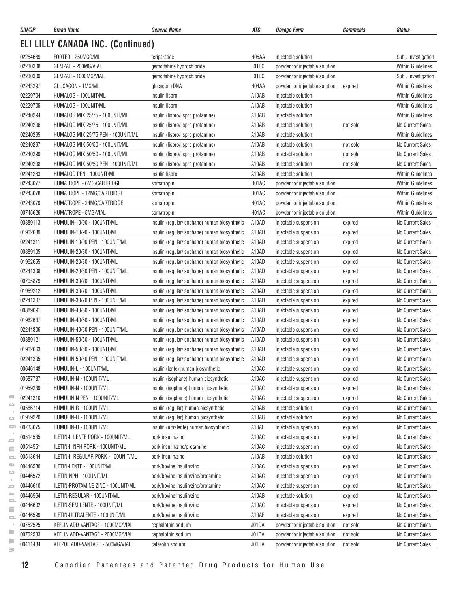| DIN/GP               | <b>Brand Name</b>                                    | <b>Generic Name</b>                           | ATC                | <b>Dosage Form</b>                             | <b>Comments</b> | <b>Status</b>                        |
|----------------------|------------------------------------------------------|-----------------------------------------------|--------------------|------------------------------------------------|-----------------|--------------------------------------|
|                      | <b>ELI LILLY CANADA INC. (Continued)</b>             |                                               |                    |                                                |                 |                                      |
| 02254689             | FORTEO - 250MCG/ML                                   | teriparatide                                  | H <sub>05</sub> AA | injectable solution                            |                 | Subj. Investigation                  |
| 02230308             | GEMZAR - 200MG/VIAL                                  | gemcitabine hydrochloride                     | L01BC              | powder for injectable solution                 |                 | <b>Within Guidelines</b>             |
| 02230309             | GEMZAR - 1000MG/VIAL                                 | gemcitabine hydrochloride                     | L01BC              | powder for injectable solution                 |                 | Subj. Investigation                  |
| 02243297             | GLUCAGON - 1MG/ML                                    | glucagon rDNA                                 | H04AA              | powder for injectable solution                 | expired         | <b>Within Guidelines</b>             |
| 02229704             | HUMALOG - 100UNIT/ML                                 | insulin lispro                                | A10AB              | injectable solution                            |                 | <b>Within Guidelines</b>             |
| 02229705             | HUMALOG - 100UNIT/ML                                 | insulin lispro                                | A10AB              | injectable solution                            |                 | <b>Within Guidelines</b>             |
| 02240294             | HUMALOG MIX 25/75 - 100UNIT/ML                       | insulin (lispro/lispro protamine)             | A10AB              | injectable solution                            |                 | <b>Within Guidelines</b>             |
| 02240296             | HUMALOG MIX 25/75 - 100UNIT/ML                       | insulin (lispro/lispro protamine)             | A10AB              | injectable solution                            | not sold        | No Current Sales                     |
| 02240295             | HUMALOG MIX 25/75 PEN - 100UNIT/ML                   | insulin (lispro/lispro protamine)             | A10AB              | injectable solution                            |                 | <b>Within Guidelines</b>             |
| 02240297             | HUMALOG MIX 50/50 - 100UNIT/ML                       | insulin (lispro/lispro protamine)             | A10AB              | injectable solution                            | not sold        | No Current Sales                     |
| 02240299             | HUMALOG MIX 50/50 - 100UNIT/ML                       | insulin (lispro/lispro protamine)             | A10AB              | injectable solution                            | not sold        | No Current Sales                     |
| 02240298             | HUMALOG MIX 50/50 PEN - 100UNIT/ML                   | insulin (lispro/lispro protamine)             | A10AB              | injectable solution                            | not sold        | <b>No Current Sales</b>              |
| 02241283             | HUMALOG PEN - 100UNIT/ML                             | insulin lispro                                | A10AB              | injectable solution                            |                 | <b>Within Guidelines</b>             |
| 02243077             | HUMATROPE - 6MG/CARTRIDGE                            | somatropin                                    | H <sub>0</sub> 1AC | powder for injectable solution                 |                 | <b>Within Guidelines</b>             |
| 02243078             | HUMATROPE - 12MG/CARTRIDGE                           | somatropin                                    | H01AC              | powder for injectable solution                 |                 | <b>Within Guidelines</b>             |
| 02243079             | HUMATROPE - 24MG/CARTRIDGE                           | somatropin                                    | H01AC              | powder for injectable solution                 |                 | <b>Within Guidelines</b>             |
| 00745626             | HUMATROPE - 5MG/VIAL                                 | somatropin                                    | H01AC              | powder for injectable solution                 |                 | <b>Within Guidelines</b>             |
| 00889113             | HUMULIN-10/90 - 100UNIT/ML                           | insulin (regular/isophane) human biosynthetic | A10AD              | injectable suspension                          | expired         | No Current Sales                     |
| 01962639             | HUMULIN-10/90 - 100UNIT/ML                           | insulin (regular/isophane) human biosynthetic | A10AD              | injectable suspension                          | expired         | No Current Sales                     |
| 02241311             | HUMULIN-10/90 PEN - 100UNIT/ML                       | insulin (regular/isophane) human biosynthetic | A10AD              | injectable suspension                          | expired         | No Current Sales                     |
| 00889105             | HUMULIN-20/80 - 100UNIT/ML                           | insulin (regular/isophane) human biosynthetic | A10AD              | injectable suspension                          | expired         | No Current Sales                     |
| 01962655             | HUMULIN-20/80 - 100UNIT/ML                           | insulin (regular/isophane) human biosynthetic | A10AD              | injectable suspension                          | expired         | No Current Sales                     |
| 02241308             | HUMULIN-20/80 PEN - 100UNIT/ML                       | insulin (regular/isophane) human biosynthetic | A10AD              | injectable suspension                          | expired         | No Current Sales                     |
| 00795879             | HUMULIN-30/70 - 100UNIT/ML                           | insulin (regular/isophane) human biosynthetic | A10AD              | injectable suspension                          | expired         | No Current Sales                     |
| 01959212             | HUMULIN-30/70 - 100UNIT/ML                           | insulin (regular/isophane) human biosynthetic | A10AD              | injectable suspension                          | expired         | No Current Sales                     |
| 02241307             | HUMULIN-30/70 PEN - 100UNIT/ML                       | insulin (regular/isophane) human biosynthetic | A10AD              | injectable suspension                          | expired         | No Current Sales                     |
| 00889091             | HUMULIN-40/60 - 100UNIT/ML                           | insulin (regular/isophane) human biosynthetic | A10AD              | injectable suspension                          | expired         | No Current Sales                     |
| 01962647             | HUMULIN-40/60 - 100UNIT/ML                           | insulin (regular/isophane) human biosynthetic | A10AD              | injectable suspension                          | expired         | No Current Sales                     |
| 02241306             | HUMULIN-40/60 PEN - 100UNIT/ML                       | insulin (regular/isophane) human biosynthetic | A10AD              | injectable suspension                          | expired         | No Current Sales                     |
| 00889121             | HUMULIN-50/50 - 100UNIT/ML                           | insulin (regular/isophane) human biosynthetic | A10AD              | injectable suspension                          | expired         | No Current Sales                     |
| 01962663             | HUMULIN-50/50 - 100UNIT/ML                           | insulin (regular/isophane) human biosynthetic | A10AD              | injectable suspension                          | expired         | No Current Sales                     |
| 02241305             | HUMULIN-50/50 PEN - 100UNIT/ML                       | insulin (regular/isophane) human biosynthetic | A10AD              |                                                |                 | No Current Sales                     |
| 00646148             | HUMULIN-L - 100UNIT/ML                               | insulin (lente) human biosynthetic            | A10AC              | injectable suspension<br>injectable suspension | expired         | <b>No Current Sales</b>              |
| 00587737             |                                                      | insulin (isophane) human biosynthetic         |                    |                                                | expired         | No Current Sales                     |
|                      | HUMULIN-N - 100UNIT/ML                               | insulin (isophane) human biosynthetic         | A10AC              | injectable suspension                          | expired         |                                      |
| 01959239             | HUMULIN-N - 100UNIT/ML                               |                                               | A10AC              | injectable suspension                          | expired         | No Current Sales                     |
| 02241310<br>00586714 | HUMULIN-N PEN - 100UNIT/ML<br>HUMULIN-R - 100UNIT/ML | insulin (isophane) human biosynthetic         | A10AC              | injectable suspension                          | expired         | No Current Sales<br>No Current Sales |
|                      |                                                      | insulin (regular) human biosynthetic          | A10AB              | injectable solution                            | expired         |                                      |
| 01959220             | HUMULIN-R - 100UNIT/ML                               | insulin (regular) human biosynthetic          | A10AB              | injectable solution                            | expired         | No Current Sales                     |
| 00733075             | HUMULIN-U - 100UNIT/ML                               | insulin (ultralente) human biosynthetic       | A10AE              | injectable suspension                          | expired         | No Current Sales                     |
| 00514535             | ILETIN-II LENTE PORK - 100UNIT/ML                    | pork insulin/zinc                             | A10AC              | injectable suspension                          | expired         | No Current Sales                     |
| 00514551             | ILETIN-II NPH PORK - 100UNIT/ML                      | pork insulin/zinc/protamine                   | A10AC              | injectable suspension                          | expired         | No Current Sales                     |
| 00513644             | ILETIN-II REGULAR PORK - 100UNIT/ML                  | pork insulin/zinc                             | A10AB              | injectable solution                            | expired         | No Current Sales                     |
| 00446580             | ILETIN-LENTE - 100UNIT/ML                            | pork/bovine insulin/zinc                      | A10AC              | injectable suspension                          | expired         | No Current Sales                     |
| 00446572             | ILETIN-NPH - 100UNIT/ML                              | pork/bovine insulin/zinc/protamine            | A10AC              | injectable suspension                          | expired         | No Current Sales                     |
| 00446610             | ILETIN-PROTAMINE ZINC - 100UNIT/ML                   | pork/bovine insulin/zinc/protamine            | A10AC              | injectable suspension                          | expired         | No Current Sales                     |
| 00446564             | ILETIN-REGULAR - 100UNIT/ML                          | pork/bovine insulin/zinc                      | A10AB              | injectable solution                            | expired         | No Current Sales                     |
| 00446602             | ILETIN-SEMILENTE - 100UNIT/ML                        | pork/bovine insulin/zinc                      | A10AC              | injectable suspension                          | expired         | No Current Sales                     |
| 00446599             | ILETIN-ULTRALENTE - 100UNIT/ML                       | pork/bovine insulin/zinc                      | A10AE              | injectable suspension                          | expired         | No Current Sales                     |
| 00752525             | KEFLIN ADD-VANTAGE - 1000MG/VIAL                     | cephalothin sodium                            | J01DA              | powder for injectable solution                 | not sold        | No Current Sales                     |
| 00752533             | KEFLIN ADD-VANTAGE - 2000MG/VIAL                     | cephalothin sodium                            | J01DA              | powder for injectable solution                 | not sold        | No Current Sales                     |
| 00411434             | KEFZOL ADD-VANTAGE - 500MG/VIAL                      | cefazolin sodium                              | J01DA              | powder for injectable solution                 | not sold        | No Current Sales                     |

 $\geq$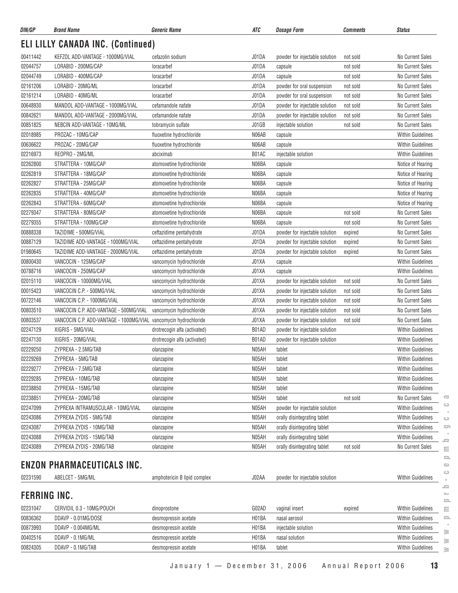| DIN/GP              | <b>Brand Name</b>                                                | <b>Generic Name</b>          | ATC            | <b>Dosage Form</b>             | <b>Comments</b> | <b>Status</b>            |
|---------------------|------------------------------------------------------------------|------------------------------|----------------|--------------------------------|-----------------|--------------------------|
|                     | <b>ELI LILLY CANADA INC. (Continued)</b>                         |                              |                |                                |                 |                          |
| 00411442            | KEFZOL ADD-VANTAGE - 1000MG/VIAL                                 | cefazolin sodium             | J01DA          | powder for injectable solution | not sold        | No Current Sales         |
| 02044757            | LORABID - 200MG/CAP                                              | loracarbef                   | J01DA          | capsule                        | not sold        | No Current Sales         |
| 02044749            | LORABID - 400MG/CAP                                              | loracarbef                   | J01DA          | capsule                        | not sold        | No Current Sales         |
| 02161206            | LORABID - 20MG/ML                                                | loracarbef                   | J01DA          | powder for oral suspension     | not sold        | No Current Sales         |
| 02161214            | LORABID - 40MG/ML                                                | loracarbef                   | J01DA          | powder for oral suspension     | not sold        | No Current Sales         |
| 00648930            | MANDOL ADD-VANTAGE - 1000MG/VIAL                                 | cefamandole nafate           | J01DA          | powder for injectable solution | not sold        | No Current Sales         |
| 00842621            | MANDOL ADD-VANTAGE - 2000MG/VIAL                                 | cefamandole nafate           | J01DA          | powder for injectable solution | not sold        | No Current Sales         |
| 00851825            | NEBCIN ADD-VANTAGE - 10MG/ML                                     | tobramycin sulfate           | J01GB          | injectable solution            | not sold        | No Current Sales         |
| 02018985            | PROZAC - 10MG/CAP                                                | fluoxetine hydrochloride     | N06AB          | capsule                        |                 | <b>Within Guidelines</b> |
| 00636622            | PROZAC - 20MG/CAP                                                | fluoxetine hydrochloride     | N06AB          | capsule                        |                 | <b>Within Guidelines</b> |
| 02216973            | REOPRO - 2MG/ML                                                  | abciximab                    | B01AC          | injectable solution            |                 | <b>Within Guidelines</b> |
| 02262800            | STRATTERA - 10MG/CAP                                             | atomoxetine hydrochloride    | N06BA          | capsule                        |                 | Notice of Hearing        |
| 02262819            | STRATTERA - 18MG/CAP                                             | atomoxetine hydrochloride    | N06BA          | capsule                        |                 | Notice of Hearing        |
| 02262827            | STRATTERA - 25MG/CAP                                             | atomoxetine hydrochloride    | N06BA          | capsule                        |                 | Notice of Hearing        |
| 02262835            | STRATTERA - 40MG/CAP                                             | atomoxetine hydrochloride    | N06BA          | capsule                        |                 | Notice of Hearing        |
| 02262843            | STRATTERA - 60MG/CAP                                             | atomoxetine hydrochloride    | N06BA          | capsule                        |                 | Notice of Hearing        |
| 02279347            | STRATTERA - 80MG/CAP                                             | atomoxetine hydrochloride    | N06BA          | capsule                        | not sold        | No Current Sales         |
| 02279355            | STRATTERA - 100MG/CAP                                            | atomoxetine hydrochloride    | N06BA          | capsule                        | not sold        | No Current Sales         |
| 00888338            | TAZIDIME - 500MG/VIAL                                            | ceftazidime pentahydrate     | J01DA          | powder for injectable solution | expired         | No Current Sales         |
| 00887129            | TAZIDIME ADD-VANTAGE - 1000MG/VIAL                               | ceftazidime pentahydrate     | J01DA          | powder for injectable solution | expired         | No Current Sales         |
| 01980645            | TAZIDIME ADD-VANTAGE - 2000MG/VIAL                               | ceftazidime pentahydrate     | J01DA          | powder for injectable solution | expired         | No Current Sales         |
| 00800430            | VANCOCIN - 125MG/CAP                                             | vancomycin hydrochloride     | J01XA          | capsule                        |                 | <b>Within Guidelines</b> |
| 00788716            | VANCOCIN - 250MG/CAP                                             | vancomycin hydrochloride     | J01XA          | capsule                        |                 | <b>Within Guidelines</b> |
| 02015110            | VANCOCIN - 10000MG/VIAL                                          | vancomycin hydrochloride     | J01XA          | powder for injectable solution | not sold        | No Current Sales         |
| 00015423            | VANCOCIN C.P. - 500MG/VIAL                                       |                              |                |                                |                 | No Current Sales         |
| 00722146            | VANCOCIN C.P. - 1000MG/VIAL                                      | vancomycin hydrochloride     | J01XA<br>J01XA | powder for injectable solution | not sold        | No Current Sales         |
| 00803510            | VANCOCIN C.P. ADD-VANTAGE - 500MG/VIAL                           | vancomycin hydrochloride     | J01XA          | powder for injectable solution | not sold        | No Current Sales         |
|                     |                                                                  | vancomycin hydrochloride     |                | powder for injectable solution | not sold        |                          |
| 00803537            | VANCOCIN C.P. ADD-VANTAGE - 1000MG/VIAL vancomycin hydrochloride |                              | J01XA          | powder for injectable solution | not sold        | No Current Sales         |
| 02247129            | XIGRIS - 5MG/VIAL                                                | drotrecogin alfa (activated) | B01AD          | powder for injectable solution |                 | <b>Within Guidelines</b> |
| 02247130            | XIGRIS - 20MG/VIAL                                               | drotrecogin alfa (activated) | B01AD          | powder for injectable solution |                 | <b>Within Guidelines</b> |
| 02229250            | ZYPREXA - 2.5MG/TAB                                              | olanzapine                   | N05AH          | tablet                         |                 | <b>Within Guidelines</b> |
| 02229269            | ZYPREXA - 5MG/TAB                                                | olanzapine                   | N05AH          | tablet                         |                 | <b>Within Guidelines</b> |
| 02229277            | ZYPREXA - 7.5MG/TAB                                              | olanzapine                   | N05AH          | tablet                         |                 | <b>Within Guidelines</b> |
| 02229285            | ZYPREXA - 10MG/TAB                                               | olanzapine                   | N05AH          | tablet                         |                 | Within Guidelines        |
| 02238850            | ZYPREXA - 15MG/TAB                                               | olanzapine                   | N05AH          | tablet                         |                 | <b>Within Guidelines</b> |
| 02238851            | ZYPREXA - 20MG/TAB                                               | olanzapine                   | N05AH          | tablet                         | not sold        | No Current Sales         |
| 02247099            | ZYPREXA INTRAMUSCULAR - 10MG/VIAL                                | olanzapine                   | N05AH          | powder for injectable solution |                 | <b>Within Guidelines</b> |
| 02243086            | ZYPREXA ZYDIS - 5MG/TAB                                          | olanzapine                   | N05AH          | orally disintegrating tablet   |                 | <b>Within Guidelines</b> |
| 02243087            | ZYPREXA ZYDIS - 10MG/TAB                                         | olanzapine                   | N05AH          | orally disintegrating tablet   |                 | <b>Within Guidelines</b> |
| 02243088            | ZYPREXA ZYDIS - 15MG/TAB                                         | olanzapine                   | N05AH          | orally disintegrating tablet   |                 | <b>Within Guidelines</b> |
| 02243089            | ZYPREXA ZYDIS - 20MG/TAB                                         | olanzapine                   | N05AH          | orally disintegrating tablet   | not sold        | No Current Sales         |
|                     | <b>ENZON PHARMACEUTICALS INC.</b>                                |                              |                |                                |                 |                          |
| 02231590            | ABELCET - 5MG/ML                                                 | amphotericin B lipid complex | J02AA          | powder for injectable solution |                 | <b>Within Guidelines</b> |
|                     |                                                                  |                              |                |                                |                 |                          |
| <b>FERRING INC.</b> |                                                                  |                              |                |                                |                 |                          |
| 02231047            | CERVIDIL 0.3 - 10MG/POUCH                                        | dinoprostone                 | G02AD          | vaginal insert                 | expired         | Within Guidelines        |
| 00836362            | DDAVP - 0.01MG/DOSE                                              | desmopressin acetate         | H01BA          | nasal aerosol                  |                 | <b>Within Guidelines</b> |
| 00873993            | DDAVP - 0.004MG/ML                                               | desmopressin acetate         | H01BA          | injectable solution            |                 | Within Guidelines        |
| 00402516            | DDAVP - 0.1MG/ML                                                 | desmopressin acetate         | H01BA          | nasal solution                 |                 | <b>Within Guidelines</b> |
| 00824305            | DDAVP - 0.1MG/TAB                                                | desmopressin acetate         | H01BA          | tablet                         |                 | Within Guidelines        |

 $\geq$ 

 $\overline{\text{C}}$  $\circlearrowright$  $\sim$  $\mathrel{\ensuremath{\mathop{\rule{0pt}{0.5ex}\nolimits\stackrel{\longleftarrow}{\hspace{0.15ex}}}}}$ 

January 1 — December 31, 2006 Annual Report 2006 **13**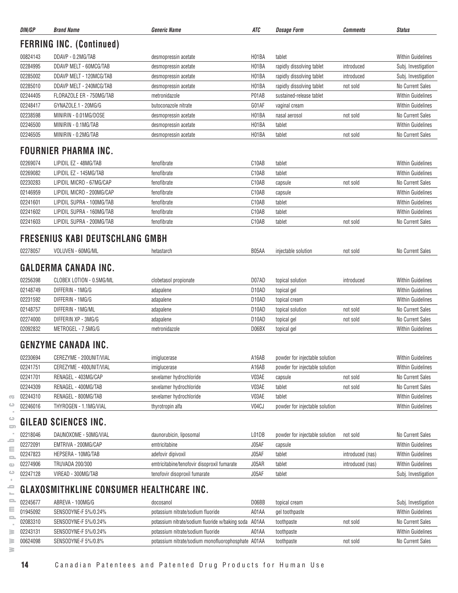| DIN/GP   | <b>Brand Name</b>                        | <b>Generic Name</b>                                   | ATC                | <b>Dosage Form</b>             | <b>Comments</b>  | <b>Status</b>            |
|----------|------------------------------------------|-------------------------------------------------------|--------------------|--------------------------------|------------------|--------------------------|
|          | <b>FERRING INC. (Continued)</b>          |                                                       |                    |                                |                  |                          |
| 00824143 | DDAVP - 0.2MG/TAB                        | desmopressin acetate                                  | H01BA              | tablet                         |                  | <b>Within Guidelines</b> |
| 02284995 | DDAVP MELT - 60MCG/TAB                   | desmopressin acetate                                  | H01BA              | rapidly dissolving tablet      | introduced       | Subj. Investigation      |
| 02285002 | DDAVP MELT - 120MCG/TAB                  | desmopressin acetate                                  | H <sub>01</sub> BA | rapidly dissolving tablet      | introduced       | Subj. Investigation      |
| 02285010 | DDAVP MELT - 240MCG/TAB                  | desmopressin acetate                                  | H01BA              | rapidly dissolving tablet      | not sold         | No Current Sales         |
| 02244405 | FLORAZOLE ER - 750MG/TAB                 | metronidazole                                         | P01AB              | sustained-release tablet       |                  | <b>Within Guidelines</b> |
| 02248417 | GYNAZOLE.1 - 20MG/G                      | butoconazole nitrate                                  | G01AF              | vaginal cream                  |                  | <b>Within Guidelines</b> |
| 02238598 | MINIRIN - 0.01MG/DOSE                    | desmopressin acetate                                  | H01BA              | nasal aerosol                  | not sold         | No Current Sales         |
| 02246500 | MINIRIN - 0.1MG/TAB                      | desmopressin acetate                                  | H01BA              | tablet                         |                  | <b>Within Guidelines</b> |
| 02246505 | MINIRIN - 0.2MG/TAB                      | desmopressin acetate                                  | H <sub>01</sub> BA | tablet                         | not sold         | No Current Sales         |
|          | <b>FOURNIER PHARMA INC.</b>              |                                                       |                    |                                |                  |                          |
| 02269074 | LIPIDIL EZ - 48MG/TAB                    | fenofibrate                                           | C10AB              | tablet                         |                  | <b>Within Guidelines</b> |
| 02269082 | LIPIDIL EZ - 145MG/TAB                   | fenofibrate                                           | C10AB              | tablet                         |                  | <b>Within Guidelines</b> |
| 02230283 | LIPIDIL MICRO - 67MG/CAP                 | fenofibrate                                           | C10AB              | capsule                        | not sold         | No Current Sales         |
| 02146959 | LIPIDIL MICRO - 200MG/CAP                | fenofibrate                                           | C10AB              | capsule                        |                  | <b>Within Guidelines</b> |
| 02241601 | LIPIDIL SUPRA - 100MG/TAB                | fenofibrate                                           | C <sub>10</sub> AB | tablet                         |                  | <b>Within Guidelines</b> |
| 02241602 | LIPIDIL SUPRA - 160MG/TAB                | fenofibrate                                           | C <sub>10</sub> AB | tablet                         |                  | <b>Within Guidelines</b> |
| 02241603 | LIPIDIL SUPRA - 200MG/TAB                | fenofibrate                                           | C10AB              | tablet                         | not sold         | No Current Sales         |
|          | <b>FRESENIUS KABI DEUTSCHLANG GMBH</b>   |                                                       |                    |                                |                  |                          |
| 02278057 | VOLUVEN - 60MG/ML                        | hetastarch                                            | B05AA              | injectable solution            | not sold         | No Current Sales         |
|          |                                          |                                                       |                    |                                |                  |                          |
|          | <b>GALDERMA CANADA INC.</b>              |                                                       |                    |                                |                  |                          |
| 02256398 | CLOBEX LOTION - 0.5MG/ML                 | clobetasol propionate                                 | D07AD              | topical solution               | introduced       | <b>Within Guidelines</b> |
| 02148749 | DIFFERIN - 1MG/G                         | adapalene                                             | D <sub>10</sub> AD | topical gel                    |                  | <b>Within Guidelines</b> |
| 02231592 | DIFFERIN - 1MG/G                         | adapalene                                             | D <sub>10</sub> AD | topical cream                  |                  | <b>Within Guidelines</b> |
| 02148757 | DIFFERIN - 1MG/ML                        | adapalene                                             | D <sub>10</sub> AD | topical solution               | not sold         | No Current Sales         |
| 02274000 | DIFFERIN XP - 3MG/G                      | adapalene                                             | D <sub>10</sub> AD | topical gel                    | not sold         | No Current Sales         |
| 02092832 | METROGEL - 7.5MG/G                       | metronidazole                                         | D06BX              | topical gel                    |                  | <b>Within Guidelines</b> |
|          | GENZYME CANADA INC.                      |                                                       |                    |                                |                  |                          |
| 02230694 | CEREZYME - 200UNIT/VIAL                  | imiglucerase                                          | A16AB              | powder for injectable solution |                  | <b>Within Guidelines</b> |
| 02241751 | CEREZYME - 400UNIT/VIAL                  | imiglucerase                                          | A16AB              | powder for injectable solution |                  | <b>Within Guidelines</b> |
| 02241701 | RENAGEL - 403MG/CAP                      | sevelamer hydrochloride                               | V03AE              | capsule                        | not sold         | No Current Sales         |
| 02244309 | RENAGEL - 400MG/TAB                      | sevelamer hydrochloride                               | V03AE              | tablet                         | not sold         | No Current Sales         |
| 02244310 | RENAGEL - 800MG/TAB                      | sevelamer hydrochloride                               | V03AE              | tablet                         |                  | <b>Within Guidelines</b> |
| 02246016 | THYROGEN - 1.1MG/VIAL                    | thyrotropin alfa                                      | V04CJ              | powder for injectable solution |                  | <b>Within Guidelines</b> |
|          | GILEAD SCIENCES INC.                     |                                                       |                    |                                |                  |                          |
| 02218046 | DAUNOXOME - 50MG/VIAL                    | daunorubicin, liposomal                               | L01DB              | powder for injectable solution | not sold         | No Current Sales         |
| 02272091 | EMTRIVA - 200MG/CAP                      | emtricitabine                                         | J05AF              | capsule                        |                  | <b>Within Guidelines</b> |
| 02247823 | HEPSERA - 10MG/TAB                       | adefovir dipivoxil                                    | J05AF              | tablet                         | introduced (nas) | <b>Within Guidelines</b> |
| 02274906 | <b>TRUVADA 200/300</b>                   | emtricitabine/tenofovir disoproxil fumarate           | J05AR              | tablet                         | introduced (nas) | <b>Within Guidelines</b> |
| 02247128 | VIREAD - 300MG/TAB                       | tenofovir disoproxil fumarate                         | J05AF              | tablet                         |                  | Subj. Investigation      |
|          | GLAXOSMITHKLINE CONSUMER HEALTHCARE INC. |                                                       |                    |                                |                  |                          |
| 02245677 | ABREVA - 100MG/G                         | docosanol                                             | D06BB              | topical cream                  |                  | Subj. Investigation      |
| 01945092 | SENSODYNE-F 5%/0.24%                     | potassium nitrate/sodium fluoride                     | A01AA              | gel toothpaste                 |                  | <b>Within Guidelines</b> |
| 02083310 | SENSODYNE-F 5%/0.24%                     | potassium nitrate/sodium fluoride w/baking soda A01AA |                    | toothpaste                     | not sold         | No Current Sales         |
| 02243131 | SENSODYNE-F 5%/0.24%                     | potassium nitrate/sodium fluoride                     | A01AA              | toothpaste                     |                  | Within Guidelines        |
| 00624098 | SENSODYNE-F 5%/0.8%                      | potassium nitrate/sodium monofluorophosphate A01AA    |                    |                                | not sold         | No Current Sales         |
|          |                                          |                                                       |                    | toothpaste                     |                  |                          |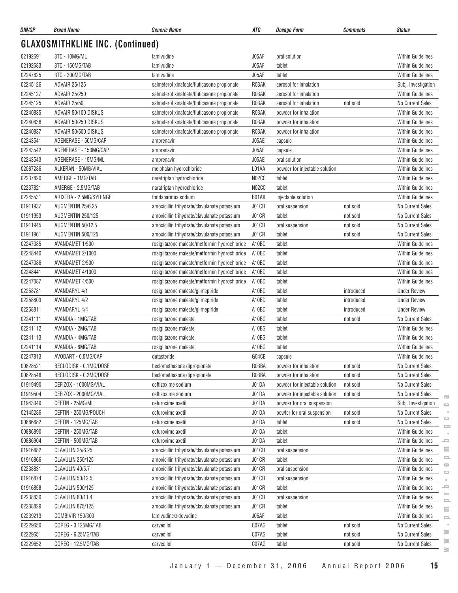| DIN/GP   | <b>Brand Name</b>                       | <b>Generic Name</b>                           | ATC   | <b>Dosage Form</b>             | <b>Comments</b> | <b>Status</b>                                                                        |
|----------|-----------------------------------------|-----------------------------------------------|-------|--------------------------------|-----------------|--------------------------------------------------------------------------------------|
|          | <b>GLAXOSMITHKLINE INC. (Continued)</b> |                                               |       |                                |                 |                                                                                      |
| 02192691 | 3TC - 10MG/ML                           | lamivudine                                    | J05AF | oral solution                  |                 | Within Guidelines                                                                    |
| 02192683 | 3TC - 150MG/TAB                         | lamivudine                                    | J05AF | tablet                         |                 | <b>Within Guidelines</b>                                                             |
| 02247825 | 3TC - 300MG/TAB                         | lamivudine                                    | J05AF | tablet                         |                 | <b>Within Guidelines</b>                                                             |
| 02245126 | <b>ADVAIR 25/125</b>                    | salmeterol xinafoate/fluticasone propionate   | R03AK | aerosol for inhalation         |                 | Subj. Investigation                                                                  |
| 02245127 | ADVAIR 25/250                           | salmeterol xinafoate/fluticasone propionate   | R03AK | aerosol for inhalation         |                 | <b>Within Guidelines</b>                                                             |
| 02245125 | <b>ADVAIR 25/50</b>                     | salmeterol xinafoate/fluticasone propionate   | R03AK | aerosol for inhalation         | not sold        | No Current Sales                                                                     |
| 02240835 | ADVAIR 50/100 DISKUS                    | salmeterol xinafoate/fluticasone propionate   | R03AK | powder for inhalation          |                 | Within Guidelines                                                                    |
| 02240836 | ADVAIR 50/250 DISKUS                    | salmeterol xinafoate/fluticasone propionate   | R03AK | powder for inhalation          |                 | <b>Within Guidelines</b>                                                             |
| 02240837 | ADVAIR 50/500 DISKUS                    | salmeterol xinafoate/fluticasone propionate   | R03AK | powder for inhalation          |                 | <b>Within Guidelines</b>                                                             |
| 02243541 | AGENERASE - 50MG/CAP                    | amprenavir                                    | J05AE | capsule                        |                 | <b>Within Guidelines</b>                                                             |
| 02243542 | AGENERASE - 150MG/CAP                   | amprenavir                                    | J05AE | capsule                        |                 | <b>Within Guidelines</b>                                                             |
| 02243543 | AGENERASE - 15MG/ML                     | amprenavir                                    | J05AE | oral solution                  |                 | <b>Within Guidelines</b>                                                             |
| 02087286 | ALKERAN - 50MG/VIAL                     | melphalan hydrochloride                       | L01AA | powder for injectable solution |                 | <b>Within Guidelines</b>                                                             |
| 02237820 | AMERGE - 1MG/TAB                        | naratriptan hydrochloride                     | N02CC | tablet                         |                 | <b>Within Guidelines</b>                                                             |
| 02237821 | AMERGE - 2.5MG/TAB                      | naratriptan hydrochloride                     | N02CC | tablet                         |                 | <b>Within Guidelines</b>                                                             |
| 02245531 | ARIXTRA - 2.5MG/SYRINGE                 | fondaparinux sodium                           | B01AX | injectable solution            |                 | <b>Within Guidelines</b>                                                             |
| 01911937 | AUGMENTIN 25/6.25                       | amoxicillin trihydrate/clavulanate potassium  | J01CR | oral suspension                | not sold        | <b>No Current Sales</b>                                                              |
| 01911953 | AUGMENTIN 250/125                       | amoxicillin trihydrate/clavulanate potassium  | J01CR | tablet                         | not sold        | No Current Sales                                                                     |
| 01911945 | AUGMENTIN 50/12.5                       | amoxicillin trihydrate/clavulanate potassium  | J01CR | oral suspension                | not sold        | No Current Sales                                                                     |
| 01911961 | AUGMENTIN 500/125                       | amoxicillin trihydrate/clavulanate potassium  | J01CR | tablet                         | not sold        | No Current Sales                                                                     |
| 02247085 | AVANDAMET 1/500                         | rosiglitazone maleate/metformin hydrochloride | A10BD | tablet                         |                 | <b>Within Guidelines</b>                                                             |
| 02248440 | AVANDAMET 2/1000                        | rosiglitazone maleate/metformin hydrochloride | A10BD | tablet                         |                 | <b>Within Guidelines</b>                                                             |
| 02247086 | AVANDAMET 2/500                         | rosiglitazone maleate/metformin hydrochloride | A10BD | tablet                         |                 | <b>Within Guidelines</b>                                                             |
| 02248441 | AVANDAMET 4/1000                        | rosiglitazone maleate/metformin hydrochloride | A10BD | tablet                         |                 | <b>Within Guidelines</b>                                                             |
| 02247087 | AVANDAMET 4/500                         | rosiglitazone maleate/metformin hydrochloride | A10BD | tablet                         |                 | <b>Within Guidelines</b>                                                             |
| 02258781 | <b>AVANDARYL 4/1</b>                    | rosiglitazone maleate/glimepiride             | A10BD | tablet                         | introduced      | <b>Under Review</b>                                                                  |
| 02258803 | AVANDARYL 4/2                           | rosiglitazone maleate/glimepiride             | A10BD | tablet                         | introduced      | <b>Under Review</b>                                                                  |
| 02258811 | <b>AVANDARYL 4/4</b>                    | rosiglitazone maleate/glimepiride             | A10BD | tablet                         | introduced      | <b>Under Review</b>                                                                  |
| 02241111 | AVANDIA - 1MG/TAB                       | rosiglitazone maleate                         | A10BG | tablet                         | not sold        | No Current Sales                                                                     |
| 02241112 | AVANDIA - 2MG/TAB                       | rosiglitazone maleate                         | A10BG | tablet                         |                 | Within Guidelines                                                                    |
| 02241113 | AVANDIA - 4MG/TAB                       | rosiglitazone maleate                         | A10BG | tablet                         |                 | Within Guidelines                                                                    |
| 02241114 | AVANDIA - 8MG/TAB                       | rosiglitazone maleate                         | A10BG | tablet                         |                 | <b>Within Guidelines</b>                                                             |
| 02247813 | AVODART - 0.5MG/CAP                     | dutasteride                                   | G04CB | capsule                        |                 | Within Guidelines                                                                    |
| 00828521 | BECLODISK - 0.1MG/DOSE                  | beclomethasone dipropionate                   | R03BA | powder for inhalation          | not sold        | No Current Sales                                                                     |
| 00828548 | BECLODISK - 0.2MG/DOSE                  | beclomethasone dipropionate                   | R03BA | powder for inhalation          | not sold        | No Current Sales                                                                     |
| 01919490 | CEFIZOX - 1000MG/VIAL                   | ceftizoxime sodium                            | J01DA | powder for injectable solution | not sold        | No Current Sales                                                                     |
| 01919504 | CEFIZOX - 2000MG/VIAL                   | ceftizoxime sodium                            | J01DA | powder for injectable solution | not sold        | No Current Sales                                                                     |
| 01943049 | CEFTIN - 25MG/ML                        | cefuroxime axetil                             | J01DA | powder for oral suspension     |                 | $\overline{\mathbf{C}}$<br>Subj. Investigation                                       |
| 02145286 | CEFTIN - 250MG/POUCH                    | cefuroxime axetil                             | J01DA | powfer for oral suspension     | not sold        | $\qquad \qquad \qquad \qquad \qquad \qquad \qquad \qquad \qquad$<br>No Current Sales |
| 00886882 | CEFTIN - 125MG/TAB                      | cefuroxime axetil                             | J01DA | tablet                         | not sold        | ت<br>No Current Sales                                                                |
| 00886890 | CEFTIN - 250MG/TAB                      | cefuroxime axetil                             | J01DA | tablet                         |                 | $\overline{\phantom{m}}$<br>Within Guidelines                                        |
| 00886904 | CEFTIN - 500MG/TAB                      | cefuroxime axetil                             | J01DA | tablet                         |                 | Within Guidelines<br>ع                                                               |
| 01916882 | CLAVULIN 25/6.25                        | amoxicillin trihydrate/clavulanate potassium  | J01CR | oral suspension                |                 | Ξ<br>Within Guidelines                                                               |
| 01916866 | <b>CLAVULIN 250/125</b>                 | amoxicillin trihydrate/clavulanate potassium  | J01CR | tablet                         |                 | $\equiv$<br>Within Guidelines                                                        |
| 02238831 | CLAVULIN 40/5.7                         | amoxicillin trihydrate/clavulanate potassium  | J01CR | oral suspension                |                 | $\circ$<br><b>Within Guidelines</b>                                                  |
| 01916874 | <b>CLAVULIN 50/12.5</b>                 | amoxicillin trihydrate/clavulanate potassium  | J01CR | oral suspension                |                 | $\circ$<br>Within Guidelines                                                         |
|          |                                         |                                               |       |                                |                 | ᆖ                                                                                    |
| 01916858 | <b>CLAVULIN 500/125</b>                 | amoxicillin trihydrate/clavulanate potassium  | J01CR | tablet                         |                 | Within Guidelines                                                                    |
| 02238830 | CLAVULIN 80/11.4                        | amoxicillin trihydrate/clavulanate potassium  | J01CR | oral suspension                |                 | Within Guidelines<br>e.                                                              |
| 02238829 | <b>CLAVULIN 875/125</b>                 | amoxicillin trihydrate/clavulanate potassium  | J01CR | tablet                         |                 | Within Guidelines<br>$\equiv$                                                        |
| 02239213 | COMBIVIR 150/300                        | lamivudine/zidovudine                         | J05AF | tablet                         |                 | Within Guidelines<br>$\equiv$                                                        |
| 02229650 | COREG - 3.125MG/TAB                     | carvedilol                                    | C07AG | tablet                         | not sold        | No Current Sales<br>$\sim$<br>≋                                                      |
| 02229651 | COREG - 6.25MG/TAB                      | carvedilol                                    | C07AG | tablet                         | not sold        | No Current Sales<br>≧                                                                |
| 02229652 | COREG - 12.5MG/TAB                      | carvedilol                                    | C07AG | tablet                         | not sold        | No Current Sales                                                                     |

 $\sim$  $\geq$  $\geq$  $\geq$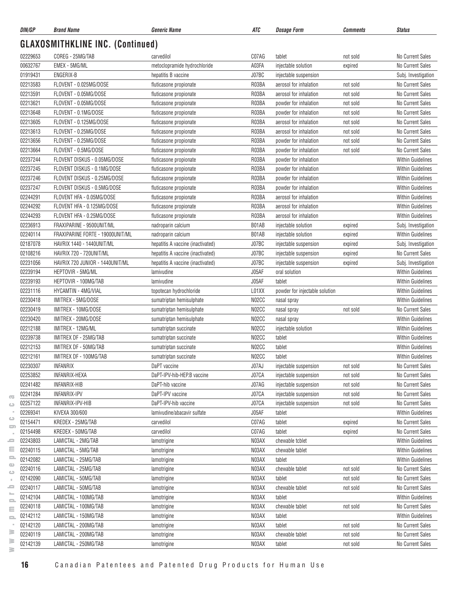| DIN/GP   | <b>Brand Name</b>                       | Generic Name                         | ATC            | <b>Dosage Form</b>                             | Comments | <b>Status</b>                        |
|----------|-----------------------------------------|--------------------------------------|----------------|------------------------------------------------|----------|--------------------------------------|
|          | <b>GLAXOSMITHKLINE INC. (Continued)</b> |                                      |                |                                                |          |                                      |
| 02229653 | COREG - 25MG/TAB                        | carvedilol                           | C07AG          | tablet                                         | not sold | No Current Sales                     |
| 00632767 | EMEX - 5MG/ML                           | metoclopramide hydrochloride         | A03FA          | injectable solution                            | expired  | No Current Sales                     |
| 01919431 | ENGERIX-B                               | hepatitis B vaccine                  | J07BC          | injectable suspension                          |          | Subj. Investigation                  |
| 02213583 | FLOVENT - 0.025MG/DOSE                  | fluticasone propionate               | R03BA          | aerosol for inhalation                         | not sold | No Current Sales                     |
| 02213591 | FLOVENT - 0.05MG/DOSE                   | fluticasone propionate               | R03BA          | aerosol for inhalation                         | not sold | No Current Sales                     |
| 02213621 | FLOVENT - 0.05MG/DOSE                   | fluticasone propionate               | R03BA          | powder for inhalation                          | not sold | No Current Sales                     |
| 02213648 | FLOVENT - 0.1MG/DOSE                    | fluticasone propionate               | R03BA          | powder for inhalation                          | not sold | No Current Sales                     |
| 02213605 | FLOVENT - 0.125MG/DOSE                  | fluticasone propionate               | R03BA          | aerosol for inhalation                         | not sold | No Current Sales                     |
| 02213613 | FLOVENT - 0.25MG/DOSE                   | fluticasone propionate               | R03BA          | aerosol for inhalation                         | not sold | No Current Sales                     |
| 02213656 | FLOVENT - 0.25MG/DOSE                   | fluticasone propionate               | R03BA          | powder for inhalation                          | not sold | No Current Sales                     |
| 02213664 | FLOVENT - 0.5MG/DOSE                    | fluticasone propionate               | R03BA          | powder for inhalation                          | not sold | No Current Sales                     |
| 02237244 | FLOVENT DISKUS - 0.05MG/DOSE            | fluticasone propionate               | R03BA          | powder for inhalation                          |          | <b>Within Guidelines</b>             |
| 02237245 | FLOVENT DISKUS - 0.1MG/DOSE             | fluticasone propionate               | R03BA          | powder for inhalation                          |          | Within Guidelines                    |
| 02237246 | FLOVENT DISKUS - 0.25MG/DOSE            | fluticasone propionate               | R03BA          | powder for inhalation                          |          | <b>Within Guidelines</b>             |
| 02237247 | FLOVENT DISKUS - 0.5MG/DOSE             | fluticasone propionate               | R03BA          | powder for inhalation                          |          | <b>Within Guidelines</b>             |
| 02244291 | FLOVENT HFA - 0.05MG/DOSE               | fluticasone propionate               | R03BA          | aerosol for inhalation                         |          | <b>Within Guidelines</b>             |
| 02244292 | FLOVENT HFA - 0.125MG/DOSE              | fluticasone propionate               | R03BA          | aerosol for inhalation                         |          | <b>Within Guidelines</b>             |
| 02244293 | FLOVENT HFA - 0.25MG/DOSE               | fluticasone propionate               | R03BA          | aerosol for inhalation                         |          | <b>Within Guidelines</b>             |
| 02236913 | FRAXIPARINE - 9500UNIT/ML               | nadroparin calcium                   | B01AB          | injectable solution                            | expired  | Subj. Investigation                  |
| 02240114 | FRAXIPARINE FORTE - 19000UNIT/ML        | nadroparin calcium                   | B01AB          | injectable solution                            | expired  | <b>Within Guidelines</b>             |
| 02187078 | HAVRIX 1440 - 1440UNIT/ML               | hepatitis A vaccine (inactivated)    | J07BC          | injectable suspension                          | expired  | Subj. Investigation                  |
| 02108216 | HAVRIX 720 - 720UNIT/ML                 | hepatitis A vaccine (inactivated)    | J07BC          | injectable suspension                          | expired  | No Current Sales                     |
| 02231056 | HAVRIX 720 JUNIOR - 1440UNIT/ML         | hepatitis A vaccine (inactivated)    | J07BC          | injectable suspension                          | expired  | Subj. Investigation                  |
| 02239194 | HEPTOVIR - 5MG/ML                       | lamivudine                           | J05AF          | oral solution                                  |          | <b>Within Guidelines</b>             |
| 02239193 | HEPTOVIR - 100MG/TAB                    | lamivudine                           | J05AF          | tablet                                         |          | <b>Within Guidelines</b>             |
| 02231116 | HYCAMTIN - 4MG/VIAL                     | topotecan hydrochloride              | L01XX          | powder for injectable solution                 |          | <b>Within Guidelines</b>             |
| 02230418 | IMITREX - 5MG/DOSE                      | sumatriptan hemisulphate             | N02CC          | nasal spray                                    |          | <b>Within Guidelines</b>             |
| 02230419 | IMITREX - 10MG/DOSE                     | sumatriptan hemisulphate             | N02CC          | nasal spray                                    | not sold | No Current Sales                     |
| 02230420 | IMITREX - 20MG/DOSE                     | sumatriptan hemisulphate             | N02CC          | nasal spray                                    |          | <b>Within Guidelines</b>             |
| 02212188 | IMITREX - 12MG/ML                       | sumatriptan succinate                | N02CC          | injectable solution                            |          | <b>Within Guidelines</b>             |
| 02239738 | IMITREX DF - 25MG/TAB                   | sumatriptan succinate                | N02CC          | tablet                                         |          | <b>Within Guidelines</b>             |
| 02212153 | IMITREX DF - 50MG/TAB                   | sumatriptan succinate                | N02CC          | tablet                                         |          | <b>Within Guidelines</b>             |
| 02212161 | IMITREX DF - 100MG/TAB                  | sumatriptan succinate                | N02CC          | tablet                                         |          | <b>Within Guidelines</b>             |
| 02230307 | <b>INFANRIX</b>                         | DaPT vaccine                         | J07AJ          |                                                | not sold | No Current Sales                     |
| 02253852 | INFANRIX-HEXA                           | DaPT-IPV-hib-HEP.B vaccine           | J07CA          | injectable suspension<br>injectable suspension |          | No Current Sales                     |
| 02241482 | <b>INFANRIX-HIB</b>                     |                                      |                |                                                | not sold |                                      |
| 02241284 | INFANRIX-IPV                            | DaPT-hib vaccine<br>DaPT-IPV vaccine | J07AG<br>J07CA | injectable suspension<br>injectable suspension | not sold | No Current Sales<br>No Current Sales |
| 02257122 | INFANRIX-IPV-HIB                        | DaPT-IPV-hib vaccine                 | J07CA          |                                                | not sold | No Current Sales                     |
| 02269341 | KIVEXA 300/600                          |                                      | J05AF          | injectable suspension                          | not sold |                                      |
| 02154471 | KREDEX - 25MG/TAB                       | lamivudine/abacavir sulfate          | C07AG          | tablet                                         |          | <b>Within Guidelines</b>             |
|          |                                         | carvedilol                           |                | tablet                                         | expired  | No Current Sales                     |
| 02154498 | KREDEX - 50MG/TAB                       | carvedilol                           | C07AG          | tablet                                         | expired  | No Current Sales                     |
| 02243803 | LAMICTAL - 2MG/TAB                      | lamotrigine                          | N03AX          | chewable tcblet                                |          | Within Guidelines                    |
| 02240115 | LAMICTAL - 5MG/TAB                      | lamotrigine                          | N03AX          | chewable tablet                                |          | <b>Within Guidelines</b>             |
| 02142082 | LAMICTAL - 25MG/TAB                     | lamotrigine                          | N03AX          | tablet                                         |          | <b>Within Guidelines</b>             |
| 02240116 | LAMICTAL - 25MG/TAB                     | lamotrigine                          | N03AX          | chewable tablet                                | not sold | No Current Sales                     |
| 02142090 | LAMICTAL - 50MG/TAB                     | lamotrigine                          | N03AX          | tablet                                         | not sold | No Current Sales                     |
| 02240117 | LAMICTAL - 50MG/TAB                     | lamotrigine                          | N03AX          | chewable tablet                                | not sold | No Current Sales                     |
| 02142104 | LAMICTAL - 100MG/TAB                    | lamotrigine                          | N03AX          | tablet                                         |          | Within Guidelines                    |
| 02240118 | LAMICTAL - 100MG/TAB                    | lamotrigine                          | N03AX          | chewable tablet                                | not sold | No Current Sales                     |
| 02142112 | LAMICTAL - 150MG/TAB                    | lamotrigine                          | N03AX          | tablet                                         |          | <b>Within Guidelines</b>             |
| 02142120 | LAMICTAL - 200MG/TAB                    | lamotrigine                          | N03AX          | tablet                                         | not sold | No Current Sales                     |
| 02240119 | LAMICTAL - 200MG/TAB                    | lamotrigine                          | N03AX          | chewable tablet                                | not sold | No Current Sales                     |
| 02142139 | LAMICTAL - 250MG/TAB                    | lamotrigine                          | N03AX          | tablet                                         | not sold | No Current Sales                     |

 $\geq$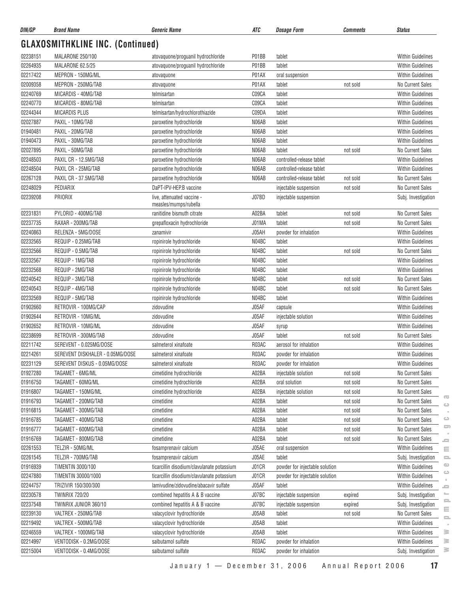| DIN/GP   | <b>Brand Name</b>                       | <b>Generic Name</b>                                 | ATC   | <b>Dosage Form</b>             | Comments | <b>Status</b>                                          |
|----------|-----------------------------------------|-----------------------------------------------------|-------|--------------------------------|----------|--------------------------------------------------------|
|          | <b>GLAXOSMITHKLINE INC. (Continued)</b> |                                                     |       |                                |          |                                                        |
| 02238151 | MALARONE 250/100                        | atovaquone/proguanil hydrochloride                  | P01BB | tablet                         |          | <b>Within Guidelines</b>                               |
| 02264935 | MALARONE 62.5/25                        | atovaquone/proguanil hydrochloride                  | P01BB | tablet                         |          | <b>Within Guidelines</b>                               |
| 02217422 | MEPRON - 150MG/ML                       | atovaquone                                          | P01AX | oral suspension                |          | <b>Within Guidelines</b>                               |
| 02009358 | MEPRON - 250MG/TAB                      | atovaquone                                          | P01AX | tablet                         | not sold | No Current Sales                                       |
| 02240769 | MICARDIS - 40MG/TAB                     | telmisartan                                         | C09CA | tablet                         |          | <b>Within Guidelines</b>                               |
| 02240770 | MICARDIS - 80MG/TAB                     | telmisartan                                         | C09CA | tablet                         |          | <b>Within Guidelines</b>                               |
| 02244344 | <b>MICARDIS PLUS</b>                    | telmisartan/hydrochlorothiazide                     | C09DA | tablet                         |          | <b>Within Guidelines</b>                               |
| 02027887 | PAXIL - 10MG/TAB                        | paroxetine hydrochloride                            | N06AB | tablet                         |          | <b>Within Guidelines</b>                               |
| 01940481 | PAXIL - 20MG/TAB                        | paroxetine hydrochloride                            | N06AB | tablet                         |          | <b>Within Guidelines</b>                               |
| 01940473 | PAXIL - 30MG/TAB                        | paroxetine hydrochloride                            | N06AB | tablet                         |          | <b>Within Guidelines</b>                               |
| 02027895 | PAXIL - 50MG/TAB                        | paroxetine hydrochloride                            | N06AB | tablet                         | not sold | No Current Sales                                       |
| 02248503 | PAXIL CR - 12.5MG/TAB                   | paroxetine hydrochloride                            | N06AB | controlled-release tablet      |          | <b>Within Guidelines</b>                               |
| 02248504 | PAXIL CR - 25MG/TAB                     | paroxetine hydrochloride                            | N06AB | controlled-release tablet      |          | <b>Within Guidelines</b>                               |
| 02267128 | PAXIL CR - 37.5MG/TAB                   | paroxetine hydrochloride                            | N06AB | controlled-release tablet      | not sold | No Current Sales                                       |
| 02248029 | PEDIARIX                                | DaPT-IPV-HEP.B vaccine                              |       | injectable suspension          | not sold | No Current Sales                                       |
| 02239208 | PRIORIX                                 | live, attenuated vaccine -<br>measles/mumps/rubella | J07BD | injectable suspension          |          | Subj. Investigation                                    |
| 02231831 | PYLORID - 400MG/TAB                     | ranitidine bismuth citrate                          | A02BA | tablet                         | not sold | No Current Sales                                       |
| 02237735 | RAXAR - 200MG/TAB                       | grepafloxacin hydrochloride                         | J01MA | tablet                         | not sold | <b>No Current Sales</b>                                |
| 02240863 | RELENZA - 5MG/DOSE                      | zanamivir                                           | J05AH | powder for inhalation          |          | <b>Within Guidelines</b>                               |
| 02232565 | REQUIP - 0.25MG/TAB                     | ropinirole hydrochloride                            | N04BC | tablet                         |          | <b>Within Guidelines</b>                               |
| 02232566 | REQUIP - 0.5MG/TAB                      | ropinirole hydrochloride                            | N04BC | tablet                         | not sold | No Current Sales                                       |
| 02232567 | REQUIP - 1MG/TAB                        | ropinirole hydrochloride                            | N04BC | tablet                         |          | <b>Within Guidelines</b>                               |
| 02232568 | REQUIP - 2MG/TAB                        | ropinirole hydrochloride                            | N04BC | tablet                         |          | <b>Within Guidelines</b>                               |
| 02240542 | REQUIP - 3MG/TAB                        | ropinirole hydrochloride                            | N04BC | tablet                         | not sold | No Current Sales                                       |
| 02240543 | REQUIP - 4MG/TAB                        | ropinirole hydrochloride                            | N04BC | tablet                         | not sold | No Current Sales                                       |
| 02232569 | REQUIP - 5MG/TAB                        | ropinirole hydrochloride                            | N04BC | tablet                         |          | <b>Within Guidelines</b>                               |
| 01902660 | RETROVIR - 100MG/CAP                    | zidovudine                                          | J05AF | capsule                        |          | <b>Within Guidelines</b>                               |
| 01902644 | RETROVIR - 10MG/ML                      | zidovudine                                          | J05AF | injectable solution            |          | <b>Within Guidelines</b>                               |
| 01902652 | RETROVIR - 10MG/ML                      | zidovudine                                          | J05AF | syrup                          |          | <b>Within Guidelines</b>                               |
| 02238699 | RETROVIR - 300MG/TAB                    | zidovudine                                          | J05AF | tablet                         | not sold | No Current Sales                                       |
| 02211742 | SEREVENT - 0.025MG/DOSE                 | salmeterol xinafoate                                | R03AC | aerosol for inhalation         |          | <b>Within Guidelines</b>                               |
| 02214261 | SEREVENT DISKHALER - 0.05MG/DOSE        | salmeterol xinafoate                                | R03AC | powder for inhalation          |          | Within Guidelines                                      |
| 02231129 | SEREVENT DISKUS - 0.05MG/DOSE           | salmeterol xinafoate                                | R03AC | powder for inhalation          |          | Within Guidelines                                      |
| 01927280 | TAGAMET - 6MG/ML                        | cimetidine hydrochloride                            | A02BA | injectable solution            | not sold | No Current Sales                                       |
| 01916750 | TAGAMET - 60MG/ML                       | cimetidine hydrochloride                            | A02BA | oral solution                  | not sold | No Current Sales                                       |
| 01916807 | TAGAMET - 150MG/ML                      | cimetidine hydrochloride                            | A02BA | injectable solution            | not sold | No Current Sales                                       |
| 01916793 | TAGAMET - 200MG/TAB                     | cimetidine                                          | A02BA | tablet                         | not sold | $\overline{\mathbf{C}}$<br>No Current Sales<br>$\circ$ |
| 01916815 | TAGAMET - 300MG/TAB                     | cimetidine                                          | A02BA | tablet                         | not sold | No Current Sales                                       |
| 01916785 | TAGAMET - 400MG/TAB                     | cimetidine                                          | A02BA | tablet                         | not sold | $\circ$<br>No Current Sales                            |
| 01916777 | TAGAMET - 600MG/TAB                     | cimetidine                                          | A02BA | tablet                         | not sold | 5<br>No Current Sales                                  |
| 01916769 | TAGAMET - 800MG/TAB                     | cimetidine                                          | A02BA | tablet                         | not sold | No Current Sales<br>$\equiv$                           |
| 02261553 | TELZIR - 50MG/ML                        | fosamprenavir calcium                               | J05AE | oral suspension                |          | Within Guidelines<br>Ξ                                 |
| 02261545 | TELZIR - 700MG/TAB                      | fosamprenavir calcium                               | J05AE | tablet                         |          | Subj. Investigation<br>$\equiv$                        |
| 01916939 | <b>TIMENTIN 3000/100</b>                | ticarcillin disodium/clavulanate potassium          | J01CR | powder for injectable solution |          | $\circ$<br>Within Guidelines                           |
| 02247880 | TIMENTIN 30000/1000                     | ticarcillin disodium/clavulanate potassium          | J01CR | powder for injectable solution |          | $\circ$<br>Within Guidelines                           |
| 02244757 | TRIZIVIR 150/300/300                    | lamivudine/zidovudine/abacavir sulfate              | J05AF | tablet                         |          | Within Guidelines<br>ᆖ                                 |
| 02230578 | <b>TWINRIX 720/20</b>                   | combined hepatitis A & B vaccine                    | J07BC | injectable suspension          | expired  | ╾<br>Subj. Investigation                               |
| 02237548 | TWINRIX JUNIOR 360/10                   | combined hepatitis A & B vaccine                    | J07BC | injectable suspension          | expired  | $\equiv$<br>Subj. Investigation                        |
| 02239130 | VALTREX - 250MG/TAB                     | valacyclovir hydrochloride                          | J05AB | tablet                         | not sold | ≘<br>No Current Sales<br>으                             |
| 02219492 | VALTREX - 500MG/TAB                     | valacyclovir hydrochloride                          | J05AB | tablet                         |          | Within Guidelines                                      |
| 02246559 | VALTREX - 1000MG/TAB                    | valacyclovir hydrochloride                          | J05AB | tablet                         |          | $\geq$<br><b>Within Guidelines</b>                     |
| 02214997 | VENTODISK - 0.2MG/DOSE                  | salbutamol sulfate                                  | R03AC | powder for inhalation          |          | ≧<br>Within Guidelines                                 |
| 02215004 | VENTODISK - 0.4MG/DOSE                  | salbutamol sulfate                                  | R03AC | powder for inhalation          |          | ≧<br>Subj. Investigation                               |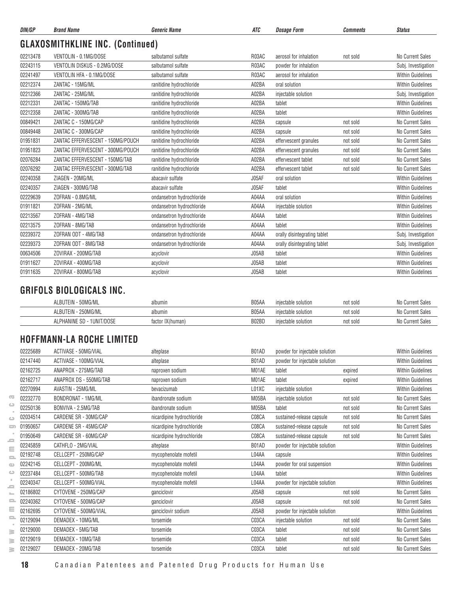| DIN/GP   | <b>Brand Name</b>                       | <b>Generic Name</b>       | ATC   | <b>Dosage Form</b>           | <b>Comments</b> | <b>Status</b>            |
|----------|-----------------------------------------|---------------------------|-------|------------------------------|-----------------|--------------------------|
|          | <b>GLAXOSMITHKLINE INC. (Continued)</b> |                           |       |                              |                 |                          |
| 02213478 | VENTOLIN - 0.1MG/DOSE                   | salbutamol sulfate        | R03AC | aerosol for inhalation       | not sold        | No Current Sales         |
| 02243115 | VENTOLIN DISKUS - 0.2MG/DOSE            | salbutamol sulfate        | R03AC | powder for inhalation        |                 | Subj. Investigation      |
| 02241497 | VENTOLIN HFA - 0.1MG/DOSE               | salbutamol sulfate        | R03AC | aerosol for inhalation       |                 | <b>Within Guidelines</b> |
| 02212374 | ZANTAC - 15MG/ML                        | ranitidine hydrochloride  | A02BA | oral solution                |                 | <b>Within Guidelines</b> |
| 02212366 | ZANTAC - 25MG/ML                        | ranitidine hydrochloride  | A02BA | injectable solution          |                 | Subj. Investigation      |
| 02212331 | ZANTAC - 150MG/TAB                      | ranitidine hydrochloride  | A02BA | tablet                       |                 | Within Guidelines        |
| 02212358 | ZANTAC - 300MG/TAB                      | ranitidine hydrochloride  | A02BA | tablet                       |                 | <b>Within Guidelines</b> |
| 00849421 | ZANTAC C - 150MG/CAP                    | ranitidine hydrochloride  | A02BA | capsule                      | not sold        | No Current Sales         |
| 00849448 | ZANTAC C - 300MG/CAP                    | ranitidine hydrochloride  | A02BA | capsule                      | not sold        | No Current Sales         |
| 01951831 | ZANTAC EFFERVESCENT - 150MG/POUCH       | ranitidine hydrochloride  | A02BA | effervescent granules        | not sold        | No Current Sales         |
| 01951823 | ZANTAC EFFERVESCENT - 300MG/POUCH       | ranitidine hydrochloride  | A02BA | effervescent granules        | not sold        | No Current Sales         |
| 02076284 | ZANTAC EFFERVESCENT - 150MG/TAB         | ranitidine hydrochloride  | A02BA | effervescent tablet          | not sold        | No Current Sales         |
| 02076292 | ZANTAC EFFERVESCENT - 300MG/TAB         | ranitidine hydrochloride  | A02BA | effervescent tablet          | not sold        | No Current Sales         |
| 02240358 | ZIAGEN - 20MG/ML                        | abacavir sulfate          | J05AF | oral solution                |                 | <b>Within Guidelines</b> |
| 02240357 | ZIAGEN - 300MG/TAB                      | abacavir sulfate          | J05AF | tablet                       |                 | <b>Within Guidelines</b> |
| 02229639 | ZOFRAN - 0.8MG/ML                       | ondansetron hydrochloride | A04AA | oral solution                |                 | <b>Within Guidelines</b> |
| 01911821 | ZOFRAN - 2MG/ML                         | ondansetron hydrochloride | A04AA | injectable solution          |                 | <b>Within Guidelines</b> |
| 02213567 | ZOFRAN - 4MG/TAB                        | ondansetron hydrochloride | A04AA | tablet                       |                 | <b>Within Guidelines</b> |
| 02213575 | ZOFRAN - 8MG/TAB                        | ondansetron hydrochloride | A04AA | tablet                       |                 | <b>Within Guidelines</b> |
| 02239372 | ZOFRAN ODT - 4MG/TAB                    | ondansetron hydrochloride | A04AA | orally disintegrating tablet |                 | Subj. Investigation      |
| 02239373 | ZOFRAN ODT - 8MG/TAB                    | ondansetron hydrochloride | A04AA | orally disintegrating tablet |                 | Subj. Investigation      |
| 00634506 | ZOVIRAX - 200MG/TAB                     | acyclovir                 | J05AB | tablet                       |                 | <b>Within Guidelines</b> |
| 01911627 | ZOVIRAX - 400MG/TAB                     | acyclovir                 | J05AB | tablet                       |                 | <b>Within Guidelines</b> |
| 01911635 | ZOVIRAX - 800MG/TAB                     | acyclovir                 | J05AB | tablet                       |                 | <b>Within Guidelines</b> |

#### **GRIFOLS BIOLOGICALS INC.**

| 50MG/ML<br>ALBU <sup>-</sup>                            | albumin             | B05AA | iniectable solution | not sold | No Current Sales      |
|---------------------------------------------------------|---------------------|-------|---------------------|----------|-----------------------|
| 250MG/ML<br>ALBU <sup>-</sup>                           | albumin             | 805AA | iniectable solution | not sold | No Current<br>t Sales |
| 1UNIT<br><b>T/DOSE</b><br>$\cap$<br><b>HANINF</b><br>ъL | IX(human)<br>actor: | B02BD | iniectable solution | not sold | No Current<br>t Sales |

#### **HOFFMANN-LA ROCHE LIMITED**

|                         | 02225689 | ACTIVASE - 50MG/VIAL      | alteplase                 | B01AD | powder for injectable solution |          | <b>Within Guidelines</b> |
|-------------------------|----------|---------------------------|---------------------------|-------|--------------------------------|----------|--------------------------|
|                         | 02147440 | ACTIVASE - 100MG/VIAL     | alteplase                 | B01AD | powder for injectable solution |          | <b>Within Guidelines</b> |
|                         | 02162725 | ANAPROX - 275MG/TAB       | naproxen sodium           | M01AE | tablet                         | expired  | <b>Within Guidelines</b> |
|                         | 02162717 | ANAPROX DS - 550MG/TAB    | naproxen sodium           | M01AE | tablet                         | expired  | <b>Within Guidelines</b> |
|                         | 02270994 | AVASTIN - 25MG/ML         | bevacizumab               | L01XC | injectable solution            |          | <b>Within Guidelines</b> |
| $\overline{\mathbb{C}}$ | 02232770 | <b>BONDRONAT - 1MG/ML</b> | ibandronate sodium        | M05BA | injectable solution            | not sold | No Current Sales         |
| $\bigcirc$              | 02250136 | BONVIVA - 2.5MG/TAB       | ibandronate sodium        | M05BA | tablet                         | not sold | No Current Sales         |
| Ġ                       | 02034514 | CARDENE SR - 30MG/CAP     | nicardipine hydrochloride | C08CA | sustained-release capsule      | not sold | No Current Sales         |
| ᇹ                       | 01950657 | CARDENE SR - 45MG/CAP     | nicardipine hydrochloride | C08CA | sustained-release capsule      | not sold | No Current Sales         |
| 0                       | 01950649 | CARDENE SR - 60MG/CAP     | nicardipine hydrochloride | C08CA | sustained-release capsule      | not sold | No Current Sales         |
| Ξ                       | 02245859 | CATHFLO - 2MG/VIAL        | alteplase                 | B01AD | powder for injectable solution |          | <b>Within Guidelines</b> |
| $\Rightarrow$           | 02192748 | CELLCEPT - 250MG/CAP      | mycophenolate mofetil     | L04AA | capsule                        |          | <b>Within Guidelines</b> |
| $\mathbb{Z}^n$          | 02242145 | CELLCEPT - 200MG/ML       | mycophenolate mofetil     | L04AA | powder for oral suspension     |          | <b>Within Guidelines</b> |
| ت                       | 02237484 | CELLCEPT - 500MG/TAB      | mycophenolate mofetil     | L04AA | tablet                         |          | <b>Within Guidelines</b> |
| 0                       | 02240347 | CELLCEPT - 500MG/VIAL     | mycophenolate mofetil     | L04AA | powder for injectable solution |          | <b>Within Guidelines</b> |
| $\sim$                  | 02186802 | CYTOVENE - 250MG/CAP      | ganciclovir               | J05AB | capsule                        | not sold | No Current Sales         |
| 2                       | 02240362 | CYTOVENE - 500MG/CAP      | ganciclovir               | J05AB | capsule                        | not sold | No Current Sales         |
| Ξ                       | 02162695 | CYTOVENE - 500MG/VIAL     | ganciclovir sodium        | J05AB | powder for injectable solution |          | <b>Within Guidelines</b> |
| $\equiv$                | 02129094 | DEMADEX - 10MG/ML         | torsemide                 | C03CA | injectable solution            | not sold | No Current Sales         |
| ≧                       | 02129000 | DEMADEX - 5MG/TAB         | torsemide                 | C03CA | tablet                         | not sold | No Current Sales         |
| ≧                       | 02129019 | DEMADEX - 10MG/TAB        | torsemide                 | C03CA | tablet                         | not sold | No Current Sales         |
| ≧                       | 02129027 | DEMADEX - 20MG/TAB        | torsemide                 | C03CA | tablet                         | not sold | No Current Sales         |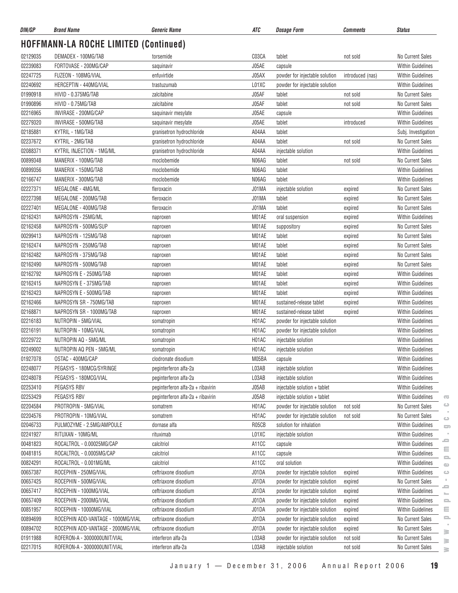| DIN/GP   | <b>Brand Name</b>                            | <b>Generic Name</b>               | ATC                | <b>Dosage Form</b>             | Comments         | <b>Status</b>                                     |
|----------|----------------------------------------------|-----------------------------------|--------------------|--------------------------------|------------------|---------------------------------------------------|
|          | <b>HOFFMANN-LA ROCHE LIMITED (Continued)</b> |                                   |                    |                                |                  |                                                   |
| 02129035 | DEMADEX - 100MG/TAB                          | torsemide                         | C03CA              | tablet                         | not sold         | No Current Sales                                  |
| 02239083 | FORTOVASE - 200MG/CAP                        | saquinavir                        | J05AE              | capsule                        |                  | <b>Within Guidelines</b>                          |
| 02247725 | FUZEON - 108MG/VIAL                          | enfuvirtide                       | J05AX              | powder for injectable solution | introduced (nas) | <b>Within Guidelines</b>                          |
| 02240692 | HERCEPTIN - 440MG/VIAL                       | trastuzumab                       | L01XC              | powder for injectable solution |                  | <b>Within Guidelines</b>                          |
| 01990918 | HIVID - 0.375MG/TAB                          | zalcitabine                       | J05AF              | tablet                         | not sold         | No Current Sales                                  |
| 01990896 | HIVID - 0.75MG/TAB                           | zalcitabine                       | J05AF              | tablet                         | not sold         | <b>No Current Sales</b>                           |
| 02216965 | INVIRASE - 200MG/CAP                         | saquinavir mesylate               | J05AE              | capsule                        |                  | Within Guidelines                                 |
| 02279320 | INVIRASE - 500MG/TAB                         | saquinavir mesylate               | J05AE              | tablet                         | introduced       | <b>Within Guidelines</b>                          |
| 02185881 | KYTRIL - 1MG/TAB                             | granisetron hydrochloride         | A04AA              | tablet                         |                  | Subj. Investigation                               |
| 02237672 | KYTRIL - 2MG/TAB                             | granisetron hydrochloride         | A04AA              | tablet                         | not sold         | No Current Sales                                  |
| 02088371 | KYTRIL INJECTION - 1MG/ML                    | granisetron hydrochloride         | A04AA              | injectable solution            |                  | <b>Within Guidelines</b>                          |
| 00899348 | MANERIX - 100MG/TAB                          | moclobemide                       | N06AG              | tablet                         | not sold         | No Current Sales                                  |
| 00899356 | MANERIX - 150MG/TAB                          | moclobemide                       | N06AG              | tablet                         |                  | <b>Within Guidelines</b>                          |
| 02166747 | MANERIX - 300MG/TAB                          | moclobemide                       | N06AG              | tablet                         |                  | Within Guidelines                                 |
| 02227371 | MEGALONE - 4MG/ML                            | fleroxacin                        | J01MA              | injectable solution            | expired          | No Current Sales                                  |
| 02227398 | MEGALONE - 200MG/TAB                         | fleroxacin                        | J01MA              | tablet                         | expired          | No Current Sales                                  |
| 02227401 | MEGALONE - 400MG/TAB                         | fleroxacin                        | J01MA              | tablet                         | expired          | No Current Sales                                  |
| 02162431 | NAPROSYN - 25MG/ML                           | naproxen                          | M01AE              | oral suspension                | expired          | <b>Within Guidelines</b>                          |
| 02162458 | NAPROSYN - 500MG/SUP                         | naproxen                          | M01AE              | suppository                    | expired          | No Current Sales                                  |
| 00299413 | NAPROSYN - 125MG/TAB                         | naproxen                          | M01AE              | tablet                         | expired          | No Current Sales                                  |
| 02162474 | NAPROSYN - 250MG/TAB                         | naproxen                          | M01AE              | tablet                         | expired          | No Current Sales                                  |
| 02162482 | NAPROSYN - 375MG/TAB                         | naproxen                          | M01AE              | tablet                         | expired          | No Current Sales                                  |
| 02162490 | NAPROSYN - 500MG/TAB                         | naproxen                          | M01AE              | tablet                         | expired          | No Current Sales                                  |
| 02162792 | NAPROSYN E - 250MG/TAB                       | naproxen                          | M01AE              | tablet                         | expired          | Within Guidelines                                 |
| 02162415 | NAPROSYN E - 375MG/TAB                       | naproxen                          | M01AE              | tablet                         | expired          | <b>Within Guidelines</b>                          |
| 02162423 | NAPROSYN E - 500MG/TAB                       | naproxen                          | M01AE              | tablet                         | expired          | <b>Within Guidelines</b>                          |
| 02162466 | NAPROSYN SR - 750MG/TAB                      | naproxen                          | M01AE              | sustained-release tablet       | expired          | Within Guidelines                                 |
| 02168871 | NAPROSYN SR - 1000MG/TAB                     | naproxen                          | M01AE              | sustained-release tablet       | expired          | <b>Within Guidelines</b>                          |
| 02216183 | NUTROPIN - 5MG/VIAL                          | somatropin                        | H01AC              | powder for injectable solution |                  | <b>Within Guidelines</b>                          |
| 02216191 | NUTROPIN - 10MG/VIAL                         | somatropin                        | H01AC              | powder for injectable solution |                  | <b>Within Guidelines</b>                          |
| 02229722 | NUTROPIN AQ - 5MG/ML                         | somatropin                        | H01AC              | injectable solution            |                  | <b>Within Guidelines</b>                          |
| 02249002 | NUTROPIN AQ PEN - 5MG/ML                     | somatropin                        | H <sub>0</sub> 1AC | injectable solution            |                  | <b>Within Guidelines</b>                          |
| 01927078 | OSTAC - 400MG/CAP                            | clodronate disodium               | M05BA              | capsule                        |                  | Within Guidelines                                 |
| 02248077 | PEGASYS - 180MCG/SYRINGE                     | peginterferon alfa-2a             | L03AB              | injectable solution            |                  | <b>Within Guidelines</b>                          |
| 02248078 | PEGASYS - 180MCG/VIAL                        | peginterferon alfa-2a             | L03AB              | injectable solution            |                  | Within Guidelines                                 |
| 02253410 | PEGASYS RBV                                  | peginterferon alfa-2a + ribavirin | J05AB              | injectable solution + tablet   |                  | <b>Within Guidelines</b>                          |
| 02253429 | PEGASYS RBV                                  | peginterferon alfa-2a + ribavirin | J05AB              | injectable solution + tablet   |                  | Within Guidelines<br>$\overline{\mathbf{C}}$      |
| 02204584 | PROTROPIN - 5MG/VIAL                         | somatrem                          | H01AC              | powder for injectable solution | not sold         | $\circ$<br>No Current Sales                       |
| 02204576 | PROTROPIN - 10MG/VIAL                        | somatrem                          | H01AC              | powder for injectable solution | not sold         | No Current Sales                                  |
| 02046733 | PULMOZYME - 2.5MG/AMPOULE                    | dornase alfa                      | R05CB              | solution for inhalation        |                  | $\circ$<br><b>Within Guidelines</b>               |
| 02241927 | RITUXAN - 10MG/ML                            | rituximab                         | L01XC              | injectable solution            |                  | $\Box$<br><b>Within Guidelines</b>                |
| 00481823 | ROCALTROL - 0.00025MG/CAP                    | calcitriol                        | A11CC              | capsule                        |                  | ᆖ<br><b>Within Guidelines</b>                     |
| 00481815 | ROCALTROL - 0.0005MG/CAP                     | calcitriol                        | A11CC              | capsule                        |                  | Ξ<br>Within Guidelines                            |
| 00824291 | ROCALTROL - 0.001MG/ML                       | calcitriol                        | A11CC              | oral solution                  |                  | $\mathbf{=}$<br><b>Within Guidelines</b>          |
| 00657387 | ROCEPHIN - 250MG/VIAL                        | ceftriaxone disodium              | J01DA              | powder for injectable solution | expired          | $\bigcirc$<br><b>Within Guidelines</b><br>$\circ$ |
| 00657425 | ROCEPHIN - 500MG/VIAL                        | ceftriaxone disodium              | J01DA              | powder for injectable solution | expired          | No Current Sales                                  |
| 00657417 | ROCEPHIN - 1000MG/VIAL                       | ceftriaxone disodium              | J01DA              | powder for injectable solution | expired          | ᆖ<br>Within Guidelines                            |
| 00657409 | ROCEPHIN - 2000MG/VIAL                       | ceftriaxone disodium              | J01DA              | powder for injectable solution | expired          | $\overline{\phantom{a}}$<br>Within Guidelines     |
| 00851957 | ROCEPHIN - 10000MG/VIAL                      | ceftriaxone disodium              | J01DA              | powder for injectable solution | expired          | 으<br>Within Guidelines<br>Ξ                       |
| 00894699 | ROCEPHIN ADD-VANTAGE - 1000MG/VIAL           | ceftriaxone disodium              | J01DA              | powder for injectable solution |                  | e.<br>No Current Sales                            |
| 00894702 | ROCEPHIN ADD-VANTAGE - 2000MG/VIAL           | ceftriaxone disodium              | J01DA              |                                | expired          | No Current Sales                                  |
|          |                                              |                                   | L03AB              | powder for injectable solution | expired          | ∍                                                 |
| 01911988 | ROFERON-A - 3000000UNIT/VIAL                 | interferon alfa-2a                |                    | powder for injectable solution | not sold         | No Current Sales<br>≧                             |
| 02217015 | ROFERON-A - 3000000UNIT/VIAL                 | interferon alfa-2a                | L03AB              | injectable solution            | not sold         | No Current Sales<br>s.                            |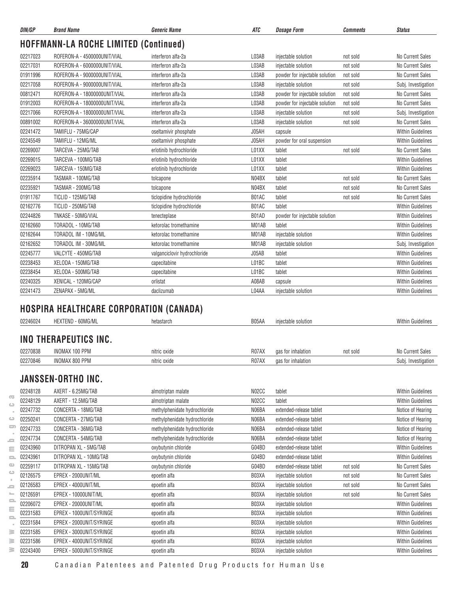| <b>DIN/GP</b> | <b>Brand Name</b>                              | <b>Generic Name</b>          | <b>ATC</b> | <b>Dosage Form</b>             | Comments | <b>Status</b>            |
|---------------|------------------------------------------------|------------------------------|------------|--------------------------------|----------|--------------------------|
|               | <b>HOFFMANN-LA ROCHE LIMITED (Continued)</b>   |                              |            |                                |          |                          |
| 02217023      | ROFERON-A - 4500000UNIT/VIAL                   | interferon alfa-2a           | L03AB      | injectable solution            | not sold | No Current Sales         |
| 02217031      | ROFERON-A - 6000000UNIT/VIAL                   | interferon alfa-2a           | L03AB      | injectable solution            | not sold | <b>No Current Sales</b>  |
| 01911996      | ROFERON-A - 9000000UNIT/VIAL                   | interferon alfa-2a           | L03AB      | powder for injectable solution | not sold | No Current Sales         |
| 02217058      | ROFERON-A - 9000000UNIT/VIAL                   | interferon alfa-2a           | L03AB      | injectable solution            | not sold | Subj. Investigation      |
| 00812471      | ROFERON-A - 18000000UNIT/VIAL                  | interferon alfa-2a           | L03AB      | powder for injectable solution | not sold | No Current Sales         |
| 01912003      | ROFERON-A - 18000000UNIT/VIAL                  | interferon alfa-2a           | L03AB      | powder for injectable solution | not sold | <b>No Current Sales</b>  |
| 02217066      | ROFERON-A - 18000000UNIT/VIAL                  | interferon alfa-2a           | L03AB      | injectable solution            | not sold | Subj. Investigation      |
| 00891002      | ROFERON-A - 36000000UNIT/VIAL                  | interferon alfa-2a           | L03AB      | injectable solution            | not sold | No Current Sales         |
| 02241472      | TAMIFLU - 75MG/CAP                             | oseltamivir phosphate        | J05AH      | capsule                        |          | <b>Within Guidelines</b> |
| 02245549      | TAMIFLU - 12MG/ML                              | oseltamivir phosphate        | J05AH      | powder for oral suspension     |          | <b>Within Guidelines</b> |
| 02269007      | TARCEVA - 25MG/TAB                             | erlotinib hydrochloride      | L01XX      | tablet                         | not sold | <b>No Current Sales</b>  |
| 02269015      | TARCEVA - 100MG/TAB                            | erlotinib hydrochloride      | L01XX      | tablet                         |          | <b>Within Guidelines</b> |
| 02269023      | TARCEVA - 150MG/TAB                            | erlotinib hydrochloride      | L01XX      | tablet                         |          | <b>Within Guidelines</b> |
| 02235914      | TASMAR - 100MG/TAB                             | tolcapone                    | N04BX      | tablet                         | not sold | No Current Sales         |
| 02235921      | TASMAR - 200MG/TAB                             | tolcapone                    | N04BX      | tablet                         | not sold | No Current Sales         |
| 01911767      | TICLID - 125MG/TAB                             | ticlopidine hydrochloride    | B01AC      | tablet                         | not sold | <b>No Current Sales</b>  |
| 02162776      | TICLID - 250MG/TAB                             | ticlopidine hydrochloride    | B01AC      | tablet                         |          | <b>Within Guidelines</b> |
| 02244826      | TNKASE - 50MG/VIAL                             | tenecteplase                 | B01AD      | powder for injectable solution |          | <b>Within Guidelines</b> |
| 02162660      | TORADOL - 10MG/TAB                             | ketorolac tromethamine       | M01AB      | tablet                         |          | <b>Within Guidelines</b> |
| 02162644      | TORADOL IM - 10MG/ML                           | ketorolac tromethamine       | M01AB      | injectable solution            |          | <b>Within Guidelines</b> |
| 02162652      | TORADOL IM - 30MG/ML                           | ketorolac tromethamine       | M01AB      | injectable solution            |          | Subj. Investigation      |
| 02245777      | VALCYTE - 450MG/TAB                            | valganciclovir hydrochloride | J05AB      | tablet                         |          | <b>Within Guidelines</b> |
| 02238453      | XELODA - 150MG/TAB                             | capecitabine                 | L01BC      | tablet                         |          | <b>Within Guidelines</b> |
| 02238454      | XELODA - 500MG/TAB                             | capecitabine                 | L01BC      | tablet                         |          | <b>Within Guidelines</b> |
| 02240325      | XENICAL - 120MG/CAP                            | orlistat                     | A08AB      | capsule                        |          | <b>Within Guidelines</b> |
| 02241473      | ZENAPAX - 5MG/ML                               | daclizumab                   | L04AA      | injectable solution            |          | <b>Within Guidelines</b> |
|               |                                                |                              |            |                                |          |                          |
|               | <b>HOSPIRA HEALTHCARE CORPORATION (CANADA)</b> |                              |            |                                |          |                          |

| 02246024 | HEXTEND - 60MG/ML     | hetastarch   | B05AA | injectable solution |          | <b>Within Guidelines</b> |
|----------|-----------------------|--------------|-------|---------------------|----------|--------------------------|
|          | INO THERAPEUTICS INC. |              |       |                     |          |                          |
| 02270838 | INOMAX 100 PPM        | nitric oxide | R07AX | gas for inhalation  | not sold | No Current Sales         |
| 02270846 | INOMAX 800 PPM        | nitric oxide | R07AX | gas for inhalation  |          | Subj. Investigation      |

### **JANSSEN-ORTHO INC.**

|                           | 02248128 | AXERT - 6.25MG/TAB       | almotriptan malate            | N <sub>02</sub> CC | tablet                  |          | <b>Within Guidelines</b> |
|---------------------------|----------|--------------------------|-------------------------------|--------------------|-------------------------|----------|--------------------------|
| $\overline{\mathbf{G}}$   | 02248129 | AXERT - 12.5MG/TAB       | almotriptan malate            | N02CC              | tablet                  |          | <b>Within Guidelines</b> |
| $\bigcirc$                | 02247732 | CONCERTA - 18MG/TAB      | methylphenidate hydrochloride | N06BA              | extended-release tablet |          | Notice of Hearing        |
| ت                         | 02250241 | CONCERTA - 27MG/TAB      | methylphenidate hydrochloride | N06BA              | extended-release tablet |          | Notice of Hearing        |
| ᇹ                         | 02247733 | CONCERTA - 36MG/TAB      | methylphenidate hydrochloride | N06BA              | extended-release tablet |          | Notice of Hearing        |
| $\qquad \qquad =$         | 02247734 | CONCERTA - 54MG/TAB      | methylphenidate hydrochloride | N06BA              | extended-release tablet |          | Notice of Hearing        |
| $\equiv$                  | 02243960 | DITROPAN XL - 5MG/TAB    | oxybutynin chloride           | G04BD              | extended-release tablet |          | <b>Within Guidelines</b> |
| $\qquad \qquad \Box$      | 02243961 | DITROPAN XL - 10MG/TAB   | oxybutynin chloride           | G04BD              | extended-release tablet |          | <b>Within Guidelines</b> |
| യ                         | 02259117 | DITROPAN XL - 15MG/TAB   | oxybutynin chloride           | G04BD              | extended-release tablet | not sold | No Current Sales         |
| $\circ$                   | 02126575 | EPREX - 2000UNIT/ML      | epoetin alfa                  | B03XA              | injectable solution     | not sold | No Current Sales         |
| $\qquad \qquad =$         | 02126583 | EPREX - 4000UNIT/ML      | epoetin alfa                  | B03XA              | injectable solution     | not sold | No Current Sales         |
| $=$                       | 02126591 | EPREX - 10000UNIT/ML     | epoetin alfa                  | B03XA              | injectable solution     | not sold | No Current Sales         |
| e.                        | 02206072 | EPREX - 20000UNIT/ML     | epoetin alfa                  | B03XA              | injectable solution     |          | <b>Within Guidelines</b> |
| Ξ<br>$\qquad \qquad \Box$ | 02231583 | EPREX - 1000UNIT/SYRINGE | epoetin alfa                  | B03XA              | injectable solution     |          | <b>Within Guidelines</b> |
|                           | 02231584 | EPREX - 2000UNIT/SYRINGE | epoetin alfa                  | B03XA              | injectable solution     |          | <b>Within Guidelines</b> |
| 3                         | 02231585 | EPREX - 3000UNIT/SYRINGE | epoetin alfa                  | B03XA              | injectable solution     |          | <b>Within Guidelines</b> |
| ≋                         | 02231586 | EPREX - 4000UNIT/SYRINGE | epoetin alfa                  | B03XA              | injectable solution     |          | <b>Within Guidelines</b> |
| ≋                         | 02243400 | EPREX - 5000UNIT/SYRINGE | epoetin alfa                  | B03XA              | injectable solution     |          | <b>Within Guidelines</b> |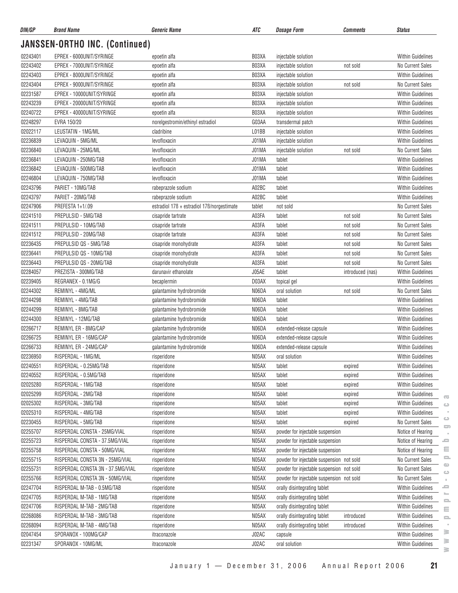| JANSSEN-ORTHO INC. (Continued)<br>02243401<br>EPREX - 6000UNIT/SYRINGE<br>B03XA<br><b>Within Guidelines</b><br>epoetin alfa<br>injectable solution<br>02243402<br>EPREX - 7000UNIT/SYRINGE<br>B03XA<br>No Current Sales<br>injectable solution<br>epoetin alfa<br>not sold<br>02243403<br>EPREX - 8000UNIT/SYRINGE<br>B03XA<br><b>Within Guidelines</b><br>epoetin alfa<br>injectable solution<br>02243404<br>EPREX - 9000UNIT/SYRINGE<br>B03XA<br>No Current Sales<br>epoetin alfa<br>injectable solution<br>not sold<br>02231587<br>B03XA<br>EPREX - 10000UNIT/SYRINGE<br><b>Within Guidelines</b><br>epoetin alfa<br>injectable solution<br>02243239<br>EPREX - 20000UNIT/SYRINGE<br>B03XA<br>epoetin alfa<br>injectable solution<br><b>Within Guidelines</b><br>02240722<br>EPREX - 40000UNIT/SYRINGE<br>B03XA<br><b>Within Guidelines</b><br>epoetin alfa<br>injectable solution<br>02248297<br>EVRA 150/20<br>G03AA<br><b>Within Guidelines</b><br>norelgestromin/ethinyl estradiol<br>transdermal patch<br>02022117<br>LEUSTATIN - 1MG/ML<br>L01BB<br><b>Within Guidelines</b><br>cladribine<br>injectable solution<br>02236839<br>LEVAQUIN - 5MG/ML<br>levofloxacin<br>J01MA<br><b>Within Guidelines</b><br>injectable solution<br>02236840<br>LEVAQUIN - 25MG/ML<br>J01MA<br>No Current Sales<br>levofloxacin<br>injectable solution<br>not sold<br>02236841<br>LEVAQUIN - 250MG/TAB<br>levofloxacin<br>J01MA<br><b>Within Guidelines</b><br>tablet<br>02236842<br>LEVAQUIN - 500MG/TAB<br>J01MA<br>levofloxacin<br>tablet<br><b>Within Guidelines</b><br>02246804<br>levofloxacin<br>J01MA<br>LEVAQUIN - 750MG/TAB<br>tablet<br><b>Within Guidelines</b><br>02243796<br>A02BC<br>PARIET - 10MG/TAB<br><b>Within Guidelines</b><br>rabeprazole sodium<br>tablet<br>02243797<br>PARIET - 20MG/TAB<br>A02BC<br>tablet<br><b>Within Guidelines</b><br>rabeprazole sodium<br>02247906<br>PREFESTA 1+1/.09<br>estradiol 176 + estradiol 176/norgestimate<br>No Current Sales<br>tablet<br>not sold<br>02241510<br>PREPULSID - 5MG/TAB<br>cisapride tartrate<br>A03FA<br>tablet<br>No Current Sales<br>not sold<br>02241511<br>PREPULSID - 10MG/TAB<br>A03FA<br>No Current Sales<br>cisapride tartrate<br>tablet<br>not sold<br>02241512<br>PREPULSID - 20MG/TAB<br>A03FA<br>No Current Sales<br>tablet<br>cisapride tartrate<br>not sold<br>PREPULSID QS - 5MG/TAB<br>02236435<br>cisapride monohydrate<br>A03FA<br>No Current Sales<br>tablet<br>not sold<br>02236441<br>PREPULSID QS - 10MG/TAB<br>cisapride monohydrate<br>A03FA<br>No Current Sales<br>tablet<br>not sold<br>02236443<br>A03FA<br>PREPULSID QS - 20MG/TAB<br>cisapride monohydrate<br>tablet<br>No Current Sales<br>not sold<br>J05AE<br>02284057<br>PREZISTA - 300MG/TAB<br>darunavir ethanolate<br>tablet<br><b>Within Guidelines</b><br>introduced (nas)<br>02239405<br>REGRANEX - 0.1MG/G<br>D03AX<br><b>Within Guidelines</b><br>becaplermin<br>topical gel<br>02244302<br>REMINYL - 4MG/ML<br>galantamine hydrobromide<br>N06DA<br>No Current Sales<br>oral solution<br>not sold<br>02244298<br>REMINYL - 4MG/TAB<br>N06DA<br><b>Within Guidelines</b><br>galantamine hydrobromide<br>tablet<br>02244299<br>REMINYL - 8MG/TAB<br>galantamine hydrobromide<br>N06DA<br>tablet<br><b>Within Guidelines</b><br>02244300<br>REMINYL - 12MG/TAB<br>N06DA<br><b>Within Guidelines</b><br>galantamine hydrobromide<br>tablet<br>02266717<br>REMINYL ER - 8MG/CAP<br>galantamine hydrobromide<br><b>Within Guidelines</b><br>N06DA<br>extended-release capsule<br>02266725<br>REMINYL ER - 16MG/CAP<br>galantamine hydrobromide<br>N06DA<br>Within Guidelines<br>extended-release capsule<br>02266733<br>REMINYL ER - 24MG/CAP<br>N06DA<br><b>Within Guidelines</b><br>galantamine hydrobromide<br>extended-release capsule<br>02236950<br>RISPERDAL - 1MG/ML<br>N05AX<br>Within Guidelines<br>risperidone<br>oral solution<br>02240551<br>RISPERDAL - 0.25MG/TAB<br>N05AX<br>Within Guidelines<br>risperidone<br>tablet<br>expired<br>02240552<br>RISPERDAL - 0.5MG/TAB<br>risperidone<br>N05AX<br>tablet<br><b>Within Guidelines</b><br>expired<br>02025280<br>RISPERDAL - 1MG/TAB<br>N05AX<br>risperidone<br>tablet<br>expired<br>Within Guidelines<br>02025299<br>RISPERDAL - 2MG/TAB<br>N05AX<br><b>Within Guidelines</b><br>risperidone<br>tablet<br>expired<br>02025302<br>RISPERDAL - 3MG/TAB<br>N05AX<br><b>Within Guidelines</b><br>risperidone<br>tablet<br>expired<br>02025310<br>RISPERDAL - 4MG/TAB<br>N05AX<br><b>Within Guidelines</b><br>risperidone<br>tablet<br>expired<br>02230455<br>RISPERDAL - 5MG/TAB<br>N05AX<br>tablet<br>No Current Sales<br>risperidone<br>expired<br>02255707<br>RISPERDAL CONSTA - 25MG/VIAL<br>risperidone<br>N05AX<br>powder for injectable suspension<br>Notice of Hearing<br>02255723<br>RISPERDAL CONSTA - 37.5MG/VIAL<br>N05AX<br>powder for injectable suspension<br>Notice of Hearing<br>risperidone<br>02255758<br>RISPERDAL CONSTA - 50MG/VIAL<br>N05AX<br>powder for injectable suspension<br>Notice of Hearing<br>risperidone<br>02255715<br>RISPERDAL CONSTA 3N - 25MG/VIAL<br>N05AX<br>powder for injectable suspension not sold<br>No Current Sales<br>risperidone<br>02255731<br>N05AX<br>RISPERDAL CONSTA 3N - 37.5MG/VIAL<br>powder for injectable suspension not sold<br>No Current Sales<br>risperidone<br>02255766<br>N05AX<br>RISPERDAL CONSTA 3N - 50MG/VIAL<br>powder for injectable suspension not sold<br>No Current Sales<br>risperidone<br>02247704<br>N05AX<br>RISPERDAL M-TAB - 0.5MG/TAB<br>risperidone<br>orally disintegrating tablet<br>Within Guidelines<br>02247705<br>RISPERDAL M-TAB - 1MG/TAB<br>N05AX<br>orally disintegrating tablet<br>Within Guidelines<br>risperidone<br>02247706<br>RISPERDAL M-TAB - 2MG/TAB<br>N05AX<br>orally disintegrating tablet<br><b>Within Guidelines</b><br>risperidone<br>02268086<br>RISPERDAL M-TAB - 3MG/TAB<br>N05AX<br>orally disintegrating tablet<br>introduced<br>Within Guidelines<br>risperidone<br>02268094<br>RISPERDAL M-TAB - 4MG/TAB<br>N05AX<br>orally disintegrating tablet<br>introduced<br>Within Guidelines<br>risperidone<br>02047454<br>SPORANOX - 100MG/CAP<br>J02AC<br>Within Guidelines<br>itraconazole<br>capsule<br>02231347<br>SPORANOX - 10MG/ML<br>J02AC<br>oral solution<br>Within Guidelines<br>itraconazole | DIN/GP | <b>Brand Name</b> | <b>Generic Name</b> | ATC | <b>Dosage Form</b> | <b>Comments</b> | <b>Status</b> |
|------------------------------------------------------------------------------------------------------------------------------------------------------------------------------------------------------------------------------------------------------------------------------------------------------------------------------------------------------------------------------------------------------------------------------------------------------------------------------------------------------------------------------------------------------------------------------------------------------------------------------------------------------------------------------------------------------------------------------------------------------------------------------------------------------------------------------------------------------------------------------------------------------------------------------------------------------------------------------------------------------------------------------------------------------------------------------------------------------------------------------------------------------------------------------------------------------------------------------------------------------------------------------------------------------------------------------------------------------------------------------------------------------------------------------------------------------------------------------------------------------------------------------------------------------------------------------------------------------------------------------------------------------------------------------------------------------------------------------------------------------------------------------------------------------------------------------------------------------------------------------------------------------------------------------------------------------------------------------------------------------------------------------------------------------------------------------------------------------------------------------------------------------------------------------------------------------------------------------------------------------------------------------------------------------------------------------------------------------------------------------------------------------------------------------------------------------------------------------------------------------------------------------------------------------------------------------------------------------------------------------------------------------------------------------------------------------------------------------------------------------------------------------------------------------------------------------------------------------------------------------------------------------------------------------------------------------------------------------------------------------------------------------------------------------------------------------------------------------------------------------------------------------------------------------------------------------------------------------------------------------------------------------------------------------------------------------------------------------------------------------------------------------------------------------------------------------------------------------------------------------------------------------------------------------------------------------------------------------------------------------------------------------------------------------------------------------------------------------------------------------------------------------------------------------------------------------------------------------------------------------------------------------------------------------------------------------------------------------------------------------------------------------------------------------------------------------------------------------------------------------------------------------------------------------------------------------------------------------------------------------------------------------------------------------------------------------------------------------------------------------------------------------------------------------------------------------------------------------------------------------------------------------------------------------------------------------------------------------------------------------------------------------------------------------------------------------------------------------------------------------------------------------------------------------------------------------------------------------------------------------------------------------------------------------------------------------------------------------------------------------------------------------------------------------------------------------------------------------------------------------------------------------------------------------------------------------------------------------------------------------------------------------------------------------------------------------------------------------------------------------------------------------------------------------------------------------------------------------------------------------------------------------------------------------------------------------------------------------------------------------------------------------------------------------------------------------------------------------------------------------------------------------------------------------------------------------------------------------------------------------------------------------------------------------------------------------------------------------------------------------------------------------------------------------------------------------------------------------------------------------------------------------------------------------------------------------------------------------------------------------------------------------------------------------------------------------------------|--------|-------------------|---------------------|-----|--------------------|-----------------|---------------|
|                                                                                                                                                                                                                                                                                                                                                                                                                                                                                                                                                                                                                                                                                                                                                                                                                                                                                                                                                                                                                                                                                                                                                                                                                                                                                                                                                                                                                                                                                                                                                                                                                                                                                                                                                                                                                                                                                                                                                                                                                                                                                                                                                                                                                                                                                                                                                                                                                                                                                                                                                                                                                                                                                                                                                                                                                                                                                                                                                                                                                                                                                                                                                                                                                                                                                                                                                                                                                                                                                                                                                                                                                                                                                                                                                                                                                                                                                                                                                                                                                                                                                                                                                                                                                                                                                                                                                                                                                                                                                                                                                                                                                                                                                                                                                                                                                                                                                                                                                                                                                                                                                                                                                                                                                                                                                                                                                                                                                                                                                                                                                                                                                                                                                                                                                                                                                                                                                                                                                                                                                                                                                                                                                                                                                                                                                                                                          |        |                   |                     |     |                    |                 |               |
|                                                                                                                                                                                                                                                                                                                                                                                                                                                                                                                                                                                                                                                                                                                                                                                                                                                                                                                                                                                                                                                                                                                                                                                                                                                                                                                                                                                                                                                                                                                                                                                                                                                                                                                                                                                                                                                                                                                                                                                                                                                                                                                                                                                                                                                                                                                                                                                                                                                                                                                                                                                                                                                                                                                                                                                                                                                                                                                                                                                                                                                                                                                                                                                                                                                                                                                                                                                                                                                                                                                                                                                                                                                                                                                                                                                                                                                                                                                                                                                                                                                                                                                                                                                                                                                                                                                                                                                                                                                                                                                                                                                                                                                                                                                                                                                                                                                                                                                                                                                                                                                                                                                                                                                                                                                                                                                                                                                                                                                                                                                                                                                                                                                                                                                                                                                                                                                                                                                                                                                                                                                                                                                                                                                                                                                                                                                                          |        |                   |                     |     |                    |                 |               |
|                                                                                                                                                                                                                                                                                                                                                                                                                                                                                                                                                                                                                                                                                                                                                                                                                                                                                                                                                                                                                                                                                                                                                                                                                                                                                                                                                                                                                                                                                                                                                                                                                                                                                                                                                                                                                                                                                                                                                                                                                                                                                                                                                                                                                                                                                                                                                                                                                                                                                                                                                                                                                                                                                                                                                                                                                                                                                                                                                                                                                                                                                                                                                                                                                                                                                                                                                                                                                                                                                                                                                                                                                                                                                                                                                                                                                                                                                                                                                                                                                                                                                                                                                                                                                                                                                                                                                                                                                                                                                                                                                                                                                                                                                                                                                                                                                                                                                                                                                                                                                                                                                                                                                                                                                                                                                                                                                                                                                                                                                                                                                                                                                                                                                                                                                                                                                                                                                                                                                                                                                                                                                                                                                                                                                                                                                                                                          |        |                   |                     |     |                    |                 |               |
|                                                                                                                                                                                                                                                                                                                                                                                                                                                                                                                                                                                                                                                                                                                                                                                                                                                                                                                                                                                                                                                                                                                                                                                                                                                                                                                                                                                                                                                                                                                                                                                                                                                                                                                                                                                                                                                                                                                                                                                                                                                                                                                                                                                                                                                                                                                                                                                                                                                                                                                                                                                                                                                                                                                                                                                                                                                                                                                                                                                                                                                                                                                                                                                                                                                                                                                                                                                                                                                                                                                                                                                                                                                                                                                                                                                                                                                                                                                                                                                                                                                                                                                                                                                                                                                                                                                                                                                                                                                                                                                                                                                                                                                                                                                                                                                                                                                                                                                                                                                                                                                                                                                                                                                                                                                                                                                                                                                                                                                                                                                                                                                                                                                                                                                                                                                                                                                                                                                                                                                                                                                                                                                                                                                                                                                                                                                                          |        |                   |                     |     |                    |                 |               |
|                                                                                                                                                                                                                                                                                                                                                                                                                                                                                                                                                                                                                                                                                                                                                                                                                                                                                                                                                                                                                                                                                                                                                                                                                                                                                                                                                                                                                                                                                                                                                                                                                                                                                                                                                                                                                                                                                                                                                                                                                                                                                                                                                                                                                                                                                                                                                                                                                                                                                                                                                                                                                                                                                                                                                                                                                                                                                                                                                                                                                                                                                                                                                                                                                                                                                                                                                                                                                                                                                                                                                                                                                                                                                                                                                                                                                                                                                                                                                                                                                                                                                                                                                                                                                                                                                                                                                                                                                                                                                                                                                                                                                                                                                                                                                                                                                                                                                                                                                                                                                                                                                                                                                                                                                                                                                                                                                                                                                                                                                                                                                                                                                                                                                                                                                                                                                                                                                                                                                                                                                                                                                                                                                                                                                                                                                                                                          |        |                   |                     |     |                    |                 |               |
|                                                                                                                                                                                                                                                                                                                                                                                                                                                                                                                                                                                                                                                                                                                                                                                                                                                                                                                                                                                                                                                                                                                                                                                                                                                                                                                                                                                                                                                                                                                                                                                                                                                                                                                                                                                                                                                                                                                                                                                                                                                                                                                                                                                                                                                                                                                                                                                                                                                                                                                                                                                                                                                                                                                                                                                                                                                                                                                                                                                                                                                                                                                                                                                                                                                                                                                                                                                                                                                                                                                                                                                                                                                                                                                                                                                                                                                                                                                                                                                                                                                                                                                                                                                                                                                                                                                                                                                                                                                                                                                                                                                                                                                                                                                                                                                                                                                                                                                                                                                                                                                                                                                                                                                                                                                                                                                                                                                                                                                                                                                                                                                                                                                                                                                                                                                                                                                                                                                                                                                                                                                                                                                                                                                                                                                                                                                                          |        |                   |                     |     |                    |                 |               |
|                                                                                                                                                                                                                                                                                                                                                                                                                                                                                                                                                                                                                                                                                                                                                                                                                                                                                                                                                                                                                                                                                                                                                                                                                                                                                                                                                                                                                                                                                                                                                                                                                                                                                                                                                                                                                                                                                                                                                                                                                                                                                                                                                                                                                                                                                                                                                                                                                                                                                                                                                                                                                                                                                                                                                                                                                                                                                                                                                                                                                                                                                                                                                                                                                                                                                                                                                                                                                                                                                                                                                                                                                                                                                                                                                                                                                                                                                                                                                                                                                                                                                                                                                                                                                                                                                                                                                                                                                                                                                                                                                                                                                                                                                                                                                                                                                                                                                                                                                                                                                                                                                                                                                                                                                                                                                                                                                                                                                                                                                                                                                                                                                                                                                                                                                                                                                                                                                                                                                                                                                                                                                                                                                                                                                                                                                                                                          |        |                   |                     |     |                    |                 |               |
|                                                                                                                                                                                                                                                                                                                                                                                                                                                                                                                                                                                                                                                                                                                                                                                                                                                                                                                                                                                                                                                                                                                                                                                                                                                                                                                                                                                                                                                                                                                                                                                                                                                                                                                                                                                                                                                                                                                                                                                                                                                                                                                                                                                                                                                                                                                                                                                                                                                                                                                                                                                                                                                                                                                                                                                                                                                                                                                                                                                                                                                                                                                                                                                                                                                                                                                                                                                                                                                                                                                                                                                                                                                                                                                                                                                                                                                                                                                                                                                                                                                                                                                                                                                                                                                                                                                                                                                                                                                                                                                                                                                                                                                                                                                                                                                                                                                                                                                                                                                                                                                                                                                                                                                                                                                                                                                                                                                                                                                                                                                                                                                                                                                                                                                                                                                                                                                                                                                                                                                                                                                                                                                                                                                                                                                                                                                                          |        |                   |                     |     |                    |                 |               |
|                                                                                                                                                                                                                                                                                                                                                                                                                                                                                                                                                                                                                                                                                                                                                                                                                                                                                                                                                                                                                                                                                                                                                                                                                                                                                                                                                                                                                                                                                                                                                                                                                                                                                                                                                                                                                                                                                                                                                                                                                                                                                                                                                                                                                                                                                                                                                                                                                                                                                                                                                                                                                                                                                                                                                                                                                                                                                                                                                                                                                                                                                                                                                                                                                                                                                                                                                                                                                                                                                                                                                                                                                                                                                                                                                                                                                                                                                                                                                                                                                                                                                                                                                                                                                                                                                                                                                                                                                                                                                                                                                                                                                                                                                                                                                                                                                                                                                                                                                                                                                                                                                                                                                                                                                                                                                                                                                                                                                                                                                                                                                                                                                                                                                                                                                                                                                                                                                                                                                                                                                                                                                                                                                                                                                                                                                                                                          |        |                   |                     |     |                    |                 |               |
|                                                                                                                                                                                                                                                                                                                                                                                                                                                                                                                                                                                                                                                                                                                                                                                                                                                                                                                                                                                                                                                                                                                                                                                                                                                                                                                                                                                                                                                                                                                                                                                                                                                                                                                                                                                                                                                                                                                                                                                                                                                                                                                                                                                                                                                                                                                                                                                                                                                                                                                                                                                                                                                                                                                                                                                                                                                                                                                                                                                                                                                                                                                                                                                                                                                                                                                                                                                                                                                                                                                                                                                                                                                                                                                                                                                                                                                                                                                                                                                                                                                                                                                                                                                                                                                                                                                                                                                                                                                                                                                                                                                                                                                                                                                                                                                                                                                                                                                                                                                                                                                                                                                                                                                                                                                                                                                                                                                                                                                                                                                                                                                                                                                                                                                                                                                                                                                                                                                                                                                                                                                                                                                                                                                                                                                                                                                                          |        |                   |                     |     |                    |                 |               |
|                                                                                                                                                                                                                                                                                                                                                                                                                                                                                                                                                                                                                                                                                                                                                                                                                                                                                                                                                                                                                                                                                                                                                                                                                                                                                                                                                                                                                                                                                                                                                                                                                                                                                                                                                                                                                                                                                                                                                                                                                                                                                                                                                                                                                                                                                                                                                                                                                                                                                                                                                                                                                                                                                                                                                                                                                                                                                                                                                                                                                                                                                                                                                                                                                                                                                                                                                                                                                                                                                                                                                                                                                                                                                                                                                                                                                                                                                                                                                                                                                                                                                                                                                                                                                                                                                                                                                                                                                                                                                                                                                                                                                                                                                                                                                                                                                                                                                                                                                                                                                                                                                                                                                                                                                                                                                                                                                                                                                                                                                                                                                                                                                                                                                                                                                                                                                                                                                                                                                                                                                                                                                                                                                                                                                                                                                                                                          |        |                   |                     |     |                    |                 |               |
|                                                                                                                                                                                                                                                                                                                                                                                                                                                                                                                                                                                                                                                                                                                                                                                                                                                                                                                                                                                                                                                                                                                                                                                                                                                                                                                                                                                                                                                                                                                                                                                                                                                                                                                                                                                                                                                                                                                                                                                                                                                                                                                                                                                                                                                                                                                                                                                                                                                                                                                                                                                                                                                                                                                                                                                                                                                                                                                                                                                                                                                                                                                                                                                                                                                                                                                                                                                                                                                                                                                                                                                                                                                                                                                                                                                                                                                                                                                                                                                                                                                                                                                                                                                                                                                                                                                                                                                                                                                                                                                                                                                                                                                                                                                                                                                                                                                                                                                                                                                                                                                                                                                                                                                                                                                                                                                                                                                                                                                                                                                                                                                                                                                                                                                                                                                                                                                                                                                                                                                                                                                                                                                                                                                                                                                                                                                                          |        |                   |                     |     |                    |                 |               |
|                                                                                                                                                                                                                                                                                                                                                                                                                                                                                                                                                                                                                                                                                                                                                                                                                                                                                                                                                                                                                                                                                                                                                                                                                                                                                                                                                                                                                                                                                                                                                                                                                                                                                                                                                                                                                                                                                                                                                                                                                                                                                                                                                                                                                                                                                                                                                                                                                                                                                                                                                                                                                                                                                                                                                                                                                                                                                                                                                                                                                                                                                                                                                                                                                                                                                                                                                                                                                                                                                                                                                                                                                                                                                                                                                                                                                                                                                                                                                                                                                                                                                                                                                                                                                                                                                                                                                                                                                                                                                                                                                                                                                                                                                                                                                                                                                                                                                                                                                                                                                                                                                                                                                                                                                                                                                                                                                                                                                                                                                                                                                                                                                                                                                                                                                                                                                                                                                                                                                                                                                                                                                                                                                                                                                                                                                                                                          |        |                   |                     |     |                    |                 |               |
|                                                                                                                                                                                                                                                                                                                                                                                                                                                                                                                                                                                                                                                                                                                                                                                                                                                                                                                                                                                                                                                                                                                                                                                                                                                                                                                                                                                                                                                                                                                                                                                                                                                                                                                                                                                                                                                                                                                                                                                                                                                                                                                                                                                                                                                                                                                                                                                                                                                                                                                                                                                                                                                                                                                                                                                                                                                                                                                                                                                                                                                                                                                                                                                                                                                                                                                                                                                                                                                                                                                                                                                                                                                                                                                                                                                                                                                                                                                                                                                                                                                                                                                                                                                                                                                                                                                                                                                                                                                                                                                                                                                                                                                                                                                                                                                                                                                                                                                                                                                                                                                                                                                                                                                                                                                                                                                                                                                                                                                                                                                                                                                                                                                                                                                                                                                                                                                                                                                                                                                                                                                                                                                                                                                                                                                                                                                                          |        |                   |                     |     |                    |                 |               |
|                                                                                                                                                                                                                                                                                                                                                                                                                                                                                                                                                                                                                                                                                                                                                                                                                                                                                                                                                                                                                                                                                                                                                                                                                                                                                                                                                                                                                                                                                                                                                                                                                                                                                                                                                                                                                                                                                                                                                                                                                                                                                                                                                                                                                                                                                                                                                                                                                                                                                                                                                                                                                                                                                                                                                                                                                                                                                                                                                                                                                                                                                                                                                                                                                                                                                                                                                                                                                                                                                                                                                                                                                                                                                                                                                                                                                                                                                                                                                                                                                                                                                                                                                                                                                                                                                                                                                                                                                                                                                                                                                                                                                                                                                                                                                                                                                                                                                                                                                                                                                                                                                                                                                                                                                                                                                                                                                                                                                                                                                                                                                                                                                                                                                                                                                                                                                                                                                                                                                                                                                                                                                                                                                                                                                                                                                                                                          |        |                   |                     |     |                    |                 |               |
|                                                                                                                                                                                                                                                                                                                                                                                                                                                                                                                                                                                                                                                                                                                                                                                                                                                                                                                                                                                                                                                                                                                                                                                                                                                                                                                                                                                                                                                                                                                                                                                                                                                                                                                                                                                                                                                                                                                                                                                                                                                                                                                                                                                                                                                                                                                                                                                                                                                                                                                                                                                                                                                                                                                                                                                                                                                                                                                                                                                                                                                                                                                                                                                                                                                                                                                                                                                                                                                                                                                                                                                                                                                                                                                                                                                                                                                                                                                                                                                                                                                                                                                                                                                                                                                                                                                                                                                                                                                                                                                                                                                                                                                                                                                                                                                                                                                                                                                                                                                                                                                                                                                                                                                                                                                                                                                                                                                                                                                                                                                                                                                                                                                                                                                                                                                                                                                                                                                                                                                                                                                                                                                                                                                                                                                                                                                                          |        |                   |                     |     |                    |                 |               |
|                                                                                                                                                                                                                                                                                                                                                                                                                                                                                                                                                                                                                                                                                                                                                                                                                                                                                                                                                                                                                                                                                                                                                                                                                                                                                                                                                                                                                                                                                                                                                                                                                                                                                                                                                                                                                                                                                                                                                                                                                                                                                                                                                                                                                                                                                                                                                                                                                                                                                                                                                                                                                                                                                                                                                                                                                                                                                                                                                                                                                                                                                                                                                                                                                                                                                                                                                                                                                                                                                                                                                                                                                                                                                                                                                                                                                                                                                                                                                                                                                                                                                                                                                                                                                                                                                                                                                                                                                                                                                                                                                                                                                                                                                                                                                                                                                                                                                                                                                                                                                                                                                                                                                                                                                                                                                                                                                                                                                                                                                                                                                                                                                                                                                                                                                                                                                                                                                                                                                                                                                                                                                                                                                                                                                                                                                                                                          |        |                   |                     |     |                    |                 |               |
|                                                                                                                                                                                                                                                                                                                                                                                                                                                                                                                                                                                                                                                                                                                                                                                                                                                                                                                                                                                                                                                                                                                                                                                                                                                                                                                                                                                                                                                                                                                                                                                                                                                                                                                                                                                                                                                                                                                                                                                                                                                                                                                                                                                                                                                                                                                                                                                                                                                                                                                                                                                                                                                                                                                                                                                                                                                                                                                                                                                                                                                                                                                                                                                                                                                                                                                                                                                                                                                                                                                                                                                                                                                                                                                                                                                                                                                                                                                                                                                                                                                                                                                                                                                                                                                                                                                                                                                                                                                                                                                                                                                                                                                                                                                                                                                                                                                                                                                                                                                                                                                                                                                                                                                                                                                                                                                                                                                                                                                                                                                                                                                                                                                                                                                                                                                                                                                                                                                                                                                                                                                                                                                                                                                                                                                                                                                                          |        |                   |                     |     |                    |                 |               |
|                                                                                                                                                                                                                                                                                                                                                                                                                                                                                                                                                                                                                                                                                                                                                                                                                                                                                                                                                                                                                                                                                                                                                                                                                                                                                                                                                                                                                                                                                                                                                                                                                                                                                                                                                                                                                                                                                                                                                                                                                                                                                                                                                                                                                                                                                                                                                                                                                                                                                                                                                                                                                                                                                                                                                                                                                                                                                                                                                                                                                                                                                                                                                                                                                                                                                                                                                                                                                                                                                                                                                                                                                                                                                                                                                                                                                                                                                                                                                                                                                                                                                                                                                                                                                                                                                                                                                                                                                                                                                                                                                                                                                                                                                                                                                                                                                                                                                                                                                                                                                                                                                                                                                                                                                                                                                                                                                                                                                                                                                                                                                                                                                                                                                                                                                                                                                                                                                                                                                                                                                                                                                                                                                                                                                                                                                                                                          |        |                   |                     |     |                    |                 |               |
|                                                                                                                                                                                                                                                                                                                                                                                                                                                                                                                                                                                                                                                                                                                                                                                                                                                                                                                                                                                                                                                                                                                                                                                                                                                                                                                                                                                                                                                                                                                                                                                                                                                                                                                                                                                                                                                                                                                                                                                                                                                                                                                                                                                                                                                                                                                                                                                                                                                                                                                                                                                                                                                                                                                                                                                                                                                                                                                                                                                                                                                                                                                                                                                                                                                                                                                                                                                                                                                                                                                                                                                                                                                                                                                                                                                                                                                                                                                                                                                                                                                                                                                                                                                                                                                                                                                                                                                                                                                                                                                                                                                                                                                                                                                                                                                                                                                                                                                                                                                                                                                                                                                                                                                                                                                                                                                                                                                                                                                                                                                                                                                                                                                                                                                                                                                                                                                                                                                                                                                                                                                                                                                                                                                                                                                                                                                                          |        |                   |                     |     |                    |                 |               |
|                                                                                                                                                                                                                                                                                                                                                                                                                                                                                                                                                                                                                                                                                                                                                                                                                                                                                                                                                                                                                                                                                                                                                                                                                                                                                                                                                                                                                                                                                                                                                                                                                                                                                                                                                                                                                                                                                                                                                                                                                                                                                                                                                                                                                                                                                                                                                                                                                                                                                                                                                                                                                                                                                                                                                                                                                                                                                                                                                                                                                                                                                                                                                                                                                                                                                                                                                                                                                                                                                                                                                                                                                                                                                                                                                                                                                                                                                                                                                                                                                                                                                                                                                                                                                                                                                                                                                                                                                                                                                                                                                                                                                                                                                                                                                                                                                                                                                                                                                                                                                                                                                                                                                                                                                                                                                                                                                                                                                                                                                                                                                                                                                                                                                                                                                                                                                                                                                                                                                                                                                                                                                                                                                                                                                                                                                                                                          |        |                   |                     |     |                    |                 |               |
|                                                                                                                                                                                                                                                                                                                                                                                                                                                                                                                                                                                                                                                                                                                                                                                                                                                                                                                                                                                                                                                                                                                                                                                                                                                                                                                                                                                                                                                                                                                                                                                                                                                                                                                                                                                                                                                                                                                                                                                                                                                                                                                                                                                                                                                                                                                                                                                                                                                                                                                                                                                                                                                                                                                                                                                                                                                                                                                                                                                                                                                                                                                                                                                                                                                                                                                                                                                                                                                                                                                                                                                                                                                                                                                                                                                                                                                                                                                                                                                                                                                                                                                                                                                                                                                                                                                                                                                                                                                                                                                                                                                                                                                                                                                                                                                                                                                                                                                                                                                                                                                                                                                                                                                                                                                                                                                                                                                                                                                                                                                                                                                                                                                                                                                                                                                                                                                                                                                                                                                                                                                                                                                                                                                                                                                                                                                                          |        |                   |                     |     |                    |                 |               |
|                                                                                                                                                                                                                                                                                                                                                                                                                                                                                                                                                                                                                                                                                                                                                                                                                                                                                                                                                                                                                                                                                                                                                                                                                                                                                                                                                                                                                                                                                                                                                                                                                                                                                                                                                                                                                                                                                                                                                                                                                                                                                                                                                                                                                                                                                                                                                                                                                                                                                                                                                                                                                                                                                                                                                                                                                                                                                                                                                                                                                                                                                                                                                                                                                                                                                                                                                                                                                                                                                                                                                                                                                                                                                                                                                                                                                                                                                                                                                                                                                                                                                                                                                                                                                                                                                                                                                                                                                                                                                                                                                                                                                                                                                                                                                                                                                                                                                                                                                                                                                                                                                                                                                                                                                                                                                                                                                                                                                                                                                                                                                                                                                                                                                                                                                                                                                                                                                                                                                                                                                                                                                                                                                                                                                                                                                                                                          |        |                   |                     |     |                    |                 |               |
|                                                                                                                                                                                                                                                                                                                                                                                                                                                                                                                                                                                                                                                                                                                                                                                                                                                                                                                                                                                                                                                                                                                                                                                                                                                                                                                                                                                                                                                                                                                                                                                                                                                                                                                                                                                                                                                                                                                                                                                                                                                                                                                                                                                                                                                                                                                                                                                                                                                                                                                                                                                                                                                                                                                                                                                                                                                                                                                                                                                                                                                                                                                                                                                                                                                                                                                                                                                                                                                                                                                                                                                                                                                                                                                                                                                                                                                                                                                                                                                                                                                                                                                                                                                                                                                                                                                                                                                                                                                                                                                                                                                                                                                                                                                                                                                                                                                                                                                                                                                                                                                                                                                                                                                                                                                                                                                                                                                                                                                                                                                                                                                                                                                                                                                                                                                                                                                                                                                                                                                                                                                                                                                                                                                                                                                                                                                                          |        |                   |                     |     |                    |                 |               |
|                                                                                                                                                                                                                                                                                                                                                                                                                                                                                                                                                                                                                                                                                                                                                                                                                                                                                                                                                                                                                                                                                                                                                                                                                                                                                                                                                                                                                                                                                                                                                                                                                                                                                                                                                                                                                                                                                                                                                                                                                                                                                                                                                                                                                                                                                                                                                                                                                                                                                                                                                                                                                                                                                                                                                                                                                                                                                                                                                                                                                                                                                                                                                                                                                                                                                                                                                                                                                                                                                                                                                                                                                                                                                                                                                                                                                                                                                                                                                                                                                                                                                                                                                                                                                                                                                                                                                                                                                                                                                                                                                                                                                                                                                                                                                                                                                                                                                                                                                                                                                                                                                                                                                                                                                                                                                                                                                                                                                                                                                                                                                                                                                                                                                                                                                                                                                                                                                                                                                                                                                                                                                                                                                                                                                                                                                                                                          |        |                   |                     |     |                    |                 |               |
|                                                                                                                                                                                                                                                                                                                                                                                                                                                                                                                                                                                                                                                                                                                                                                                                                                                                                                                                                                                                                                                                                                                                                                                                                                                                                                                                                                                                                                                                                                                                                                                                                                                                                                                                                                                                                                                                                                                                                                                                                                                                                                                                                                                                                                                                                                                                                                                                                                                                                                                                                                                                                                                                                                                                                                                                                                                                                                                                                                                                                                                                                                                                                                                                                                                                                                                                                                                                                                                                                                                                                                                                                                                                                                                                                                                                                                                                                                                                                                                                                                                                                                                                                                                                                                                                                                                                                                                                                                                                                                                                                                                                                                                                                                                                                                                                                                                                                                                                                                                                                                                                                                                                                                                                                                                                                                                                                                                                                                                                                                                                                                                                                                                                                                                                                                                                                                                                                                                                                                                                                                                                                                                                                                                                                                                                                                                                          |        |                   |                     |     |                    |                 |               |
|                                                                                                                                                                                                                                                                                                                                                                                                                                                                                                                                                                                                                                                                                                                                                                                                                                                                                                                                                                                                                                                                                                                                                                                                                                                                                                                                                                                                                                                                                                                                                                                                                                                                                                                                                                                                                                                                                                                                                                                                                                                                                                                                                                                                                                                                                                                                                                                                                                                                                                                                                                                                                                                                                                                                                                                                                                                                                                                                                                                                                                                                                                                                                                                                                                                                                                                                                                                                                                                                                                                                                                                                                                                                                                                                                                                                                                                                                                                                                                                                                                                                                                                                                                                                                                                                                                                                                                                                                                                                                                                                                                                                                                                                                                                                                                                                                                                                                                                                                                                                                                                                                                                                                                                                                                                                                                                                                                                                                                                                                                                                                                                                                                                                                                                                                                                                                                                                                                                                                                                                                                                                                                                                                                                                                                                                                                                                          |        |                   |                     |     |                    |                 |               |
|                                                                                                                                                                                                                                                                                                                                                                                                                                                                                                                                                                                                                                                                                                                                                                                                                                                                                                                                                                                                                                                                                                                                                                                                                                                                                                                                                                                                                                                                                                                                                                                                                                                                                                                                                                                                                                                                                                                                                                                                                                                                                                                                                                                                                                                                                                                                                                                                                                                                                                                                                                                                                                                                                                                                                                                                                                                                                                                                                                                                                                                                                                                                                                                                                                                                                                                                                                                                                                                                                                                                                                                                                                                                                                                                                                                                                                                                                                                                                                                                                                                                                                                                                                                                                                                                                                                                                                                                                                                                                                                                                                                                                                                                                                                                                                                                                                                                                                                                                                                                                                                                                                                                                                                                                                                                                                                                                                                                                                                                                                                                                                                                                                                                                                                                                                                                                                                                                                                                                                                                                                                                                                                                                                                                                                                                                                                                          |        |                   |                     |     |                    |                 |               |
|                                                                                                                                                                                                                                                                                                                                                                                                                                                                                                                                                                                                                                                                                                                                                                                                                                                                                                                                                                                                                                                                                                                                                                                                                                                                                                                                                                                                                                                                                                                                                                                                                                                                                                                                                                                                                                                                                                                                                                                                                                                                                                                                                                                                                                                                                                                                                                                                                                                                                                                                                                                                                                                                                                                                                                                                                                                                                                                                                                                                                                                                                                                                                                                                                                                                                                                                                                                                                                                                                                                                                                                                                                                                                                                                                                                                                                                                                                                                                                                                                                                                                                                                                                                                                                                                                                                                                                                                                                                                                                                                                                                                                                                                                                                                                                                                                                                                                                                                                                                                                                                                                                                                                                                                                                                                                                                                                                                                                                                                                                                                                                                                                                                                                                                                                                                                                                                                                                                                                                                                                                                                                                                                                                                                                                                                                                                                          |        |                   |                     |     |                    |                 |               |
|                                                                                                                                                                                                                                                                                                                                                                                                                                                                                                                                                                                                                                                                                                                                                                                                                                                                                                                                                                                                                                                                                                                                                                                                                                                                                                                                                                                                                                                                                                                                                                                                                                                                                                                                                                                                                                                                                                                                                                                                                                                                                                                                                                                                                                                                                                                                                                                                                                                                                                                                                                                                                                                                                                                                                                                                                                                                                                                                                                                                                                                                                                                                                                                                                                                                                                                                                                                                                                                                                                                                                                                                                                                                                                                                                                                                                                                                                                                                                                                                                                                                                                                                                                                                                                                                                                                                                                                                                                                                                                                                                                                                                                                                                                                                                                                                                                                                                                                                                                                                                                                                                                                                                                                                                                                                                                                                                                                                                                                                                                                                                                                                                                                                                                                                                                                                                                                                                                                                                                                                                                                                                                                                                                                                                                                                                                                                          |        |                   |                     |     |                    |                 |               |
|                                                                                                                                                                                                                                                                                                                                                                                                                                                                                                                                                                                                                                                                                                                                                                                                                                                                                                                                                                                                                                                                                                                                                                                                                                                                                                                                                                                                                                                                                                                                                                                                                                                                                                                                                                                                                                                                                                                                                                                                                                                                                                                                                                                                                                                                                                                                                                                                                                                                                                                                                                                                                                                                                                                                                                                                                                                                                                                                                                                                                                                                                                                                                                                                                                                                                                                                                                                                                                                                                                                                                                                                                                                                                                                                                                                                                                                                                                                                                                                                                                                                                                                                                                                                                                                                                                                                                                                                                                                                                                                                                                                                                                                                                                                                                                                                                                                                                                                                                                                                                                                                                                                                                                                                                                                                                                                                                                                                                                                                                                                                                                                                                                                                                                                                                                                                                                                                                                                                                                                                                                                                                                                                                                                                                                                                                                                                          |        |                   |                     |     |                    |                 |               |
|                                                                                                                                                                                                                                                                                                                                                                                                                                                                                                                                                                                                                                                                                                                                                                                                                                                                                                                                                                                                                                                                                                                                                                                                                                                                                                                                                                                                                                                                                                                                                                                                                                                                                                                                                                                                                                                                                                                                                                                                                                                                                                                                                                                                                                                                                                                                                                                                                                                                                                                                                                                                                                                                                                                                                                                                                                                                                                                                                                                                                                                                                                                                                                                                                                                                                                                                                                                                                                                                                                                                                                                                                                                                                                                                                                                                                                                                                                                                                                                                                                                                                                                                                                                                                                                                                                                                                                                                                                                                                                                                                                                                                                                                                                                                                                                                                                                                                                                                                                                                                                                                                                                                                                                                                                                                                                                                                                                                                                                                                                                                                                                                                                                                                                                                                                                                                                                                                                                                                                                                                                                                                                                                                                                                                                                                                                                                          |        |                   |                     |     |                    |                 |               |
|                                                                                                                                                                                                                                                                                                                                                                                                                                                                                                                                                                                                                                                                                                                                                                                                                                                                                                                                                                                                                                                                                                                                                                                                                                                                                                                                                                                                                                                                                                                                                                                                                                                                                                                                                                                                                                                                                                                                                                                                                                                                                                                                                                                                                                                                                                                                                                                                                                                                                                                                                                                                                                                                                                                                                                                                                                                                                                                                                                                                                                                                                                                                                                                                                                                                                                                                                                                                                                                                                                                                                                                                                                                                                                                                                                                                                                                                                                                                                                                                                                                                                                                                                                                                                                                                                                                                                                                                                                                                                                                                                                                                                                                                                                                                                                                                                                                                                                                                                                                                                                                                                                                                                                                                                                                                                                                                                                                                                                                                                                                                                                                                                                                                                                                                                                                                                                                                                                                                                                                                                                                                                                                                                                                                                                                                                                                                          |        |                   |                     |     |                    |                 |               |
|                                                                                                                                                                                                                                                                                                                                                                                                                                                                                                                                                                                                                                                                                                                                                                                                                                                                                                                                                                                                                                                                                                                                                                                                                                                                                                                                                                                                                                                                                                                                                                                                                                                                                                                                                                                                                                                                                                                                                                                                                                                                                                                                                                                                                                                                                                                                                                                                                                                                                                                                                                                                                                                                                                                                                                                                                                                                                                                                                                                                                                                                                                                                                                                                                                                                                                                                                                                                                                                                                                                                                                                                                                                                                                                                                                                                                                                                                                                                                                                                                                                                                                                                                                                                                                                                                                                                                                                                                                                                                                                                                                                                                                                                                                                                                                                                                                                                                                                                                                                                                                                                                                                                                                                                                                                                                                                                                                                                                                                                                                                                                                                                                                                                                                                                                                                                                                                                                                                                                                                                                                                                                                                                                                                                                                                                                                                                          |        |                   |                     |     |                    |                 |               |
|                                                                                                                                                                                                                                                                                                                                                                                                                                                                                                                                                                                                                                                                                                                                                                                                                                                                                                                                                                                                                                                                                                                                                                                                                                                                                                                                                                                                                                                                                                                                                                                                                                                                                                                                                                                                                                                                                                                                                                                                                                                                                                                                                                                                                                                                                                                                                                                                                                                                                                                                                                                                                                                                                                                                                                                                                                                                                                                                                                                                                                                                                                                                                                                                                                                                                                                                                                                                                                                                                                                                                                                                                                                                                                                                                                                                                                                                                                                                                                                                                                                                                                                                                                                                                                                                                                                                                                                                                                                                                                                                                                                                                                                                                                                                                                                                                                                                                                                                                                                                                                                                                                                                                                                                                                                                                                                                                                                                                                                                                                                                                                                                                                                                                                                                                                                                                                                                                                                                                                                                                                                                                                                                                                                                                                                                                                                                          |        |                   |                     |     |                    |                 |               |
|                                                                                                                                                                                                                                                                                                                                                                                                                                                                                                                                                                                                                                                                                                                                                                                                                                                                                                                                                                                                                                                                                                                                                                                                                                                                                                                                                                                                                                                                                                                                                                                                                                                                                                                                                                                                                                                                                                                                                                                                                                                                                                                                                                                                                                                                                                                                                                                                                                                                                                                                                                                                                                                                                                                                                                                                                                                                                                                                                                                                                                                                                                                                                                                                                                                                                                                                                                                                                                                                                                                                                                                                                                                                                                                                                                                                                                                                                                                                                                                                                                                                                                                                                                                                                                                                                                                                                                                                                                                                                                                                                                                                                                                                                                                                                                                                                                                                                                                                                                                                                                                                                                                                                                                                                                                                                                                                                                                                                                                                                                                                                                                                                                                                                                                                                                                                                                                                                                                                                                                                                                                                                                                                                                                                                                                                                                                                          |        |                   |                     |     |                    |                 |               |
|                                                                                                                                                                                                                                                                                                                                                                                                                                                                                                                                                                                                                                                                                                                                                                                                                                                                                                                                                                                                                                                                                                                                                                                                                                                                                                                                                                                                                                                                                                                                                                                                                                                                                                                                                                                                                                                                                                                                                                                                                                                                                                                                                                                                                                                                                                                                                                                                                                                                                                                                                                                                                                                                                                                                                                                                                                                                                                                                                                                                                                                                                                                                                                                                                                                                                                                                                                                                                                                                                                                                                                                                                                                                                                                                                                                                                                                                                                                                                                                                                                                                                                                                                                                                                                                                                                                                                                                                                                                                                                                                                                                                                                                                                                                                                                                                                                                                                                                                                                                                                                                                                                                                                                                                                                                                                                                                                                                                                                                                                                                                                                                                                                                                                                                                                                                                                                                                                                                                                                                                                                                                                                                                                                                                                                                                                                                                          |        |                   |                     |     |                    |                 |               |
|                                                                                                                                                                                                                                                                                                                                                                                                                                                                                                                                                                                                                                                                                                                                                                                                                                                                                                                                                                                                                                                                                                                                                                                                                                                                                                                                                                                                                                                                                                                                                                                                                                                                                                                                                                                                                                                                                                                                                                                                                                                                                                                                                                                                                                                                                                                                                                                                                                                                                                                                                                                                                                                                                                                                                                                                                                                                                                                                                                                                                                                                                                                                                                                                                                                                                                                                                                                                                                                                                                                                                                                                                                                                                                                                                                                                                                                                                                                                                                                                                                                                                                                                                                                                                                                                                                                                                                                                                                                                                                                                                                                                                                                                                                                                                                                                                                                                                                                                                                                                                                                                                                                                                                                                                                                                                                                                                                                                                                                                                                                                                                                                                                                                                                                                                                                                                                                                                                                                                                                                                                                                                                                                                                                                                                                                                                                                          |        |                   |                     |     |                    |                 |               |
|                                                                                                                                                                                                                                                                                                                                                                                                                                                                                                                                                                                                                                                                                                                                                                                                                                                                                                                                                                                                                                                                                                                                                                                                                                                                                                                                                                                                                                                                                                                                                                                                                                                                                                                                                                                                                                                                                                                                                                                                                                                                                                                                                                                                                                                                                                                                                                                                                                                                                                                                                                                                                                                                                                                                                                                                                                                                                                                                                                                                                                                                                                                                                                                                                                                                                                                                                                                                                                                                                                                                                                                                                                                                                                                                                                                                                                                                                                                                                                                                                                                                                                                                                                                                                                                                                                                                                                                                                                                                                                                                                                                                                                                                                                                                                                                                                                                                                                                                                                                                                                                                                                                                                                                                                                                                                                                                                                                                                                                                                                                                                                                                                                                                                                                                                                                                                                                                                                                                                                                                                                                                                                                                                                                                                                                                                                                                          |        |                   |                     |     |                    |                 |               |
|                                                                                                                                                                                                                                                                                                                                                                                                                                                                                                                                                                                                                                                                                                                                                                                                                                                                                                                                                                                                                                                                                                                                                                                                                                                                                                                                                                                                                                                                                                                                                                                                                                                                                                                                                                                                                                                                                                                                                                                                                                                                                                                                                                                                                                                                                                                                                                                                                                                                                                                                                                                                                                                                                                                                                                                                                                                                                                                                                                                                                                                                                                                                                                                                                                                                                                                                                                                                                                                                                                                                                                                                                                                                                                                                                                                                                                                                                                                                                                                                                                                                                                                                                                                                                                                                                                                                                                                                                                                                                                                                                                                                                                                                                                                                                                                                                                                                                                                                                                                                                                                                                                                                                                                                                                                                                                                                                                                                                                                                                                                                                                                                                                                                                                                                                                                                                                                                                                                                                                                                                                                                                                                                                                                                                                                                                                                                          |        |                   |                     |     |                    |                 |               |
|                                                                                                                                                                                                                                                                                                                                                                                                                                                                                                                                                                                                                                                                                                                                                                                                                                                                                                                                                                                                                                                                                                                                                                                                                                                                                                                                                                                                                                                                                                                                                                                                                                                                                                                                                                                                                                                                                                                                                                                                                                                                                                                                                                                                                                                                                                                                                                                                                                                                                                                                                                                                                                                                                                                                                                                                                                                                                                                                                                                                                                                                                                                                                                                                                                                                                                                                                                                                                                                                                                                                                                                                                                                                                                                                                                                                                                                                                                                                                                                                                                                                                                                                                                                                                                                                                                                                                                                                                                                                                                                                                                                                                                                                                                                                                                                                                                                                                                                                                                                                                                                                                                                                                                                                                                                                                                                                                                                                                                                                                                                                                                                                                                                                                                                                                                                                                                                                                                                                                                                                                                                                                                                                                                                                                                                                                                                                          |        |                   |                     |     |                    |                 |               |
|                                                                                                                                                                                                                                                                                                                                                                                                                                                                                                                                                                                                                                                                                                                                                                                                                                                                                                                                                                                                                                                                                                                                                                                                                                                                                                                                                                                                                                                                                                                                                                                                                                                                                                                                                                                                                                                                                                                                                                                                                                                                                                                                                                                                                                                                                                                                                                                                                                                                                                                                                                                                                                                                                                                                                                                                                                                                                                                                                                                                                                                                                                                                                                                                                                                                                                                                                                                                                                                                                                                                                                                                                                                                                                                                                                                                                                                                                                                                                                                                                                                                                                                                                                                                                                                                                                                                                                                                                                                                                                                                                                                                                                                                                                                                                                                                                                                                                                                                                                                                                                                                                                                                                                                                                                                                                                                                                                                                                                                                                                                                                                                                                                                                                                                                                                                                                                                                                                                                                                                                                                                                                                                                                                                                                                                                                                                                          |        |                   |                     |     |                    |                 |               |
|                                                                                                                                                                                                                                                                                                                                                                                                                                                                                                                                                                                                                                                                                                                                                                                                                                                                                                                                                                                                                                                                                                                                                                                                                                                                                                                                                                                                                                                                                                                                                                                                                                                                                                                                                                                                                                                                                                                                                                                                                                                                                                                                                                                                                                                                                                                                                                                                                                                                                                                                                                                                                                                                                                                                                                                                                                                                                                                                                                                                                                                                                                                                                                                                                                                                                                                                                                                                                                                                                                                                                                                                                                                                                                                                                                                                                                                                                                                                                                                                                                                                                                                                                                                                                                                                                                                                                                                                                                                                                                                                                                                                                                                                                                                                                                                                                                                                                                                                                                                                                                                                                                                                                                                                                                                                                                                                                                                                                                                                                                                                                                                                                                                                                                                                                                                                                                                                                                                                                                                                                                                                                                                                                                                                                                                                                                                                          |        |                   |                     |     |                    |                 |               |
|                                                                                                                                                                                                                                                                                                                                                                                                                                                                                                                                                                                                                                                                                                                                                                                                                                                                                                                                                                                                                                                                                                                                                                                                                                                                                                                                                                                                                                                                                                                                                                                                                                                                                                                                                                                                                                                                                                                                                                                                                                                                                                                                                                                                                                                                                                                                                                                                                                                                                                                                                                                                                                                                                                                                                                                                                                                                                                                                                                                                                                                                                                                                                                                                                                                                                                                                                                                                                                                                                                                                                                                                                                                                                                                                                                                                                                                                                                                                                                                                                                                                                                                                                                                                                                                                                                                                                                                                                                                                                                                                                                                                                                                                                                                                                                                                                                                                                                                                                                                                                                                                                                                                                                                                                                                                                                                                                                                                                                                                                                                                                                                                                                                                                                                                                                                                                                                                                                                                                                                                                                                                                                                                                                                                                                                                                                                                          |        |                   |                     |     |                    |                 |               |
|                                                                                                                                                                                                                                                                                                                                                                                                                                                                                                                                                                                                                                                                                                                                                                                                                                                                                                                                                                                                                                                                                                                                                                                                                                                                                                                                                                                                                                                                                                                                                                                                                                                                                                                                                                                                                                                                                                                                                                                                                                                                                                                                                                                                                                                                                                                                                                                                                                                                                                                                                                                                                                                                                                                                                                                                                                                                                                                                                                                                                                                                                                                                                                                                                                                                                                                                                                                                                                                                                                                                                                                                                                                                                                                                                                                                                                                                                                                                                                                                                                                                                                                                                                                                                                                                                                                                                                                                                                                                                                                                                                                                                                                                                                                                                                                                                                                                                                                                                                                                                                                                                                                                                                                                                                                                                                                                                                                                                                                                                                                                                                                                                                                                                                                                                                                                                                                                                                                                                                                                                                                                                                                                                                                                                                                                                                                                          |        |                   |                     |     |                    |                 |               |
|                                                                                                                                                                                                                                                                                                                                                                                                                                                                                                                                                                                                                                                                                                                                                                                                                                                                                                                                                                                                                                                                                                                                                                                                                                                                                                                                                                                                                                                                                                                                                                                                                                                                                                                                                                                                                                                                                                                                                                                                                                                                                                                                                                                                                                                                                                                                                                                                                                                                                                                                                                                                                                                                                                                                                                                                                                                                                                                                                                                                                                                                                                                                                                                                                                                                                                                                                                                                                                                                                                                                                                                                                                                                                                                                                                                                                                                                                                                                                                                                                                                                                                                                                                                                                                                                                                                                                                                                                                                                                                                                                                                                                                                                                                                                                                                                                                                                                                                                                                                                                                                                                                                                                                                                                                                                                                                                                                                                                                                                                                                                                                                                                                                                                                                                                                                                                                                                                                                                                                                                                                                                                                                                                                                                                                                                                                                                          |        |                   |                     |     |                    |                 |               |
|                                                                                                                                                                                                                                                                                                                                                                                                                                                                                                                                                                                                                                                                                                                                                                                                                                                                                                                                                                                                                                                                                                                                                                                                                                                                                                                                                                                                                                                                                                                                                                                                                                                                                                                                                                                                                                                                                                                                                                                                                                                                                                                                                                                                                                                                                                                                                                                                                                                                                                                                                                                                                                                                                                                                                                                                                                                                                                                                                                                                                                                                                                                                                                                                                                                                                                                                                                                                                                                                                                                                                                                                                                                                                                                                                                                                                                                                                                                                                                                                                                                                                                                                                                                                                                                                                                                                                                                                                                                                                                                                                                                                                                                                                                                                                                                                                                                                                                                                                                                                                                                                                                                                                                                                                                                                                                                                                                                                                                                                                                                                                                                                                                                                                                                                                                                                                                                                                                                                                                                                                                                                                                                                                                                                                                                                                                                                          |        |                   |                     |     |                    |                 |               |
|                                                                                                                                                                                                                                                                                                                                                                                                                                                                                                                                                                                                                                                                                                                                                                                                                                                                                                                                                                                                                                                                                                                                                                                                                                                                                                                                                                                                                                                                                                                                                                                                                                                                                                                                                                                                                                                                                                                                                                                                                                                                                                                                                                                                                                                                                                                                                                                                                                                                                                                                                                                                                                                                                                                                                                                                                                                                                                                                                                                                                                                                                                                                                                                                                                                                                                                                                                                                                                                                                                                                                                                                                                                                                                                                                                                                                                                                                                                                                                                                                                                                                                                                                                                                                                                                                                                                                                                                                                                                                                                                                                                                                                                                                                                                                                                                                                                                                                                                                                                                                                                                                                                                                                                                                                                                                                                                                                                                                                                                                                                                                                                                                                                                                                                                                                                                                                                                                                                                                                                                                                                                                                                                                                                                                                                                                                                                          |        |                   |                     |     |                    |                 |               |
|                                                                                                                                                                                                                                                                                                                                                                                                                                                                                                                                                                                                                                                                                                                                                                                                                                                                                                                                                                                                                                                                                                                                                                                                                                                                                                                                                                                                                                                                                                                                                                                                                                                                                                                                                                                                                                                                                                                                                                                                                                                                                                                                                                                                                                                                                                                                                                                                                                                                                                                                                                                                                                                                                                                                                                                                                                                                                                                                                                                                                                                                                                                                                                                                                                                                                                                                                                                                                                                                                                                                                                                                                                                                                                                                                                                                                                                                                                                                                                                                                                                                                                                                                                                                                                                                                                                                                                                                                                                                                                                                                                                                                                                                                                                                                                                                                                                                                                                                                                                                                                                                                                                                                                                                                                                                                                                                                                                                                                                                                                                                                                                                                                                                                                                                                                                                                                                                                                                                                                                                                                                                                                                                                                                                                                                                                                                                          |        |                   |                     |     |                    |                 |               |
|                                                                                                                                                                                                                                                                                                                                                                                                                                                                                                                                                                                                                                                                                                                                                                                                                                                                                                                                                                                                                                                                                                                                                                                                                                                                                                                                                                                                                                                                                                                                                                                                                                                                                                                                                                                                                                                                                                                                                                                                                                                                                                                                                                                                                                                                                                                                                                                                                                                                                                                                                                                                                                                                                                                                                                                                                                                                                                                                                                                                                                                                                                                                                                                                                                                                                                                                                                                                                                                                                                                                                                                                                                                                                                                                                                                                                                                                                                                                                                                                                                                                                                                                                                                                                                                                                                                                                                                                                                                                                                                                                                                                                                                                                                                                                                                                                                                                                                                                                                                                                                                                                                                                                                                                                                                                                                                                                                                                                                                                                                                                                                                                                                                                                                                                                                                                                                                                                                                                                                                                                                                                                                                                                                                                                                                                                                                                          |        |                   |                     |     |                    |                 |               |
|                                                                                                                                                                                                                                                                                                                                                                                                                                                                                                                                                                                                                                                                                                                                                                                                                                                                                                                                                                                                                                                                                                                                                                                                                                                                                                                                                                                                                                                                                                                                                                                                                                                                                                                                                                                                                                                                                                                                                                                                                                                                                                                                                                                                                                                                                                                                                                                                                                                                                                                                                                                                                                                                                                                                                                                                                                                                                                                                                                                                                                                                                                                                                                                                                                                                                                                                                                                                                                                                                                                                                                                                                                                                                                                                                                                                                                                                                                                                                                                                                                                                                                                                                                                                                                                                                                                                                                                                                                                                                                                                                                                                                                                                                                                                                                                                                                                                                                                                                                                                                                                                                                                                                                                                                                                                                                                                                                                                                                                                                                                                                                                                                                                                                                                                                                                                                                                                                                                                                                                                                                                                                                                                                                                                                                                                                                                                          |        |                   |                     |     |                    |                 |               |
|                                                                                                                                                                                                                                                                                                                                                                                                                                                                                                                                                                                                                                                                                                                                                                                                                                                                                                                                                                                                                                                                                                                                                                                                                                                                                                                                                                                                                                                                                                                                                                                                                                                                                                                                                                                                                                                                                                                                                                                                                                                                                                                                                                                                                                                                                                                                                                                                                                                                                                                                                                                                                                                                                                                                                                                                                                                                                                                                                                                                                                                                                                                                                                                                                                                                                                                                                                                                                                                                                                                                                                                                                                                                                                                                                                                                                                                                                                                                                                                                                                                                                                                                                                                                                                                                                                                                                                                                                                                                                                                                                                                                                                                                                                                                                                                                                                                                                                                                                                                                                                                                                                                                                                                                                                                                                                                                                                                                                                                                                                                                                                                                                                                                                                                                                                                                                                                                                                                                                                                                                                                                                                                                                                                                                                                                                                                                          |        |                   |                     |     |                    |                 |               |
|                                                                                                                                                                                                                                                                                                                                                                                                                                                                                                                                                                                                                                                                                                                                                                                                                                                                                                                                                                                                                                                                                                                                                                                                                                                                                                                                                                                                                                                                                                                                                                                                                                                                                                                                                                                                                                                                                                                                                                                                                                                                                                                                                                                                                                                                                                                                                                                                                                                                                                                                                                                                                                                                                                                                                                                                                                                                                                                                                                                                                                                                                                                                                                                                                                                                                                                                                                                                                                                                                                                                                                                                                                                                                                                                                                                                                                                                                                                                                                                                                                                                                                                                                                                                                                                                                                                                                                                                                                                                                                                                                                                                                                                                                                                                                                                                                                                                                                                                                                                                                                                                                                                                                                                                                                                                                                                                                                                                                                                                                                                                                                                                                                                                                                                                                                                                                                                                                                                                                                                                                                                                                                                                                                                                                                                                                                                                          |        |                   |                     |     |                    |                 |               |
|                                                                                                                                                                                                                                                                                                                                                                                                                                                                                                                                                                                                                                                                                                                                                                                                                                                                                                                                                                                                                                                                                                                                                                                                                                                                                                                                                                                                                                                                                                                                                                                                                                                                                                                                                                                                                                                                                                                                                                                                                                                                                                                                                                                                                                                                                                                                                                                                                                                                                                                                                                                                                                                                                                                                                                                                                                                                                                                                                                                                                                                                                                                                                                                                                                                                                                                                                                                                                                                                                                                                                                                                                                                                                                                                                                                                                                                                                                                                                                                                                                                                                                                                                                                                                                                                                                                                                                                                                                                                                                                                                                                                                                                                                                                                                                                                                                                                                                                                                                                                                                                                                                                                                                                                                                                                                                                                                                                                                                                                                                                                                                                                                                                                                                                                                                                                                                                                                                                                                                                                                                                                                                                                                                                                                                                                                                                                          |        |                   |                     |     |                    |                 |               |

**www.pmprb-cepmb.gc.ca** $\circ$  $\qquad \qquad \qquad \qquad \qquad$  $\sim$  $\equiv$  $\equiv$  $\equiv$  $\circledcirc$  $\circ$  $\epsilon$  $\equiv$  $\sim$  $\equiv$  $\equiv$  $\equiv$  $\sim$ 

 $\geq$  $\geq$  $\geq$ 

 $\overline{\mathbb{C}}$  $\circ$  $\sim$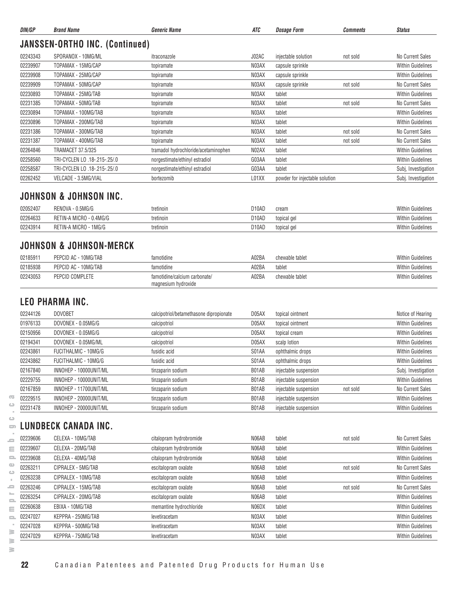| DIN/GP   | <b>Brand Name</b>                     | <b>Generic Name</b>                  | ATC   | <b>Dosage Form</b>             | <b>Comments</b> | <b>Status</b>            |  |  |  |
|----------|---------------------------------------|--------------------------------------|-------|--------------------------------|-----------------|--------------------------|--|--|--|
|          | <b>JANSSEN-ORTHO INC. (Continued)</b> |                                      |       |                                |                 |                          |  |  |  |
| 02243343 | SPORANOX - 10MG/ML                    | itraconazole                         | J02AC | injectable solution            | not sold        | No Current Sales         |  |  |  |
| 02239907 | TOPAMAX - 15MG/CAP                    | topiramate                           | N03AX | capsule sprinkle               |                 | <b>Within Guidelines</b> |  |  |  |
| 02239908 | TOPAMAX - 25MG/CAP                    | topiramate                           | N03AX | capsule sprinkle               |                 | <b>Within Guidelines</b> |  |  |  |
| 02239909 | TOPAMAX - 50MG/CAP                    | topiramate                           | N03AX | capsule sprinkle               | not sold        | No Current Sales         |  |  |  |
| 02230893 | TOPAMAX - 25MG/TAB                    | topiramate                           | N03AX | tablet                         |                 | <b>Within Guidelines</b> |  |  |  |
| 02231385 | TOPAMAX - 50MG/TAB                    | topiramate                           | N03AX | tablet                         | not sold        | No Current Sales         |  |  |  |
| 02230894 | TOPAMAX - 100MG/TAB                   | topiramate                           | N03AX | tablet                         |                 | <b>Within Guidelines</b> |  |  |  |
| 02230896 | TOPAMAX - 200MG/TAB                   | topiramate                           | N03AX | tablet                         |                 | <b>Within Guidelines</b> |  |  |  |
| 02231386 | TOPAMAX - 300MG/TAB                   | topiramate                           | N03AX | tablet                         | not sold        | No Current Sales         |  |  |  |
| 02231387 | TOPAMAX - 400MG/TAB                   | topiramate                           | N03AX | tablet                         | not sold        | No Current Sales         |  |  |  |
| 02264846 | TRAMACET 37.5/325                     | tramadol hydrochloride/acetaminophen | N02AX | tablet                         |                 | <b>Within Guidelines</b> |  |  |  |
| 02258560 | TRI-CYCLEN LO .18-.215-.25/.0         | norgestimate/ethinyl estradiol       | G03AA | tablet                         |                 | <b>Within Guidelines</b> |  |  |  |
| 02258587 | TRI-CYCLEN LO .18-.215-.25/.0         | norgestimate/ethinyl estradiol       | G03AA | tablet                         |                 | Subj, Investigation      |  |  |  |
| 02262452 | VELCADE - 3.5MG/VIAL                  | bortezomib                           | L01XX | powder for injectable solution |                 | Subj. Investigation      |  |  |  |

#### **JOHNSON & JOHNSON INC.**

| 02052407 | ).5MG/G<br>RENOVA -                    | tretinoin | D <sub>10</sub> AD | cream       | <b>Within Guidelines</b> |
|----------|----------------------------------------|-----------|--------------------|-------------|--------------------------|
| 02264633 | $-0.4M$ G/G<br><b>MICRO</b><br>RETIN-A | tretinoin | D10AD              | topical gel | <b>Within Guidelines</b> |
| 02243914 | ) - 1MG/G<br><b>MICRO</b><br>RETIN-A   | tretinoin | D <sub>10</sub> AD | topical gel | <b>Within Guidelines</b> |

#### **JOHNSON & JOHNSON-MERCK**

| 0218591  | PEPCID AC - 10MG/TAB | famotidine                                           | A02BA | chewable tablet | <b>Within Guidelines</b> |
|----------|----------------------|------------------------------------------------------|-------|-----------------|--------------------------|
| 02185938 | PEPCID AC - 10MG/TAB | famotidine                                           | A02BA | tablet          | <b>Within Guidelines</b> |
| 02243053 | PEPCID COMPLETE      | famotidine/calcium carbonate/<br>magnesium hydroxide | A02BA | chewable tablet | <b>Within Guidelines</b> |

#### **LEO PHARMA INC.**

| 02244126 | <b>DOVOBET</b>         | calcipotriol/betamethasone dipropionate | D05AX | topical ointment      |          | Notice of Hearing        |
|----------|------------------------|-----------------------------------------|-------|-----------------------|----------|--------------------------|
| 01976133 | DOVONEX - 0.05MG/G     | calcipotriol                            | D05AX | topical ointment      |          | <b>Within Guidelines</b> |
| 02150956 | DOVONEX - 0.05MG/G     | calcipotriol                            | D05AX | topical cream         |          | <b>Within Guidelines</b> |
| 02194341 | DOVONEX - 0.05MG/ML    | calcipotriol                            | D05AX | scalp lotion          |          | <b>Within Guidelines</b> |
| 02243861 | FUCITHALMIC - 10MG/G   | fusidic acid                            | S01AA | ophthalmic drops      |          | <b>Within Guidelines</b> |
| 02243862 | FUCITHALMIC - 10MG/G   | fusidic acid                            | S01AA | ophthalmic drops      |          | <b>Within Guidelines</b> |
| 02167840 | INNOHEP - 10000UNIT/ML | tinzaparin sodium                       | B01AB | injectable suspension |          | Subj. Investigation      |
| 02229755 | INNOHEP - 10000UNIT/ML | tinzaparin sodium                       | B01AB | injectable suspension |          | <b>Within Guidelines</b> |
| 02167859 | INNOHEP - 11700UNIT/ML | tinzaparin sodium                       | B01AB | injectable suspension | not sold | No Current Sales         |
| 02229515 | INNOHEP - 20000UNIT/ML | tinzaparin sodium                       | B01AB | injectable suspension |          | <b>Within Guidelines</b> |
| 02231478 | INNOHEP - 20000UNIT/ML | tinzaparin sodium                       | B01AB | injectable suspension |          | <b>Within Guidelines</b> |

## **LUNDBECK CANADA INC.**

| œ                                           | 02229515 | INNOHEP - 20000UNIT/ML | tinzaparin sodium       | B01AB | injectable suspension |          | <b>Within Guidelines</b> |
|---------------------------------------------|----------|------------------------|-------------------------|-------|-----------------------|----------|--------------------------|
| ت                                           | 02231478 | INNOHEP - 20000UNIT/ML | tinzaparin sodium       | B01AB | injectable suspension |          | <b>Within Guidelines</b> |
| $\circ$<br>$\Box$                           |          | UNDBECK CANADA INC.    |                         |       |                       |          |                          |
| s                                           | 02239606 | CELEXA - 10MG/TAB      | citalopram hydrobromide | N06AB | tablet                | not sold | No Current Sales         |
| Ξ                                           | 02239607 | CELEXA - 20MG/TAB      | citalopram hydrobromide | N06AB | tablet                |          | <b>Within Guidelines</b> |
| 2                                           | 02239608 | CELEXA - 40MG/TAB      | citalopram hydrobromide | N06AB | tablet                |          | <b>Within Guidelines</b> |
| $\mathbf{a}$<br>$\circ$                     | 02263211 | CIPRALEX - 5MG/TAB     | escitalopram oxalate    | N06AB | tablet                | not sold | No Current Sales         |
|                                             | 02263238 | CIPRALEX - 10MG/TAB    | escitalopram oxalate    | N06AB | tablet                |          | <b>Within Guidelines</b> |
| ᆖ                                           | 02263246 | CIPRALEX - 15MG/TAB    | escitalopram oxalate    | N06AB | tablet                | not sold | No Current Sales         |
| <b>Inc.</b><br>$\qquad \qquad \blacksquare$ | 02263254 | CIPRALEX - 20MG/TAB    | escitalopram oxalate    | N06AB | tablet                |          | <b>Within Guidelines</b> |
| Ξ                                           | 02260638 | EBIXA - 10MG/TAB       | memantine hydrochloride | N06DX | tablet                |          | <b>Within Guidelines</b> |
| $\qquad \qquad \Box$                        | 02247027 | KEPPRA - 250MG/TAB     | levetiracetam           | N03AX | tablet                |          | <b>Within Guidelines</b> |
|                                             | 02247028 | KEPPRA - 500MG/TAB     | levetiracetam           | N03AX | tablet                |          | <b>Within Guidelines</b> |
| ≧<br>≧                                      | 02247029 | KEPPRA - 750MG/TAB     | levetiracetam           | N03AX | tablet                |          | <b>Within Guidelines</b> |
| ≧                                           |          |                        |                         |       |                       |          |                          |

 $\overline{\text{C}}$  $\qquad \qquad \qquad \Box$  $\sim$  $\qquad \qquad \qquad \qquad \Box$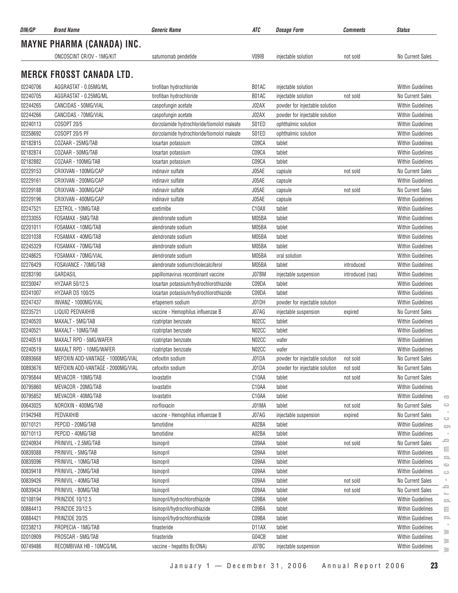| DIN/GP   | <b>Brand Name</b>                 | <b>Generic Name</b>                        | ATC   | <b>Dosage Form</b>             | <b>Comments</b>  | <b>Status</b>                                                         |
|----------|-----------------------------------|--------------------------------------------|-------|--------------------------------|------------------|-----------------------------------------------------------------------|
|          | <b>MAYNE PHARMA (CANADA) INC.</b> |                                            |       |                                |                  |                                                                       |
|          | ONCOSCINT CR/OV - 1MG/KIT         | satumomab pendetide                        | V09IB | injectable solution            | not sold         | No Current Sales                                                      |
|          |                                   |                                            |       |                                |                  |                                                                       |
|          | <b>MERCK FROSST CANADA LTD.</b>   |                                            |       |                                |                  |                                                                       |
| 02240706 | AGGRASTAT - 0.05MG/ML             | tirofiban hydrochloride                    | B01AC | injectable solution            |                  | <b>Within Guidelines</b>                                              |
| 02240705 | AGGRASTAT - 0.25MG/ML             | tirofiban hydrochloride                    | B01AC | injectable solution            | not sold         | No Current Sales                                                      |
| 02244265 | CANCIDAS - 50MG/VIAL              | caspofungin acetate                        | J02AX | powder for injectable solution |                  | <b>Within Guidelines</b>                                              |
| 02244266 | CANCIDAS - 70MG/VIAL              | caspofungin acetate                        | J02AX | powder for injectable solution |                  | <b>Within Guidelines</b>                                              |
| 02240113 | COSOPT 20/5                       | dorzolamide hydrochloride/tiomolol maleate | S01ED | ophthalmic solution            |                  | Within Guidelines                                                     |
| 02258692 | <b>COSOPT 20/5 PF</b>             | dorzolamide hydrochloride/tiomolol maleate | S01ED | ophthalmic solution            |                  | <b>Within Guidelines</b>                                              |
| 02182815 | COZAAR - 25MG/TAB                 | losartan potassium                         | C09CA | tablet                         |                  | <b>Within Guidelines</b>                                              |
| 02182874 | COZAAR - 50MG/TAB                 | losartan potassium                         | C09CA | tablet                         |                  | Within Guidelines                                                     |
| 02182882 | COZAAR - 100MG/TAB                | losartan potassium                         | C09CA | tablet                         |                  | Within Guidelines                                                     |
| 02229153 | CRIXIVAN - 100MG/CAP              | indinavir sulfate                          | J05AE | capsule                        | not sold         | No Current Sales                                                      |
| 02229161 | CRIXIVAN - 200MG/CAP              | indinavir sulfate                          | J05AE | capsule                        |                  | <b>Within Guidelines</b>                                              |
| 02229188 | CRIXIVAN - 300MG/CAP              | indinavir sulfate                          | J05AE | capsule                        | not sold         | No Current Sales                                                      |
| 02229196 | CRIXIVAN - 400MG/CAP              | indinavir sulfate                          | J05AE | capsule                        |                  | <b>Within Guidelines</b>                                              |
| 02247521 | EZETROL - 10MG/TAB                | ezetimibe                                  | C10AX | tablet                         |                  | <b>Within Guidelines</b>                                              |
| 02233055 | FOSAMAX - 5MG/TAB                 | alendronate sodium                         | M05BA | tablet                         |                  | <b>Within Guidelines</b>                                              |
| 02201011 | FOSAMAX - 10MG/TAB                | alendronate sodium                         | M05BA | tablet                         |                  | Within Guidelines                                                     |
| 02201038 | FOSAMAX - 40MG/TAB                | alendronate sodium                         | M05BA | tablet                         |                  | Within Guidelines                                                     |
| 02245329 | FOSAMAX - 70MG/TAB                | alendronate sodium                         | M05BA | tablet                         |                  | <b>Within Guidelines</b>                                              |
| 02248625 | FOSAMAX - 70MG/VIAL               | alendronate sodium                         | M05BA | oral solution                  |                  | <b>Within Guidelines</b>                                              |
| 02276429 | FOSAVANCE - 70MG/TAB              | alendronate sodium/cholecalciferol         | M05BA | tablet                         | introduced       | Within Guidelines                                                     |
| 02283190 | GARDASIL                          | papillomavirus recombinant vaccine         | J07BM | injectable suspension          | introduced (nas) | <b>Within Guidelines</b>                                              |
| 02230047 | HYZAAR 50/12.5                    | losartan potassium/hydrochlorothiazide     | C09DA | tablet                         |                  | Within Guidelines                                                     |
| 02241007 | HYZAAR DS 100/25                  | losartan potassium/hydrochlorothiazide     | C09DA | tablet                         |                  | <b>Within Guidelines</b>                                              |
| 02247437 | INVANZ - 1000MG/VIAL              | ertapenem sodium                           | J01DH | powder for injectable solution |                  | <b>Within Guidelines</b>                                              |
| 02235721 | LIQUID PEDVAXHIB                  | vaccine - Hemophilus influenzae B          | J07AG | injectable suspension          | expired          | No Current Sales                                                      |
| 02240520 | MAXALT - 5MG/TAB                  | rizatriptan benzoate                       | N02CC | tablet                         |                  | <b>Within Guidelines</b>                                              |
| 02240521 | MAXALT - 10MG/TAB                 | rizatriptan benzoate                       | N02CC | tablet                         |                  | Within Guidelines                                                     |
| 02240518 | MAXALT RPD - 5MG/WAFER            | rizatriptan benzoate                       | N02CC | wafer                          |                  | <b>Within Guidelines</b>                                              |
| 02240519 | MAXALT RPD - 10MG/WAFER           | rizatriptan benzoate                       | N02CC | wafer                          |                  | <b>Within Guidelines</b>                                              |
| 00893668 | MEFOXIN ADD-VANTAGE - 1000MG/VIAL | cefoxitin sodium                           | J01DA | powder for injectable solution | not sold         | No Current Sales                                                      |
| 00893676 | MEFOXIN ADD-VANTAGE - 2000MG/VIAL | cefoxitin sodium                           | J01DA | powder for injectable solution | not sold         | No Current Sales                                                      |
| 00795844 | MEVACOR - 10MG/TAB                | lovastatin                                 | C10AA | tablet                         | not sold         | No Current Sales                                                      |
| 00795860 | MEVACOR - 20MG/TAB                | lovastatin                                 | C10AA | tablet                         |                  | Within Guidelines                                                     |
| 00795852 | MEVACOR - 40MG/TAB                | lovastatin                                 | C10AA | tablet                         |                  | Within Guidelines<br>$\overline{\mathbf{c}}$                          |
| 00643025 | NOROXIN - 400MG/TAB               | norfloxacin                                | J01MA | tablet                         | not sold         | No Current Sales<br>ت                                                 |
| 01942948 | PEDVAXHIB                         | vaccine - Hemophilus influenzae B          | J07AG | injectable suspension          | expired          | No Current Sales                                                      |
| 00710121 | PEPCID - 20MG/TAB                 | famotidine                                 | A02BA | tablet                         |                  | $\circ$<br><b>Within Guidelines</b><br>$\Box$                         |
| 00710113 | PEPCID - 40MG/TAB                 | famotidine                                 | A02BA | tablet                         |                  | <b>Within Guidelines</b>                                              |
| 02240934 | PRINIVIL - 2.5MG/TAB              | lisinopril                                 | C09AA | tablet                         | not sold         | ⋍<br>No Current Sales                                                 |
| 00839388 | PRINIVIL - 5MG/TAB                | lisinopril                                 | C09AA | tablet                         |                  | Ξ<br>Within Guidelines                                                |
| 00839396 | PRINIVIL - 10MG/TAB               | lisinopril                                 | C09AA | tablet                         |                  | $\equiv$<br><b>Within Guidelines</b>                                  |
| 00839418 | PRINIVIL - 20MG/TAB               | lisinopril                                 | C09AA | tablet                         |                  | $\qquad \qquad \qquad \Box$<br><b>Within Guidelines</b><br>$\bigcirc$ |
| 00839426 | PRINIVIL - 40MG/TAB               | lisinopril                                 | C09AA | tablet                         | not sold         | No Current Sales                                                      |
| 00839434 | PRINIVIL - 80MG/TAB               | lisinopril                                 | C09AA | tablet                         | not sold         | ᆖ<br>No Current Sales                                                 |
| 02108194 | PRINZIDE 10/12.5                  | lisinopril/hydrochlorothiazide             | C09BA | tablet                         |                  | Within Guidelines                                                     |
| 00884413 | PRINZIDE 20/12.5                  | lisinopril/hydrochlorothiazide             | C09BA | tablet                         |                  | 으<br>Within Guidelines<br>Ξ                                           |
| 00884421 | PRINZIDE 20/25                    | lisinopril/hydrochlorothiazide             | C09BA | tablet                         |                  | <b>Within Guidelines</b><br>2                                         |
| 02238213 | PROPECIA - 1MG/TAB                | finasteride                                | D11AX | tablet                         |                  | <b>Within Guidelines</b>                                              |
| 02010909 | PROSCAR - 5MG/TAB                 | finasteride                                | G04CB | tablet                         |                  | 3<br>Within Guidelines                                                |
| 00749486 | RECOMBIVAX HB - 10MCG/ML          | vaccine - hepatitis B(rDNA)                | J07BC | injectable suspension          |                  | $\geq$<br>Within Guidelines                                           |
|          |                                   |                                            |       |                                |                  | s.                                                                    |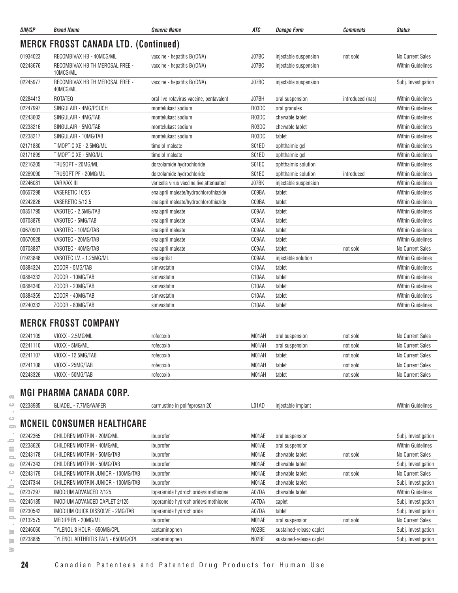| DIN/GP   | <b>Brand Name</b>                                | <b>Generic Name</b>                       | ATC   | <b>Dosage Form</b>       | <b>Comments</b>  | <b>Status</b>            |
|----------|--------------------------------------------------|-------------------------------------------|-------|--------------------------|------------------|--------------------------|
|          | <b>MERCK FROSST CANADA LTD. (Continued)</b>      |                                           |       |                          |                  |                          |
| 01934023 | RECOMBIVAX HB - 40MCG/ML                         | vaccine - hepatitis B(rDNA)               | J07BC | injectable suspension    | not sold         | No Current Sales         |
| 02243676 | RECOMBIVAX HB THIMEROSAL FREE -<br>10MCG/ML      | vaccine - hepatitis B(rDNA)               | J07BC | injectable suspension    |                  | <b>Within Guidelines</b> |
| 02245977 | RECOMBIVAX HB THIMEROSAL FREE -<br>40MCG/ML      | vaccine - hepatitis B(rDNA)               | J07BC | injectable suspension    |                  | Subj. Investigation      |
| 02284413 | <b>ROTATEQ</b>                                   | oral live rotavirus vaccine, pentavalent  | J07BH | oral suspension          | introduced (nas) | <b>Within Guidelines</b> |
| 02247997 | SINGULAIR - 4MG/POUCH                            | montelukast sodium                        | R03DC | oral granules            |                  | <b>Within Guidelines</b> |
| 02243602 | SINGULAIR - 4MG/TAB                              | montelukast sodium                        | R03DC | chewable tablet          |                  | <b>Within Guidelines</b> |
| 02238216 | SINGULAIR - 5MG/TAB                              | montelukast sodium                        | R03DC | chewable tablet          |                  | <b>Within Guidelines</b> |
| 02238217 | SINGULAIR - 10MG/TAB                             | montelukast sodium                        | R03DC | tablet                   |                  | <b>Within Guidelines</b> |
| 02171880 | TIMOPTIC XE - 2.5MG/ML                           | timolol maleate                           | S01ED | ophthalmic gel           |                  | <b>Within Guidelines</b> |
| 02171899 | TIMOPTIC XE - 5MG/ML                             | timolol maleate                           | S01ED | ophthalmic gel           |                  | <b>Within Guidelines</b> |
| 02216205 | TRUSOPT - 20MG/ML                                | dorzolamide hydrochloride                 | S01EC | ophthalmic solution      |                  | <b>Within Guidelines</b> |
| 02269090 | TRUSOPT PF - 20MG/ML                             | dorzolamide hydrochloride                 | S01EC | ophthalmic solution      | introduced       | <b>Within Guidelines</b> |
| 02246081 | <b>VARIVAX III</b>                               | varicella virus vaccine, live, attenuated | J07BK | injectable suspension    |                  | <b>Within Guidelines</b> |
| 00657298 | VASERETIC 10/25                                  | enalapril maleate/hydrochlorothiazide     | C09BA | tablet                   |                  | <b>Within Guidelines</b> |
| 02242826 | VASERETIC 5/12.5                                 | enalapril maleate/hydrochlorothiazide     | C09BA | tablet                   |                  | <b>Within Guidelines</b> |
| 00851795 | VASOTEC - 2.5MG/TAB                              | enalapril maleate                         | C09AA | tablet                   |                  | <b>Within Guidelines</b> |
| 00708879 | VASOTEC - 5MG/TAB                                | enalapril maleate                         | C09AA | tablet                   |                  | <b>Within Guidelines</b> |
| 00670901 | VASOTEC - 10MG/TAB                               | enalapril maleate                         | C09AA | tablet                   |                  | <b>Within Guidelines</b> |
| 00670928 | VASOTEC - 20MG/TAB                               | enalapril maleate                         | C09AA | tablet                   |                  | <b>Within Guidelines</b> |
| 00708887 | VASOTEC - 40MG/TAB                               | enalapril maleate                         | C09AA | tablet                   | not sold         | No Current Sales         |
| 01923846 | VASOTEC I.V. - 1.25MG/ML                         | enalaprilat                               | C09AA | injectable solution      |                  | <b>Within Guidelines</b> |
| 00884324 | ZOCOR - 5MG/TAB                                  | simvastatin                               | C10AA | tablet                   |                  | <b>Within Guidelines</b> |
| 00884332 | ZOCOR - 10MG/TAB                                 | simvastatin                               | C10AA | tablet                   |                  | <b>Within Guidelines</b> |
| 00884340 | ZOCOR - 20MG/TAB                                 | simvastatin                               | C10AA | tablet                   |                  | <b>Within Guidelines</b> |
| 00884359 | ZOCOR - 40MG/TAB                                 | simvastatin                               | C10AA | tablet                   |                  | <b>Within Guidelines</b> |
| 02240332 | ZOCOR - 80MG/TAB                                 | simvastatin                               | C10AA | tablet                   |                  | <b>Within Guidelines</b> |
|          | <b>MERCK FROSST COMPANY</b>                      |                                           |       |                          |                  |                          |
| 02241109 | VIOXX - 2.5MG/ML                                 | rofecoxib                                 | M01AH | oral suspension          | not sold         | No Current Sales         |
| 02241110 | VIOXX - 5MG/ML                                   | rofecoxib                                 | M01AH | oral suspension          | not sold         | No Current Sales         |
| 02241107 | VIOXX - 12.5MG/TAB                               | rofecoxib                                 | M01AH | tablet                   | not sold         | No Current Sales         |
| 02241108 | VIOXX - 25MG/TAB                                 | rofecoxib                                 | M01AH | tablet                   | not sold         | No Current Sales         |
| 02243326 | VIOXX - 50MG/TAB                                 |                                           | M01AH | tablet                   |                  | No Current Sales         |
|          |                                                  | rofecoxib                                 |       |                          | not sold         |                          |
| 02238985 | MGI PHARMA CANADA CORP.<br>GLIADEL - 7.7MG/WAFER | carmustine in polifeprosan 20             | L01AD | injectable implant       |                  | Within Guidelines        |
|          |                                                  |                                           |       |                          |                  |                          |
|          | <b>MCNEIL CONSUMER HEALTHCARE</b>                |                                           |       |                          |                  |                          |
| 02242365 | CHILDREN MOTRIN - 20MG/ML                        | ibuprofen                                 | M01AE | oral suspension          |                  | Subj. Investigation      |
| 02238626 | CHILDREN MOTRIN - 40MG/ML                        | ibuprofen                                 | M01AE | oral suspension          |                  | <b>Within Guidelines</b> |
| 02243178 | CHILDREN MOTRIN - 50MG/TAB                       | ibuprofen                                 | M01AE | chewable tablet          | not sold         | No Current Sales         |
| 02247343 | CHILDREN MOTRIN - 50MG/TAB                       | ibuprofen                                 | M01AE | chewable tablet          |                  | Subj. Investigation      |
| 02243179 | CHILDREN MOTRIN JUNIOR - 100MG/TAB               | ibuprofen                                 | M01AE | chewable tablet          | not sold         | No Current Sales         |
| 02247344 | CHILDREN MOTRIN JUNIOR - 100MG/TAB               | ibuprofen                                 | M01AE | chewable tablet          |                  | Subj. Investigation      |
| 02237297 | IMODIUM ADVANCED 2/125                           | loperamide hydrochloride/simethicone      | A07DA | chewable tablet          |                  | <b>Within Guidelines</b> |
| 02245185 | IMODIUM ADVANCED CAPLET 2/125                    | loperamide hydrochloride/simethicone      | A07DA | caplet                   |                  | Subj. Investigation      |
| 02230542 | IMODIUM QUICK DISSOLVE - 2MG/TAB                 | loperamide hydrochloride                  | A07DA | tablet                   |                  | Subj. Investigation      |
| 02132575 | MEDIPREN - 20MG/ML                               | ibuprofen                                 | M01AE | oral suspension          | not sold         | No Current Sales         |
| 02246060 | TYLENOL 8 HOUR - 650MG/CPL                       | acetaminophen                             | N02BE | sustained-release caplet |                  | Subj. Investigation      |
| 02238885 | TYLENOL ARTHRITIS PAIN - 650MG/CPL               | acetaminophen                             | N02BE | sustained-release caplet |                  | Subj. Investigation      |

**www.pmprb-cepmb.gc.ca** $\geq$ 

 $\overline{\infty}$  $\circ$  $\sim$  $\circ$ 

**24** Canadian Patentees and Patented Drug Products for Human Use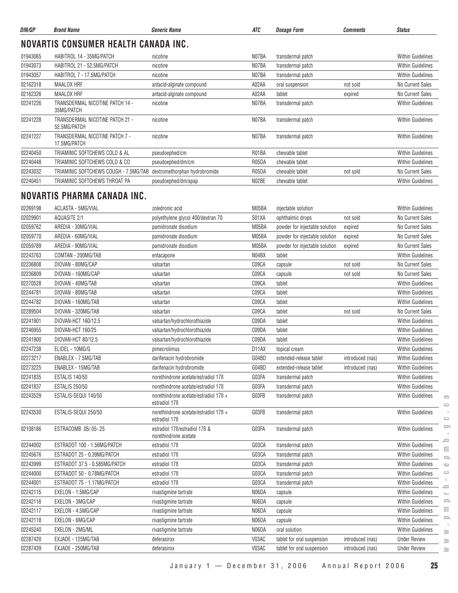| DIN/GP   | <b>Brand Name</b>                               | <b>Generic Name</b>           | ATC   | <b>Dosage Form</b> | Comments | <b>Status</b>            |
|----------|-------------------------------------------------|-------------------------------|-------|--------------------|----------|--------------------------|
|          | NOVARTIS CONSUMER HEALTH CANADA INC.            |                               |       |                    |          |                          |
| 01943065 | HABITROL 14 - 35MG/PATCH                        | nicotine                      | N07BA | transdermal patch  |          | <b>Within Guidelines</b> |
| 01943073 | HABITROL 21 - 52.5MG/PATCH                      | nicotine                      | N07BA | transdermal patch  |          | <b>Within Guidelines</b> |
| 01943057 | HABITROL 7 - 17.5MG/PATCH                       | nicotine                      | N07BA | transdermal patch  |          | <b>Within Guidelines</b> |
| 02162318 | MAALOX HRF                                      | antacid-alginate compound     | A02AA | oral suspension    | not sold | No Current Sales         |
| 02162326 | MAALOX HRF                                      | antacid-alginate compound     | A02AA | tablet             | expired  | No Current Sales         |
| 02241226 | TRANSDERMAL NICOTINE PATCH 14 -<br>35MG/PATCH   | nicotine                      | N07BA | transdermal patch  |          | <b>Within Guidelines</b> |
| 02241228 | TRANSDERMAL NICOTINE PATCH 21 -<br>52.5MG/PATCH | nicotine                      | N07BA | transdermal patch  |          | <b>Within Guidelines</b> |
| 02241227 | TRANSDERMAL NICOTINE PATCH 7 -<br>17.5MG/PATCH  | nicotine                      | N07BA | transdermal patch  |          | <b>Within Guidelines</b> |
| 02240450 | TRIAMINIC SOFTCHEWS COLD & AL                   | pseudoephed/cm                | R01BA | chewable tablet    |          | <b>Within Guidelines</b> |
| 02240448 | TRIAMINIC SOFTCHEWS COLD & CO                   | pseudoephed/dm/cm             | R05DA | chewable tablet    |          | <b>Within Guidelines</b> |
| 02243032 | TRIAMINIC SOFTCHEWS COUGH - 7.5MG/TAB           | dextromethorphan hydrobromide | R05DA | chewable tablet    | not sold | No Current Sales         |
| 02240451 | TRIAMINIC SOFTCHEWS THROAT PA                   | pseudoephed/dm/apap           | N02BE | chewable tablet    |          | <b>Within Guidelines</b> |

#### **NOVARTIS PHARMA CANADA INC.**

| 02269198 | ACLASTA - 5MG/VIAL            | zoledronic acid                                                                 | M05BA | injectable solution            |                  | <b>Within Guidelines</b>                                        |
|----------|-------------------------------|---------------------------------------------------------------------------------|-------|--------------------------------|------------------|-----------------------------------------------------------------|
| 02029901 | <b>AQUASITE 2/1</b>           | polyethylene glycol 400/dextran 70                                              | S01XA | ophthalmic drops               | not sold         | No Current Sales                                                |
| 02059762 | AREDIA - 30MG/VIAL            | pamidronate disodium                                                            | M05BA | powder for injectable solution | expired          | <b>No Current Sales</b>                                         |
| 02059770 | AREDIA - 60MG/VIAL            | pamidronate disodium                                                            | M05BA | powder for injectable solution | expired          | No Current Sales                                                |
| 02059789 | AREDIA - 90MG/VIAL            | pamidronate disodium                                                            | M05BA | powder for injectable solution | expired          | No Current Sales                                                |
| 02243763 | COMTAN - 200MG/TAB            | entacapone                                                                      | N04BX | tablet                         |                  | <b>Within Guidelines</b>                                        |
| 02236808 | DIOVAN - 80MG/CAP             | valsartan                                                                       | C09CA | capsule                        | not sold         | No Current Sales                                                |
| 02236809 | DIOVAN - 160MG/CAP            | valsartan                                                                       | C09CA | capsule                        | not sold         | <b>No Current Sales</b>                                         |
| 02270528 | DIOVAN - 40MG/TAB             | valsartan                                                                       | C09CA | tablet                         |                  | Within Guidelines                                               |
| 02244781 | DIOVAN - 80MG/TAB             | valsartan                                                                       | C09CA | tablet                         |                  | Within Guidelines                                               |
| 02244782 | DIOVAN - 160MG/TAB            | valsartan                                                                       | C09CA | tablet                         |                  | <b>Within Guidelines</b>                                        |
| 02289504 | DIOVAN - 320MG/TAB            | valsartan                                                                       | C09CA | tablet                         | not sold         | <b>No Current Sales</b>                                         |
| 02241901 | DIOVAN-HCT 160/12.5           | valsartan/hydrochlorothiazide                                                   | C09DA | tablet                         |                  | <b>Within Guidelines</b>                                        |
| 02246955 | DIOVAN-HCT 160/25             | valsartan/hydrochlorothiazide                                                   | C09DA | tablet                         |                  | <b>Within Guidelines</b>                                        |
| 02241900 | DIOVAN-HCT 80/12.5            | valsartan/hydrochlorothiazide                                                   | C09DA | tablet                         |                  | <b>Within Guidelines</b>                                        |
| 02247238 | ELIDEL - 10MG/G               | pimecrolimus                                                                    | D11AX | topical cream                  |                  | <b>Within Guidelines</b>                                        |
| 02273217 | ENABLEX - 7.5MG/TAB           | darifenacin hydrobromide                                                        | G04BD | extended-release tablet        | introduced (nas) | <b>Within Guidelines</b>                                        |
| 02273225 | ENABLEX - 15MG/TAB            | darifenacin hydrobromide                                                        | G04BD | extended-release tablet        | introduced (nas) | <b>Within Guidelines</b>                                        |
| 02241835 | <b>ESTALIS 140/50</b>         | norethindrone acetate/estradiol 17B                                             | G03FA | transdermal patch              |                  | Within Guidelines                                               |
| 02241837 | <b>ESTALIS 250/50</b>         | norethindrone acetate/estradiol 178                                             | G03FA | transdermal patch              |                  | Within Guidelines                                               |
| 02243529 | ESTALIS-SEQUI 140/50          | norethindrone acetate/estradiol 178 +<br>estradiol 17 <sub>B</sub>              | G03FB | transdermal patch              |                  | <b>Within Guidelines</b><br>$\overline{\text{C}}$<br>$\bigcirc$ |
| 02243530 | ESTALIS-SEQUI 250/50          | norethindrone acetate/estradiol 176 +<br>estradiol 17 <sub>B</sub>              | G03FB | transdermal patch              |                  | <b>Within Guidelines</b><br>$\bigcirc$                          |
| 02108186 | ESTRACOMB .05/.05-.25         | estradiol 17 <sub>B</sub> /estradiol 17 <sub>B</sub> &<br>norethindrone acetate | G03FA | transdermal patch              |                  | $\overline{\phantom{a}}$<br><b>Within Guidelines</b><br>-       |
| 02244002 | ESTRADOT 100 - 1.56MG/PATCH   | estradiol 17 <sub>B</sub>                                                       | G03CA | transdermal patch              |                  | Within Guidelines<br>Ξ                                          |
| 02245676 | ESTRADOT 25 - 0.39MG/PATCH    | estradiol 17 <sub>B</sub>                                                       | G03CA | transdermal patch              |                  | <b>Within Guidelines</b><br>$\equiv$                            |
| 02243999 | ESTRADOT 37.5 - 0.585MG/PATCH | estradiol 17 <sub>B</sub>                                                       | G03CA | transdermal patch              |                  | <b>Within Guidelines</b><br>$\bigcirc$                          |
| 02244000 | ESTRADOT 50 - 0.78MG/PATCH    | estradiol 17 <sub>B</sub>                                                       | G03CA | transdermal patch              |                  | $\bigcirc$<br><b>Within Guidelines</b>                          |
| 02244001 | ESTRADOT 75 - 1.17MG/PATCH    | estradiol 17 <sub>B</sub>                                                       | G03CA | transdermal patch              |                  | Within Guidelines<br>$\equiv$                                   |
| 02242115 | EXELON - 1.5MG/CAP            | rivastigmine tartrate                                                           | N06DA | capsule                        |                  | Within Guidelines<br>s.                                         |
| 02242116 | EXELON - 3MG/CAP              | rivastigmine tartrate                                                           | N06DA | capsule                        |                  | $\equiv$<br><b>Within Guidelines</b>                            |
| 02242117 | EXELON - 4.5MG/CAP            | rivastigmine tartrate                                                           | N06DA | capsule                        |                  | $\equiv$<br>Within Guidelines                                   |
| 02242118 | EXELON - 6MG/CAP              | rivastigmine tartrate                                                           | N06DA | capsule                        |                  | $\equiv$<br>Within Guidelines                                   |
| 02245240 | EXELON - 2MG/ML               | rivastigmine tartrate                                                           | N06DA | oral solution                  |                  | Within Guidelines<br>≥                                          |
| 02287420 | EXJADE - 125MG/TAB            | deferasirox                                                                     | V03AC | tablet for oral suspension     | introduced (nas) | <b>Under Review</b><br>≧                                        |
| 02287439 | EXJADE - 250MG/TAB            | deferasirox                                                                     | V03AC | tablet for oral suspension     | introduced (nas) | <b>Under Review</b><br>≧                                        |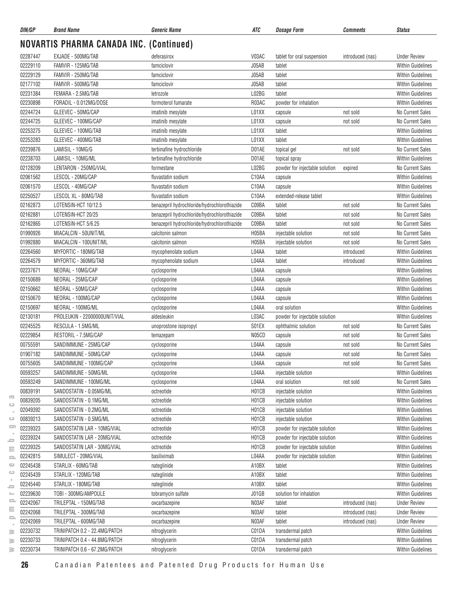| DIN/GP   | <b>Brand Name</b>                              | <b>Generic Name</b>                          | ATC   | <b>Dosage Form</b>             | <b>Comments</b>  | <b>Status</b>            |
|----------|------------------------------------------------|----------------------------------------------|-------|--------------------------------|------------------|--------------------------|
|          | <b>NOVARTIS PHARMA CANADA INC. (Continued)</b> |                                              |       |                                |                  |                          |
| 02287447 | EXJADE - 500MG/TAB                             | deferasirox                                  | V03AC | tablet for oral suspension     | introduced (nas) | <b>Under Review</b>      |
| 02229110 | FAMVIR - 125MG/TAB                             | famciclovir                                  | J05AB | tablet                         |                  | <b>Within Guidelines</b> |
| 02229129 | FAMVIR - 250MG/TAB                             | famciclovir                                  | J05AB | tablet                         |                  | <b>Within Guidelines</b> |
| 02177102 | FAMVIR - 500MG/TAB                             | famciclovir                                  | J05AB | tablet                         |                  | <b>Within Guidelines</b> |
| 02231384 | FEMARA - 2.5MG/TAB                             | letrozole                                    | L02BG | tablet                         |                  | <b>Within Guidelines</b> |
| 02230898 | FORADIL - 0.012MG/DOSE                         | formoterol fumarate                          | R03AC | powder for inhalation          |                  | <b>Within Guidelines</b> |
| 02244724 | GLEEVEC - 50MG/CAP                             | imatinib mesylate                            | L01XX | capsule                        | not sold         | No Current Sales         |
| 02244725 | GLEEVEC - 100MG/CAP                            | imatinib mesylate                            | L01XX | capsule                        | not sold         | No Current Sales         |
| 02253275 | GLEEVEC - 100MG/TAB                            | imatinib mesylate                            | L01XX | tablet                         |                  | <b>Within Guidelines</b> |
| 02253283 | GLEEVEC - 400MG/TAB                            | imatinib mesylate                            | L01XX | tablet                         |                  | <b>Within Guidelines</b> |
| 02239876 | LAMISIL - 10MG/G                               | terbinafine hydrochloride                    | D01AE | topical gel                    | not sold         | No Current Sales         |
| 02238703 | LAMISIL - 10MG/ML                              | terbinafine hydrochloride                    | D01AE | topical spray                  |                  | <b>Within Guidelines</b> |
| 02128209 | LENTARON - 250MG/VIAL                          | formestane                                   | L02BG | powder for injectable solution | expired          | No Current Sales         |
| 02061562 | LESCOL - 20MG/CAP                              | fluvastatin sodium                           | C10AA | capsule                        |                  | <b>Within Guidelines</b> |
| 02061570 | LESCOL - 40MG/CAP                              | fluvastatin sodium                           | C10AA | capsule                        |                  | <b>Within Guidelines</b> |
| 02250527 | LESCOL XL - 80MG/TAB                           | fluvastatin sodium                           | C10AA | extended-release tablet        |                  | <b>Within Guidelines</b> |
| 02162873 | LOTENSIN-HCT 10/12.5                           | benazepril hydrochloride/hydrochlorothiazide | C09BA | tablet                         | not sold         | No Current Sales         |
| 02162881 | LOTENSIN-HCT 20/25                             | benazepril hydrochloride/hydrochlorothiazide | C09BA | tablet                         | not sold         | No Current Sales         |
| 02162865 | LOTENSIN-HCT 5/6.25                            | benazepril hydrochloride/hydrochlorothiazide | C09BA | tablet                         | not sold         | No Current Sales         |
| 01990926 | MIACALCIN - 50UNIT/ML                          | calcitonin salmon                            | H05BA | injectable solution            | not sold         | No Current Sales         |
| 01992880 | MIACALCIN - 100UNIT/ML                         | calcitonin salmon                            | H05BA | injectable solution            | not sold         | No Current Sales         |
| 02264560 | MYFORTIC - 180MG/TAB                           | mycophenolate sodium                         | L04AA | tablet                         | introduced       | <b>Within Guidelines</b> |
| 02264579 | MYFORTIC - 360MG/TAB                           | mycophenolate sodium                         | L04AA | tablet                         | introduced       | <b>Within Guidelines</b> |
| 02237671 | NEORAL - 10MG/CAP                              | cyclosporine                                 | L04AA | capsule                        |                  | <b>Within Guidelines</b> |
| 02150689 | NEORAL - 25MG/CAP                              | cyclosporine                                 | L04AA | capsule                        |                  | <b>Within Guidelines</b> |
| 02150662 | NEORAL - 50MG/CAP                              | cyclosporine                                 | L04AA | capsule                        |                  | <b>Within Guidelines</b> |
| 02150670 | NEORAL - 100MG/CAP                             | cyclosporine                                 | L04AA | capsule                        |                  | <b>Within Guidelines</b> |
| 02150697 | NEORAL - 100MG/ML                              | cyclosporine                                 | L04AA | oral solution                  |                  | <b>Within Guidelines</b> |
| 02130181 | PROLEUKIN - 22000000UNIT/VIAL                  | aldesleukin                                  | L03AC | powder for injectable solution |                  | <b>Within Guidelines</b> |
| 02245525 | RESCULA - 1.5MG/ML                             | unoprostone isopropyl                        | S01EX | ophthalmic solution            | not sold         | No Current Sales         |
| 02229854 | RESTORIL - 7.5MG/CAP                           | temazepam                                    | N05CD | capsule                        | not sold         | No Current Sales         |
| 00755591 | SANDIMMUNE - 25MG/CAP                          | cyclosporine                                 | L04AA | capsule                        | not sold         | No Current Sales         |
| 01907182 | SANDIMMUNE - 50MG/CAP                          | cyclosporine                                 | L04AA | capsule                        | not sold         | No Current Sales         |
| 00755605 | SANDIMMUNE - 100MG/CAP                         | cyclosporine                                 | L04AA | capsule                        | not sold         | No Current Sales         |
| 00593257 | SANDIMMUNE - 50MG/ML                           | cyclosporine                                 | L04AA | injectable solution            |                  | Within Guidelines        |
| 00593249 | SANDIMMUNE - 100MG/ML                          | cyclosporine                                 | L04AA | oral solution                  | not sold         | No Current Sales         |
| 00839191 | SANDOSTATIN - 0.05MG/ML                        | octreotide                                   | H01CB | injectable solution            |                  | <b>Within Guidelines</b> |
| 00839205 | SANDOSTATIN - 0.1MG/ML                         | octreotide                                   | H01CB | injectable solution            |                  | <b>Within Guidelines</b> |
| 02049392 | SANDOSTATIN - 0.2MG/ML                         | octreotide                                   | H01CB | injectable solution            |                  | <b>Within Guidelines</b> |
| 00839213 | SANDOSTATIN - 0.5MG/ML                         | octreotide                                   | H01CB | injectable solution            |                  | <b>Within Guidelines</b> |
| 02239323 | SANDOSTATIN LAR - 10MG/VIAL                    | octreotide                                   | H01CB | powder for injectable solution |                  | <b>Within Guidelines</b> |
| 02239324 | SANDOSTATIN LAR - 20MG/VIAL                    | octreotide                                   | H01CB | powder for injectable solution |                  | Within Guidelines        |
| 02239325 | SANDOSTATIN LAR - 30MG/VIAL                    | octreotide                                   | H01CB | powder for injectable solution |                  | Within Guidelines        |
| 02242815 | SIMULECT - 20MG/VIAL                           | basiliximab                                  | L04AA | powder for injectable solution |                  | <b>Within Guidelines</b> |
| 02245438 | STARLIX - 60MG/TAB                             |                                              | A10BX | tablet                         |                  | <b>Within Guidelines</b> |
| 02245439 |                                                | nateglinide                                  |       |                                |                  |                          |
|          | STARLIX - 120MG/TAB                            | nateglinide                                  | A10BX | tablet                         |                  | <b>Within Guidelines</b> |
| 02245440 | STARLIX - 180MG/TAB                            | nateglinide                                  | A10BX | tablet                         |                  | <b>Within Guidelines</b> |
| 02239630 | TOBI - 300MG/AMPOULE                           | tobramycin sulfate                           | J01GB | solution for inhalation        |                  | <b>Within Guidelines</b> |
| 02242067 | TRILEPTAL - 150MG/TAB                          | oxcarbazepine                                | N03AF | tablet                         | introduced (nas) | <b>Under Review</b>      |
| 02242068 | TRILEPTAL - 300MG/TAB                          | oxcarbazepine                                | N03AF | tablet                         | introduced (nas) | <b>Under Review</b>      |
| 02242069 | TRILEPTAL - 600MG/TAB                          | oxcarbazepine                                | N03AF | tablet                         | introduced (nas) | <b>Under Review</b>      |
| 02230732 | TRINIPATCH 0.2 - 22.4MG/PATCH                  | nitroglycerin                                | C01DA | transdermal patch              |                  | <b>Within Guidelines</b> |
| 02230733 | TRINIPATCH 0.4 - 44.8MG/PATCH                  | nitroglycerin                                | C01DA | transdermal patch              |                  | <b>Within Guidelines</b> |
| 02230734 | TRINIPATCH 0.6 - 67.2MG/PATCH                  | nitroglycerin                                | C01DA | transdermal patch              |                  | Within Guidelines        |

 $\overline{\infty}$  $\mathord{\hookrightarrow}$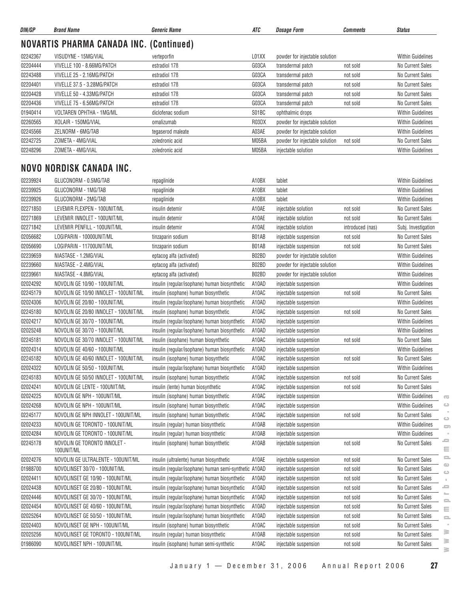| DIN/GP   | <b>Brand Name</b>                              | Generic Name              | ATC   | <b>Dosage Form</b>             | <i><b>Comments</b></i> | <b>Status</b>            |  |  |  |
|----------|------------------------------------------------|---------------------------|-------|--------------------------------|------------------------|--------------------------|--|--|--|
|          | <b>NOVARTIS PHARMA CANADA INC. (Continued)</b> |                           |       |                                |                        |                          |  |  |  |
| 02242367 | VISUDYNE - 15MG/VIAL                           | verteporfin               | L01XX | powder for injectable solution |                        | <b>Within Guidelines</b> |  |  |  |
| 02204444 | VIVELLE 100 - 8.66MG/PATCH                     | estradiol 176             | G03CA | transdermal patch              | not sold               | No Current Sales         |  |  |  |
| 02243488 | VIVELLE 25 - 2.16MG/PATCH                      | estradiol 17 <sub>B</sub> | G03CA | transdermal patch              | not sold               | No Current Sales         |  |  |  |
| 02204401 | VIVELLE 37.5 - 3.28MG/PATCH                    | estradiol 17 <sub>B</sub> | G03CA | transdermal patch              | not sold               | No Current Sales         |  |  |  |
| 02204428 | VIVELLE 50 - 4.33MG/PATCH                      | estradiol 17 <sub>B</sub> | G03CA | transdermal patch              | not sold               | No Current Sales         |  |  |  |
| 02204436 | VIVELLE 75 - 6.56MG/PATCH                      | estradiol 17 <sub>B</sub> | G03CA | transdermal patch              | not sold               | No Current Sales         |  |  |  |
| 01940414 | VOLTAREN OPHTHA - 1MG/ML                       | diclofenac sodium         | S01BC | ophthalmic drops               |                        | <b>Within Guidelines</b> |  |  |  |
| 02260565 | XOLAIR - 150MG/VIAL                            | omalizumab                | R03DX | powder for injectable solution |                        | <b>Within Guidelines</b> |  |  |  |
| 02245566 | ZELNORM - 6MG/TAB                              | tegaserod maleate         | A03AE | powder for injectable solution |                        | <b>Within Guidelines</b> |  |  |  |
| 02242725 | ZOMETA - 4MG/VIAL                              | zoledronic acid           | M05BA | powder for injectable solution | not sold               | No Current Sales         |  |  |  |
| 02248296 | ZOMETA - 4MG/VIAL                              | zoledronic acid           | M05BA | injectable solution            |                        | <b>Within Guidelines</b> |  |  |  |
|          |                                                |                           |       |                                |                        |                          |  |  |  |
|          | NOVO NORDISK CANADA INC.                       |                           |       |                                |                        |                          |  |  |  |

| 02239924 | GLUCONORM - 0.5MG/TAB                      | repaglinide                                           | A10BX | tablet                         |                  | <b>Within Guidelines</b>                                                       |
|----------|--------------------------------------------|-------------------------------------------------------|-------|--------------------------------|------------------|--------------------------------------------------------------------------------|
| 02239925 | GLUCONORM - 1MG/TAB                        | repaglinide                                           | A10BX | tablet                         |                  | <b>Within Guidelines</b>                                                       |
| 02239926 | GLUCONORM - 2MG/TAB                        | repaglinide                                           | A10BX | tablet                         |                  | <b>Within Guidelines</b>                                                       |
| 02271850 | LEVEMIR FLEXPEN - 100UNIT/ML               | insulin detemir                                       | A10AE | injectable solution            | not sold         | <b>No Current Sales</b>                                                        |
| 02271869 | LEVEMIR INNOLET - 100UNIT/ML               | insulin detemir                                       | A10AE | injectable solution            | not sold         | <b>No Current Sales</b>                                                        |
| 02271842 | LEVEMIR PENFILL - 100UNIT/ML               | insulin detemir                                       | A10AE | injectable solution            | introduced (nas) | Subj. Investigation                                                            |
| 02056682 | LOGIPARIN - 10000UNIT/ML                   | tinzaparin sodium                                     | B01AB | injectable suspension          | not sold         | No Current Sales                                                               |
| 02056690 | LOGIPARIN - 11700UNIT/ML                   | tinzaparin sodium                                     | B01AB | injectable suspension          | not sold         | No Current Sales                                                               |
| 02239659 | NIASTASE - 1.2MG/VIAL                      | eptacog alfa (activated)                              | B02BD | powder for injectable solution |                  | <b>Within Guidelines</b>                                                       |
| 02239660 | NIASTASE - 2.4MG/VIAL                      | eptacog alfa (activated)                              | B02BD | powder for injectable solution |                  | <b>Within Guidelines</b>                                                       |
| 02239661 | NIASTASE - 4.8MG/VIAL                      | eptacog alfa (activated)                              | B02BD | powder for injectable solution |                  | <b>Within Guidelines</b>                                                       |
| 02024292 | NOVOLIN GE 10/90 - 100UNIT/ML              | insulin (regular/isophane) human biosynthetic         | A10AD | injectable suspension          |                  | <b>Within Guidelines</b>                                                       |
| 02245179 | NOVOLIN GE 10/90 INNOLET - 100UNIT/ML      | insulin (isophane) human biosynthetic                 | A10AC | injectable suspension          | not sold         | No Current Sales                                                               |
| 02024306 | NOVOLIN GE 20/80 - 100UNIT/ML              | insulin (regular/isophane) human biosynthetic         | A10AD | injectable suspension          |                  | <b>Within Guidelines</b>                                                       |
| 02245180 | NOVOLIN GE 20/80 INNOLET - 100UNIT/ML      | insulin (isophane) human biosynthetic                 | A10AC | injectable suspension          | not sold         | No Current Sales                                                               |
| 02024217 | NOVOLIN GE 30/70 - 100UNIT/ML              | insulin (regular/isophane) human biosynthetic         | A10AD | injectable suspension          |                  | <b>Within Guidelines</b>                                                       |
| 02025248 | NOVOLIN GE 30/70 - 100UNIT/ML              | insulin (regular/isophane) human biosynthetic         | A10AD | injectable suspension          |                  | <b>Within Guidelines</b>                                                       |
| 02245181 | NOVOLIN GE 30/70 INNOLET - 100UNIT/ML      | insulin (isophane) human biosynthetic                 | A10AC | injectable suspension          | not sold         | No Current Sales                                                               |
| 02024314 | NOVOLIN GE 40/60 - 100UNIT/ML              | insulin (regular/isophane) human biosynthetic         | A10AD | injectable suspension          |                  | <b>Within Guidelines</b>                                                       |
| 02245182 | NOVOLIN GE 40/60 INNOLET - 100UNIT/ML      | insulin (isophane) human biosynthetic                 | A10AC | injectable suspension          | not sold         | No Current Sales                                                               |
| 02024322 | NOVOLIN GE 50/50 - 100UNIT/ML              | insulin (regular/isophane) human biosynthetic         | A10AD | injectable suspension          |                  | <b>Within Guidelines</b>                                                       |
| 02245183 | NOVOLIN GE 50/50 INNOLET - 100UNIT/ML      | insulin (isophane) human biosynthetic                 | A10AC | injectable suspension          | not sold         | No Current Sales                                                               |
| 02024241 | NOVOLIN GE LENTE - 100UNIT/ML              | insulin (lente) human biosynthetic                    | A10AC | injectable suspension          | not sold         | <b>No Current Sales</b>                                                        |
| 02024225 | NOVOLIN GE NPH - 100UNIT/ML                | insulin (isophane) human biosynthetic                 | A10AC | injectable suspension          |                  | <b>Within Guidelines</b><br>$\overline{\mathbb{C}}$                            |
| 02024268 | NOVOLIN GE NPH - 100UNIT/ML                | insulin (isophane) human biosynthetic                 | A10AC | injectable suspension          |                  | $\qquad \qquad \qquad \qquad \qquad \qquad \qquad$<br><b>Within Guidelines</b> |
| 02245177 | NOVOLIN GE NPH INNOLET - 100UNIT/ML        | insulin (isophane) human biosynthetic                 | A10AC | injectable suspension          | not sold         | <b>No Current Sales</b><br>$\bigcirc$                                          |
| 02024233 | NOVOLIN GE TORONTO - 100UNIT/ML            | insulin (regular) human biosynthetic                  | A10AB | injectable suspension          |                  | <b>Within Guidelines</b><br>$\sum$                                             |
| 02024284 | NOVOLIN GE TORONTO - 100UNIT/ML            | insulin (regular) human biosynthetic                  | A10AB | injectable suspension          |                  | <b>Within Guidelines</b>                                                       |
| 02245178 | NOVOLIN GE TORONTO INNOLET -<br>100UNIT/ML | insulin (isophane) human biosynthetic                 | A10AB | injectable suspension          | not sold         | ᆖ<br>No Current Sales<br>$\equiv$                                              |
| 02024276 | NOVOLIN GE ULTRALENTE - 100UNIT/ML         | insulin (ultralente) human biosynthetic               | A10AE | injectable suspension          | not sold         | $\qquad \qquad \qquad \Box$<br>No Current Sales                                |
| 01988700 | NOVOLINSET 30/70 - 100UNIT/ML              | insulin (regular/isophane) human semi-synthetic A10AD |       | injectable suspension          | not sold         | $\bigcirc$<br>No Current Sales<br>$\bigcirc$                                   |
| 02024411 | NOVOLINSET GE 10/90 - 100UNIT/ML           | insulin (regular/isophane) human biosynthetic         | A10AD | injectable suspension          | not sold         | No Current Sales<br>$\bar{\alpha}$                                             |
| 02024438 | NOVOLINSET GE 20/80 - 100UNIT/ML           | insulin (regular/isophane) human biosynthetic         | A10AD | injectable suspension          | not sold         | -<br>No Current Sales                                                          |
| 02024446 | NOVOLINSET GE 30/70 - 100UNIT/ML           | insulin (regular/isophane) human biosynthetic         | A10AD | injectable suspension          | not sold         | No Current Sales<br>$\equiv$                                                   |
| 02024454 | NOVOLINSET GE 40/60 - 100UNIT/ML           | insulin (regular/isophane) human biosynthetic         | A10AD | injectable suspension          | not sold         | No Current Sales<br>Ξ                                                          |
| 02025264 | NOVOLINSET GE 50/50 - 100UNIT/ML           | insulin (regular/isophane) human biosynthetic         | A10AD | injectable suspension          | not sold         | No Current Sales<br>$\equiv$                                                   |
| 02024403 | NOVOLINSET GE NPH - 100UNIT/ML             | insulin (isophane) human biosynthetic                 | A10AC | injectable suspension          | not sold         | No Current Sales<br>×                                                          |
| 02025256 | NOVOLINSET GE TORONTO - 100UNIT/ML         | insulin (regular) human biosynthetic                  | A10AB | injectable suspension          | not sold         | $\geq$<br>No Current Sales                                                     |
| 01986090 | NOVOLINSET NPH - 100UNIT/ML                | insulin (isophane) human semi-synthetic               | A10AC | injectable suspension          | not sold         | $\geq$<br>No Current Sales<br>$\geq$                                           |
|          |                                            |                                                       |       |                                |                  |                                                                                |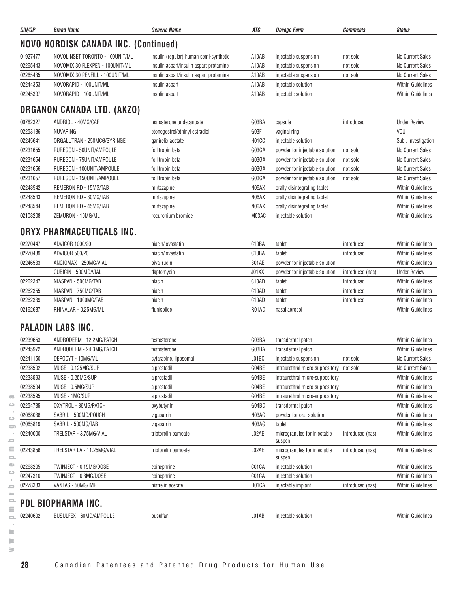| DIN/GP               | <b>Brand Name</b>                            | <b>Generic Name</b>                     | ATC                         | <b>Dosage Form</b>                       | <b>Comments</b>  | <b>Status</b>                                        |
|----------------------|----------------------------------------------|-----------------------------------------|-----------------------------|------------------------------------------|------------------|------------------------------------------------------|
|                      | NOVO NORDISK CANADA INC. (Continued)         |                                         |                             |                                          |                  |                                                      |
| 01927477             | NOVOLINSET TORONTO - 100UNIT/ML              | insulin (regular) human semi-synthetic  | A10AB                       | injectable suspension                    | not sold         | No Current Sales                                     |
| 02265443             | NOVOMIX 30 FLEXPEN - 100UNIT/ML              | insulin aspart/insulin aspart protamine | A10AB                       | injectable suspension                    | not sold         | No Current Sales                                     |
| 02265435             | NOVOMIX 30 PENFILL - 100UNIT/ML              | insulin aspart/insulin aspart protamine | A10AB                       | injectable suspension                    | not sold         | No Current Sales                                     |
| 02244353             | NOVORAPID - 100UNIT/ML                       | insulin aspart                          | A10AB                       | injectable solution                      |                  | <b>Within Guidelines</b>                             |
| 02245397             | NOVORAPID - 100UNIT/ML                       | insulin aspart                          | A10AB                       | injectable solution                      |                  | <b>Within Guidelines</b>                             |
|                      | <b>ORGANON CANADA LTD. (AKZO)</b>            |                                         |                             |                                          |                  |                                                      |
| 00782327             | ANDRIOL - 40MG/CAP                           | testosterone undecanoate                | G03BA                       | capsule                                  | introduced       | <b>Under Review</b>                                  |
| 02253186             | NUVARING                                     | etonogestrel/ethinyl estradiol          | G03F                        | vaginal ring                             |                  | VCU                                                  |
| 02245641             | ORGALUTRAN - 250MCG/SYRINGE                  | ganirelix acetate                       | H01CC                       | injectable solution                      |                  | Subj. Investigation                                  |
| 02231655             | PUREGON - 50UNIT/AMPOULE                     | follitropin beta                        | G03GA                       | powder for injectable solution           | not sold         | No Current Sales                                     |
| 02231654             | PUREGON - 75UNIT/AMPOULE                     | follitropin beta                        | G03GA                       | powder for injectable solution           | not sold         | No Current Sales                                     |
| 02231656             | PUREGON - 100UNIT/AMPOULE                    | follitropin beta                        | G03GA                       | powder for injectable solution           | not sold         | No Current Sales                                     |
| 02231657             | PUREGON - 150UNIT/AMPOULE                    | follitropin beta                        | G03GA                       | powder for injectable solution           | not sold         | No Current Sales                                     |
| 02248542             | REMERON RD - 15MG/TAB                        | mirtazapine                             | N06AX                       | orally disintegrating tablet             |                  | <b>Within Guidelines</b>                             |
| 02248543             | REMERON RD - 30MG/TAB                        | mirtazapine                             | N06AX                       | orally disintegrating tablet             |                  | <b>Within Guidelines</b>                             |
| 02248544             | REMERON RD - 45MG/TAB                        | mirtazapine                             | N06AX                       | orally disintegrating tablet             |                  | <b>Within Guidelines</b>                             |
| 02108208             | ZEMURON - 10MG/ML                            | rocuronium bromide                      | M03AC                       | injectable solution                      |                  | <b>Within Guidelines</b>                             |
|                      | ORYX PHARMACEUTICALS INC.                    |                                         | C10BA                       |                                          |                  |                                                      |
| 02270447             | <b>ADVICOR 1000/20</b>                       | niacin/lovastatin                       |                             | tablet                                   | introduced       | <b>Within Guidelines</b>                             |
| 02270439<br>02246533 | ADVICOR 500/20<br>ANGIOMAX - 250MG/VIAL      | niacin/lovastatin<br>bivalirudin        | C <sub>10</sub> BA<br>B01AE | tablet                                   | introduced       | <b>Within Guidelines</b><br><b>Within Guidelines</b> |
|                      | CUBICIN - 500MG/VIAL                         |                                         | J01XX                       | powder for injectable solution           |                  |                                                      |
| 02262347             | NIASPAN - 500MG/TAB                          | daptomycin                              | C10AD                       | powder for injectable solution           | introduced (nas) | <b>Under Review</b><br><b>Within Guidelines</b>      |
|                      | NIASPAN - 750MG/TAB                          | niacin                                  | C10AD                       | tablet<br>tablet                         | introduced       | <b>Within Guidelines</b>                             |
| 02262355<br>02262339 |                                              | niacin                                  |                             |                                          | introduced       | <b>Within Guidelines</b>                             |
| 02162687             | NIASPAN - 1000MG/TAB<br>RHINALAR - 0.25MG/ML | niacin<br>flunisolide                   | C10AD<br>R01AD              | tablet<br>nasal aerosol                  | introduced       | <b>Within Guidelines</b>                             |
|                      |                                              |                                         |                             |                                          |                  |                                                      |
|                      | <b>PALADIN LABS INC.</b>                     |                                         |                             |                                          |                  |                                                      |
| 02239653             | ANDRODERM - 12.2MG/PATCH                     | testosterone                            | G03BA                       | transdermal patch                        |                  | <b>Within Guidelines</b>                             |
| 02245972             | ANDRODERM - 24.3MG/PATCH                     | testosterone                            | G03BA                       | transdermal patch                        |                  | <b>Within Guidelines</b>                             |
| 02241150             | DEPOCYT - 10MG/ML                            | cytarabine, liposomal                   | LO1BC                       | injectable suspension                    | not sold         | No Current Sales                                     |
| 02238592             | MUSE - 0.125MG/SUP                           | alprostadil                             | G04BE                       | intraurethral micro-suppository not sold |                  | No Current Sales                                     |
| 02238593             | MUSE - 0.25MG/SUP                            | alprostadil                             | G04BE                       | intraurethral micro-suppository          |                  | <b>Within Guidelines</b>                             |
| 02238594             | MUSE - 0.5MG/SUP                             | alprostadil                             | G04BE                       | intraurethral micro-suppository          |                  | <b>Within Guidelines</b>                             |
| 02238595             | MUSE - 1MG/SUP                               | alprostadil                             | G04BE                       | intraurethral micro-suppository          |                  | <b>Within Guidelines</b>                             |
| 02254735             | OXYTROL - 36MG/PATCH                         | oxybutynin                              | G04BD                       | transdermal patch                        |                  | <b>Within Guidelines</b>                             |
| 02068036             | SABRIL - 500MG/POUCH                         | vigabatrin                              | N03AG                       | powder for oral solution                 |                  | <b>Within Guidelines</b>                             |
| 02065819             | SABRIL - 500MG/TAB                           | vigabatrin                              | N03AG                       | tablet                                   |                  | <b>Within Guidelines</b>                             |
| 02240000             | TRELSTAR - 3.75MG/VIAL                       | triptorelin pamoate                     | L02AE                       | microgranules for injectable             | introduced (nas) | Within Guidelines                                    |

02268205 TWINJECT - 0.15MG/DOSE epinephrine epinephrine C01CA injectable solution COTCA injectable solution 02247310 TWINJECT - 0.3MG/DOSE external epinephrine epinephrine C01CA injectable solution C01CA intervention Within Guidelines 02278383 VANTAS - 50MG/IMP histrelin acetate histrelin acetate https://within Guidelines

02240602 BUSULFEX - 60MG/AMPOULE busulfan busulfan L01AB injectable solution Cuidelines Within Guidelines

suspen

suspen

 $\overline{\infty}$  $\circlearrowright$ 

**PDL BIOPHARMA INC.**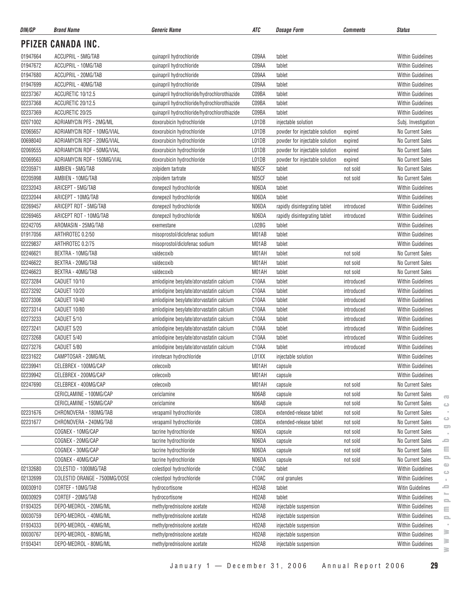| DIN/GP   | <b>Brand Name</b>             | <b>Generic Name</b>                         | ATC                | <b>Dosage Form</b>             | <b>Comments</b> | <b>Status</b>            |
|----------|-------------------------------|---------------------------------------------|--------------------|--------------------------------|-----------------|--------------------------|
|          | PFIZER CANADA INC.            |                                             |                    |                                |                 |                          |
| 01947664 | ACCUPRIL - 5MG/TAB            | quinapril hydrochloride                     | C09AA              | tablet                         |                 | <b>Within Guidelines</b> |
| 01947672 | ACCUPRIL - 10MG/TAB           | quinapril hydrochloride                     | C09AA              | tablet                         |                 | <b>Within Guidelines</b> |
| 01947680 | ACCUPRIL - 20MG/TAB           | quinapril hydrochloride                     | C09AA              | tablet                         |                 | <b>Within Guidelines</b> |
| 01947699 | ACCUPRIL - 40MG/TAB           | quinapril hydrochloride                     | C09AA              | tablet                         |                 | <b>Within Guidelines</b> |
| 02237367 | ACCURETIC 10/12.5             | quinapril hydrochloride/hydrochlorothiazide | C09BA              | tablet                         |                 | <b>Within Guidelines</b> |
| 02237368 | ACCURETIC 20/12.5             | quinapril hydrochloride/hydrochlorothiazide | C09BA              | tablet                         |                 | <b>Within Guidelines</b> |
| 02237369 | ACCURETIC 20/25               | quinapril hydrochloride/hydrochlorothiazide | C09BA              | tablet                         |                 | <b>Within Guidelines</b> |
| 02071002 | ADRIAMYCIN PFS - 2MG/ML       | doxorubicin hydrochloride                   | L01DB              | injectable solution            |                 | Subj. Investigation      |
| 02065657 | ADRIAMYCIN RDF - 10MG/VIAL    | doxorubicin hydrochloride                   | L01DB              | powder for injectable solution | expired         | <b>No Current Sales</b>  |
| 00698040 | ADRIAMYCIN RDF - 20MG/VIAL    | doxorubicin hydrochloride                   | L01DB              | powder for injectable solution | expired         | No Current Sales         |
| 02069555 | ADRIAMYCIN RDF - 50MG/VIAL    | doxorubicin hydrochloride                   | L01DB              | powder for injectable solution | expired         | No Current Sales         |
| 02069563 | ADRIAMYCIN RDF - 150MG/VIAL   | doxorubicin hydrochloride                   | L01DB              | powder for injectable solution | expired         | No Current Sales         |
| 02205971 | AMBIEN - 5MG/TAB              | zolpidem tartrate                           | N05CF              | tablet                         | not sold        | No Current Sales         |
| 02205998 | AMBIEN - 10MG/TAB             | zolpidem tartrate                           | N05CF              | tablet                         | not sold        | No Current Sales         |
| 02232043 | ARICEPT - 5MG/TAB             | donepezil hydrochloride                     | N06DA              | tablet                         |                 | <b>Within Guidelines</b> |
| 02232044 | ARICEPT - 10MG/TAB            | donepezil hydrochloride                     | N06DA              | tablet                         |                 | <b>Within Guidelines</b> |
| 02269457 | ARICEPT RDT - 5MG/TAB         | donepezil hydrochloride                     | N06DA              | rapidly disintegrating tablet  | introduced      | Within Guidelines        |
| 02269465 | ARICEPT RDT - 10MG/TAB        | donepezil hydrochloride                     | N06DA              | rapidly disintegrating tablet  | introduced      | <b>Within Guidelines</b> |
| 02242705 | AROMASIN - 25MG/TAB           | exemestane                                  | L02BG              | tablet                         |                 | <b>Within Guidelines</b> |
| 01917056 | ARTHROTEC 0.2/50              | misoprostol/diclofenac sodium               | M01AB              | tablet                         |                 | <b>Within Guidelines</b> |
| 02229837 | ARTHROTEC 0.2/75              | misoprostol/diclofenac sodium               | M01AB              | tablet                         |                 | <b>Within Guidelines</b> |
| 02246621 | BEXTRA - 10MG/TAB             | valdecoxib                                  | M01AH              | tablet                         | not sold        | No Current Sales         |
| 02246622 | BEXTRA - 20MG/TAB             | valdecoxib                                  | M01AH              | tablet                         | not sold        | No Current Sales         |
| 02246623 | BEXTRA - 40MG/TAB             | valdecoxib                                  | M01AH              | tablet                         | not sold        | No Current Sales         |
| 02273284 | CADUET 10/10                  | amlodipine besylate/atorvastatin calcium    | C10AA              | tablet                         | introduced      | <b>Within Guidelines</b> |
| 02273292 | CADUET 10/20                  | amlodipine besylate/atorvastatin calcium    | C10AA              | tablet                         | introduced      | <b>Within Guidelines</b> |
| 02273306 | CADUET 10/40                  | amlodipine besylate/atorvastatin calcium    | C10AA              | tablet                         | introduced      | <b>Within Guidelines</b> |
| 02273314 | CADUET 10/80                  | amlodipine besylate/atorvastatin calcium    | C10AA              | tablet                         | introduced      | Within Guidelines        |
| 02273233 | CADUET 5/10                   | amlodipine besylate/atorvastatin calcium    | C10AA              | tablet                         | introduced      | Within Guidelines        |
| 02273241 | CADUET 5/20                   | amlodipine besylate/atorvastatin calcium    | C10AA              | tablet                         | introduced      | <b>Within Guidelines</b> |
| 02273268 | CADUET 5/40                   | amlodipine besylate/atorvastatin calcium    | C10AA              | tablet                         | introduced      | <b>Within Guidelines</b> |
| 02273276 | CADUET 5/80                   | amlodipine besylate/atorvastatin calcium    | C10AA              | tablet                         | introduced      | <b>Within Guidelines</b> |
| 02231622 | CAMPTOSAR - 20MG/ML           | irinotecan hydrochloride                    | L01XX              | injectable solution            |                 | <b>Within Guidelines</b> |
| 02239941 | CELEBREX - 100MG/CAP          | celecoxib                                   | M01AH              | capsule                        |                 | <b>Within Guidelines</b> |
| 02239942 | CELEBREX - 200MG/CAP          | celecoxib                                   | M01AH              | capsule                        |                 | <b>Within Guidelines</b> |
| 02247690 | CELEBREX - 400MG/CAP          | celecoxib                                   | M01AH              | capsule                        | not sold        | No Current Sales         |
|          | CERICLAMINE - 100MG/CAP       | cericlamine                                 | N06AB              | capsule                        | not sold        | No Current Sales         |
|          | CERICLAMINE - 150MG/CAP       | cericlamine                                 | N06AB              | capsule                        | not sold        | No Current Sales         |
| 02231676 | CHRONOVERA - 180MG/TAB        | verapamil hydrochloride                     | C08DA              | extended-release tablet        | not sold        | No Current Sales         |
| 02231677 | CHRONOVERA - 240MG/TAB        | verapamil hydrochloride                     | C08DA              | extended-release tablet        | not sold        | No Current Sales         |
|          | COGNEX - 10MG/CAP             | tacrine hydrochloride                       | N06DA              | capsule                        | not sold        | No Current Sales         |
|          | COGNEX - 20MG/CAP             | tacrine hydrochloride                       | N06DA              | capsule                        | not sold        | No Current Sales         |
|          | COGNEX - 30MG/CAP             | tacrine hydrochloride                       | N06DA              | capsule                        | not sold        | No Current Sales         |
|          | COGNEX - 40MG/CAP             | tacrine hydrochloride                       | N06DA              | capsule                        | not sold        | No Current Sales         |
| 02132680 | COLESTID - 1000MG/TAB         | colestipol hydrochloride                    | C10AC              | tablet                         |                 | <b>Within Guidelines</b> |
| 02132699 | COLESTID ORANGE - 7500MG/DOSE | colestipol hydrochloride                    | C10AC              | oral granules                  |                 | Within Guidelines        |
| 00030910 | CORTEF - 10MG/TAB             | hydrocortisone                              | H <sub>02</sub> AB | tablet                         |                 | Witin Guidelines         |
| 00030929 | CORTEF - 20MG/TAB             | hydrocortisone                              | H <sub>02</sub> AB | tablet                         |                 | <b>Within Guidelines</b> |
| 01934325 | DEPO-MEDROL - 20MG/ML         | methylprednisolone acetate                  | H <sub>02</sub> AB | injectable suspension          |                 | <b>Within Guidelines</b> |
| 00030759 | DEPO-MEDROL - 40MG/ML         | methylprednisolone acetate                  | H <sub>02</sub> AB | injectable suspension          |                 | <b>Within Guidelines</b> |
| 01934333 | DEPO-MEDROL - 40MG/ML         | methylprednisolone acetate                  | H <sub>02</sub> AB | injectable suspension          |                 | <b>Within Guidelines</b> |
| 00030767 | DEPO-MEDROL - 80MG/ML         | methylprednisolone acetate                  | H <sub>02</sub> AB | injectable suspension          |                 | Within Guidelines        |
| 01934341 | DEPO-MEDROL - 80MG/ML         | methylprednisolone acetate                  | H <sub>02</sub> AB | injectable suspension          |                 | Within Guidelines        |
|          |                               |                                             |                    |                                |                 |                          |

 $\overline{\mathbb{C}}$  $\circ$  $\sim$  $\circ$  $\qquad \qquad \qquad \qquad \qquad$  $\sim$  $\equiv$  $\equiv$  $\equiv$  $\circledcirc$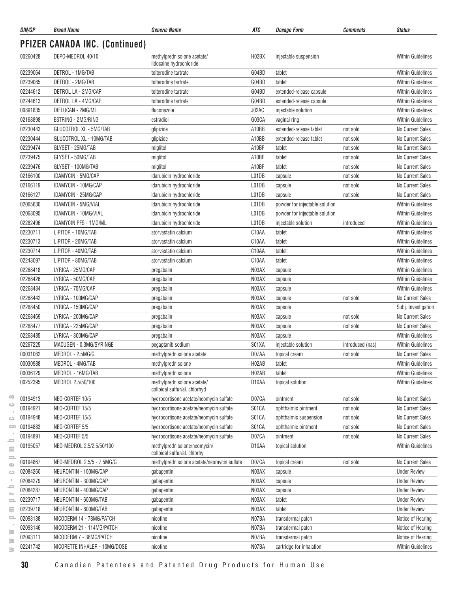| DIN/GP   | <b>Brand Name</b>                     | <b>Generic Name</b>                                          | ATC   | <b>Dosage Form</b>             | <b>Comments</b>  | <b>Status</b>            |
|----------|---------------------------------------|--------------------------------------------------------------|-------|--------------------------------|------------------|--------------------------|
|          | <b>PFIZER CANADA INC. (Continued)</b> |                                                              |       |                                |                  |                          |
| 00260428 | DEPO-MEDROL 40/10                     | methylprednisolone acetate/<br>lidocaine hydrochloride       | H02BX | injectable suspension          |                  | <b>Within Guidelines</b> |
| 02239064 | DETROL - 1MG/TAB                      | tolterodine tartrate                                         | G04BD | tablet                         |                  | <b>Within Guidelines</b> |
| 02239065 | DETROL - 2MG/TAB                      | tolterodine tartrate                                         | G04BD | tablet                         |                  | <b>Within Guidelines</b> |
| 02244612 | DETROL LA - 2MG/CAP                   | tolterodine tartrate                                         | G04BD | extended-release capsule       |                  | <b>Within Guidelines</b> |
| 02244613 | DETROL LA - 4MG/CAP                   | tolterodine tartrate                                         | G04BD | extended-release capsule       |                  | <b>Within Guidelines</b> |
| 00891835 | DIFLUCAN - 2MG/ML                     | fluconazole                                                  | J02AC | injectable solution            |                  | <b>Within Guidelines</b> |
| 02168898 | ESTRING - 2MG/RING                    | estradiol                                                    | G03CA | vaginal ring                   |                  | <b>Within Guidelines</b> |
| 02230443 | GLUCOTROL XL - 5MG/TAB                | glipizide                                                    | A10BB | extended-release tablet        | not sold         | No Current Sales         |
| 02230444 | GLUCOTROL XL - 10MG/TAB               | glipizide                                                    | A10BB | extended-release tablet        | not sold         | No Current Sales         |
| 02239474 | GLYSET - 25MG/TAB                     | miglitol                                                     | A10BF | tablet                         | not sold         | No Current Sales         |
| 02239475 | GLYSET - 50MG/TAB                     | miglitol                                                     | A10BF | tablet                         | not sold         | No Current Sales         |
| 02239476 | GLYSET - 100MG/TAB                    | miglitol                                                     | A10BF | tablet                         | not sold         | No Current Sales         |
| 02166100 | IDAMYCIN - 5MG/CAP                    | idarubicin hydrochloride                                     | L01DB | capsule                        | not sold         | No Current Sales         |
| 02166119 | IDAMYCIN - 10MG/CAP                   | idarubicin hydrochloride                                     | L01DB | capsule                        | not sold         | No Current Sales         |
| 02166127 | IDAMYCIN - 25MG/CAP                   | idarubicin hydrochloride                                     | L01DB | capsule                        | not sold         | No Current Sales         |
| 02065630 | IDAMYCIN - 5MG/VIAL                   | idarubicin hydrochloride                                     | L01DB | powder for injectable solution |                  | <b>Within Guidelines</b> |
| 02068095 | IDAMYCIN - 10MG/VIAL                  | idarubicin hydrochloride                                     | L01DB | powder for injectable solution |                  | <b>Within Guidelines</b> |
| 02282496 | <b>IDAMYCIN PFS - 1MG/ML</b>          | idarubicin hydrochloride                                     | L01DB | injectable solution            | introduced       | <b>Within Guidelines</b> |
| 02230711 | LIPITOR - 10MG/TAB                    | atorvastatin calcium                                         | C10AA | tablet                         |                  | <b>Within Guidelines</b> |
| 02230713 | LIPITOR - 20MG/TAB                    | atorvastatin calcium                                         | C10AA | tablet                         |                  | <b>Within Guidelines</b> |
| 02230714 | LIPITOR - 40MG/TAB                    | atorvastatin calcium                                         | C10AA | tablet                         |                  | <b>Within Guidelines</b> |
| 02243097 | LIPITOR - 80MG/TAB                    | atorvastatin calcium                                         | C10AA | tablet                         |                  | <b>Within Guidelines</b> |
| 02268418 | LYRICA - 25MG/CAP                     | pregabalin                                                   | N03AX | capsule                        |                  | <b>Within Guidelines</b> |
| 02268426 | LYRICA - 50MG/CAP                     | pregabalin                                                   | N03AX | capsule                        |                  | <b>Within Guidelines</b> |
| 02268434 | LYRICA - 75MG/CAP                     | pregabalin                                                   | N03AX | capsule                        |                  | <b>Within Guidelines</b> |
| 02268442 | LYRICA - 100MG/CAP                    | pregabalin                                                   | N03AX | capsule                        | not sold         | <b>No Current Sales</b>  |
| 02268450 | LYRICA - 150MG/CAP                    | pregabalin                                                   | N03AX | capsule                        |                  | Subj. Investigation      |
| 02268469 | LYRICA - 200MG/CAP                    | pregabalin                                                   | N03AX | capsule                        | not sold         | No Current Sales         |
| 02268477 | LYRICA - 225MG/CAP                    | pregabalin                                                   | N03AX | capsule                        | not sold         | No Current Sales         |
| 02268485 | LYRICA - 300MG/CAP                    | pregabalin                                                   | N03AX | capsule                        |                  | <b>Within Guidelines</b> |
| 02267225 | MACUGEN - 0.3MG/SYRINGE               | pegaptanib sodium                                            | S01XA | injectable solution            | introduced (nas) | <b>Within Guidelines</b> |
| 00031062 | MEDROL - 2.5MG/G                      | methylprednisolone acetate                                   | D07AA | topical cream                  | not sold         | No Current Sales         |
| 00030988 | MEDROL - 4MG/TAB                      | methylprednisolone                                           | H02AB | tablet                         |                  | Within Guidelines        |
| 00036129 | MEDROL - 16MG/TAB                     | methylprednisolone                                           | H02AB | tablet                         |                  | <b>Within Guidelines</b> |
| 00252395 | MEDROL 2.5/50/100                     | methylprednisolone acetate/                                  | D10AA | topical solution               |                  | <b>Within Guidelines</b> |
|          |                                       | colloidal sulfur/al. chlorhyd                                |       |                                |                  |                          |
| 00194913 | NEO-CORTEF 10/5                       | hydrocortisone acetate/neomycin sulfate                      | D07CA | ointment                       | not sold         | No Current Sales         |
| 00194921 | NEO-CORTEF 15/5                       | hydrocortisone acetate/neomycin sulfate                      | S01CA | ophthalmic ointment            | not sold         | No Current Sales         |
| 00194948 | NEO-CORTEF 15/5                       | hydrocortisone acetate/neomycin sulfate                      | S01CA | ophthalmic suspension          | not sold         | No Current Sales         |
| 00194883 | NEO-CORTEF 5/5                        | hydrocortisone acetate/neomycin sulfate                      | S01CA | ophthalmic ointment            | not sold         | No Current Sales         |
| 00194891 | NEO-CORTEF 5/5                        | hydrocortisone acetate/neomycin sulfate                      | D07CA | ointment                       | not sold         | No Current Sales         |
| 00195057 | NEO-MEDROL 2.5/2.5/50/100             | methylprednisolone/neomycin/<br>colloidal sulfur/al. chlorhy | D10AA | topical solution               |                  | <b>Within Guidelines</b> |
| 00194867 | NEO-MEDROL 2.5/5 - 7.5MG/G            | methylprednisolone acetate/neomycin sulfate                  | D07CA | topical cream                  | not sold         | No Current Sales         |
| 02084260 | NEURONTIN - 100MG/CAP                 | gabapentin                                                   | N03AX | capsule                        |                  | <b>Under Review</b>      |
| 02084279 | NEURONTIN - 300MG/CAP                 | gabapentin                                                   | N03AX | capsule                        |                  | <b>Under Review</b>      |
| 02084287 | NEURONTIN - 400MG/CAP                 | gabapentin                                                   | N03AX | capsule                        |                  | <b>Under Review</b>      |
| 02239717 | NEURONTIN - 600MG/TAB                 | gabapentin                                                   | N03AX | tablet                         |                  | <b>Under Review</b>      |
| 02239718 | NEURONTIN - 800MG/TAB                 | gabapentin                                                   | N03AX | tablet                         |                  | <b>Under Review</b>      |
| 02093138 | NICODERM 14 - 78MG/PATCH              | nicotine                                                     | N07BA | transdermal patch              |                  | Notice of Hearing        |
| 02093146 | NICODERM 21 - 114MG/PATCH             | nicotine                                                     | N07BA | transdermal patch              |                  | Notice of Hearing        |
| 02093111 | NICODERM 7 - 36MG/PATCH               | nicotine                                                     | N07BA | transdermal patch              |                  | Notice of Hearing        |
| 02241742 | NICORETTE INHALER - 10MG/DOSE         | nicotine                                                     | N07BA | cartridge for inhalation       |                  | Within Guidelines        |
|          |                                       |                                                              |       |                                |                  |                          |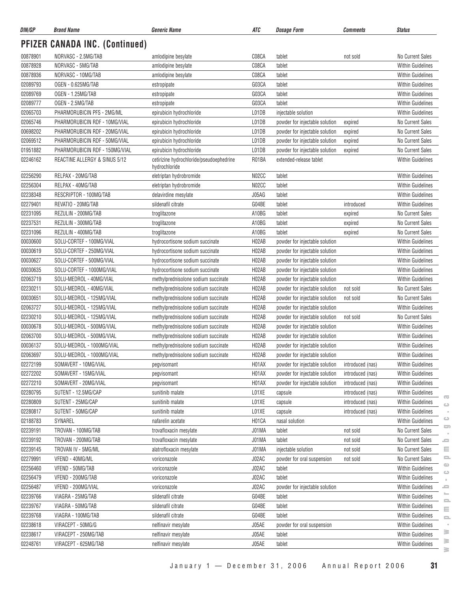| DIN/GP   | <b>Brand Name</b>              | <b>Generic Name</b>                                       | ATC                | <b>Dosage Form</b>             | Comments         | <b>Status</b>                                           |
|----------|--------------------------------|-----------------------------------------------------------|--------------------|--------------------------------|------------------|---------------------------------------------------------|
|          | PFIZER CANADA INC. (Continued) |                                                           |                    |                                |                  |                                                         |
| 00878901 | NORVASC - 2.5MG/TAB            | amlodipine besylate                                       | C08CA              | tablet                         | not sold         | No Current Sales                                        |
| 00878928 | NORVASC - 5MG/TAB              | amlodipine besylate                                       | C08CA              | tablet                         |                  | <b>Within Guidelines</b>                                |
| 00878936 | NORVASC - 10MG/TAB             | amlodipine besylate                                       | C08CA              | tablet                         |                  | <b>Within Guidelines</b>                                |
| 02089793 | OGEN - 0.625MG/TAB             | estropipate                                               | G03CA              | tablet                         |                  | <b>Within Guidelines</b>                                |
| 02089769 | OGEN - 1.25MG/TAB              | estropipate                                               | G03CA              | tablet                         |                  | <b>Within Guidelines</b>                                |
| 02089777 | OGEN - 2.5MG/TAB               | estropipate                                               | G03CA              | tablet                         |                  | <b>Within Guidelines</b>                                |
| 02065703 | PHARMORUBICIN PFS - 2MG/ML     | epirubicin hydrochloride                                  | L01DB              | injectable solution            |                  | <b>Within Guidelines</b>                                |
| 02065746 | PHARMORUBICIN RDF - 10MG/VIAL  | epirubicin hydrochloride                                  | L01DB              | powder for injectable solution | expired          | No Current Sales                                        |
| 00698202 | PHARMORUBICIN RDF - 20MG/VIAL  | epirubicin hydrochloride                                  | L01DB              | powder for injectable solution | expired          | No Current Sales                                        |
| 02069512 | PHARMORUBICIN RDF - 50MG/VIAL  | epirubicin hydrochloride                                  | L01DB              | powder for injectable solution | expired          | No Current Sales                                        |
| 01951882 | PHARMORUBICIN RDF - 150MG/VIAL | epirubicin hydrochloride                                  | L01DB              | powder for injectable solution | expired          | No Current Sales                                        |
| 02246162 | REACTINE ALLERGY & SINUS 5/12  | cetirizine hydrochloride/pseudoephedrine<br>hydrochloride | R01BA              | extended-release tablet        |                  | <b>Within Guidelines</b>                                |
| 02256290 | RELPAX - 20MG/TAB              | eletriptan hydrobromide                                   | N02CC              | tablet                         |                  | Within Guidelines                                       |
| 02256304 | RELPAX - 40MG/TAB              | eletriptan hydrobromide                                   | N02CC              | tablet                         |                  | Within Guidelines                                       |
| 02238348 | RESCRIPTOR - 100MG/TAB         | delavirdine mesylate                                      | J05AG              | tablet                         |                  | <b>Within Guidelines</b>                                |
| 02279401 | REVATIO - 20MG/TAB             | sildenafil citrate                                        | G04BE              | tablet                         | introduced       | <b>Within Guidelines</b>                                |
| 02231095 | REZULIN - 200MG/TAB            | troglitazone                                              | A10BG              | tablet                         | expired          | No Current Sales                                        |
| 02237531 | REZULIN - 300MG/TAB            | troglitazone                                              | A10BG              | tablet                         | expired          | No Current Sales                                        |
| 02231096 | REZULIN - 400MG/TAB            | troglitazone                                              | A10BG              | tablet                         | expired          | No Current Sales                                        |
| 00030600 | SOLU-CORTEF - 100MG/VIAL       | hydrocortisone sodium succinate                           | H02AB              | powder for injectable solution |                  | <b>Within Guidelines</b>                                |
| 00030619 | SOLU-CORTEF - 250MG/VIAL       | hydrocortisone sodium succinate                           | H02AB              | powder for injectable solution |                  | Within Guidelines                                       |
| 00030627 | SOLU-CORTEF - 500MG/VIAL       | hydrocortisone sodium succinate                           | H02AB              | powder for injectable solution |                  | Within Guidelines                                       |
| 00030635 | SOLU-CORTEF - 1000MG/VIAL      | hydrocortisone sodium succinate                           | H02AB              | powder for injectable solution |                  | <b>Within Guidelines</b>                                |
| 02063719 | SOLU-MEDROL - 40MG/VIAL        | methylprednisolone sodium succinate                       | H02AB              | powder for injectable solution |                  | <b>Within Guidelines</b>                                |
| 02230211 | SOLU-MEDROL - 40MG/VIAL        | methylprednisolone sodium succinate                       | H02AB              | powder for injectable solution | not sold         | No Current Sales                                        |
| 00030651 | SOLU-MEDROL - 125MG/VIAL       | methylprednisolone sodium succinate                       | H02AB              | powder for injectable solution | not sold         | No Current Sales                                        |
| 02063727 | SOLU-MEDROL - 125MG/VIAL       | methylprednisolone sodium succinate                       | H02AB              | powder for injectable solution |                  | <b>Within Guidelines</b>                                |
| 02230210 | SOLU-MEDROL - 125MG/VIAL       | methylprednisolone sodium succinate                       | H02AB              | powder for injectable solution | not sold         | No Current Sales                                        |
| 00030678 | SOLU-MEDROL - 500MG/VIAL       | methylprednisolone sodium succinate                       | H02AB              | powder for injectable solution |                  | <b>Within Guidelines</b>                                |
| 02063700 | SOLU-MEDROL - 500MG/VIAL       | methylprednisolone sodium succinate                       | H02AB              | powder for injectable solution |                  | <b>Within Guidelines</b>                                |
| 00036137 | SOLU-MEDROL - 1000MG/VIAL      | methylprednisolone sodium succinate                       | H02AB              | powder for injectable solution |                  | <b>Within Guidelines</b>                                |
| 02063697 | SOLU-MEDROL - 1000MG/VIAL      | methylprednisolone sodium succinate                       | H <sub>02</sub> AB | powder for injectable solution |                  | Within Guidelines                                       |
| 02272199 | SOMAVERT - 10MG/VIAL           | pegvisomant                                               | H <sub>0</sub> 1AX | powder for injectable solution | introduced (nas) | <b>Within Guidelines</b>                                |
| 02272202 | SOMAVERT - 15MG/VIAL           | pegvisomant                                               | H01AX              | powder for injectable solution | introduced (nas) | Within Guidelines                                       |
| 02272210 | SOMAVERT - 20MG/VIAL           | pegvisomant                                               | H01AX              | powder for injectable solution | introduced (nas) | Within Guidelines                                       |
| 02280795 | SUTENT - 12.5MG/CAP            | sunitinib malate                                          | L01XE              | capsule                        | introduced (nas) | Within Guidelines                                       |
| 02280809 | SUTENT - 25MG/CAP              | sunitinib malate                                          | L01XE              | capsule                        | introduced (nas) | $\overline{\mathbf{C}}$<br>Within Guidelines<br>$\circ$ |
| 02280817 | SUTENT - 50MG/CAP              | sunitinib malate                                          | L01XE              | capsule                        | introduced (nas) | <b>Within Guidelines</b>                                |
| 02188783 | SYNAREL                        | nafarelin acetate                                         | H01CA              | nasal solution                 |                  | $\circ$<br><b>Within Guidelines</b>                     |
| 02239191 | TROVAN - 100MG/TAB             | trovafloxacin mesylate                                    | J01MA              | tablet                         | not sold         | 5<br>No Current Sales                                   |
| 02239192 | TROVAN - 200MG/TAB             | trovafloxacin mesylate                                    | J01MA              | tablet                         | not sold         | No Current Sales<br>ᆖ                                   |
| 02239145 | TROVAN IV - 5MG/ML             | alatrofloxacin mesylate                                   | J01MA              | injectable solution            | not sold         | ≘<br>No Current Sales                                   |
| 02279991 | VFEND - 40MG/ML                | voriconazole                                              | J02AC              | powder for oral suspension     | not sold         | $\equiv$<br>No Current Sales                            |
| 02256460 | VFEND - 50MG/TAB               | voriconazole                                              | J02AC              | tablet                         |                  | $\bigcirc$<br>Within Guidelines                         |
| 02256479 | VFEND - 200MG/TAB              | voriconazole                                              | J02AC              | tablet                         |                  | $\bigcirc$<br>Within Guidelines                         |
| 02256487 | VFEND - 200MG/VIAL             | voriconazole                                              | J02AC              | powder for injectable solution |                  | Within Guidelines<br>ᆖ                                  |
| 02239766 | VIAGRA - 25MG/TAB              | sildenafil citrate                                        | G04BE              | tablet                         |                  | ►<br>Within Guidelines                                  |
| 02239767 | VIAGRA - 50MG/TAB              | sildenafil citrate                                        | G04BE              | tablet                         |                  | $\equiv$<br><b>Within Guidelines</b>                    |
| 02239768 | VIAGRA - 100MG/TAB             | sildenafil citrate                                        | G04BE              | tablet                         |                  | $\equiv$<br>Within Guidelines                           |
| 02238618 | VIRACEPT - 50MG/G              | nelfinavir mesylate                                       | J05AE              | powder for oral suspension     |                  | $\equiv$<br>Within Guidelines                           |
| 02238617 | VIRACEPT - 250MG/TAB           | nelfinavir mesylate                                       | J05AE              | tablet                         |                  | ≋<br>Within Guidelines                                  |
| 02248761 | VIRACEPT - 625MG/TAB           | nelfinavir mesylate                                       | J05AE              | tablet                         |                  | ≧<br>Within Guidelines                                  |
|          |                                |                                                           |                    |                                |                  |                                                         |

 $\geq$  $\geq$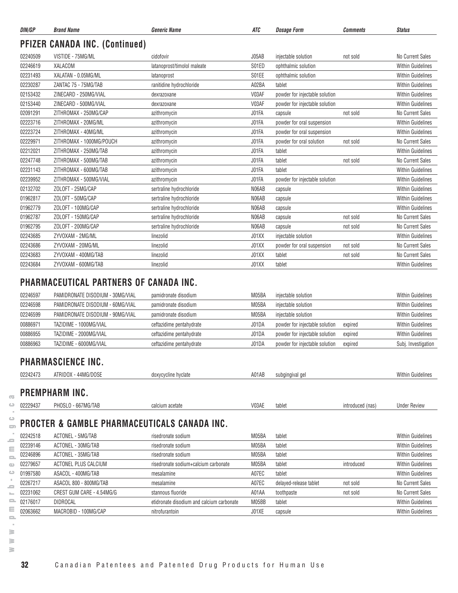| DIN/GP   | <b>Brand Name</b>                     | <b>Generic Name</b>         | <b>ATC</b> | <b>Dosage Form</b>             | <b>Comments</b> | <b>Status</b>            |
|----------|---------------------------------------|-----------------------------|------------|--------------------------------|-----------------|--------------------------|
|          | <b>PFIZER CANADA INC. (Continued)</b> |                             |            |                                |                 |                          |
| 02240509 | VISTIDE - 75MG/ML                     | cidofovir                   | J05AB      | injectable solution            | not sold        | No Current Sales         |
| 02246619 | XALACOM                               | latanoprost/timolol maleate | S01ED      | ophthalmic solution            |                 | <b>Within Guidelines</b> |
| 02231493 | XALATAN - 0.05MG/ML                   | latanoprost                 | S01EE      | ophthalmic solution            |                 | <b>Within Guidelines</b> |
| 02230287 | ZANTAC 75 - 75MG/TAB                  | ranitidine hydrochloride    | A02BA      | tablet                         |                 | <b>Within Guidelines</b> |
| 02153432 | ZINECARD - 250MG/VIAL                 | dexrazoxane                 | V03AF      | powder for injectable solution |                 | <b>Within Guidelines</b> |
| 02153440 | ZINECARD - 500MG/VIAL                 | dexrazoxane                 | V03AF      | powder for injectable solution |                 | <b>Within Guidelines</b> |
| 02091291 | ZITHROMAX - 250MG/CAP                 | azithromycin                | J01FA      | capsule                        | not sold        | No Current Sales         |
| 02223716 | ZITHROMAX - 20MG/ML                   | azithromycin                | J01FA      | powder for oral suspension     |                 | <b>Within Guidelines</b> |
| 02223724 | ZITHROMAX - 40MG/ML                   | azithromycin                | J01FA      | powder for oral suspension     |                 | <b>Within Guidelines</b> |
| 02229971 | ZITHROMAX - 1000MG/POUCH              | azithromycin                | J01FA      | powder for oral solution       | not sold        | No Current Sales         |
| 02212021 | ZITHROMAX - 250MG/TAB                 | azithromycin                | J01FA      | tablet                         |                 | <b>Within Guidelines</b> |
| 02247748 | ZITHROMAX - 500MG/TAB                 | azithromycin                | J01FA      | tablet                         | not sold        | <b>No Current Sales</b>  |
| 02231143 | ZITHROMAX - 600MG/TAB                 | azithromycin                | J01FA      | tablet                         |                 | <b>Within Guidelines</b> |
| 02239952 | ZITHROMAX - 500MG/VIAL                | azithromycin                | J01FA      | powder for injectable solution |                 | <b>Within Guidelines</b> |
| 02132702 | ZOLOFT - 25MG/CAP                     | sertraline hydrochloride    | N06AB      | capsule                        |                 | <b>Within Guidelines</b> |
| 01962817 | ZOLOFT - 50MG/CAP                     | sertraline hydrochloride    | N06AB      | capsule                        |                 | <b>Within Guidelines</b> |
| 01962779 | ZOLOFT - 100MG/CAP                    | sertraline hydrochloride    | N06AB      | capsule                        |                 | <b>Within Guidelines</b> |
| 01962787 | ZOLOFT - 150MG/CAP                    | sertraline hydrochloride    | N06AB      | capsule                        | not sold        | No Current Sales         |
| 01962795 | ZOLOFT - 200MG/CAP                    | sertraline hydrochloride    | N06AB      | capsule                        | not sold        | No Current Sales         |
| 02243685 | ZYVOXAM - 2MG/ML                      | linezolid                   | J01XX      | injectable solution            |                 | <b>Within Guidelines</b> |
| 02243686 | ZYVOXAM - 20MG/ML                     | linezolid                   | J01XX      | powder for oral suspension     | not sold        | No Current Sales         |
| 02243683 | ZYVOXAM - 400MG/TAB                   | linezolid                   | J01XX      | tablet                         | not sold        | No Current Sales         |
| 02243684 | ZYVOXAM - 600MG/TAB                   | linezolid                   | J01XX      | tablet                         |                 | <b>Within Guidelines</b> |

#### **PHARMACEUTICAL PARTNERS OF CANADA INC.**

| 02246597 | PAMIDRONATE DISODIUM - 30MG/VIAL | pamidronate disodium     | M05BA | injectable solution            |         | <b>Within Guidelines</b> |
|----------|----------------------------------|--------------------------|-------|--------------------------------|---------|--------------------------|
| 02246598 | PAMIDRONATE DISODIUM - 60MG/VIAL | pamidronate disodium     | M05BA | injectable solution            |         | <b>Within Guidelines</b> |
| 02246599 | PAMIDRONATE DISODIUM - 90MG/VIAL | pamidronate disodium     | M05BA | injectable solution            |         | <b>Within Guidelines</b> |
| 00886971 | TAZIDIME - 1000MG/VIAL           | ceftazidime pentahydrate | J01DA | powder for injectable solution | expired | <b>Within Guidelines</b> |
| 00886955 | TAZIDIME - 2000MG/VIAL           | ceftazidime pentahydrate | J01DA | powder for injectable solution | expired | <b>Within Guidelines</b> |
| 00886963 | TAZIDIME - 6000MG/VIAL           | ceftazidime pentahydrate | J01DA | powder for injectable solution | expired | Subj. Investigation      |

#### **PHARMASCIENCE INC.**

|            | 02242473       | ATRIDOX - 44MG/DOSE | doxycycline hyclate | A01AB | subgingival gel | <b>Within Guidelines</b> |
|------------|----------------|---------------------|---------------------|-------|-----------------|--------------------------|
| <b>COL</b> | PREMPHARM INC. |                     |                     |       |                 |                          |

| 02229437 | 7MG/TAB<br>ואטאי<br>--<br>- 25 | calcium acetate | V03AE | tablet | introduced (nas) | Under Review |
|----------|--------------------------------|-----------------|-------|--------|------------------|--------------|
|          |                                |                 |       |        |                  |              |

#### $\qquad \qquad \qquad \Box$ **PROCTER & GAMBLE PHARMACEUTICALS CANADA INC.**

| $\overline{\phantom{a}}$     |          |                                              |                                           |       |                        |                  |                          |
|------------------------------|----------|----------------------------------------------|-------------------------------------------|-------|------------------------|------------------|--------------------------|
| ت                            | 02229437 | PHOSLO - 667MG/TAB                           | calcium acetate                           | V03AE | tablet                 | introduced (nas) | <b>Under Review</b>      |
| ت<br>$\equiv$                |          | PROCTER & GAMBLE PHARMACEUTICALS CANADA INC. |                                           |       |                        |                  |                          |
| 5                            | 02242518 | ACTONEL - 5MG/TAB                            | risedronate sodium                        | M05BA | tablet                 |                  | <b>Within Guidelines</b> |
| Ξ                            | 02239146 | ACTONEL - 30MG/TAB                           | risedronate sodium                        | M05BA | tablet                 |                  | <b>Within Guidelines</b> |
| $\qquad \qquad \blacksquare$ | 02246896 | ACTONEL - 35MG/TAB                           | risedronate sodium                        | M05BA | tablet                 |                  | <b>Within Guidelines</b> |
| $\bigcirc$                   | 02279657 | ACTONEL PLUS CALCIUM                         | risedronate sodium+calcium carbonate      | M05BA | tablet                 | introduced       | <b>Within Guidelines</b> |
| ت                            | 01997580 | ASACOL - 400MG/TAB                           | mesalamine                                | A07EC | tablet                 |                  | <b>Within Guidelines</b> |
| -                            | 02267217 | ASACOL 800 - 800MG/TAB                       | mesalamine                                | A07EC | delayed-release tablet | not sold         | No Current Sales         |
| $\overline{a}$               | 02231062 | CREST GUM CARE - 4.54MG/G                    | stannous fluoride                         | A01AA | toothpaste             | not sold         | No Current Sales         |
| 2                            | 02176017 | DIDROCAL                                     | etidronate disodium and calcium carbonate | M05BB | tablet                 |                  | <b>Within Guidelines</b> |
| Ξ                            | 02063662 | MACROBID - 100MG/CAP                         | nitrofurantoin                            | J01XE | capsule                |                  | <b>Within Guidelines</b> |
| $\equiv$                     |          |                                              |                                           |       |                        |                  |                          |
| ≧                            |          |                                              |                                           |       |                        |                  |                          |
| ≧                            |          |                                              |                                           |       |                        |                  |                          |
| ≧                            |          |                                              |                                           |       |                        |                  |                          |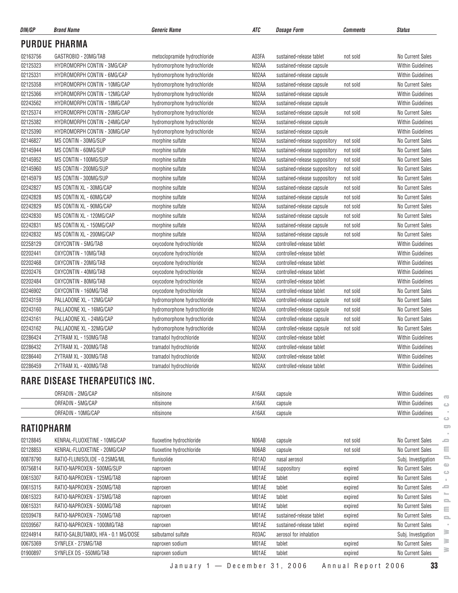| DIN/GP   | <b>Brand Name</b>                     | <b>Generic Name</b>          | ATC   | Dosage Form                   | <b>Comments</b> | <b>Status</b>            |
|----------|---------------------------------------|------------------------------|-------|-------------------------------|-----------------|--------------------------|
|          | <b>PURDUE PHARMA</b>                  |                              |       |                               |                 |                          |
| 02163756 | GASTROBID - 20MG/TAB                  | metoclopramide hydrochloride | A03FA | sustained-release tablet      | not sold        | No Current Sales         |
| 02125323 | HYDROMORPH CONTIN - 3MG/CAP           | hydromorphone hydrochloride  | N02AA | sustained-release capsule     |                 | <b>Within Guidelines</b> |
| 02125331 | HYDROMORPH CONTIN - 6MG/CAP           | hydromorphone hydrochloride  | N02AA | sustained-release capsule     |                 | <b>Within Guidelines</b> |
| 02125358 | HYDROMORPH CONTIN - 10MG/CAP          | hydromorphone hydrochloride  | N02AA | sustained-release capsule     | not sold        | No Current Sales         |
| 02125366 | HYDROMORPH CONTIN - 12MG/CAP          | hydromorphone hydrochloride  | N02AA | sustained-release capsule     |                 | <b>Within Guidelines</b> |
| 02243562 | HYDROMORPH CONTIN - 18MG/CAP          | hydromorphone hydrochloride  | N02AA | sustained-release capsule     |                 | <b>Within Guidelines</b> |
| 02125374 | HYDROMORPH CONTIN - 20MG/CAP          | hydromorphone hydrochloride  | N02AA | sustained-release capsule     | not sold        | No Current Sales         |
| 02125382 | HYDROMORPH CONTIN - 24MG/CAP          | hydromorphone hydrochloride  | N02AA | sustained-release capsule     |                 | <b>Within Guidelines</b> |
| 02125390 | HYDROMORPH CONTIN - 30MG/CAP          | hydromorphone hydrochloride  | N02AA | sustained-release capsule     |                 | <b>Within Guidelines</b> |
| 02146827 | MS CONTIN - 30MG/SUP                  | morphine sulfate             | N02AA | sustained-release suppository | not sold        | No Current Sales         |
| 02145944 | MS CONTIN - 60MG/SUP                  | morphine sulfate             | N02AA | sustained-release suppository | not sold        | No Current Sales         |
| 02145952 | MS CONTIN - 100MG/SUP                 | morphine sulfate             | N02AA | sustained-release suppository | not sold        | No Current Sales         |
| 02145960 | MS CONTIN - 200MG/SUP                 | morphine sulfate             | N02AA | sustained-release suppository | not sold        | No Current Sales         |
| 02145979 | MS CONTIN - 300MG/SUP                 | morphine sulfate             | N02AA | sustained-release suppository | not sold        | No Current Sales         |
| 02242827 | MS CONTIN XL - 30MG/CAP               | morphine sulfate             | N02AA | sustained-release capsule     | not sold        | No Current Sales         |
| 02242828 | MS CONTIN XL - 60MG/CAP               | morphine sulfate             | N02AA | sustained-release capsule     | not sold        | No Current Sales         |
| 02242829 | MS CONTIN XL - 90MG/CAP               | morphine sulfate             | N02AA | sustained-release capsule     | not sold        | No Current Sales         |
| 02242830 | MS CONTIN XL - 120MG/CAP              | morphine sulfate             | N02AA | sustained-release capsule     | not sold        | No Current Sales         |
| 02242831 | MS CONTIN XL - 150MG/CAP              | morphine sulfate             | N02AA | sustained-release capsule     | not sold        | No Current Sales         |
| 02242832 | MS CONTIN XL - 200MG/CAP              | morphine sulfate             | N02AA | sustained-release capsule     | not sold        | No Current Sales         |
| 02258129 | OXYCONTIN - 5MG/TAB                   | oxycodone hydrochloride      | N02AA | controlled-release tablet     |                 | Within Guidelines        |
| 02202441 | OXYCONTIN - 10MG/TAB                  | oxycodone hydrochloride      | N02AA | controlled-release tablet     |                 | <b>Within Guidelines</b> |
| 02202468 | OXYCONTIN - 20MG/TAB                  | oxycodone hydrochloride      | N02AA | controlled-release tablet     |                 | <b>Within Guidelines</b> |
| 02202476 | OXYCONTIN - 40MG/TAB                  | oxycodone hydrochloride      | N02AA | controlled-release tablet     |                 | <b>Within Guidelines</b> |
| 02202484 | OXYCONTIN - 80MG/TAB                  | oxycodone hydrochloride      | N02AA | controlled-release tablet     |                 | <b>Within Guidelines</b> |
| 02246902 | OXYCONTIN - 160MG/TAB                 | oxycodone hydrochloride      | N02AA | controlled-release tablet     | not sold        | No Current Sales         |
| 02243159 | PALLADONE XL - 12MG/CAP               | hydromorphone hydrochloride  | N02AA | controlled-release capsule    | not sold        | No Current Sales         |
| 02243160 | PALLADONE XL - 16MG/CAP               | hydromorphone hydrochloride  | N02AA | controlled-release capsule    | not sold        | No Current Sales         |
| 02243161 | PALLADONE XL - 24MG/CAP               | hydromorphone hydrochloride  | N02AA | controlled-release capsule    | not sold        | No Current Sales         |
| 02243162 | PALLADONE XL - 32MG/CAP               | hydromorphone hydrochloride  | N02AA | controlled-release capsule    | not sold        | No Current Sales         |
| 02286424 | ZYTRAM XL - 150MG/TAB                 | tramadol hydrochloride       | N02AX | controlled-release tablet     |                 | Within Guidelines        |
| 02286432 | ZYTRAM XL - 200MG/TAB                 | tramadol hydrochloride       | N02AX | controlled-release tablet     |                 | <b>Within Guidelines</b> |
| 02286440 | ZYTRAM XL - 300MG/TAB                 | tramadol hydrochloride       | N02AX | controlled-release tablet     |                 | <b>Within Guidelines</b> |
| 02286459 | ZYTRAM XL - 400MG/TAB                 | tramadol hydrochloride       | NO2AX | controlled-release tablet     |                 | <b>Within Guidelines</b> |
|          | <b>RARE DISEASE THERAPEUTICS INC.</b> |                              |       |                               |                 |                          |
|          | ORFADIN - 2MG/CAP                     | nitisinone                   | A16AX | capsule                       |                 | <b>Within Guidelines</b> |
|          | ORFADIN - 5MG/CAP                     | nitisinone                   | A16AX | capsule                       |                 | Within Guidelines        |
|          | ORFADIN - 10MG/CAP                    | nitisinone                   | A16AX | capsule                       |                 | Within Guidelines        |

#### **RATIOPHARM**

|                   |                                    |                          |       |                          |          |                          | œ          |
|-------------------|------------------------------------|--------------------------|-------|--------------------------|----------|--------------------------|------------|
|                   | ORFADIN - 5MG/CAP                  | nitisinone               | A16AX | capsule                  |          | <b>Within Guidelines</b> | $\bigcirc$ |
|                   | ORFADIN - 10MG/CAP                 | nitisinone               | A16AX | capsule                  |          | <b>Within Guidelines</b> | دے         |
| <b>RATIOPHARM</b> |                                    |                          |       |                          |          |                          | $\equiv$   |
| 02128845          | KENRAL-FLUOXETINE - 10MG/CAP       | fluoxetine hydrochloride | N06AB | capsule                  | not sold | No Current Sales         | ᇰ          |
| 02128853          | KENRAL-FLUOXETINE - 20MG/CAP       | fluoxetine hydrochloride | N06AB | capsule                  | not sold | No Current Sales         | Ξ          |
| 00878790          | RATIO-FLUNISOLIDE - 0.25MG/ML      | flunisolide              | R01AD | nasal aerosol            |          | Subj. Investigation      | $\equiv$   |
| 00756814          | RATIO-NAPROXEN - 500MG/SUP         | naproxen                 | M01AE | suppository              | expired  | No Current Sales         |            |
| 00615307          | RATIO-NAPROXEN - 125MG/TAB         | naproxen                 | M01AE | tablet                   | expired  | No Current Sales         |            |
| 00615315          | RATIO-NAPROXEN - 250MG/TAB         | naproxen                 | M01AE | tablet                   | expired  | No Current Sales         | ᇰ          |
| 00615323          | RATIO-NAPROXEN - 375MG/TAB         | naproxen                 | M01AE | tablet                   | expired  | No Current Sales         | 2          |
| 00615331          | RATIO-NAPROXEN - 500MG/TAB         | naproxen                 | M01AE | tablet                   | expired  | No Current Sales         | Ξ          |
| 02039478          | RATIO-NAPROXEN - 750MG/TAB         | naproxen                 | M01AE | sustained-release tablet | expired  | No Current Sales         | $\equiv$   |
| 02039567          | RATIO-NAPROXEN - 1000MG/TAB        | naproxen                 | M01AE | sustained-release tablet | expired  | No Current Sales         |            |
| 02244914          | RATIO-SALBUTAMOL HFA - 0.1 MG/DOSE | salbutamol sulfate       | R03AC | aerosol for inhalation   |          | Subj. Investigation      | 3          |
| 00675369          | SYNFLEX - 275MG/TAB                | naproxen sodium          | M01AE | tablet                   | expired  | No Current Sales         | 3          |
| 01900897          | SYNFLEX DS - 550MG/TAB             | naproxen sodium          | M01AE | tablet                   | expired  | No Current Sales         | 3          |
|                   |                                    |                          |       |                          |          |                          |            |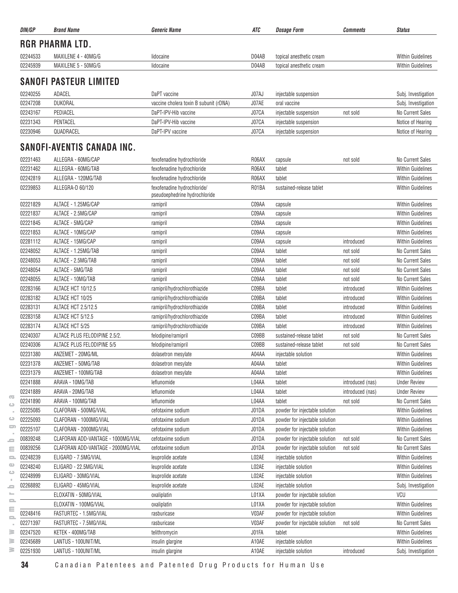| DIN/GP   | <b>Brand Name</b>                  | <i><b>Generic Name</b></i>                                   | ATC   | <b>Dosage Form</b>             | <b>Comments</b>  | <b>Status</b>            |
|----------|------------------------------------|--------------------------------------------------------------|-------|--------------------------------|------------------|--------------------------|
|          | <b>RGR PHARMA LTD.</b>             |                                                              |       |                                |                  |                          |
| 02244533 | MAXILENE 4 - 40MG/G                | lidocaine                                                    | D04AB | topical anesthetic cream       |                  | <b>Within Guidelines</b> |
| 02245939 | MAXILENE 5 - 50MG/G                | lidocaine                                                    | D04AB | topical anesthetic cream       |                  | <b>Within Guidelines</b> |
|          | <b>SANOFI PASTEUR LIMITED</b>      |                                                              |       |                                |                  |                          |
| 02240255 | ADACEL                             | DaPT vaccine                                                 | J07AJ | injectable suspension          |                  | Subj. Investigation      |
| 02247208 | <b>DUKORAL</b>                     | vaccine cholera toxin B subunit (rDNA)                       | J07AE | oral vaccine                   |                  | Subj. Investigation      |
| 02243167 | PEDIACEL                           | DaPT-IPV-Hib vaccine                                         | J07CA | injectable suspension          | not sold         | No Current Sales         |
| 02231343 | PENTACEL                           | DaPT-IPV-Hib vaccine                                         | J07CA | injectable suspension          |                  | Notice of Hearing        |
| 02230946 | QUADRACEL                          | DaPT-IPV vaccine                                             | J07CA | injectable suspension          |                  | Notice of Hearing        |
|          | SANOFI-AVENTIS CANADA INC.         |                                                              |       |                                |                  |                          |
| 02231463 | ALLEGRA - 60MG/CAP                 | fexofenadine hydrochloride                                   | R06AX | capsule                        | not sold         | <b>No Current Sales</b>  |
| 02231462 | ALLEGRA - 60MG/TAB                 | fexofenadine hydrochloride                                   | R06AX | tablet                         |                  | Within Guidelines        |
| 02242819 | ALLEGRA - 120MG/TAB                | fexofenadine hydrochloride                                   | R06AX | tablet                         |                  | <b>Within Guidelines</b> |
| 02239853 | ALLEGRA-D 60/120                   | fexofenadine hydrochloride/<br>pseudoephedrine hydrochloride | R01BA | sustained-release tablet       |                  | <b>Within Guidelines</b> |
| 02221829 | ALTACE - 1.25MG/CAP                | ramipril                                                     | C09AA | capsule                        |                  | <b>Within Guidelines</b> |
| 02221837 | ALTACE - 2.5MG/CAP                 | ramipril                                                     | C09AA | capsule                        |                  | <b>Within Guidelines</b> |
| 02221845 | ALTACE - 5MG/CAP                   | ramipril                                                     | C09AA | capsule                        |                  | <b>Within Guidelines</b> |
| 02221853 | ALTACE - 10MG/CAP                  | ramipril                                                     | C09AA | capsule                        |                  | <b>Within Guidelines</b> |
| 02281112 | ALTACE - 15MG/CAP                  | ramipril                                                     | C09AA | capsule                        | introduced       | <b>Within Guidelines</b> |
| 02248052 | ALTACE - 1.25MG/TAB                | ramipril                                                     | C09AA | tablet                         | not sold         | No Current Sales         |
| 02248053 | ALTACE - 2.5MG/TAB                 | ramipril                                                     | C09AA | tablet                         | not sold         | <b>No Current Sales</b>  |
| 02248054 | ALTACE - 5MG/TAB                   | ramipril                                                     | C09AA | tablet                         | not sold         | No Current Sales         |
| 02248055 | ALTACE - 10MG/TAB                  | ramipril                                                     | C09AA | tablet                         | not sold         | No Current Sales         |
| 02283166 | ALTACE HCT 10/12.5                 | ramipril/hydrochlorothiazide                                 | C09BA | tablet                         | introduced       | <b>Within Guidelines</b> |
| 02283182 | ALTACE HCT 10/25                   | ramipril/hydrochlorothiazide                                 | C09BA | tablet                         | introduced       | <b>Within Guidelines</b> |
| 02283131 | ALTACE HCT 2.5/12.5                | ramipril/hydrochlorothiazide                                 | C09BA | tablet                         | introduced       | <b>Within Guidelines</b> |
| 02283158 | ALTACE HCT 5/12.5                  | ramipril/hydrochlorothiazide                                 | C09BA | tablet                         | introduced       | <b>Within Guidelines</b> |
| 02283174 | ALTACE HCT 5/25                    | ramipril/hydrochlorothiazide                                 | C09BA | tablet                         | introduced       | <b>Within Guidelines</b> |
| 02240307 | ALTACE PLUS FELODIPINE 2.5/2.      | felodipine/ramipril                                          | C09BB | sustained-release tablet       | not sold         | No Current Sales         |
| 02240306 | ALTACE PLUS FELODIPINE 5/5         | felodipine/ramipril                                          | C09BB | sustained-release tablet       | not sold         | No Current Sales         |
| 02231380 | ANZEMET - 20MG/ML                  | dolasetron mesylate                                          | A04AA | injectable solution            |                  | <b>Within Guidelines</b> |
| 02231378 | ANZEMET - 50MG/TAB                 | dolasetron mesylate                                          | A04AA | tablet                         |                  | <b>Within Guidelines</b> |
| 02231379 | ANZEMET - 100MG/TAB                | dolasetron mesylate                                          | A04AA | tablet                         |                  | Within Guidelines        |
| 02241888 | ARAVA - 10MG/TAB                   | leflunomide                                                  | L04AA | tablet                         | introduced (nas) | <b>Under Review</b>      |
| 02241889 | ARAVA - 20MG/TAB                   | leflunomide                                                  | L04AA | tablet                         | introduced (nas) | <b>Under Review</b>      |
| 02241890 | ARAVA - 100MG/TAB                  | leflunomide                                                  | L04AA | tablet                         | not sold         | No Current Sales         |
| 02225085 | CLAFORAN - 500MG/VIAL              | cefotaxime sodium                                            | J01DA | powder for injectable solution |                  | <b>Within Guidelines</b> |
| 02225093 | CLAFORAN - 1000MG/VIAL             | cefotaxime sodium                                            | J01DA | powder for injectable solution |                  | <b>Within Guidelines</b> |
| 02225107 | CLAFORAN - 2000MG/VIAL             | cefotaxime sodium                                            | J01DA | powder for injectable solution |                  | <b>Within Guidelines</b> |
| 00839248 | CLAFORAN ADD-VANTAGE - 1000MG/VIAL | cefotaxime sodium                                            | J01DA | powder for injectable solution | not sold         | No Current Sales         |
| 00839256 | CLAFORAN ADD-VANTAGE - 2000MG/VIAL | cefotaxime sodium                                            | J01DA | powder for injectable solution | not sold         | No Current Sales         |
| 02248239 | ELIGARD - 7.5MG/VIAL               | leuprolide acetate                                           | L02AE | injectable solution            |                  | <b>Within Guidelines</b> |
| 02248240 | ELIGARD - 22.5MG/VIAL              | leuprolide acetate                                           | L02AE | injectable solution            |                  | <b>Within Guidelines</b> |
| 02248999 | ELIGARD - 30MG/VIAL                | leuprolide acetate                                           | L02AE | injectable solution            |                  | Within Guidelines        |
| 02268892 | ELIGARD - 45MG/VIAL                | leuprolide acetate                                           | L02AE | injectable solution            |                  | Subj. Investigation      |
|          | ELOXATIN - 50MG/VIAL               | oxaliplatin                                                  | L01XA | powder for injectable solution |                  | VCU                      |
|          | ELOXATIN - 100MG/VIAL              | oxaliplatin                                                  | L01XA | powder for injectable solution |                  | Within Guidelines        |
| 02248416 | FASTURTEC - 1.5MG/VIAL             | rasburicase                                                  | V03AF | powder for injectable solution |                  | <b>Within Guidelines</b> |
| 02271397 | FASTURTEC - 7.5MG/VIAL             | rasburicase                                                  | V03AF | powder for injectable solution | not sold         | <b>No Current Sales</b>  |
| 02247520 | KETEK - 400MG/TAB                  | telithromycin                                                | J01FA | tablet                         |                  | <b>Within Guidelines</b> |
| 02245689 | LANTUS - 100UNIT/ML                | insulin glargine                                             | A10AE | injectable solution            |                  | <b>Within Guidelines</b> |
| 02251930 | LANTUS - 100UNIT/ML                | insulin glargine                                             | A10AE | injectable solution            | introduced       | Subj. Investigation      |

 $\overline{\mathrm{co}}$  $\hfill\square$  $\sim$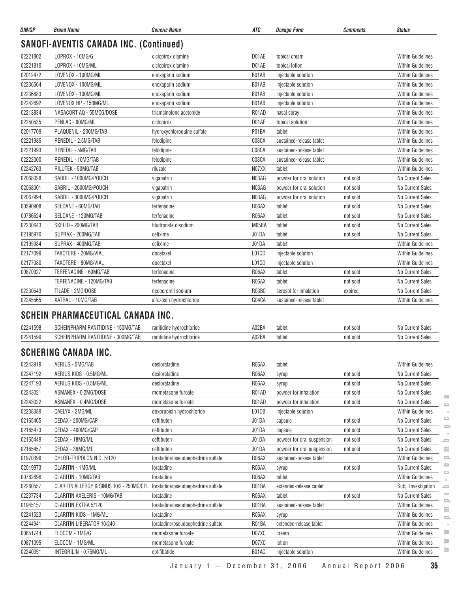| DIN/GP   | <b>Brand Name</b>                             | <b>Generic Name</b>        | ATC   | <b>Dosage Form</b>       | <b>Comments</b> | <b>Status</b>            |
|----------|-----------------------------------------------|----------------------------|-------|--------------------------|-----------------|--------------------------|
|          | <b>SANOFI-AVENTIS CANADA INC. (Continued)</b> |                            |       |                          |                 |                          |
| 02221802 | LOPROX - 10MG/G                               | ciclopirox olamine         | D01AE | topical cream            |                 | <b>Within Guidelines</b> |
| 02221810 | LOPROX - 10MG/ML                              | ciclopirox olamine         | D01AE | topical lotion           |                 | <b>Within Guidelines</b> |
| 02012472 | LOVENOX - 100MG/ML                            | enoxaparin sodium          | B01AB | injectable solution      |                 | <b>Within Guidelines</b> |
| 02236564 | LOVENOX - 100MG/ML                            | enoxaparin sodium          | B01AB | injectable solution      |                 | <b>Within Guidelines</b> |
| 02236883 | LOVENOX - 100MG/ML                            | enoxaparin sodium          | B01AB | injectable solution      |                 | <b>Within Guidelines</b> |
| 02242692 | LOVENOX HP - 150MG/ML                         | enoxaparin sodium          | B01AB | injectable solution      |                 | <b>Within Guidelines</b> |
| 02213834 | NASACORT AQ - 55MCG/DOSE                      | triamcinolone acetonide    | R01AD | nasal spray              |                 | <b>Within Guidelines</b> |
| 02250535 | PENLAC - 80MG/ML                              | ciclopirox                 | D01AE | topical solution         |                 | <b>Within Guidelines</b> |
| 02017709 | PLAQUENIL - 200MG/TAB                         | hydroxychloroquine sulfate | P01BA | tablet                   |                 | <b>Within Guidelines</b> |
| 02221985 | RENEDIL - 2.5MG/TAB                           | felodipine                 | C08CA | sustained-release tablet |                 | <b>Within Guidelines</b> |
| 02221993 | RENEDIL - 5MG/TAB                             | felodipine                 | C08CA | sustained-release tablet |                 | <b>Within Guidelines</b> |
| 02222000 | RENEDIL - 10MG/TAB                            | felodipine                 | C08CA | sustained-release tablet |                 | <b>Within Guidelines</b> |
| 02242763 | RILUTEK - 50MG/TAB                            | riluzole                   | N07XX | tablet                   |                 | <b>Within Guidelines</b> |
| 02068028 | SABRIL - 1000MG/POUCH                         | vigabatrin                 | N03AG | powder for oral solution | not sold        | No Current Sales         |
| 02068001 | SABRIL - 2000MG/POUCH                         | vigabatrin                 | N03AG | powder for oral solution | not sold        | No Current Sales         |
| 02067994 | SABRIL - 3000MG/POUCH                         | vigabatrin                 | N03AG | powder for oral solution | not sold        | No Current Sales         |
| 00590908 | SELDANE - 60MG/TAB                            | terfenadine                | R06AX | tablet                   | not sold        | No Current Sales         |
| 00786624 | SELDANE - 120MG/TAB                           | terfenadine                | R06AX | tablet                   | not sold        | No Current Sales         |
| 02230643 | SKELID - 200MG/TAB                            | tiludronate disodium       | M05BA | tablet                   | not sold        | No Current Sales         |
| 02195976 | SUPRAX - 200MG/TAB                            | cefixime                   | J01DA | tablet                   | not sold        | No Current Sales         |
| 02195984 | SUPRAX - 400MG/TAB                            | cefixime                   | J01DA | tablet                   |                 | <b>Within Guidelines</b> |
| 02177099 | TAXOTERE - 20MG/VIAL                          | docetaxel                  | L01CD | injectable solution      |                 | <b>Within Guidelines</b> |
| 02177080 | TAXOTERE - 80MG/VIAL                          | docetaxel                  | L01CD | injectable solution      |                 | <b>Within Guidelines</b> |
| 00870927 | TERFENADINE - 60MG/TAB                        | terfenadine                | R06AX | tablet                   | not sold        | No Current Sales         |
|          | TERFENADINE - 120MG/TAB                       | terfenadine                | R06AX | tablet                   | not sold        | No Current Sales         |
| 02230543 | TILADE - 2MG/DOSE                             | nedocromil sodium          | R03BC | aerosol for inhalation   | expired         | <b>No Current Sales</b>  |
| 02245565 | XATRAL - 10MG/TAB                             | alfuzosin hydrochloride    | G04CA | sustained-release tablet |                 | <b>Within Guidelines</b> |
|          |                                               |                            |       |                          |                 |                          |

#### **SCHEIN PHARMACEUTICAL CANADA INC.**

| 02241598 | <sub>1</sub> 50MG/TAP<br>IDINE<br>$\mathbf{a}$<br>וענ<br>ועור | 11701061110110C | <b>402BA</b> | tablet | not sold    | ಾಗಿದೆ. |
|----------|---------------------------------------------------------------|-----------------|--------------|--------|-------------|--------|
| 02241599 | 300MG/TAP<br>:DINI<br>$\sim$<br>וענ                           | . оснівнис      | AO2BA        | tablet | not<br>sold |        |

### **SCHERING CANADA INC.**

| 02243919 | AERIUS - 5MG/TAB                          | desloratadine                      | R06AX | tablet                     |          | <b>Within Guidelines</b> |
|----------|-------------------------------------------|------------------------------------|-------|----------------------------|----------|--------------------------|
| 02247192 | AERIUS KIDS - 0.5MG/ML                    | desloratadine                      | R06AX | syrup                      | not sold | No Current Sales         |
| 02247193 | AERIUS KIDS - 0.5MG/ML                    | desloratadine                      | R06AX | syrup                      | not sold | No Current Sales         |
| 02243021 | ASMANEX - 0.2MG/DOSE                      | mometasone furoate                 | R01AD | powder for inhalation      | not sold | No Current Sales         |
| 02243022 | ASMANEX - 0.4MG/DOSE                      | mometasone furoate                 | R01AD | powder for inhalation      | not sold | No Current Sales         |
| 02238389 | CAELYX - 2MG/ML                           | doxorubicin hydrochloride          | L01DB | injectable solution        |          | <b>Within Guidelines</b> |
| 02165465 | CEDAX - 200MG/CAP                         | ceftibuten                         | J01DA | capsule                    | not sold | No Current Sales         |
| 02165473 | CEDAX - 400MG/CAP                         | ceftibuten                         | J01DA | capsule                    | not sold | No Current Sales         |
| 02165449 | CEDAX - 18MG/ML                           | ceftibuten                         | J01DA | powder for oral suspension | not sold | No Current Sales         |
| 02165457 | CEDAX - 36MG/ML                           | ceftibuten                         | J01DA | powder for oral suspension | not sold | No Current Sales         |
| 01970399 | CHLOR-TRIPOLON N.D. 5/120                 | loratadine/pseudoephedrine sulfate | R06AX | sustained-release tablet   |          | <b>Within Guidelines</b> |
| 02019973 | CLARITIN - 1MG/ML                         | loratadine                         | R06AX | syrup                      | not sold | No Current Sales         |
| 00782696 | CLARITIN - 10MG/TAB                       | loratadine                         | R06AX | tablet                     |          | <b>Within Guidelines</b> |
| 02260557 | CLARITIN ALLERGY & SINUS 10/2 - 250MG/CPL | loratadine/pseudoephedrine sulfate | R01BA | extended-release caplet    |          | Subj. Investigation      |
| 02237734 | CLARITIN AXELERIS - 10MG/TAB              | loratadine                         | R06AX | tablet                     | not sold | No Current Sales         |
| 01945157 | CLARITIN EXTRA 5/120                      | loratadine/pseudoephedrine sulfate | R01BA | sustained-release tablet   |          | <b>Within Guidelines</b> |
| 02241523 | <b>CLARITIN KIDS - 1MG/ML</b>             | loratadine                         | R06AX | syrup                      |          | <b>Within Guidelines</b> |
| 02244941 | CLARITIN LIBERATOR 10/240                 | loratadine/pseudoephedrine sulfate | R01BA | extended-release tablet    |          | <b>Within Guidelines</b> |
| 00851744 | ELOCOM - 1MG/G                            | mometasone furoate                 | D07XC | cream                      |          | <b>Within Guidelines</b> |
| 00871095 | ELOCOM - 1MG/ML                           | mometasone furoate                 | D07XC | lotion                     |          | <b>Within Guidelines</b> |
| 02240351 | INTEGRILIN - 0.75MG/ML                    | eptifibatide                       | B01AC | injectable solution        |          | <b>Within Guidelines</b> |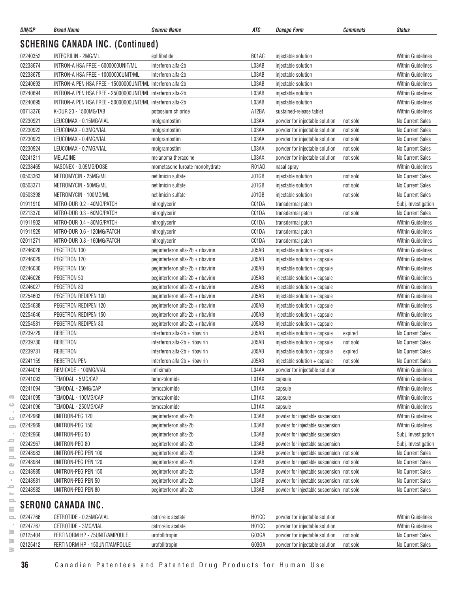| DIN/GP   | <b>Brand Name</b>                                          | <i><b>Generic Name</b></i>        | ATC   | <b>Dosage Form</b>                        | <b>Comments</b> | <b>Status</b>            |
|----------|------------------------------------------------------------|-----------------------------------|-------|-------------------------------------------|-----------------|--------------------------|
|          | <b>SCHERING CANADA INC. (Continued)</b>                    |                                   |       |                                           |                 |                          |
| 02240352 | INTEGRILIN - 2MG/ML                                        | eptifibatide                      | B01AC | injectable solution                       |                 | <b>Within Guidelines</b> |
| 02238674 | INTRON-A HSA FREE - 6000000UNIT/ML                         | interferon alfa-2b                | L03AB | injectable solution                       |                 | <b>Within Guidelines</b> |
| 02238675 | INTRON-A HSA FREE - 10000000UNIT/ML                        | interferon alfa-2b                | L03AB | injectable solution                       |                 | <b>Within Guidelines</b> |
| 02240693 | INTRON-A PEN HSA FREE - 15000000UNIT/ML interferon alfa-2b |                                   | L03AB | injectable solution                       |                 | <b>Within Guidelines</b> |
| 02240694 | INTRON-A PEN HSA FREE - 25000000UNIT/ML interferon alfa-2b |                                   | L03AB | injectable solution                       |                 | <b>Within Guidelines</b> |
| 02240695 | INTRON-A PEN HSA FREE - 50000000UNIT/ML interferon alfa-2b |                                   | L03AB | injectable solution                       |                 | <b>Within Guidelines</b> |
| 00713376 | K-DUR 20 - 1500MG/TAB                                      | potassium chloride                | A12BA | sustained-release tablet                  |                 | <b>Within Guidelines</b> |
| 02230921 | LEUCOMAX - 0.15MG/VIAL                                     | molgramostim                      | L03AA | powder for injectable solution            | not sold        | <b>No Current Sales</b>  |
| 02230922 | LEUCOMAX - 0.3MG/VIAL                                      | molgramostim                      | L03AA | powder for injectable solution            | not sold        | <b>No Current Sales</b>  |
| 02230923 | LEUCOMAX - 0.4MG/VIAL                                      | molgramostim                      | L03AA | powder for injectable solution            | not sold        | No Current Sales         |
| 02230924 | LEUCOMAX - 0.7MG/VIAL                                      | molgramostim                      | L03AA | powder for injectable solution            | not sold        | No Current Sales         |
| 02241211 | <b>MELACINE</b>                                            | melanoma theraccine               | L03AX | powder for injectable solution            | not sold        | No Current Sales         |
| 02238465 | NASONEX - 0.05MG/DOSE                                      | mometasone furoate monohydrate    | R01AD | nasal spray                               |                 | <b>Within Guidelines</b> |
| 00503363 | NETROMYCIN - 25MG/ML                                       | netilmicin sulfate                | J01GB | injectable solution                       | not sold        | No Current Sales         |
| 00503371 | NETROMYCIN - 50MG/ML                                       | netilmicin sulfate                | J01GB | injectable solution                       | not sold        | No Current Sales         |
| 00503398 | NETROMYCIN - 100MG/ML                                      | netilmicin sulfate                | J01GB | injectable solution                       | not sold        | No Current Sales         |
| 01911910 | NITRO-DUR 0.2 - 40MG/PATCH                                 | nitroglycerin                     | C01DA | transdermal patch                         |                 | Subj. Investigation      |
| 02213370 | NITRO-DUR 0.3 - 60MG/PATCH                                 | nitroglycerin                     | C01DA | transdermal patch                         | not sold        | No Current Sales         |
| 01911902 | NITRO-DUR 0.4 - 80MG/PATCH                                 | nitroglycerin                     | C01DA | transdermal patch                         |                 | <b>Within Guidelines</b> |
| 01911929 | NITRO-DUR 0.6 - 120MG/PATCH                                | nitroglycerin                     | C01DA | transdermal patch                         |                 | <b>Within Guidelines</b> |
| 02011271 | NITRO-DUR 0.8 - 160MG/PATCH                                | nitroglycerin                     | C01DA | transdermal patch                         |                 | <b>Within Guidelines</b> |
| 02246028 | PEGETRON 100                                               | peginterferon alfa-2b + ribavirin | J05AB | injectable solution + capsule             |                 | <b>Within Guidelines</b> |
| 02246029 | PEGETRON 120                                               | peginterferon alfa-2b + ribavirin | J05AB | injectable solution + capsule             |                 | <b>Within Guidelines</b> |
|          | PEGETRON 150                                               |                                   |       |                                           |                 |                          |
| 02246030 | PEGETRON 50                                                | peginterferon alfa-2b + ribavirin | J05AB | injectable solution + capsule             |                 | <b>Within Guidelines</b> |
| 02246026 |                                                            | peginterferon alfa-2b + ribavirin | J05AB | injectable solution + capsule             |                 | <b>Within Guidelines</b> |
| 02246027 | PEGETRON 80                                                | peginterferon alfa-2b + ribavirin | J05AB | injectable solution + capsule             |                 | <b>Within Guidelines</b> |
| 02254603 | PEGETRON REDIPEN 100                                       | peginterferon alfa-2b + ribavirin | J05AB | injectable solution + capsule             |                 | <b>Within Guidelines</b> |
| 02254638 | PEGETRON REDIPEN 120                                       | peginterferon alfa-2b + ribavirin | J05AB | injectable solution + capsule             |                 | <b>Within Guidelines</b> |
| 02254646 | PEGETRON REDIPEN 150                                       | peginterferon alfa-2b + ribavirin | J05AB | injectable solution + capsule             |                 | <b>Within Guidelines</b> |
| 02254581 | PEGETRON REDIPEN 80                                        | peginterferon alfa-2b + ribavirin | J05AB | injectable solution + capsule             |                 | <b>Within Guidelines</b> |
| 02239729 | REBETRON                                                   | interferon alfa-2b + ribavirin    | J05AB | injectable solution + capsule             | expired         | No Current Sales         |
| 02239730 | REBETRON                                                   | interferon alfa-2b + ribavirin    | J05AB | injectable solution + capsule             | not sold        | No Current Sales         |
| 02239731 | <b>REBETRON</b>                                            | interferon alfa-2b + ribavirin    | J05AB | injectable solution + capsule             | expired         | No Current Sales         |
| 02241159 | REBETRON PEN                                               | interferon alfa-2b + ribavirin    | J05AB | injectable solution + capsule             | not sold        | No Current Sales         |
| 02244016 | REMICADE - 100MG/VIAL                                      | infliximab                        | L04AA | powder for injectable solution            |                 | <b>Within Guidelines</b> |
| 02241093 | TEMODAL - 5MG/CAP                                          | temozolomide                      | L01AX | capsule                                   |                 | <b>Within Guidelines</b> |
| 02241094 | TEMODAL - 20MG/CAP                                         | temozolomide                      | L01AX | capsule                                   |                 | <b>Within Guidelines</b> |
| 02241095 | TEMODAL - 100MG/CAP                                        | temozolomide                      | L01AX | capsule                                   |                 | <b>Within Guidelines</b> |
| 02241096 | TEMODAL - 250MG/CAP                                        | temozolomide                      | L01AX | capsule                                   |                 | <b>Within Guidelines</b> |
| 02242968 | UNITRON-PEG 120                                            | peginterferon alfa-2b             | L03AB | powder for injectable suspension          |                 | <b>Within Guidelines</b> |
| 02242969 | UNITRON-PEG 150                                            | peginterferon alfa-2b             | L03AB | powder for injectable suspension          |                 | <b>Within Guidelines</b> |
| 02242966 | UNITRON-PEG 50                                             | peginterferon alfa-2b             | L03AB | powder for injectable suspension          |                 | Subj. Investigation      |
| 02242967 | UNITRON-PEG 80                                             | peginterferon alfa-2b             | L03AB | powder for injectable suspension          |                 | Subj. Investigation      |
| 02248983 | UNITRON-PEG PEN 100                                        | peginterferon alfa-2b             | L03AB | powder for injectable suspension not sold |                 | <b>No Current Sales</b>  |
| 02248984 | UNITRON-PEG PEN 120                                        | peginterferon alfa-2b             | L03AB | powder for injectable suspension not sold |                 | <b>No Current Sales</b>  |
| 02248985 | UNITRON-PEG PEN 150                                        | peginterferon alfa-2b             | L03AB | powder for injectable suspension not sold |                 | <b>No Current Sales</b>  |
| 02248981 | UNITRON-PEG PEN 50                                         | peginterferon alfa-2b             | L03AB | powder for injectable suspension not sold |                 | No Current Sales         |
| 02248982 | UNITRON-PEG PEN 80                                         | peginterferon alfa-2b             | L03AB | powder for injectable suspension not sold |                 | No Current Sales         |
|          | <b>SERONO CANADA INC.</b>                                  |                                   |       |                                           |                 |                          |

| 02247766 | CETROTIDE - 0.25MG/VIAL        | cetrorelix acetate | H <sub>0</sub> 1 <sub>CC</sub> | powder for iniectable solution |          | <b>Within Guidelines</b> |
|----------|--------------------------------|--------------------|--------------------------------|--------------------------------|----------|--------------------------|
| 02247767 | CETROTIDE - 3MG/VIAL           | cetrorelix acetate | H <sub>0</sub> 1 <sub>CC</sub> | powder for injectable solution |          | <b>Within Guidelines</b> |
| 02125404 | FERTINORM HP - 75UNIT/AMPOULE  | urofollitropin     | G03GA                          | powder for injectable solution | not sold | No Current Sales         |
| 02125412 | FERTINORM HP - 150UNIT/AMPOULE | urofollitropin     | G03GA                          | powder for injectable solution | not sold | No Current Sales         |
|          |                                |                    |                                |                                |          |                          |

 $\overline{\infty}$  $\circ$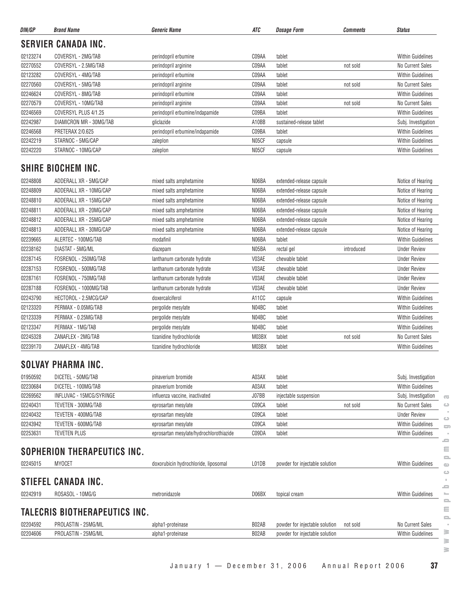| DIN/GP   | <b>Brand Name</b>           | <b>Generic Name</b>                     | ATC   | <b>Dosage Form</b>             | <b>Comments</b> | <b>Status</b>            |
|----------|-----------------------------|-----------------------------------------|-------|--------------------------------|-----------------|--------------------------|
|          | <b>SERVIER CANADA INC.</b>  |                                         |       |                                |                 |                          |
| 02123274 | COVERSYL - 2MG/TAB          | perindopril erbumine                    | C09AA | tablet                         |                 | <b>Within Guidelines</b> |
| 02270552 | COVERSYL - 2.5MG/TAB        | perindopril arginine                    | C09AA | tablet                         | not sold        | No Current Sales         |
| 02123282 | COVERSYL - 4MG/TAB          | perindopril erbumine                    | C09AA | tablet                         |                 | <b>Within Guidelines</b> |
| 02270560 | COVERSYL - 5MG/TAB          | perindopril arginine                    | C09AA | tablet                         | not sold        | No Current Sales         |
| 02246624 | COVERSYL - 8MG/TAB          | perindopril erbumine                    | C09AA | tablet                         |                 | <b>Within Guidelines</b> |
| 02270579 | COVERSYL - 10MG/TAB         | perindopril arginine                    | C09AA | tablet                         | not sold        | No Current Sales         |
| 02246569 | COVERSYL PLUS 4/1.25        | perindopril erbumine/indapamide         | C09BA | tablet                         |                 | <b>Within Guidelines</b> |
| 02242987 | DIAMICRON MR - 30MG/TAB     | gliclazide                              | A10BB | sustained-release tablet       |                 | Subj. Investigation      |
| 02246568 | <b>PRETERAX 2/0.625</b>     | perindopril erbumine/indapamide         | C09BA | tablet                         |                 | <b>Within Guidelines</b> |
| 02242219 | STARNOC - 5MG/CAP           | zaleplon                                | N05CF | capsule                        |                 | <b>Within Guidelines</b> |
| 02242220 | STARNOC - 10MG/CAP          | zaleplon                                | N05CF | capsule                        |                 | <b>Within Guidelines</b> |
|          | <b>SHIRE BIOCHEM INC.</b>   |                                         |       |                                |                 |                          |
| 02248808 | ADDERALL XR - 5MG/CAP       | mixed salts amphetamine                 | N06BA | extended-release capsule       |                 | Notice of Hearing        |
| 02248809 | ADDERALL XR - 10MG/CAP      | mixed salts amphetamine                 | N06BA | extended-release capsule       |                 | Notice of Hearing        |
| 02248810 | ADDERALL XR - 15MG/CAP      | mixed salts amphetamine                 | N06BA | extended-release capsule       |                 | Notice of Hearing        |
| 02248811 | ADDERALL XR - 20MG/CAP      | mixed salts amphetamine                 | N06BA | extended-release capsule       |                 | Notice of Hearing        |
| 02248812 | ADDERALL XR - 25MG/CAP      | mixed salts amphetamine                 | N06BA | extended-release capsule       |                 | Notice of Hearing        |
| 02248813 | ADDERALL XR - 30MG/CAP      | mixed salts amphetamine                 | N06BA | extended-release capsule       |                 | Notice of Hearing        |
| 02239665 | ALERTEC - 100MG/TAB         | modafinil                               | N06BA | tablet                         |                 | <b>Within Guidelines</b> |
| 02238162 | DIASTAT - 5MG/ML            | diazepam                                | N05BA | rectal gel                     | introduced      | <b>Under Review</b>      |
| 02287145 | FOSRENOL - 250MG/TAB        | lanthanum carbonate hydrate             | V03AE | chewable tablet                |                 | <b>Under Review</b>      |
| 02287153 | FOSRENOL - 500MG/TAB        | lanthanum carbonate hydrate             | V03AE | chewable tablet                |                 | <b>Under Review</b>      |
| 02287161 | FOSRENOL - 750MG/TAB        | lanthanum carbonate hydrate             | V03AE | chewable tablet                |                 | <b>Under Review</b>      |
| 02287188 | FOSRENOL - 1000MG/TAB       | lanthanum carbonate hydrate             | V03AE | chewable tablet                |                 | <b>Under Review</b>      |
| 02243790 | HECTOROL - 2.5MCG/CAP       | doxercalciferol                         | A11CC | capsule                        |                 | <b>Within Guidelines</b> |
| 02123320 | PERMAX - 0.05MG/TAB         | pergolide mesylate                      | N04BC | tablet                         |                 | <b>Within Guidelines</b> |
| 02123339 | PERMAX - 0.25MG/TAB         | pergolide mesylate                      | N04BC | tablet                         |                 | <b>Within Guidelines</b> |
| 02123347 | PERMAX - 1MG/TAB            | pergolide mesylate                      | N04BC | tablet                         |                 | <b>Within Guidelines</b> |
| 02245328 | ZANAFLEX - 2MG/TAB          | tizanidine hydrochloride                | M03BX | tablet                         | not sold        | No Current Sales         |
| 02239170 | ZANAFLEX - 4MG/TAB          | tizanidine hydrochloride                | M03BX | tablet                         |                 | <b>Within Guidelines</b> |
|          | SOLVAY PHARMA INC.          |                                         |       |                                |                 |                          |
| 01950592 | DICETEL - 50MG/TAB          | pinaverium bromide                      | A03AX | tablet                         |                 | Subj. Investigation      |
| 02230684 | DICETEL - 100MG/TAB         | pinaverium bromide                      | A03AX | tablet                         |                 | Within Guidelines        |
| 02269562 | INFLUVAC - 15MCG/SYRINGE    | influenza vaccine, inactivated          | J07BB | injectable suspension          |                 | Subj. Investigation      |
| 02240431 | TEVETEN - 300MG/TAB         | eprosartan mesylate                     | C09CA | tablet                         | not sold        | <b>No Current Sales</b>  |
| 02240432 | TEVETEN - 400MG/TAB         | eprosartan mesylate                     | C09CA | tablet                         |                 | <b>Under Review</b>      |
| 02243942 | TEVETEN - 600MG/TAB         | eprosartan mesylate                     | C09CA | tablet                         |                 | <b>Within Guidelines</b> |
| 02253631 | <b>TEVETEN PLUS</b>         | eprosartan mesylate/hydrochlorothiazide | C09DA | tablet                         |                 | <b>Within Guidelines</b> |
|          |                             |                                         |       |                                |                 |                          |
|          | SOPHERION THERAPEUTICS INC. |                                         |       |                                |                 |                          |
| 02245015 | MYOCET                      | doxorubicin hydrochloride, liposomal    | L01DB | powder for injectable solution |                 | <b>Within Guidelines</b> |
|          | <b>STIEFEL CANADA INC.</b>  |                                         |       |                                |                 |                          |
| 02242919 | ROSASOL - 10MG/G            | metronidazole                           | D06BX | topical cream                  |                 | Within Guidelines        |
|          |                             |                                         |       |                                |                 |                          |

#### **TALECRIS BIOTHERAPEUTICS INC.**

| 02204592 | PRO∟<br>"bivila/ivil       | -proteinase<br>aipha1  | B02AB | not sold<br>er for iniectable solution<br>powde | urrent Sales             |
|----------|----------------------------|------------------------|-------|-------------------------------------------------|--------------------------|
| 02204606 | PR <sub>0</sub><br>'bMG/M∟ | 1-proteinase<br>aipha1 | B02AB | r for iniectable solution<br>powde              | <b>Within Guidelines</b> |

 $\geq$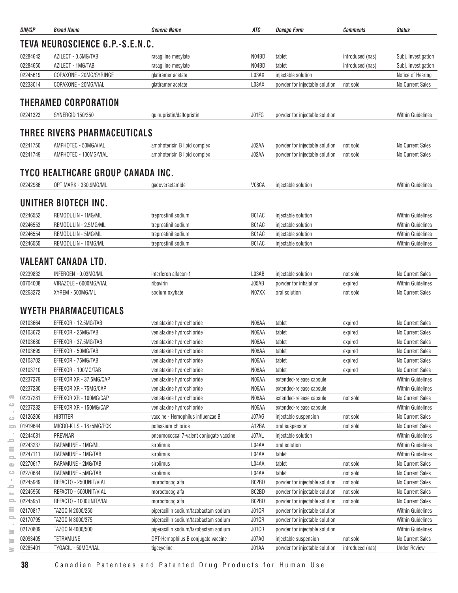| DIN/GP   | <b>Brand Name</b>                 | <b>Generic Name</b>                     | ATC   | <b>Dosage Form</b>             | Comments         | <b>Status</b>            |
|----------|-----------------------------------|-----------------------------------------|-------|--------------------------------|------------------|--------------------------|
|          | TEVA NEUROSCIENCE G.P.-S.E.N.C.   |                                         |       |                                |                  |                          |
| 02284642 | AZILECT - 0.5MG/TAB               | rasagiline mesylate                     | N04BD | tablet                         | introduced (nas) | Subj. Investigation      |
| 02284650 | AZILECT - 1MG/TAB                 | rasagiline mesylate                     | N04BD | tablet                         | introduced (nas) | Subj. Investigation      |
| 02245619 | COPAXONE - 20MG/SYRINGE           | glatiramer acetate                      | L03AX | injectable solution            |                  | Notice of Hearing        |
| 02233014 | COPAXONE - 20MG/VIAL              | glatiramer acetate                      | L03AX | powder for injectable solution | not sold         | No Current Sales         |
|          | <b>THERAMED CORPORATION</b>       |                                         |       |                                |                  |                          |
| 02241323 | <b>SYNERCID 150/350</b>           | quinupristin/dalfopristin               | J01FG | powder for injectable solution |                  | <b>Within Guidelines</b> |
|          | THREE RIVERS PHARMACEUTICALS      |                                         |       |                                |                  |                          |
|          |                                   |                                         |       |                                |                  |                          |
| 02241750 | AMPHOTEC - 50MG/VIAL              | amphotericin B lipid complex            | J02AA | powder for injectable solution | not sold         | <b>No Current Sales</b>  |
| 02241749 | AMPHOTEC - 100MG/VIAL             | amphotericin B lipid complex            | J02AA | powder for injectable solution | not sold         | No Current Sales         |
|          | TYCO HEALTHCARE GROUP CANADA INC. |                                         |       |                                |                  |                          |
| 02242986 | OPTIMARK - 330.9MG/ML             | gadoversetamide                         | V08CA | injectable solution            |                  | <b>Within Guidelines</b> |
|          | UNITHER BIOTECH INC.              |                                         |       |                                |                  |                          |
| 02246552 | REMODULIN - 1MG/ML                | treprostinil sodium                     | B01AC | injectable solution            |                  | <b>Within Guidelines</b> |
| 02246553 | REMODULIN - 2.5MG/ML              | treprostinil sodium                     | B01AC | injectable solution            |                  | <b>Within Guidelines</b> |
| 02246554 | REMODULIN - 5MG/ML                | treprostinil sodium                     | B01AC | injectable solution            |                  | <b>Within Guidelines</b> |
| 02246555 | REMODULIN - 10MG/ML               | treprostinil sodium                     | B01AC | injectable solution            |                  | <b>Within Guidelines</b> |
|          | VALEANT CANADA LTD.               |                                         |       |                                |                  |                          |
| 02239832 | INFERGEN - 0.03MG/ML              | interferon alfacon-1                    | L03AB | injectable solution            | not sold         | <b>No Current Sales</b>  |
| 00704008 | VIRAZOLE - 6000MG/VIAL            | ribavirin                               | J05AB | powder for inhalation          | expired          | <b>Within Guidelines</b> |
| 02268272 | XYREM - 500MG/ML                  | sodium oxybate                          | N07XX | oral solution                  | not sold         | No Current Sales         |
|          | WYETH PHARMACEUTICALS             |                                         |       |                                |                  |                          |
| 02103664 | EFFEXOR - 12.5MG/TAB              | venlafaxine hydrochloride               | N06AA | tablet                         | expired          | No Current Sales         |
| 02103672 | EFFEXOR - 25MG/TAB                | venlafaxine hydrochloride               | N06AA | tablet                         | expired          | <b>No Current Sales</b>  |
| 02103680 | EFFEXOR - 37.5MG/TAB              | venlafaxine hydrochloride               | N06AA | tablet                         | expired          | No Current Sales         |
| 02103699 | EFFEXOR - 50MG/TAB                | venlafaxine hydrochloride               | N06AA | tablet                         | expired          | No Current Sales         |
| 02103702 | EFFEXOR - 75MG/TAB                | venlafaxine hydrochloride               | N06AA | tablet                         | expired          | No Current Sales         |
| 02103710 | EFFEXOR - 100MG/TAB               | venlafaxine hydrochloride               | N06AA | tablet                         | expired          | No Current Sales         |
| 02237279 | EFFEXOR XR - 37.5MG/CAP           | venlafaxine hydrochloride               | N06AA | extended-release capsule       |                  | <b>Within Guidelines</b> |
| 02237280 | EFFEXOR XR - 75MG/CAP             | venlafaxine hydrochloride               | N06AA | extended-release capsule       |                  | Within Guidelines        |
| 02237281 | EFFEXOR XR - 100MG/CAP            | venlafaxine hydrochloride               | N06AA | extended-release capsule       | not sold         | No Current Sales         |
| 02237282 | EFFEXOR XR - 150MG/CAP            | venlafaxine hydrochloride               | N06AA | extended-release capsule       |                  | <b>Within Guidelines</b> |
| 02126206 | <b>HIBTITER</b>                   | vaccine - Hemophilus influenzae B       | J07AG | injectable suspension          | not sold         | No Current Sales         |
| 01919644 | MICRO-K LS - 1875MG/PCK           | potassium chloride                      | A12BA | oral suspension                | not sold         | No Current Sales         |
| 02244081 | PREVNAR                           | pneumococcal 7-valent conjugate vaccine | J07AL | injectable solution            |                  | <b>Within Guidelines</b> |
| 02243237 | RAPAMUNE - 1MG/ML                 | sirolimus                               | L04AA | oral solution                  |                  | Within Guidelines        |
| 02247111 | RAPAMUNE - 1MG/TAB                | sirolimus                               | L04AA | tablet                         |                  | Within Guidelines        |
| 02270617 | RAPAMUNE - 2MG/TAB                | sirolimus                               | L04AA | tablet                         | not sold         | No Current Sales         |
| 02270684 | RAPAMUNE - 5MG/TAB                | sirolimus                               | L04AA | tablet                         | not sold         | No Current Sales         |
| 02245949 | REFACTO - 250UNIT/VIAL            | moroctocog alfa                         | B02BD | powder for injectable solution | not sold         | <b>No Current Sales</b>  |
| 02245950 | REFACTO - 500UNIT/VIAL            | moroctocog alfa                         | B02BD | powder for injectable solution | not sold         | No Current Sales         |
| 02245951 | REFACTO - 1000UNIT/VIAL           | moroctocog alfa                         | B02BD | powder for injectable solution | not sold         | No Current Sales         |
| 02170817 | TAZOCIN 2000/250                  | piperacillin sodium/tazobactam sodium   | J01CR | powder for injectable solution |                  | Within Guidelines        |
| 02170795 | TAZOCIN 3000/375                  | piperacillin sodium/tazobactam sodium   | J01CR | powder for injectable solution |                  | Within Guidelines        |
| 02170809 | TAZOCIN 4000/500                  | piperacillin sodium/tazobactam sodium   | J01CR | powder for injectable solution |                  | <b>Within Guidelines</b> |
| 02093405 | TETRAMUNE                         | DPT-Hemophilus B conjugate vaccine      | J07AG | injectable suspension          | not sold         | No Current Sales         |
| 02285401 | TYGACIL - 50MG/VIAL               | tigecycline                             | J01AA | powder for injectable solution | introduced (nas) | <b>Under Review</b>      |

 $\geq$  $\geq$ 

 $\overline{\infty}$  $\circ$